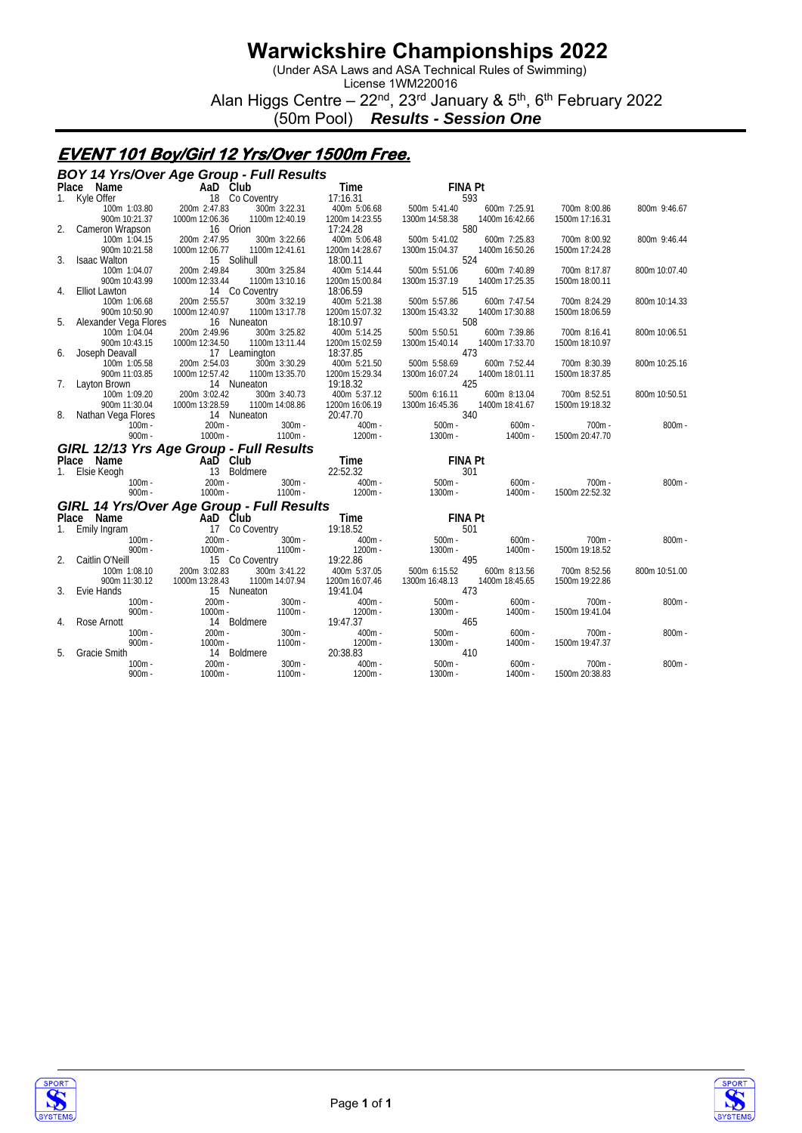(Under ASA Laws and ASA Technical Rules of Swimming)

License 1WM220016 Alan Higgs Centre – 22<sup>nd</sup>, 23<sup>rd</sup> January & 5<sup>th</sup>, 6<sup>th</sup> February 2022

(50m Pool) *Results - Session One*

### **EVENT 101 Boy/Girl 12 Yrs/Over 1500m Free.**

|    | <b>BOY 14 Yrs/Over Age Group - Full Results</b>                  |                         |                       |                      |                       |                       |                |               |  |  |
|----|------------------------------------------------------------------|-------------------------|-----------------------|----------------------|-----------------------|-----------------------|----------------|---------------|--|--|
|    | Place Name                                                       | AaD Club                |                       | Time                 | <b>FINA Pt</b>        |                       |                |               |  |  |
| 1. | Kyle Offer                                                       | 18 Co Coventry          |                       | 17:16.31             | 593                   |                       |                |               |  |  |
|    | 100m 1:03.80                                                     | 200m 2:47.83            | 300m 3:22.31          | 400m 5:06.68         | 500m 5:41.40          | 600m 7:25.91          | 700m 8:00.86   | 800m 9:46.67  |  |  |
|    | 900m 10:21.37                                                    | 1000m 12:06.36          | 1100m 12:40.19        | 1200m 14:23.55       | 1300m 14:58.38        | 1400m 16:42.66        | 1500m 17:16.31 |               |  |  |
| 2. | Cameron Wrapson                                                  | 16 Orion                |                       | 17:24.28             | 580                   |                       |                |               |  |  |
|    | 100m 1:04.15                                                     | 200m 2:47.95            | 300m 3:22.66          | 400m 5:06.48         | 500m 5:41.02          | 600m 7:25.83          | 700m 8:00.92   | 800m 9:46.44  |  |  |
|    | 900m 10:21.58                                                    | 1000m 12:06.77          | 1100m 12:41.61        | 1200m 14:28.67       | 1300m 15:04.37        | 1400m 16:50.26        | 1500m 17:24.28 |               |  |  |
| 3. | <b>Isaac Walton</b>                                              | 15 Solihull             |                       | 18:00.11             | 524                   |                       |                |               |  |  |
|    | 100m 1:04.07                                                     | 200m 2:49.84            | 300m 3:25.84          | 400m 5:14.44         | 500m 5:51.06          | 600m 7:40.89          | 700m 8:17.87   | 800m 10:07.40 |  |  |
|    | 900m 10:43.99                                                    | 1000m 12:33.44          | 1100m 13:10.16        | 1200m 15:00.84       | 1300m 15:37.19        | 1400m 17:25.35        | 1500m 18:00.11 |               |  |  |
| 4. | <b>Elliot Lawton</b>                                             | 14 Co Coventry          |                       | 18:06.59             | 515                   |                       |                |               |  |  |
|    | 100m 1:06.68                                                     | 200m 2:55.57            | 300m 3:32.19          | 400m 5:21.38         | 500m 5:57.86          | 600m 7:47.54          | 700m 8:24.29   | 800m 10:14.33 |  |  |
|    | 900m 10:50.90                                                    | 1000m 12:40.97          | 1100m 13:17.78        | 1200m 15:07.32       | 1300m 15:43.32        | 1400m 17:30.88        | 1500m 18:06.59 |               |  |  |
| 5. | Alexander Vega Flores                                            | 16 Nuneaton             |                       | 18:10.97             | 508                   |                       |                |               |  |  |
|    | 100m 1:04.04                                                     | 200m 2:49.96            | 300m 3:25.82          | 400m 5:14.25         | 500m 5:50.51          | 600m 7:39.86          | 700m 8:16.41   | 800m 10:06.51 |  |  |
|    | 900m 10:43.15                                                    | 1000m 12:34.50          | 1100m 13:11.44        | 1200m 15:02.59       | 1300m 15:40.14        | 1400m 17:33.70        | 1500m 18:10.97 |               |  |  |
| 6. | Joseph Deavall                                                   | 17 Leamington           |                       | 18:37.85             | 473                   |                       |                |               |  |  |
|    | 100m 1:05.58                                                     | 200m 2:54.03            | 300m 3:30.29          | 400m 5:21.50         | 500m 5:58.69          | 600m 7:52.44          | 700m 8:30.39   | 800m 10:25.16 |  |  |
|    | 900m 11:03.85                                                    | 1000m 12:57.42          | 1100m 13:35.70        | 1200m 15:29.34       | 1300m 16:07.24        | 1400m 18:01.11        | 1500m 18:37.85 |               |  |  |
| 7. | Layton Brown                                                     | 14 Nuneaton             |                       | 19:18.32             | 425                   |                       |                |               |  |  |
|    | 100m 1:09.20                                                     | 200m 3:02.42            | 300m 3:40.73          | 400m 5:37.12         | 500m 6:16.11          | 600m 8:13.04          | 700m 8:52.51   | 800m 10:50.51 |  |  |
|    | 900m 11:30.04                                                    | 1000m 13:28.59          | 1100m 14:08.86        | 1200m 16:06.19       | 1300m 16:45.36        | 1400m 18:41.67        | 1500m 19:18.32 |               |  |  |
| 8. | Nathan Vega Flores                                               | 14 Nuneaton             |                       | 20:47.70             | 340                   |                       |                |               |  |  |
|    |                                                                  |                         |                       |                      |                       |                       |                |               |  |  |
|    | $100m -$                                                         | $200m -$                | $300m -$              | $400m -$             | $500m -$              | $600m -$              | $700m -$       | $800m -$      |  |  |
|    | $900m -$                                                         | $1000m -$               | 1100m -               | $1200m -$            | $1300m -$             | $1400m -$             | 1500m 20:47.70 |               |  |  |
|    |                                                                  |                         |                       |                      |                       |                       |                |               |  |  |
|    | GIRL 12/13 Yrs Age Group - Full Results<br>Place Name            | AaD Club                |                       | Time                 | <b>FINA Pt</b>        |                       |                |               |  |  |
| 1. | Elsie Keogh                                                      | 13 Boldmere             |                       | 22:52.32             | 301                   |                       |                |               |  |  |
|    | $100m -$                                                         | $200m -$                | $300m -$              | $400m -$             | $500m -$              | $600m -$              | 700m -         | $800m -$      |  |  |
|    | $900m -$                                                         | $1000m -$               | $1100m -$             | $1200m -$            | $1300m -$             | $1400m -$             | 1500m 22:52.32 |               |  |  |
|    |                                                                  |                         |                       |                      |                       |                       |                |               |  |  |
|    |                                                                  |                         |                       |                      |                       |                       |                |               |  |  |
|    | GIRL 14 Yrs/Over Age Group - Full Results<br>Place Name AaD Club |                         |                       | Time                 | <b>FINA Pt</b>        |                       |                |               |  |  |
| 1. | Emily Ingram                                                     | 17 Co Coventry          |                       | 19:18.52             | 501                   |                       |                |               |  |  |
|    | $100m -$                                                         | $200m -$                | $300m -$              | $400m -$             | $500m -$              | $600m -$              | $700m -$       | $800m -$      |  |  |
|    | $900m -$                                                         | $1000m -$               | $1100m -$             | 1200m -              | $1300m -$             | $1400m -$             | 1500m 19:18.52 |               |  |  |
| 2. | Caitlin O'Neill                                                  | 15 Co Coventry          |                       | 19:22.86             | 495                   |                       |                |               |  |  |
|    | 100m 1:08.10                                                     | 200m 3:02.83            | 300m 3:41.22          | 400m 5:37.05         | 500m 6:15.52          | 600m 8:13.56          | 700m 8:52.56   | 800m 10:51.00 |  |  |
|    | 900m 11:30.12                                                    | 1000m 13:28.43          | 1100m 14:07.94        | 1200m 16:07.46       | 1300m 16:48.13        | 1400m 18:45.65        | 1500m 19:22.86 |               |  |  |
| 3. | Evie Hands                                                       | 15 Nuneaton             |                       | 19:41.04             | 473                   |                       |                |               |  |  |
|    | $100m -$                                                         | $200m -$                | $300m -$              | $400m -$             | $500m -$              | $600m -$              | $700m -$       | $800m -$      |  |  |
|    | $900m -$                                                         | $1000m -$               | $1100m -$             | 1200m -              | $1300m -$             | $1400m -$             | 1500m 19:41.04 |               |  |  |
| 4. | Rose Arnott                                                      | 14 Boldmere             |                       | 19:47.37             | 465                   |                       |                |               |  |  |
|    | $100m -$<br>$900m -$                                             | $200m -$<br>$1000m -$   | $300m -$<br>$1100m -$ | $400m -$             | $500m -$<br>$1300m -$ | $600m -$<br>$1400m -$ | $700m -$       | $800m -$      |  |  |
| 5. |                                                                  |                         |                       | 1200m -              | 410                   |                       | 1500m 19:47.37 |               |  |  |
|    | <b>Gracie Smith</b><br>$100m -$                                  | 14 Boldmere<br>$200m -$ | $300m -$              | 20:38.83<br>$400m -$ | $500m -$              | $600m -$              | $700m -$       | $800m -$      |  |  |
|    | $900m -$                                                         | $1000m -$               | $1100m -$             | $1200m -$            | 1300m -               | $1400m -$             | 1500m 20:38.83 |               |  |  |



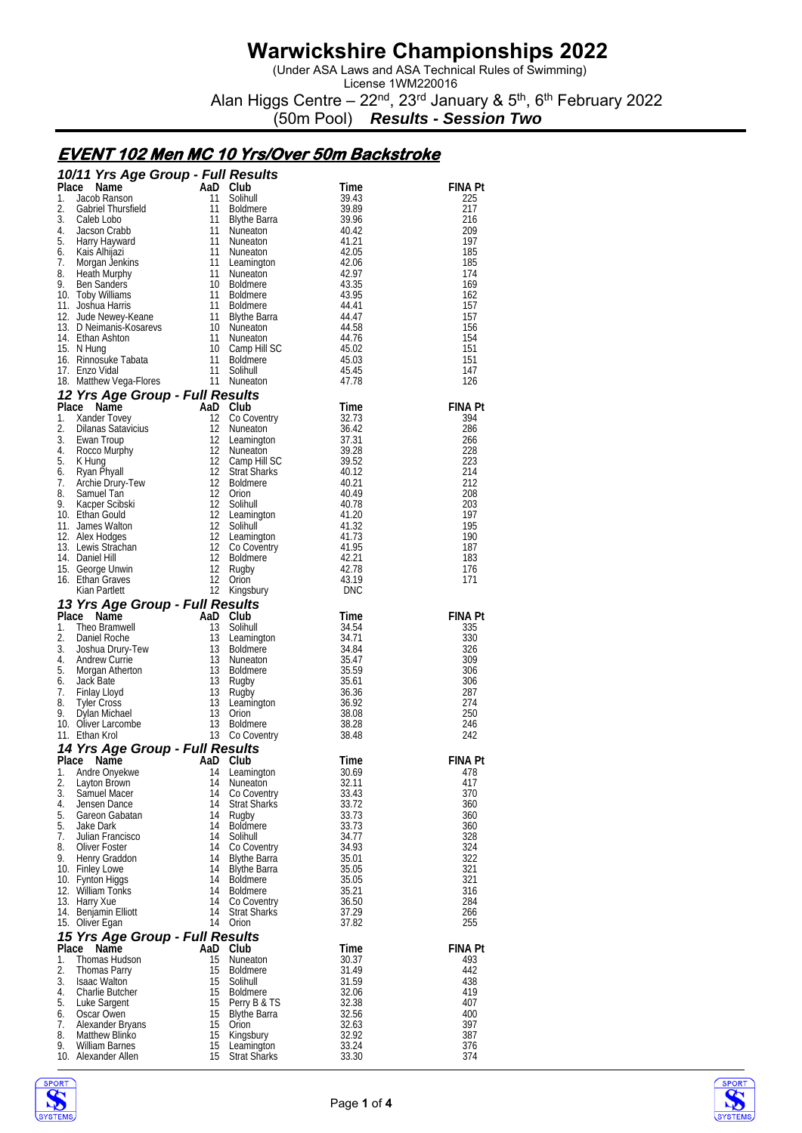(Under ASA Laws and ASA Technical Rules of Swimming)

License 1WM220016 Alan Higgs Centre – 22<sup>nd</sup>, 23<sup>rd</sup> January & 5<sup>th</sup>, 6<sup>th</sup> February 2022

(50m Pool) *Results - Session Two*

### **EVENT 102 Men MC 10 Yrs/Over 50m Backstroke**

|          | 10/11 Yrs Age Group - Full Results                                                                                                                                                                                                                                                                          |          |                                    |                    |                |
|----------|-------------------------------------------------------------------------------------------------------------------------------------------------------------------------------------------------------------------------------------------------------------------------------------------------------------|----------|------------------------------------|--------------------|----------------|
| Place    | Control of the Manne Control of the Manne Control of the Manne Control of the Manne Control of the Manne Control of the Manne Control of the Manne Control of the Manne Control of the Manne Control of Manne Control of Manne                                                                              |          |                                    | Time               | <b>FINA Pt</b> |
| 1.<br>2. |                                                                                                                                                                                                                                                                                                             |          | Solihull                           | 39.43<br>39.89     | 225<br>217     |
| 3.       |                                                                                                                                                                                                                                                                                                             |          | <b>Boldmere</b><br>Blythe Barra    | 39.96              | 216            |
| 4.       |                                                                                                                                                                                                                                                                                                             |          | Nuneaton                           | 40.42              | 209            |
| 5.       |                                                                                                                                                                                                                                                                                                             |          | Nuneaton                           | 41.21              | 197            |
|          |                                                                                                                                                                                                                                                                                                             |          |                                    | 42.05              | 185            |
|          |                                                                                                                                                                                                                                                                                                             |          |                                    | 42.06              | 185            |
|          |                                                                                                                                                                                                                                                                                                             |          |                                    | 42.97<br>43.35     | 174<br>169     |
|          |                                                                                                                                                                                                                                                                                                             |          |                                    | 43.95              | 162            |
|          |                                                                                                                                                                                                                                                                                                             |          |                                    | 44.41              | 157            |
|          |                                                                                                                                                                                                                                                                                                             |          |                                    | 44.47              | 157            |
|          |                                                                                                                                                                                                                                                                                                             |          |                                    | 44.58              | 156            |
|          |                                                                                                                                                                                                                                                                                                             |          |                                    | 44.76<br>45.02     | 154<br>151     |
|          |                                                                                                                                                                                                                                                                                                             |          |                                    | 45.03              | 151            |
|          |                                                                                                                                                                                                                                                                                                             |          |                                    | 45.45              | 147            |
|          | 5. Harry Haywaru<br>6. Kais Alhijazi<br>7. Morgan Jenkins<br>8. Heath Murphy<br>9. Ben Sanders<br>10 Boldmere<br>10 Toby Williams<br>11 Boldmere<br>11 Boldmere<br>12 Jude Newey-Keane<br>13 D Neimanis-Kosarevs<br>11 Boldmere<br>13 D Neimanis-Kosar                                                      |          | 11 Nuneaton                        | 47.78              | 126            |
|          | 12 Yrs Age Group - Full Results<br>han Ass.<br>Hung<br>innosuke Tabata<br>nzo Vidal<br>Aatthew Vega-Flores<br><b>Yrs Age Group - Full Results</b><br>2 <b>Name</b><br>Xander Tovey<br>2 Co Cc<br>Dilanas Satavicius<br>Ewan Froup<br>Ewan Froup<br>Rocco Murphy<br>12 Luar<br>Rocco Murphy<br>12 Luar<br>Ro |          |                                    |                    |                |
|          |                                                                                                                                                                                                                                                                                                             |          |                                    | Time               | <b>FINA Pt</b> |
|          |                                                                                                                                                                                                                                                                                                             |          | 12 Co Coventry                     | 32.73              | 394            |
|          |                                                                                                                                                                                                                                                                                                             |          | 12 Nuneaton<br>12 Leamington       | 36.42<br>37.31     | 286<br>266     |
|          |                                                                                                                                                                                                                                                                                                             |          | 12 Nuneaton                        | 39.28              | 228            |
|          |                                                                                                                                                                                                                                                                                                             |          | 12 Camp Hill SC<br>12 Strat Sharks | 39.52              | 223            |
|          |                                                                                                                                                                                                                                                                                                             |          | 12 Strat Sharks                    | 40.12              | 214            |
|          |                                                                                                                                                                                                                                                                                                             |          | 12 Boldmere                        | 40.21              | 212            |
|          |                                                                                                                                                                                                                                                                                                             |          | 12 Solihull                        | 40.49              | 208            |
|          |                                                                                                                                                                                                                                                                                                             |          | 12 Leamington                      | 40.78<br>41.20     | 203<br>197     |
|          |                                                                                                                                                                                                                                                                                                             |          | 12 Solihull                        | 41.32              | 195            |
|          |                                                                                                                                                                                                                                                                                                             |          | 12 Leamington                      | 41.73              | 190            |
|          |                                                                                                                                                                                                                                                                                                             |          | 12 Co Coventry                     | 41.95              | 187            |
|          |                                                                                                                                                                                                                                                                                                             |          | 12 Boldmere                        | 42.21              | 183            |
|          |                                                                                                                                                                                                                                                                                                             |          |                                    | 42.78<br>43.19     | 176<br>171     |
|          |                                                                                                                                                                                                                                                                                                             |          | Kingsbury                          | DNC                |                |
|          | 13 Yrs Age Group - Full Results                                                                                                                                                                                                                                                                             |          |                                    |                    |                |
|          | Ce Name<br>Theo Bramwell<br>Theo Bramwell<br>Daniel Roche<br>Joshua Drury-Tew<br>13 Boldmere<br>Andrew Currie<br>Andrew Currie<br>Andrew Currie<br>Andrew Currie<br>Andrew Currie<br>Andrew Currie<br>Andrew Currie<br>Andrew Currie<br>Munoctor<br>Place Name                                              |          |                                    | <b>Time</b>        | <b>FINA Pt</b> |
| 1.       |                                                                                                                                                                                                                                                                                                             |          |                                    | 34.54              | 335            |
| 2.       |                                                                                                                                                                                                                                                                                                             |          | 13 Leamington                      | $34.71$<br>$34.84$ | 330            |
| 3.<br>4. |                                                                                                                                                                                                                                                                                                             |          |                                    | 35.47              | 326            |
| 5.       | Andrew Currie                                                                                                                                                                                                                                                                                               |          |                                    | 35.59              | 309<br>306     |
| 6.       |                                                                                                                                                                                                                                                                                                             |          |                                    | - 35.61            | 306            |
| 7.       |                                                                                                                                                                                                                                                                                                             |          |                                    | 36.36              | 287            |
| 8.       |                                                                                                                                                                                                                                                                                                             |          | Leamington                         | 36.92              | 274            |
| 9.       |                                                                                                                                                                                                                                                                                                             |          |                                    | 38.08              | 250            |
|          | Andrew Currie<br>Morgan Atherton<br>Jack Bate<br>Jack Batel and The Higgs Tyler Cross<br>Tyler Cross<br>Dylan Michael 13 Cross<br>Dylan Michael 13 Crion<br>Oliver Larcombe<br>Ethan Krol<br>The Cross<br>The Cross<br>Cross<br>The Cross<br>The Cross<br><br>10. Oliver Larcombe<br>11. Ethan Krol         |          |                                    | 38.28<br>38.48     | 246<br>242     |
|          | 14 Yrs Age Group - Full Results                                                                                                                                                                                                                                                                             |          |                                    |                    |                |
|          | Place Name                                                                                                                                                                                                                                                                                                  | AaD Club |                                    | Time               | <b>FINA Pt</b> |
| 1.       | Andre Onyekwe                                                                                                                                                                                                                                                                                               |          | 14 Leamington                      | 30.69              | 478            |
| 2.       | Layton Brown                                                                                                                                                                                                                                                                                                | 14       | Nuneaton                           | 32.11              | 417            |
| 3.       | Samuel Macer                                                                                                                                                                                                                                                                                                | 14       | Co Coventry                        | 33.43              | 370            |
| 4.       | Jensen Dance<br>5. Gareon Gabatan                                                                                                                                                                                                                                                                           | 14<br>14 | <b>Strat Sharks</b>                | 33.72<br>33.73     | 360<br>360     |
| 5.       | Jake Dark                                                                                                                                                                                                                                                                                                   | 14       | Rugby<br><b>Boldmere</b>           | 33.73              | 360            |
| 7.       | Julian Francisco                                                                                                                                                                                                                                                                                            | 14       | Solihull                           | 34.77              | 328            |
| 8.       | Oliver Foster                                                                                                                                                                                                                                                                                               |          | 14 Co Coventry                     | 34.93              | 324            |
| 9.       | Henry Graddon                                                                                                                                                                                                                                                                                               | 14       | <b>Blythe Barra</b>                | 35.01              | 322            |
|          | 10. Finley Lowe                                                                                                                                                                                                                                                                                             | 14       | <b>Blythe Barra</b>                | 35.05              | 321            |
|          | 10. Fynton Higgs<br>12. William Tonks                                                                                                                                                                                                                                                                       | 14<br>14 | <b>Boldmere</b><br><b>Boldmere</b> | 35.05<br>35.21     | 321<br>316     |
|          | 13. Harry Xue                                                                                                                                                                                                                                                                                               | 14       | Co Coventry                        | 36.50              | 284            |
|          | 14. Benjamin Elliott                                                                                                                                                                                                                                                                                        | 14       | <b>Strat Sharks</b>                | 37.29              | 266            |
|          | 15. Oliver Egan                                                                                                                                                                                                                                                                                             | 14       | Orion                              | 37.82              | 255            |
|          | 15 Yrs Age Group - Full Results                                                                                                                                                                                                                                                                             |          |                                    |                    |                |
|          | Place Name                                                                                                                                                                                                                                                                                                  | AaD Club |                                    | Time               | FINA Pt        |
| 1.<br>2. | Thomas Hudson                                                                                                                                                                                                                                                                                               | 15       | Nuneaton                           | 30.37              | 493            |
| 3.       | Thomas Parry<br><b>Isaac Walton</b>                                                                                                                                                                                                                                                                         | 15<br>15 | Boldmere<br>Solihull               | 31.49<br>31.59     | 442<br>438     |
| 4.       | Charlie Butcher                                                                                                                                                                                                                                                                                             | 15       | Boldmere                           | 32.06              | 419            |
| 5.       | Luke Sargent                                                                                                                                                                                                                                                                                                | 15       | Perry B & TS                       | 32.38              | 407            |
|          | 6. Oscar Owen                                                                                                                                                                                                                                                                                               | 15       | <b>Blythe Barra</b>                | 32.56              | 400            |
| 7.       | Alexander Bryans                                                                                                                                                                                                                                                                                            | 15       | Orion                              | 32.63              | 397            |
| 8.<br>9. | Matthew Blinko<br>William Barnes                                                                                                                                                                                                                                                                            | 15<br>15 | Kingsbury<br>Leamington            | 32.92<br>33.24     | 387<br>376     |
|          | 10. Alexander Allen                                                                                                                                                                                                                                                                                         | 15       | <b>Strat Sharks</b>                | 33.30              | 374            |



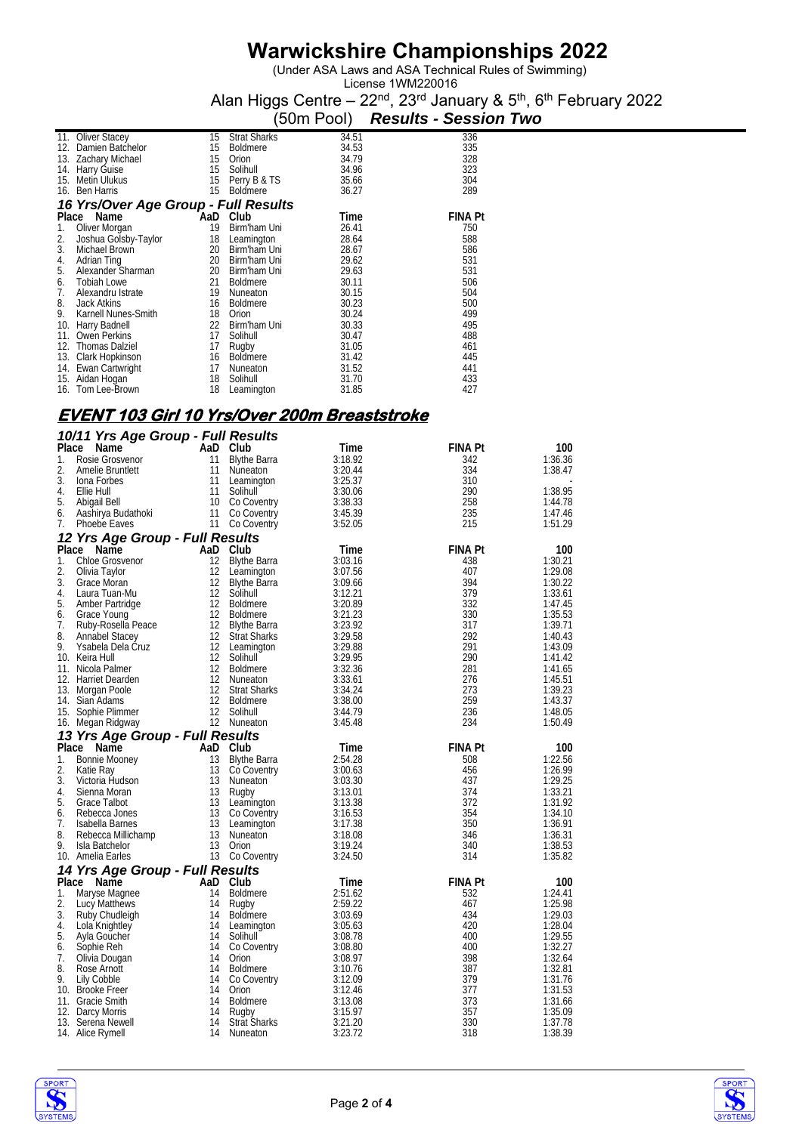(Under ASA Laws and ASA Technical Rules of Swimming)

License 1WM220016 Alan Higgs Centre – 22<sup>nd</sup>, 23<sup>rd</sup> January & 5<sup>th</sup>, 6<sup>th</sup> February 2022

|       |                                      |     |                     | (50m Pool) | <b>Results - Session Two</b> |  |  |  |  |  |
|-------|--------------------------------------|-----|---------------------|------------|------------------------------|--|--|--|--|--|
| 11.   | <b>Oliver Stacey</b>                 | 15  | <b>Strat Sharks</b> | 34.51      | 336                          |  |  |  |  |  |
| 12.   | Damien Batchelor                     | 15  | <b>Boldmere</b>     | 34.53      | 335                          |  |  |  |  |  |
| 13.   | Zachary Michael                      | 15  | Orion               | 34.79      | 328                          |  |  |  |  |  |
| 14.   | Harry Guise                          | 15  | Solihull            | 34.96      | 323                          |  |  |  |  |  |
| 15.   | Metin Ulukus                         | 15  | Perry B & TS        | 35.66      | 304                          |  |  |  |  |  |
| 16.   | <b>Ben Harris</b>                    | 15  | <b>Boldmere</b>     | 36.27      | 289                          |  |  |  |  |  |
|       | 16 Yrs/Over Age Group - Full Results |     |                     |            |                              |  |  |  |  |  |
| Place | Name                                 | AaD | Club                | Time       | <b>FINA Pt</b>               |  |  |  |  |  |
| 1.    | Oliver Morgan                        | 19  | Birm'ham Uni        | 26.41      | 750                          |  |  |  |  |  |
| 2.    | Joshua Golsby-Taylor                 | 18  | Leamington          | 28.64      | 588                          |  |  |  |  |  |
| 3.    | Michael Brown                        | 20  | Birm'ham Uni        | 28.67      | 586                          |  |  |  |  |  |
| 4.    | Adrian Ting                          | 20  | Birm'ham Uni        | 29.62      | 531                          |  |  |  |  |  |
| 5.    | Alexander Sharman                    | 20  | Birm'ham Uni        | 29.63      | 531                          |  |  |  |  |  |
| 6.    | <b>Tobiah Lowe</b>                   | 21  | <b>Boldmere</b>     | 30.11      | 506                          |  |  |  |  |  |
| 7.    | Alexandru Istrate                    | 19  | Nuneaton            | 30.15      | 504                          |  |  |  |  |  |
| 8.    | <b>Jack Atkins</b>                   | 16  | <b>Boldmere</b>     | 30.23      | 500                          |  |  |  |  |  |
| 9.    | Karnell Nunes-Smith                  | 18  | Orion               | 30.24      | 499                          |  |  |  |  |  |
| 10.   | Harry Badnell                        | 22  | Birm'ham Uni        | 30.33      | 495                          |  |  |  |  |  |
| 11.   | <b>Owen Perkins</b>                  | 17  | Solihull            | 30.47      | 488                          |  |  |  |  |  |
| 12.   | <b>Thomas Dalziel</b>                | 17  | Rugby               | 31.05      | 461                          |  |  |  |  |  |
| 13.   | Clark Hopkinson                      | 16  | <b>Boldmere</b>     | 31.42      | 445                          |  |  |  |  |  |
| 14.   | Ewan Cartwright                      | 17  | Nuneaton            | 31.52      | 441                          |  |  |  |  |  |
| 15.   | Aidan Hogan                          | 18  | Solihull            | 31.70      | 433                          |  |  |  |  |  |
| 16.   | Tom Lee-Brown                        | 18  | Leamington          | 31.85      | 427                          |  |  |  |  |  |

### **EVENT 103 Girl 10 Yrs/Over 200m Breaststroke**

|       | 10/11 Yrs Age Group - Full Results |                   |                     |         |                |         |
|-------|------------------------------------|-------------------|---------------------|---------|----------------|---------|
| Place | Name                               |                   | AaD Club            | Time    | FINA Pt        | 100     |
| 1.    | Rosie Grosvenor                    | 11                | <b>Blythe Barra</b> | 3:18.92 | 342            | 1:36.36 |
| 2.    | Amelie Bruntlett                   | 11                | Nuneaton            | 3:20.44 | 334            | 1:38.47 |
| 3.    | lona Forbes                        | 11                | Leamington          | 3:25.37 | 310            |         |
| 4.    | Ellie Hull                         | 11                | Solihull            | 3:30.06 | 290            | 1:38.95 |
| 5.    | Abigail Bell                       |                   | 10 Co Coventry      | 3:38.33 | 258            | 1:44.78 |
| 6.    | Aashirya Budathoki                 | 11                | Co Coventry         | 3:45.39 | 235            | 1:47.46 |
| 7.    | Phoebe Eaves                       |                   | 11 Co Coventry      | 3:52.05 | 215            | 1:51.29 |
|       | 12 Yrs Age Group - Full Results    |                   |                     |         |                |         |
|       | Place Name                         |                   | AaD Club            | Time    | <b>FINA Pt</b> | 100     |
| 1.    | Chloe Grosvenor                    | 12                | <b>Blythe Barra</b> | 3:03.16 | 438            | 1:30.21 |
| 2.    | Olivia Taylor                      | $12 \overline{ }$ | Leamington          | 3:07.56 | 407            | 1:29.08 |
| 3.    | Grace Moran                        | 12                | <b>Blythe Barra</b> | 3:09.66 | 394            | 1:30.22 |
| 4.    | Laura Tuan-Mu                      | 12                | Solihull            | 3:12.21 | 379            | 1:33.61 |
| 5.    | Amber Partridge                    |                   | 12 Boldmere         | 3:20.89 | 332            | 1:47.45 |
| 6.    | Grace Young                        | 12                | <b>Boldmere</b>     | 3:21.23 | 330            | 1:35.53 |
| 7.    | Ruby-Rosella Peace                 | 12                | Blythe Barra        | 3:23.92 | 317            | 1:39.71 |
| 8.    | <b>Annabel Stacey</b>              | 12                | <b>Strat Sharks</b> | 3:29.58 | 292            | 1:40.43 |
| 9.    | Ysabela Dela Cruz                  |                   | 12 Leamington       | 3:29.88 | 291            | 1:43.09 |
|       | 10. Keira Hull                     | $12 \overline{ }$ | Solihull            | 3:29.95 | 290            | 1:41.42 |
|       | 11. Nicola Palmer                  | 12 <sup>12</sup>  | Boldmere            | 3:32.36 | 281            | 1:41.65 |
|       | 12. Harriet Dearden                | 12                | Nuneaton            | 3:33.61 | 276            | 1:45.51 |
|       | 13. Morgan Poole                   | $12 \overline{ }$ | <b>Strat Sharks</b> | 3:34.24 | 273            | 1:39.23 |
|       | 14. Sian Adams                     |                   | 12 Boldmere         | 3:38.00 | 259            | 1:43.37 |
|       | 15. Sophie Plimmer                 | 12 <sup>2</sup>   | Solihull            | 3:44.79 | 236            | 1:48.05 |
|       | 16. Megan Ridgway                  |                   | 12 Nuneaton         | 3:45.48 | 234            | 1:50.49 |
|       | 13 Yrs Age Group - Full Results    |                   |                     |         |                |         |
|       | Place Name                         |                   | AaD Club            | Time    | <b>FINA Pt</b> | 100     |
| 1.    | Bonnie Mooney                      | 13                | <b>Blythe Barra</b> | 2:54.28 | 508            | 1:22.56 |
| 2.    | Katie Ray                          | 13                | Co Coventry         | 3:00.63 | 456            | 1:26.99 |
| 3.    | Victoria Hudson                    | 13                | Nuneaton            | 3:03.30 | 437            | 1:29.25 |
| 4.    | Sienna Moran                       | 13                | Rugby               | 3:13.01 | 374            | 1:33.21 |
| 5.    | Grace Talbot                       | 13                | Leamington          | 3:13.38 | 372            | 1:31.92 |
| 6.    | Rebecca Jones                      | 13                | Co Coventry         | 3:16.53 | 354            | 1:34.10 |
| 7.    | Isabella Barnes                    | 13                | Leamington          | 3:17.38 | 350            | 1:36.91 |
| 8.    | Rebecca Millichamp                 | 13                | Nuneaton            | 3:18.08 | 346            | 1:36.31 |
| 9.    | Isla Batchelor                     | 13                | Orion               | 3:19.24 | 340            | 1:38.53 |
|       | 10. Amelia Earles                  |                   | 13 Co Coventry      | 3:24.50 | 314            | 1:35.82 |
|       |                                    |                   |                     |         |                |         |
|       | 14 Yrs Age Group - Full Results    |                   |                     |         |                |         |
|       | Place Name                         |                   | AaD Club            | Time    | <b>FINA Pt</b> | 100     |
| 1.    | Maryse Magnee                      | 14                | <b>Boldmere</b>     | 2:51.62 | 532            | 1:24.41 |
| 2.    | Lucy Matthews                      | 14                | Rugby               | 2:59.22 | 467            | 1:25.98 |
| 3.    | Ruby Chudleigh                     | 14                | <b>Boldmere</b>     | 3:03.69 | 434            | 1:29.03 |
| 4.    | Lola Knightley                     | 14                | Leamington          | 3:05.63 | 420            | 1:28.04 |
| 5.    | Ayla Goucher                       | 14                | Solihull            | 3:08.78 | 400            | 1:29.55 |
| 6.    | Sophie Reh                         | 14                | Co Coventry         | 3:08.80 | 400            | 1:32.27 |
| 7.    | Olivia Dougan                      | 14                | Orion               | 3:08.97 | 398            | 1:32.64 |
| 8.    | Rose Arnott                        | 14                | <b>Boldmere</b>     | 3:10.76 | 387            | 1:32.81 |
| 9.    | Lily Cobble                        | 14                | Co Coventry         | 3:12.09 | 379            | 1:31.76 |
|       | 10. Brooke Freer                   | 14                | Orion               | 3:12.46 | 377            | 1:31.53 |
| 11.   | Gracie Smith                       | 14                | <b>Boldmere</b>     | 3:13.08 | 373            | 1:31.66 |
|       | 12. Darcy Morris                   | 14                | Rugby               | 3:15.97 | 357            | 1:35.09 |
|       | 13. Serena Newell                  | 14                | <b>Strat Sharks</b> | 3:21.20 | 330            | 1:37.78 |
|       | 14. Alice Rymell                   | 14                | Nuneaton            | 3:23.72 | 318            | 1:38.39 |

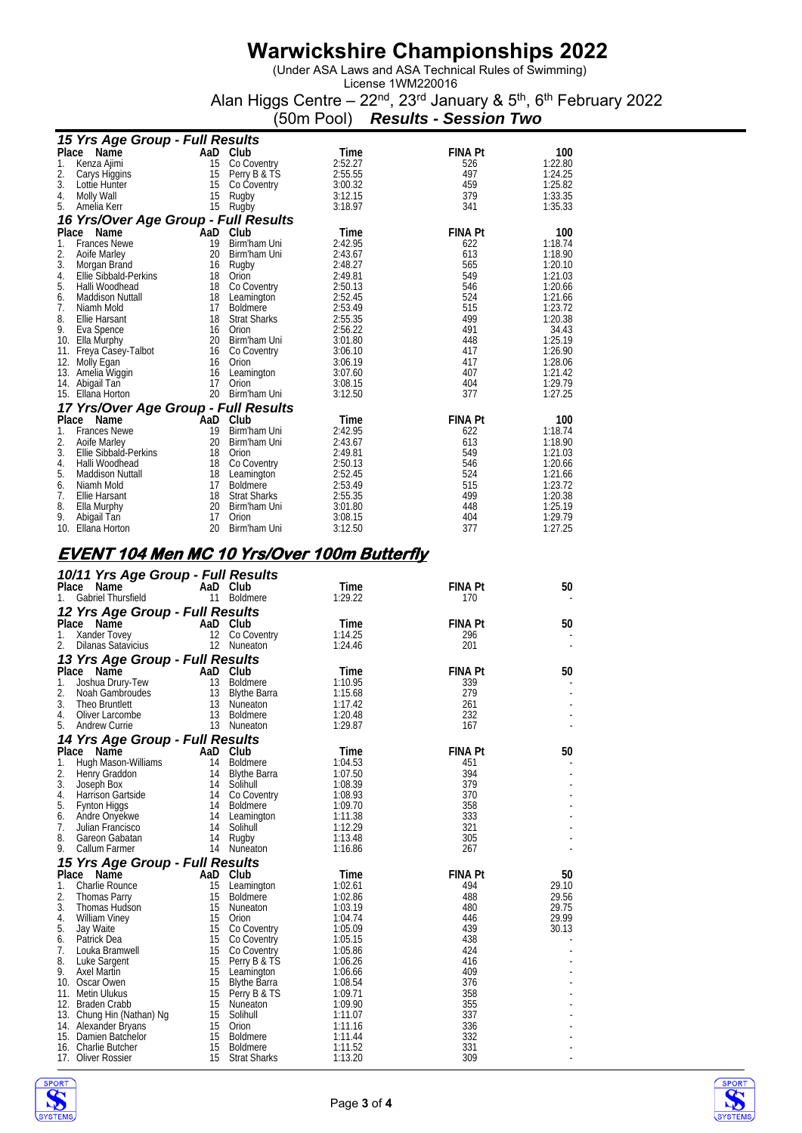(Under ASA Laws and ASA Technical Rules of Swimming)

|  | (50m Pool) Results - Session Two |  |
|--|----------------------------------|--|

|       |                                                    | וייטט ווייטט                  |                    | งนเเง | <u>ו ווטונטטט</u> |         |
|-------|----------------------------------------------------|-------------------------------|--------------------|-------|-------------------|---------|
|       | 15 Yrs Age Group - Full Results                    |                               |                    |       |                   |         |
|       | Place Name                                         | AaD Club                      | Time               |       | <b>FINA Pt</b>    | 100     |
| 1.    | 15<br>Kenza Ajimi                                  | Co Coventry                   | 2:52.27            |       | 526               | 1:22.80 |
| 2.    | 15<br>Carys Higgins                                | Perry B & TS                  | 2:55.55            |       | 497               | 1:24.25 |
| 3.    | 15<br>Lottie Hunter                                | Co Coventry                   | 3:00.32            |       | 459               | 1:25.82 |
| 4.    | Molly Wall<br>15                                   | Rugby                         | 3:12.15            |       | 379               | 1:33.35 |
| 5.    | Amelia Kerr                                        | 15 Rugby                      | 3:18.97            |       | 341               | 1:35.33 |
|       |                                                    |                               |                    |       |                   |         |
|       | 16 Yrs/Over Age Group - Full Results               |                               |                    |       |                   |         |
|       | Place Name                                         | AaD Club                      | Time               |       | <b>FINA Pt</b>    | 100     |
| 1.    | <b>Frances Newe</b><br>19                          | Birm'ham Uni                  | 2:42.95            |       | 622               | 1:18.74 |
| 2.    | 20<br>Aoife Marley                                 | Birm'ham Uni                  | 2:43.67            |       | 613               | 1:18.90 |
| 3.    | Morgan Brand                                       | 16 Rugby                      | 2:48.27            |       | 565               | 1:20.10 |
| 4.    | 18<br>Ellie Sibbald-Perkins                        | Orion                         | 2:49.81            |       | 549               | 1:21.03 |
| 5.    | Halli Woodhead                                     | 18 Co Coventry                | 2:50.13            |       | 546               | 1:20.66 |
| 6.    | Maddison Nuttall                                   | 18 Leamington                 | 2:52.45            |       | 524               | 1:21.66 |
| 7.    | 17<br>Niamh Mold                                   | Boldmere                      | 2:53.49            |       | 515               | 1:23.72 |
| 8.    | 18<br>Ellie Harsant                                | <b>Strat Sharks</b>           | 2:55.35            |       | 499               | 1:20.38 |
| 9.    | Eva Spence                                         | 16 Orion                      | 2:56.22            |       | 491               | 34.43   |
|       | 10. Ella Murphy                                    | 20 Birm'ham Uni               | 3:01.80            |       | 448               | 1:25.19 |
|       | 11. Freya Casey-Talbot                             | 16 Co Coventry                | 3:06.10            |       | 417               | 1:26.90 |
|       | 12. Molly Egan                                     | 16 Orion                      | 3:06.19            |       | 417               | 1:28.06 |
|       | 16<br>13. Amelia Wiggin                            | Leamington                    | 3:07.60            |       | 407               | 1:21.42 |
|       | 17<br>14. Abigail Tan                              | Orion                         | 3:08.15            |       | 404               | 1:29.79 |
|       | 15. Ellana Horton                                  | 20 Birm'ham Uni               | 3:12.50            |       | 377               | 1:27.25 |
|       | 17 Yrs/Over Age Group - Full Results               |                               |                    |       |                   |         |
|       | Place Name<br>AaD                                  | Club                          | Time               |       | <b>FINA Pt</b>    | 100     |
| 1.    | <b>Frances Newe</b><br>19                          | Birm'ham Uni                  | 2:42.95            |       | 622               | 1:18.74 |
| 2.    | Aoife Marley                                       | 20 Birm'ham Uni               | 2:43.67            |       | 613               | 1:18.90 |
| 3.    | 18<br>Ellie Sibbald-Perkins                        | Orion                         | 2:49.81            |       | 549               | 1:21.03 |
| 4.    | Halli Woodhead                                     | 18 Co Coventry                | 2:50.13            |       | 546               | 1:20.66 |
| 5.    | Maddison Nuttall                                   | 18 Leamington                 | 2:52.45            |       | 524               | 1:21.66 |
| 6.    | 17<br>Niamh Mold                                   | <b>Boldmere</b>               | 2:53.49            |       | 515               | 1:23.72 |
| 7.    | 18<br>Ellie Harsant                                | <b>Strat Sharks</b>           | 2:55.35            |       | 499               | 1:20.38 |
| 8.    | Ella Murphy                                        | 20 Birm'ham Uni               | 3:01.80            |       | 448               | 1:25.19 |
| 9.    | 17<br>Abigail Tan                                  | Orion                         | 3:08.15            |       | 404               | 1:29.79 |
|       | 10. Ellana Horton<br>20                            | Birm'ham Uni                  | 3:12.50            |       | 377               | 1:27.25 |
|       |                                                    |                               |                    |       |                   |         |
|       | <u>EVENT 104 Men MC 10 Yrs/Over 100m Butterfly</u> |                               |                    |       |                   |         |
|       |                                                    |                               |                    |       |                   |         |
|       | 10/11 Yrs Age Group - Full Results                 |                               |                    |       |                   |         |
| Place | Name                                               | AaD Club                      | Time               |       | <b>FINA Pt</b>    | 50      |
| 1.    | Gabriel Thursfield                                 | 11 Boldmere                   | 1:29.22            |       | 170               |         |
|       | 12 Yrs Age Group - Full Results                    |                               |                    |       |                   |         |
| Place | Name<br>AaD                                        | Club                          | Time               |       | <b>FINA Pt</b>    | 50      |
| 1.    |                                                    |                               |                    |       | 296               |         |
| 2.    | Xander Tovey                                       | 12 Co Coventry<br>12 Nuneaton | 1:14.25<br>1:24.46 |       | 201               |         |
|       | Dilanas Satavicius                                 |                               |                    |       |                   |         |
|       | 13 Yrs Age Group - Full Results                    |                               |                    |       |                   |         |
| Place | Name                                               | AaD Club                      | Time               |       | <b>FINA Pt</b>    | 50      |
| 1.    | Joshua Drury-Tew<br>13                             | <b>Boldmere</b>               | 1:10.95            |       | 339               |         |
| 2.    | Noah Gambroudes<br>13                              | Blythe Barra                  | 1:15.68            |       | 279               |         |
| 3.    | 13<br>Theo Bruntlett                               | Nuneaton                      | 1:17.42            |       | 261               |         |
| 4.    | 13<br>Oliver Larcombe                              | <b>Boldmere</b>               | 1:20.48            |       | 232               |         |
| 5.    | Andrew Currie                                      | 13 Nuneaton                   | 1:29.87            |       | 167               |         |
|       | 14 Yrs Age Group - Full Results                    |                               |                    |       |                   |         |
|       | Place Name                                         | AaD Club                      | Time               |       | <b>FINA Pt</b>    | 50      |
| 1.    | Hugh Mason-Williams<br>14                          | <b>Boldmere</b>               | 1:04.53            |       | 451               |         |
| 2.    | Henry Graddon                                      | 14 Blythe Barra               | 1:07.50            |       | 394               |         |
| 3.    | Joseph Box                                         | 14 Solihull                   | 1:08.39            |       | 379               |         |
| 4.    | Harrison Gartside                                  | 14 Co Coventry                | 1:08.93            |       | 370               |         |
| 5.    | <b>Fynton Higgs</b>                                | 14 Boldmere                   | 1:09.70            |       | 358               |         |
| 6.    | Andre Onyekwe                                      | 14 Leamington                 | 1:11.38            |       | 333               |         |
| 7     | Julian Francisco                                   | $14 \quad$ Solibull           | 1.12.20            |       | 321               |         |

| 4.  | Harrison Gartside               | 14 | Co Coventry         | 1:08.93 | 370            |       |
|-----|---------------------------------|----|---------------------|---------|----------------|-------|
| 5.  | Fynton Higgs                    | 14 | <b>Boldmere</b>     | 1:09.70 | 358            |       |
| 6.  | Andre Onyekwe                   | 14 | Leamington          | 1:11.38 | 333            |       |
| 7.  | Julian Francisco                | 14 | Solihull            | 1:12.29 | 321            |       |
| 8.  | Gareon Gabatan                  | 14 | Rugby               | 1:13.48 | 305            |       |
| 9.  | Callum Farmer                   | 14 | Nuneaton            | 1:16.86 | 267            |       |
|     | 15 Yrs Age Group - Full Results |    |                     |         |                |       |
|     | Name<br>Place                   |    | AaD Club            | Time    | <b>FINA Pt</b> | 50    |
| 1.  | Charlie Rounce                  | 15 | Leamington          | 1:02.61 | 494            | 29.10 |
| 2.  | <b>Thomas Parry</b>             | 15 | <b>Boldmere</b>     | 1:02.86 | 488            | 29.56 |
| 3.  | Thomas Hudson                   | 15 | Nuneaton            | 1:03.19 | 480            | 29.75 |
| 4.  | <b>William Viney</b>            | 15 | Orion               | 1:04.74 | 446            | 29.99 |
| 5.  | Jay Waite                       | 15 | Co Coventry         | 1:05.09 | 439            | 30.13 |
| 6.  | Patrick Dea                     | 15 | Co Coventry         | 1:05.15 | 438            |       |
| 7.  | Louka Bramwell                  | 15 | Co Coventry         | 1:05.86 | 424            |       |
| 8.  | Luke Sargent                    | 15 | Perry B & TS        | 1:06.26 | 416            |       |
| 9.  | Axel Martin                     | 15 | Leamington          | 1:06.66 | 409            |       |
| 10. | Oscar Owen                      | 15 | <b>Blythe Barra</b> | 1:08.54 | 376            |       |
| 11. | Metin Ulukus                    | 15 | Perry B & TS        | 1:09.71 | 358            |       |
| 12. | <b>Braden Crabb</b>             | 15 | Nuneaton            | 1:09.90 | 355            |       |
| 13. | Chung Hin (Nathan) Ng           | 15 | Solihull            | 1:11.07 | 337            |       |
|     | 14. Alexander Bryans            | 15 | Orion               | 1:11.16 | 336            |       |
| 15. | Damien Batchelor                | 15 | <b>Boldmere</b>     | 1:11.44 | 332            |       |
| 16. | Charlie Butcher                 | 15 | <b>Boldmere</b>     | 1:11.52 | 331            |       |
|     | 17. Oliver Rossier              | 15 | <b>Strat Sharks</b> | 1:13.20 | 309            |       |

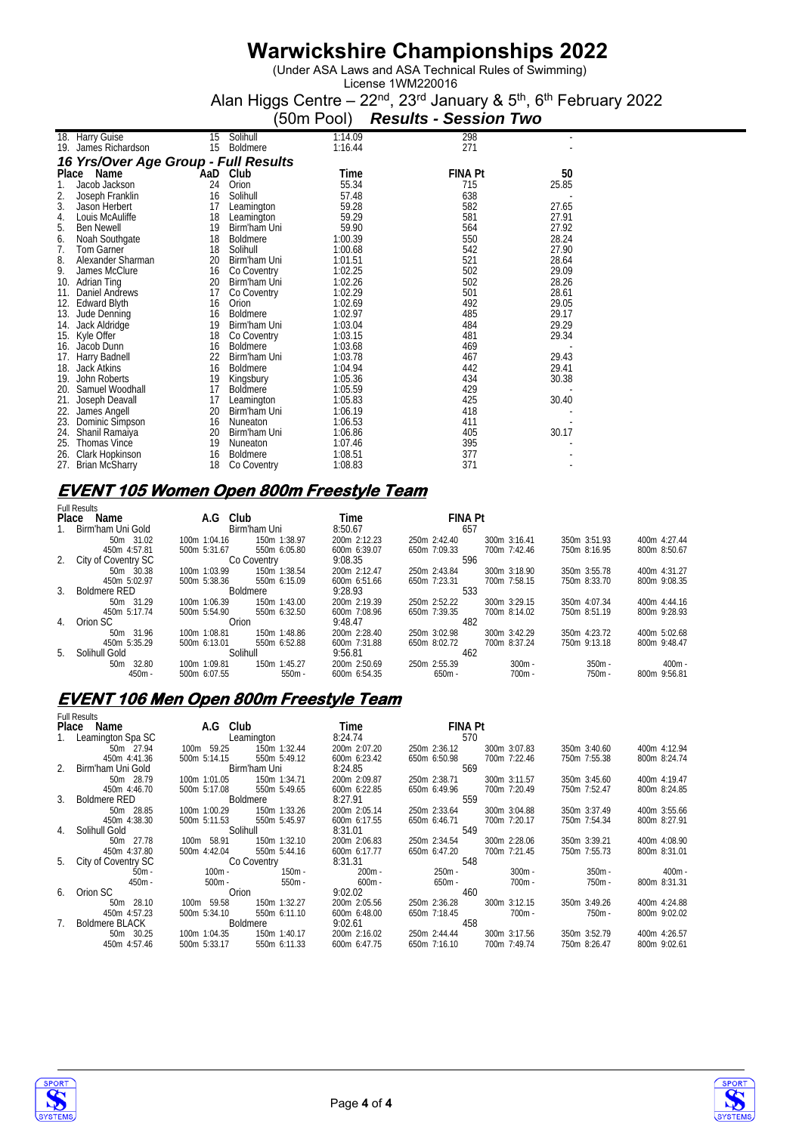(Under ASA Laws and ASA Technical Rules of Swimming)

License 1WM220016 Alan Higgs Centre – 22<sup>nd</sup>, 23<sup>rd</sup> January & 5<sup>th</sup>, 6<sup>th</sup> February 2022

|     |                                      |     |                 | (50m Pool) | <b>Results - Session Two</b> |       |
|-----|--------------------------------------|-----|-----------------|------------|------------------------------|-------|
|     | 18. Harry Guise                      | 15  | Solihull        | 1:14.09    | 298                          |       |
| 19. | James Richardson                     | 15  | <b>Boldmere</b> | 1:16.44    | 271                          |       |
|     | 16 Yrs/Over Age Group - Full Results |     |                 |            |                              |       |
|     | Place Name                           | AaD | Club            | Time       | <b>FINA Pt</b>               | 50    |
| 1.  | Jacob Jackson                        | 24  | Orion           | 55.34      | 715                          | 25.85 |
| 2.  | Joseph Franklin                      | 16  | Solihull        | 57.48      | 638                          |       |
| 3.  | Jason Herbert                        | 17  | Leamington      | 59.28      | 582                          | 27.65 |
| 4.  | Louis McAuliffe                      | 18  | Leamington      | 59.29      | 581                          | 27.91 |
| 5.  | <b>Ben Newell</b>                    | 19  | Birm'ham Uni    | 59.90      | 564                          | 27.92 |
| 6.  | Noah Southgate                       | 18  | <b>Boldmere</b> | 1:00.39    | 550                          | 28.24 |
| 7.  | Tom Garner                           | 18  | Solihull        | 1:00.68    | 542                          | 27.90 |
| 8.  | Alexander Sharman                    | 20  | Birm'ham Uni    | 1:01.51    | 521                          | 28.64 |
| 9.  | James McClure                        | 16  | Co Coventry     | 1:02.25    | 502                          | 29.09 |
| 10. | Adrian Ting                          | 20  | Birm'ham Uni    | 1:02.26    | 502                          | 28.26 |
| 11. | Daniel Andrews                       | 17  | Co Coventry     | 1:02.29    | 501                          | 28.61 |
| 12. | <b>Edward Blyth</b>                  | 16  | Orion           | 1:02.69    | 492                          | 29.05 |
| 13. | Jude Denning                         | 16  | <b>Boldmere</b> | 1:02.97    | 485                          | 29.17 |
| 14. | Jack Aldridge                        | 19  | Birm'ham Uni    | 1:03.04    | 484                          | 29.29 |
| 15. | Kyle Offer                           | 18  | Co Coventry     | 1:03.15    | 481                          | 29.34 |
| 16. | Jacob Dunn                           | 16  | <b>Boldmere</b> | 1:03.68    | 469                          |       |
| 17. | Harry Badnell                        | 22  | Birm'ham Uni    | 1:03.78    | 467                          | 29.43 |
| 18. | <b>Jack Atkins</b>                   | 16  | <b>Boldmere</b> | 1:04.94    | 442                          | 29.41 |
| 19. | John Roberts                         | 19  | Kingsbury       | 1:05.36    | 434                          | 30.38 |
| 20. | Samuel Woodhall                      | 17  | <b>Boldmere</b> | 1:05.59    | 429                          |       |
| 21. | Joseph Deavall                       | 17  | Leamington      | 1:05.83    | 425                          | 30.40 |
| 22. | James Angell                         | 20  | Birm'ham Uni    | 1:06.19    | 418                          |       |
| 23. | Dominic Simpson                      | 16  | Nuneaton        | 1:06.53    | 411                          |       |
| 24. | Shanil Ramaiya                       | 20  | Birm'ham Uni    | 1:06.86    | 405                          | 30.17 |
| 25. | <b>Thomas Vince</b>                  | 19  | Nuneaton        | 1:07.46    | 395                          |       |
| 26. | Clark Hopkinson                      | 16  | <b>Boldmere</b> | 1:08.51    | 377                          |       |
| 27. | <b>Brian McSharry</b>                | 18  | Co Coventry     | 1:08.83    | 371                          |       |

### **EVENT 105 Women Open 800m Freestyle Team**

| <b>Full Results</b>    |                 |                              |                                  |              |              |
|------------------------|-----------------|------------------------------|----------------------------------|--------------|--------------|
| Place<br>Name          | A.G Club        | Time                         | <b>FINA Pt</b>                   |              |              |
| Birm'ham Uni Gold      | Birm'ham Uni    | 8:50.67                      | 657                              |              |              |
| 50m 31.02              | 100m 1:04.16    | 200m 2:12.23<br>150m 1:38.97 | 250m 2:42.40<br>300m 3:16.41     | 350m 3:51.93 | 400m 4:27.44 |
| 450m 4:57.81           | 500m 5:31.67    | 550m 6:05.80<br>600m 6:39.07 | 650m 7:09.33<br>700m 7:42.46     | 750m 8:16.95 | 800m 8:50.67 |
| 2. City of Coventry SC | Co Coventry     | 9:08.35                      | 596                              |              |              |
| 50m 30.38              | 100m 1:03.99    | 150m 1:38.54<br>200m 2:12.47 | 300m 3:18.90<br>250m 2:43.84     | 350m 3:55.78 | 400m 4:31.27 |
| 450m 5:02.97           | 500m 5:38.36    | 550m 6:15.09<br>600m 6:51.66 | 650m 7:23.31<br>700m 7:58.15     | 750m 8:33.70 | 800m 9:08.35 |
| 3. Boldmere RED        | <b>Boldmere</b> | 9:28.93                      | 533                              |              |              |
| 50m 31.29              | 100m 1:06.39    | 150m 1:43.00<br>200m 2:19.39 | 300m 3:29.15<br>250m 2:52.22     | 350m 4:07.34 | 400m 4:44.16 |
| 450m 5:17.74           | 500m 5:54.90    | 550m 6:32.50<br>600m 7:08.96 | 650m 7:39.35<br>700m 8:14.02     | 750m 8:51.19 | 800m 9:28.93 |
| 4. Orion SC            | Orion           | 9:48.47                      | 482                              |              |              |
| 50m 31.96              | 100m 1:08.81    | 150m 1:48.86<br>200m 2:28.40 | 250m 3:02.98<br>$300m$ $3:42.29$ | 350m 4:23.72 | 400m 5:02.68 |
| 450m 5:35.29           | 500m 6:13.01    | 550m 6:52.88<br>600m 7:31.88 | 650m 8:02.72<br>700m 8:37.24     | 750m 9:13.18 | 800m 9:48.47 |
| 5. Solihull Gold       | Solihull        | 9:56.81                      | 462                              |              |              |
| 50m 32.80              | 100m 1:09.81    | 150m 1:45.27<br>200m 2:50.69 | $300m -$<br>250m 2:55.39         | $350m -$     | $400m -$     |
| $450m -$               | 500m 6:07.55    | $550m -$<br>600m 6:54.35     | $650m -$<br>$700m -$             | $750m -$     | 800m 9:56.81 |

#### **EVENT 106 Men Open 800m Freestyle Team**

|                | <b>Full Results</b>    |               |              |              |                |              |              |              |
|----------------|------------------------|---------------|--------------|--------------|----------------|--------------|--------------|--------------|
|                | Place Name             | A.G Club      |              | Time         | <b>FINA Pt</b> |              |              |              |
|                | Leamington Spa SC      |               | Leamington   | 8:24.74      | 570            |              |              |              |
|                | 50m 27.94              | 100m 59.25    | 150m 1:32.44 | 200m 2:07.20 | 250m 2:36.12   | 300m 3:07.83 | 350m 3:40.60 | 400m 4:12.94 |
|                | 450m 4:41.36           | 500m 5:14.15  | 550m 5:49.12 | 600m 6:23.42 | 650m 6:50.98   | 700m 7:22.46 | 750m 7:55.38 | 800m 8:24.74 |
|                | 2. Birm'ham Uni Gold   |               | Birm'ham Uni | 8:24.85      | 569            |              |              |              |
|                | 50m 28.79              | 100m 1:01.05  | 150m 1:34.71 | 200m 2:09.87 | 250m 2:38.71   | 300m 3:11.57 | 350m 3:45.60 | 400m 4:19.47 |
|                | 450m 4:46.70           | 500m 5:17.08  | 550m 5:49.65 | 600m 6:22.85 | 650m 6:49.96   | 700m 7:20.49 | 750m 7:52.47 | 800m 8:24.85 |
|                | 3. Boldmere RED        |               | Boldmere     | 8:27.91      | 559            |              |              |              |
|                | 50m 28.85              | 100m 1:00.29  | 150m 1:33.26 | 200m 2:05.14 | 250m 2:33.64   | 300m 3:04.88 | 350m 3:37.49 | 400m 3:55.66 |
|                | 450m 4:38.30           | 500m 5:11.53  | 550m 5:45.97 | 600m 6:17.55 | 650m 6:46.71   | 700m 7:20.17 | 750m 7:54.34 | 800m 8:27.91 |
|                | 4. Solihull Gold       |               | Solihull     | 8:31.01      | 549            |              |              |              |
|                | 50m 27.78              | 100m 58.91    | 150m 1:32.10 | 200m 2:06.83 | 250m 2:34.54   | 300m 2:28.06 | 350m 3:39.21 | 400m 4:08.90 |
|                | 450m 4:37.80           | 500m 4:42.04  | 550m 5:44.16 | 600m 6:17.77 | 650m 6:47.20   | 700m 7:21.45 | 750m 7:55.73 | 800m 8:31.01 |
|                | 5. City of Coventry SC |               | Co Coventry  | 8:31.31      | 548            |              |              |              |
|                | $50m -$                | $100m -$      | $150m -$     | $200m -$     | 250m -         | $300m -$     | $350m -$     | $400m -$     |
|                | $450m -$               | 500m -        | $550m -$     | 600m -       | 650m -         | 700m -       | 750m -       | 800m 8:31.31 |
|                | 6. Orion SC            | Orion         |              | 9:02.02      | 460            |              |              |              |
|                | 50m 28.10              | 59.58<br>100m | 150m 1:32.27 | 200m 2:05.56 | 250m 2:36.28   | 300m 3:12.15 | 350m 3:49.26 | 400m 4:24.88 |
|                | 450m 4:57.23           | 500m 5:34.10  | 550m 6:11.10 | 600m 6:48.00 | 650m 7:18.45   | $700m -$     | $750m -$     | 800m 9:02.02 |
| 7 <sub>1</sub> | Boldmere BLACK         |               | Boldmere     | 9:02.61      | 458            |              |              |              |
|                | 50m 30.25              | 100m 1:04.35  | 150m 1:40.17 | 200m 2:16.02 | 250m 2:44.44   | 300m 3:17.56 | 350m 3:52.79 | 400m 4:26.57 |
|                | 450m 4:57.46           | 500m 5:33.17  | 550m 6:11.33 | 600m 6:47.75 | 650m 7:16.10   | 700m 7:49.74 | 750m 8:26.47 | 800m 9:02.61 |
|                |                        |               |              |              |                |              |              |              |



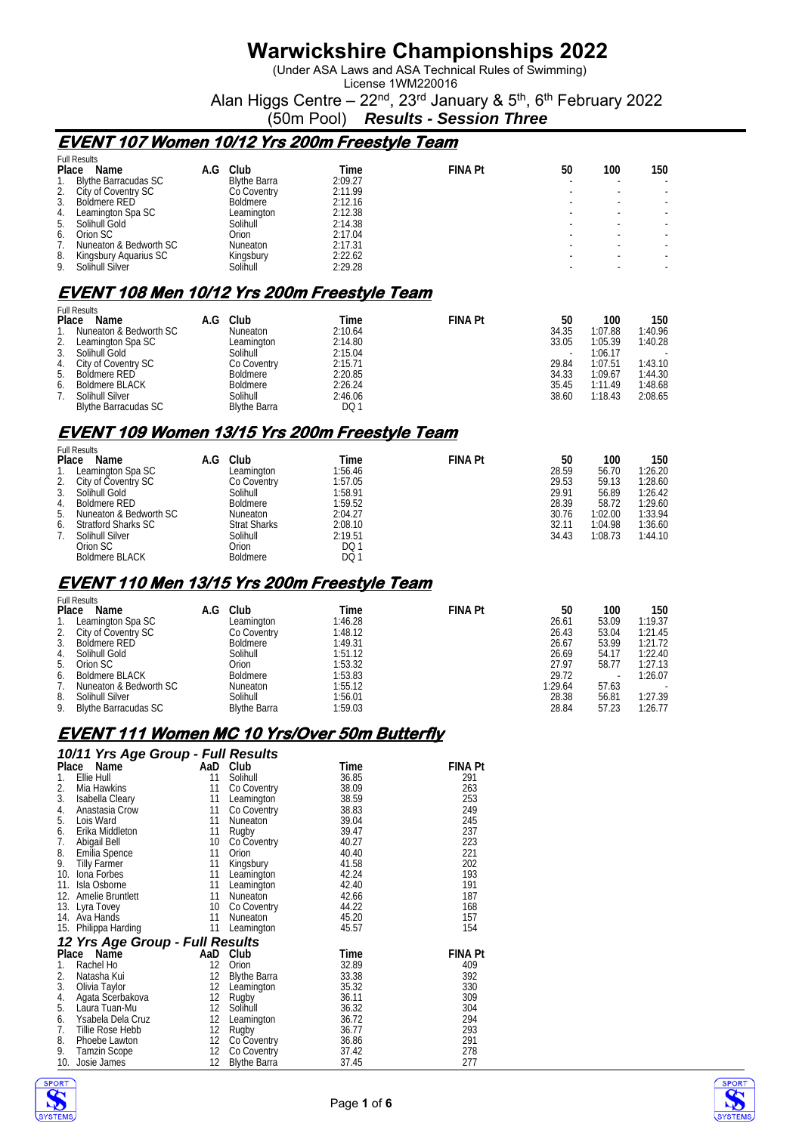(Under ASA Laws and ASA Technical Rules of Swimming)

License 1WM220016 Alan Higgs Centre – 22<sup>nd</sup>, 23<sup>rd</sup> January & 5<sup>th</sup>, 6<sup>th</sup> February 2022

(50m Pool) *Results - Session Three*

#### **EVENT 107 Women 10/12 Yrs 200m Freestyle Team**

|       | <b>Full Results</b>         |     |                       |         |                |    |     |     |
|-------|-----------------------------|-----|-----------------------|---------|----------------|----|-----|-----|
| Place | Name                        | A.G | Club                  | Time    | <b>FINA Pt</b> | 50 | 100 | 150 |
|       | <b>Blythe Barracudas SC</b> |     | <b>Blythe Barra</b>   | 2:09.27 |                |    |     |     |
|       | City of Coventry SC         |     | Co Coventry           | 2:11.99 |                |    |     |     |
|       | Boldmere RED                |     | <b>Boldmere</b>       | 2:12.16 |                |    |     |     |
| 4.    | Leamington Spa SC           |     | Leamington            | 2:12.38 |                |    |     |     |
| 5.    | Solihull Gold               |     | Solihull <sup>-</sup> | 2:14.38 |                |    |     |     |
| 6.    | Orion SC                    |     | Orion                 | 2:17.04 |                |    |     |     |
|       | Nuneaton & Bedworth SC      |     | Nuneaton              | 2:17.31 |                |    |     |     |
| 8.    | Kingsbury Aguarius SC       |     | Kingsbury             | 2:22.62 |                |    |     |     |
| 9.    | Solihull Silver             |     | Solihull              | 2:29.28 |                |    |     |     |

# **EVENT 108 Men 10/12 Yrs 200m Freestyle Team**

|    | <b>Full Results</b>         |     |                     |         |                |                          |         |         |  |  |
|----|-----------------------------|-----|---------------------|---------|----------------|--------------------------|---------|---------|--|--|
|    | Place<br>Name               | A.G | Club                | Time    | <b>FINA Pt</b> | 50                       | 100     | 150     |  |  |
|    | Nuneaton & Bedworth SC      |     | Nuneaton            | 2:10.64 |                | 34.35                    | 1:07.88 | 1:40.96 |  |  |
| 2. | Leamington Spa SC           |     | Leamington          | 2:14.80 |                | 33.05                    | 1:05.39 | 1:40.28 |  |  |
| 3. | Solihull Gold               |     | Solihull            | 2:15.04 |                | $\overline{\phantom{a}}$ | 1:06.17 |         |  |  |
| 4. | City of Coventry SC         |     | Co Coventry         | 2:15.71 |                | 29.84                    | 1:07.51 | 1:43.10 |  |  |
| 5. | Boldmere RED                |     | Boldmere            | 2:20.85 |                | 34.33                    | 1:09.67 | 1:44.30 |  |  |
| 6. | Boldmere BLACK              |     | Boldmere            | 2:26.24 |                | 35.45                    | 1:11.49 | 1:48.68 |  |  |
|    | Solihull Silver             |     | Solihull            | 2:46.06 |                | 38.60                    | 1:18.43 | 2:08.65 |  |  |
|    | <b>Blythe Barracudas SC</b> |     | <b>Blythe Barra</b> | DQ 1    |                |                          |         |         |  |  |

### **EVENT 109 Women 13/15 Yrs 200m Freestyle Team**

|       | <b>Full Results</b>        |     |                     |            |                |       |         |         |
|-------|----------------------------|-----|---------------------|------------|----------------|-------|---------|---------|
| Place | Name                       | A.G | Club                | Time       | <b>FINA Pt</b> | 50    | 100     | 150     |
|       | Leamington Spa SC          |     | Leamington          | 1:56.46    |                | 28.59 | 56.70   | 1:26.20 |
| 2.    | City of Coventry SC        |     | Co Coventry         | 1:57.05    |                | 29.53 | 59.13   | 1:28.60 |
| 3.    | Solihull Gold              |     | Solihull            | 1:58.91    |                | 29.91 | 56.89   | 1:26.42 |
| 4.    | Boldmere RED               |     | Boldmere            | 1:59.52    |                | 28.39 | 58.72   | 1:29.60 |
|       | 5. Nuneaton & Bedworth SC  |     | <b>Nuneaton</b>     | 2:04.27    |                | 30.76 | 1:02.00 | 1:33.94 |
| 6.    | <b>Stratford Sharks SC</b> |     | <b>Strat Sharks</b> | 2:08.10    |                | 32.11 | 1:04.98 | 1:36.60 |
|       | Solihull Silver            |     | Solihull            | 2:19.51    |                | 34.43 | 1:08.73 | 1:44.10 |
|       | Orion SC                   |     | Orion               | <b>DQ1</b> |                |       |         |         |
|       | <b>Boldmere BLACK</b>      |     | <b>Boldmere</b>     | DQ 1       |                |       |         |         |

#### **EVENT 110 Men 13/15 Yrs 200m Freestyle Team**

|       | <b>Full Results</b>         |     |                     |  |         |  |                |  |         |       |     |         |
|-------|-----------------------------|-----|---------------------|--|---------|--|----------------|--|---------|-------|-----|---------|
| Place | Name                        | A.G | Club                |  | Time    |  | <b>FINA Pt</b> |  | 50      |       | 100 | 150     |
|       | Leamington Spa SC           |     | Leamington          |  | 1:46.28 |  |                |  | 26.61   | 53.09 |     | 1:19.37 |
|       | 2. City of Coventry SC      |     | Co Coventry         |  | 1:48.12 |  |                |  | 26.43   | 53.04 |     | 1:21.45 |
| 3.    | Boldmere RED                |     | Boldmere            |  | 1:49.31 |  |                |  | 26.67   | 53.99 |     | 1:21.72 |
| 4.    | Solihull Gold               |     | Solihull            |  | 1:51.12 |  |                |  | 26.69   | 54.17 |     | 1:22.40 |
| 5.    | Orion SC                    |     | Orion               |  | 1:53.32 |  |                |  | 27.97   | 58.77 |     | 1:27.13 |
| 6.    | <b>Boldmere BLACK</b>       |     | <b>Boldmere</b>     |  | 1:53.83 |  |                |  | 29.72   |       |     | 1:26.07 |
|       | Nuneaton & Bedworth SC      |     | <b>Nuneaton</b>     |  | 1:55.12 |  |                |  | 1:29.64 | 57.63 |     |         |
| 8.    | Solihull Silver             |     | Solihull            |  | 1:56.01 |  |                |  | 28.38   | 56.81 |     | 1:27.39 |
| 9.    | <b>Blythe Barracudas SC</b> |     | <b>Blythe Barra</b> |  | 1:59.03 |  |                |  | 28.84   | 57.23 |     | 1:26.77 |

#### **EVENT 111 Women MC 10 Yrs/Over 50m Butterfly**

*10/11 Yrs Age Group - Full Results* 

| Place                    | Name                            | AaD               | Club                | Time  | FINA Pt        |
|--------------------------|---------------------------------|-------------------|---------------------|-------|----------------|
| 1.                       | Ellie Hull                      | 11                | Solihull            | 36.85 | 291            |
| 2.                       | Mia Hawkins                     | 11                | Co Coventry         | 38.09 | 263            |
| 3.                       | Isabella Cleary                 | 11                | Leamington          | 38.59 | 253            |
| 4.                       | Anastasia Crow                  | 11                | Co Coventry         | 38.83 | 249            |
| 5.                       | Lois Ward                       | 11                | Nuneaton            | 39.04 | 245            |
| 6.                       | Erika Middleton                 | 11                | Rugby               | 39.47 | 237            |
| 7.                       | Abigail Bell                    | 10 <sup>°</sup>   | Co Coventry         | 40.27 | 223            |
| 8.                       | Emilia Spence                   | 11                | Orion               | 40.40 | 221            |
| 9.                       | <b>Tilly Farmer</b>             | 11                | Kingsbury           | 41.58 | 202            |
| 10.                      | lona Forbes                     | 11                | Leamington          | 42.24 | 193            |
| 11.                      | Isla Osborne                    | 11                | Leamington          | 42.40 | 191            |
| 12.                      | Amelie Bruntlett                | 11                | Nuneaton            | 42.66 | 187            |
|                          | 13. Lyra Tovey                  | 10                | Co Coventry         | 44.22 | 168            |
|                          | 14. Ava Hands                   | 11                | Nuneaton            | 45.20 | 157            |
|                          | 15. Philippa Harding            | 11                | Leamington          | 45.57 | 154            |
|                          | 12 Yrs Age Group - Full Results |                   |                     |       |                |
| Place                    | Name                            | AaD               | Club                | Time  | <b>FINA Pt</b> |
| 1.                       | Rachel Ho                       | 12                | Orion               | 32.89 | 409            |
| 2.                       | Natasha Kui                     | 12                | <b>Blythe Barra</b> | 33.38 | 392            |
| 3.                       | Olivia Taylor                   | 12                | Leamington          | 35.32 | 330            |
| 4.                       | Agata Scerbakova                | 12                | Rugby               | 36.11 | 309            |
| 5.                       | Laura Tuan-Mu                   | 12                | Solihull            | 36.32 | 304            |
| 6.                       | Ysabela Dela Cruz               | 12                | Leamington          | 36.72 | 294            |
| 7.                       | Tillie Rose Hebb                | $12 \overline{ }$ | Rugby               | 36.77 | 293            |
| 8.                       | Phoebe Lawton                   | 12                | Co Coventry         | 36.86 | 291            |
| 9.                       | <b>Tamzin Scope</b>             | $12 \overline{ }$ | Co Coventry         | 37.42 | 278            |
| 10.                      | Josie James                     | 12                | <b>Blythe Barra</b> | 37.45 | 277            |
| $\overline{\phantom{0}}$ |                                 |                   |                     |       |                |

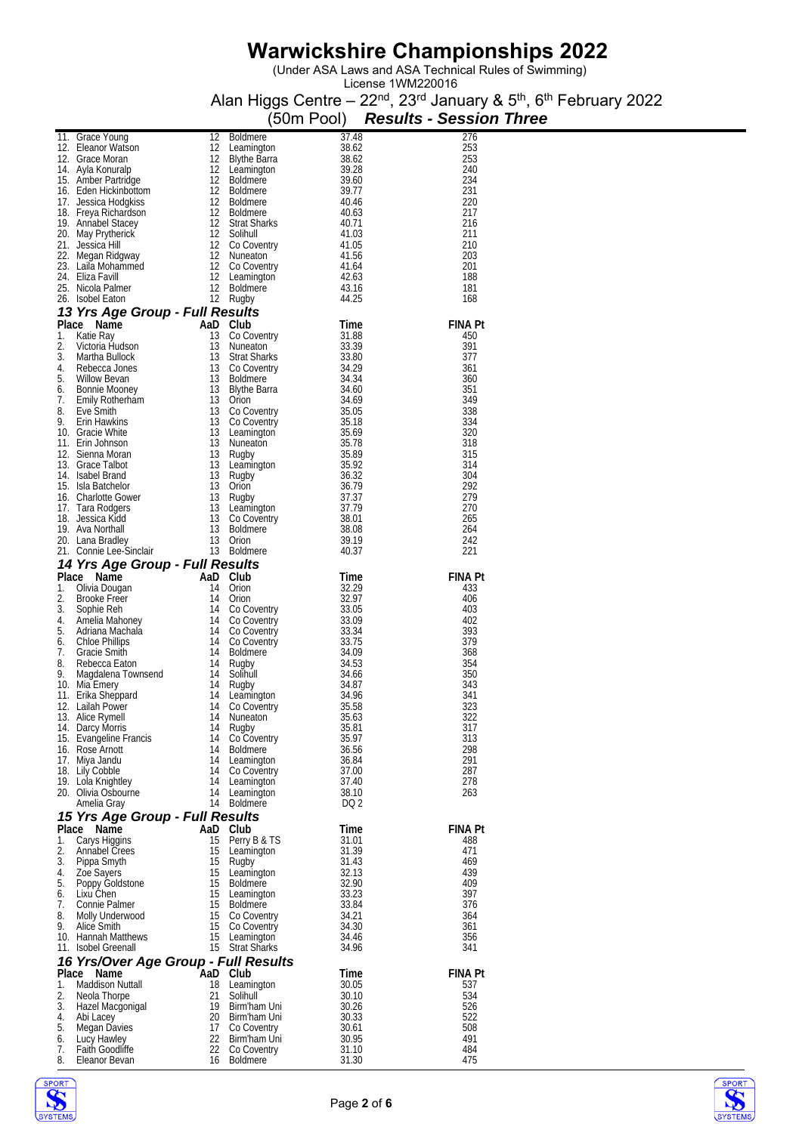(Under ASA Laws and ASA Technical Rules of Swimming)

|          | 11. Grace Young 12 Boldmere 37.48<br>12. Eleanor Watson 12 Leamington 38.62<br>12. Grace Moran 12 Blythe Barra 38.62<br>14. Ayla Konuralp 12 Leamington 39.28<br>15. Amber Partridge 12 Boldmere 39.60<br>16. Eden Hickinbottom 12 Boldm         |          |                                   |                | (50m Pool) Results - Session Three |                |  |
|----------|--------------------------------------------------------------------------------------------------------------------------------------------------------------------------------------------------------------------------------------------------|----------|-----------------------------------|----------------|------------------------------------|----------------|--|
|          |                                                                                                                                                                                                                                                  |          |                                   |                |                                    | 276            |  |
|          |                                                                                                                                                                                                                                                  |          |                                   |                |                                    | 253<br>253     |  |
|          |                                                                                                                                                                                                                                                  |          |                                   |                |                                    | 240            |  |
|          |                                                                                                                                                                                                                                                  |          |                                   |                |                                    | 234            |  |
|          |                                                                                                                                                                                                                                                  |          |                                   |                |                                    | 231<br>220     |  |
|          |                                                                                                                                                                                                                                                  |          |                                   |                |                                    | 217            |  |
|          |                                                                                                                                                                                                                                                  |          |                                   |                |                                    | 216            |  |
|          |                                                                                                                                                                                                                                                  |          |                                   |                |                                    | 211<br>210     |  |
|          |                                                                                                                                                                                                                                                  |          |                                   |                |                                    | 203            |  |
|          |                                                                                                                                                                                                                                                  |          |                                   |                |                                    | 201            |  |
|          |                                                                                                                                                                                                                                                  |          |                                   |                |                                    | 188<br>181     |  |
|          |                                                                                                                                                                                                                                                  |          |                                   |                |                                    | 168            |  |
|          | 25. Nicola Palmer<br>26. Isobel Eaton 12 Rolehminia and 20<br>26. Isobel Eaton 12 Rugby<br>44.25<br>26. Isobel Eaton And DCU<br>12 Rugby<br>12 Rugby<br>26. Willion 13 Nuncaton 13 Stratisms 33.39<br>3. Martha Bullock 13 Stratisms 33.39<br>4. |          |                                   |                |                                    |                |  |
|          |                                                                                                                                                                                                                                                  |          |                                   |                |                                    | <b>FINA Pt</b> |  |
|          |                                                                                                                                                                                                                                                  |          |                                   |                |                                    | 450<br>391     |  |
|          |                                                                                                                                                                                                                                                  |          |                                   |                |                                    | 377            |  |
|          |                                                                                                                                                                                                                                                  |          |                                   |                |                                    | 361            |  |
|          |                                                                                                                                                                                                                                                  |          |                                   |                |                                    | 360<br>351     |  |
|          |                                                                                                                                                                                                                                                  |          |                                   |                |                                    | 349            |  |
|          |                                                                                                                                                                                                                                                  |          |                                   |                |                                    | 338            |  |
|          |                                                                                                                                                                                                                                                  |          |                                   |                |                                    | 334<br>320     |  |
|          |                                                                                                                                                                                                                                                  |          |                                   |                |                                    | 318            |  |
|          |                                                                                                                                                                                                                                                  |          |                                   |                |                                    | 315            |  |
|          |                                                                                                                                                                                                                                                  |          |                                   |                |                                    | 314<br>304     |  |
|          |                                                                                                                                                                                                                                                  |          |                                   |                |                                    | 292            |  |
|          |                                                                                                                                                                                                                                                  |          |                                   |                |                                    | 279            |  |
|          |                                                                                                                                                                                                                                                  |          |                                   |                |                                    | 270<br>265     |  |
|          |                                                                                                                                                                                                                                                  |          |                                   |                |                                    | 264            |  |
|          |                                                                                                                                                                                                                                                  |          |                                   |                |                                    | 242            |  |
|          |                                                                                                                                                                                                                                                  |          |                                   |                |                                    | 221            |  |
|          |                                                                                                                                                                                                                                                  |          |                                   |                |                                    | <b>FINA Pt</b> |  |
|          |                                                                                                                                                                                                                                                  |          |                                   |                |                                    | 433            |  |
|          |                                                                                                                                                                                                                                                  |          |                                   |                |                                    | 406            |  |
|          |                                                                                                                                                                                                                                                  |          |                                   |                |                                    | 403<br>402     |  |
|          |                                                                                                                                                                                                                                                  |          |                                   |                |                                    | 393            |  |
|          |                                                                                                                                                                                                                                                  |          |                                   |                |                                    | 379            |  |
|          |                                                                                                                                                                                                                                                  |          |                                   |                |                                    | 368<br>354     |  |
|          |                                                                                                                                                                                                                                                  |          |                                   |                |                                    | 350            |  |
|          |                                                                                                                                                                                                                                                  |          |                                   |                |                                    | 343            |  |
|          |                                                                                                                                                                                                                                                  |          |                                   |                |                                    | 341<br>323     |  |
|          | 13. Alice Rymell                                                                                                                                                                                                                                 | 14       | Nuneaton                          | 35.63          |                                    | 322            |  |
|          | 14. Darcy Morris                                                                                                                                                                                                                                 | 14       | Rugby                             | 35.81          |                                    | 317            |  |
|          | 15. Evangeline Francis<br>16. Rose Arnott                                                                                                                                                                                                        |          | 14 Co Coventry<br>14 Boldmere     | 35.97<br>36.56 |                                    | 313<br>298     |  |
|          | 17. Miya Jandu                                                                                                                                                                                                                                   |          | 14 Leamington                     | 36.84          |                                    | 291            |  |
|          | 18. Lily Cobble                                                                                                                                                                                                                                  |          | 14 Co Coventry                    | 37.00          |                                    | 287            |  |
|          | 19. Lola Knightley<br>20. Olivia Osbourne                                                                                                                                                                                                        |          | 14 Leamington<br>14 Leamington    | 37.40<br>38.10 |                                    | 278<br>263     |  |
|          | Amelia Gray                                                                                                                                                                                                                                      |          | 14 Boldmere                       | DQ 2           |                                    |                |  |
|          | 15 Yrs Age Group - Full Results                                                                                                                                                                                                                  |          |                                   |                |                                    |                |  |
|          | Place Name                                                                                                                                                                                                                                       |          | AaD Club                          | Time           |                                    | <b>FINA Pt</b> |  |
| 1.<br>2. | Carys Higgins<br>Annabel Crees                                                                                                                                                                                                                   | 15<br>15 | Perry B & TS<br>Leamington        | 31.01<br>31.39 |                                    | 488<br>471     |  |
| 3.       | Pippa Smyth                                                                                                                                                                                                                                      | 15       | Rugby                             | 31.43          |                                    | 469            |  |
| 4.       | Zoe Sayers                                                                                                                                                                                                                                       |          | 15 Leamington                     | 32.13          |                                    | 439            |  |
| 5.<br>6. | Poppy Goldstone<br>Lixu Chen                                                                                                                                                                                                                     |          | 15 Boldmere<br>15 Leamington      | 32.90<br>33.23 |                                    | 409<br>397     |  |
| 7.       | Connie Palmer                                                                                                                                                                                                                                    |          | 15 Boldmere                       | 33.84          |                                    | 376            |  |
| 8.       | Molly Underwood                                                                                                                                                                                                                                  |          | 15 Co Coventry                    | 34.21          |                                    | 364            |  |
| 9.       | Alice Smith                                                                                                                                                                                                                                      |          | 15 Co Coventry<br>15 Leamington   | 34.30<br>34.46 |                                    | 361            |  |
|          | 10. Hannah Matthews<br>11. Isobel Greenall                                                                                                                                                                                                       |          | 15 Strat Sharks                   | 34.96          |                                    | 356<br>341     |  |
|          | 16 Yrs/Over Age Group - Full Results                                                                                                                                                                                                             |          |                                   |                |                                    |                |  |
|          | Place Name                                                                                                                                                                                                                                       |          | AaD Club                          | Time           |                                    | <b>FINA Pt</b> |  |
| 1.<br>2. | <b>Maddison Nuttall</b>                                                                                                                                                                                                                          | 21       | 18 Leamington                     | 30.05          |                                    | 537<br>534     |  |
| 3.       | Neola Thorpe<br>Hazel Macgonigal                                                                                                                                                                                                                 |          | Solihull<br>19 Birm'ham Uni       | 30.10<br>30.26 |                                    | 526            |  |
| 4.       | Abi Lacey                                                                                                                                                                                                                                        |          | 20 Birm'ham Uni                   | 30.33          |                                    | 522            |  |
| 5.       | Megan Davies                                                                                                                                                                                                                                     |          | 17 Co Coventry                    | 30.61          |                                    | 508            |  |
| 6.<br>7. | Lucy Hawley<br>Faith Goodliffe                                                                                                                                                                                                                   |          | 22 Birm'ham Uni<br>22 Co Coventry | 30.95<br>31.10 |                                    | 491<br>484     |  |
| 8.       | Eleanor Bevan                                                                                                                                                                                                                                    |          | 16 Boldmere                       | 31.30          |                                    | 475            |  |



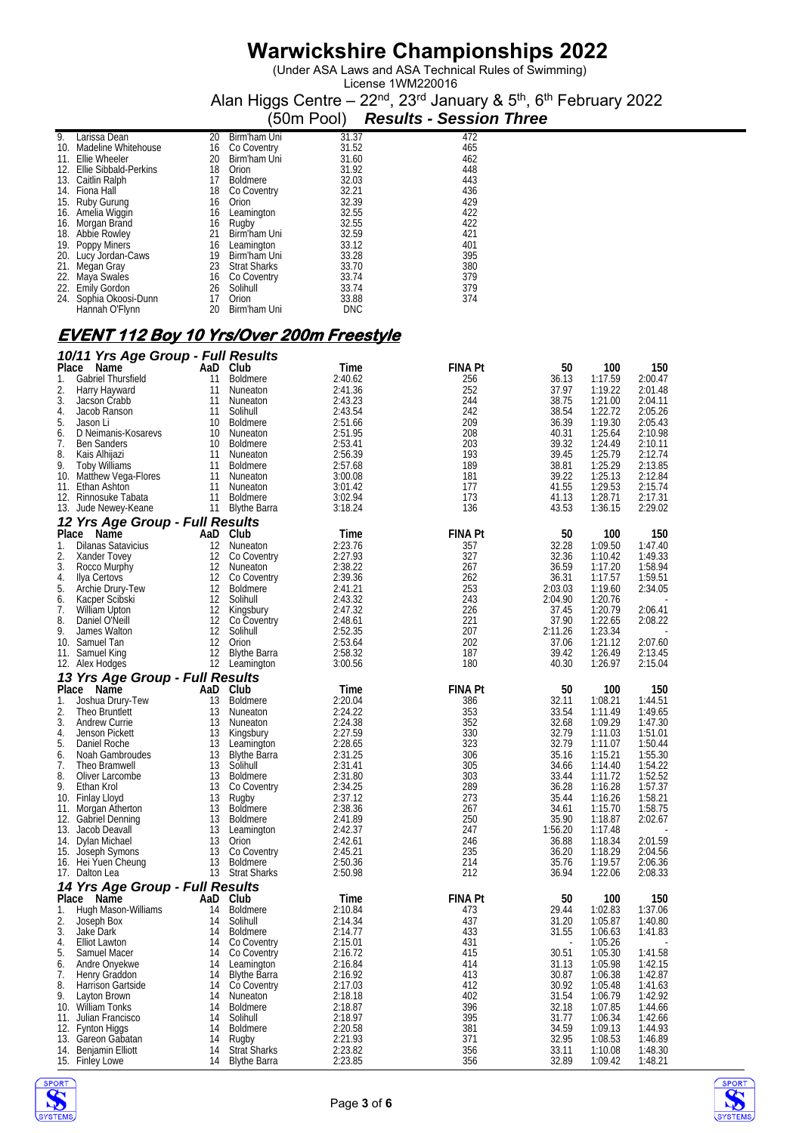(Under ASA Laws and ASA Technical Rules of Swimming)

License 1WM220016 Alan Higgs Centre – 22<sup>nd</sup>, 23<sup>rd</sup> January & 5<sup>th</sup>, 6<sup>th</sup> February 2022

|     |                              |    |                     | (50m Pool) | <b>Results - Session Three</b> |
|-----|------------------------------|----|---------------------|------------|--------------------------------|
| 9.  | Larissa Dean                 | 20 | Birm'ham Uni        | 31.37      | 472                            |
| 10  | Madeline Whitehouse          | 16 | Co Coventry         | 31.52      | 465                            |
| 11. | Ellie Wheeler                | 20 | Birm'ham Uni        | 31.60      | 462                            |
| 12. | <b>Ellie Sibbald-Perkins</b> | 18 | Orion               | 31.92      | 448                            |
|     | 13. Caitlin Ralph            | 17 | <b>Boldmere</b>     | 32.03      | 443                            |
| 14. | Fiona Hall                   | 18 | Co Coventry         | 32.21      | 436                            |
| 15. | Ruby Gurung                  | 16 | Orion               | 32.39      | 429                            |
|     | 16. Amelia Wiggin            | 16 | Leamington          | 32.55      | 422                            |
| 16. | Morgan Brand                 | 16 | Rugby               | 32.55      | 422                            |
| 18. | Abbie Rowley                 | 21 | Birm'ham Uni        | 32.59      | 421                            |
|     | 19. Poppy Miners             | 16 | Leamington          | 33.12      | 401                            |
|     | 20. Lucy Jordan-Caws         | 19 | Birm'ham Uni        | 33.28      | 395                            |
| 21. | Megan Gray                   | 23 | <b>Strat Sharks</b> | 33.70      | 380                            |
|     | 22. Maya Swales              | 16 | Co Coventry         | 33.74      | 379                            |
|     | 22. Emily Gordon             | 26 | Solihull            | 33.74      | 379                            |
| 24. | Sophia Okoosi-Dunn           | 17 | Orion               | 33.88      | 374                            |
|     | Hannah O'Flynn               | 20 | Birm'ham Uni        | <b>DNC</b> |                                |

#### **EVENT 112 Boy 10 Yrs/Over 200m Freestyle**

| Place<br>AaD Club<br>Time<br>50<br>100<br>Name<br>Gabriel Thursfield<br><b>Boldmere</b><br>2:40.62<br>256<br>36.13<br>1:17.59<br>2:00.47<br>1.<br>11<br>2.<br>37.97<br>2:41.36<br>252<br>1:19.22<br>2:01.48<br>Harry Hayward<br>11<br>Nuneaton<br>3.<br>11<br>2:43.23<br>244<br>38.75<br>1:21.00<br>2:04.11<br>Jacson Crabb<br>Nuneaton<br>38.54<br>11<br>Solihull<br>2:43.54<br>242<br>1:22.72<br>2:05.26<br>4.<br>Jacob Ranson<br>5.<br>36.39<br>2:05.43<br>10<br>209<br>1:19.30<br>Jason Li<br>Boldmere<br>2:51.66<br>10<br>2:51.95<br>208<br>40.31<br>1:25.64<br>2:10.98<br>6.<br>D Neimanis-Kosarevs<br>Nuneaton<br>39.32<br>7.<br>2:53.41<br>203<br>1:24.49<br>2:10.11<br><b>Ben Sanders</b><br>10<br>Boldmere<br>8.<br>39.45<br>1:25.79<br>2:56.39<br>193<br>2:12.74<br>Kais Alhijazi<br>11<br>Nuneaton<br>9.<br><b>Toby Williams</b><br>11<br>189<br>38.81<br>1:25.29<br>2:13.85<br><b>Boldmere</b><br>2:57.68<br>39.22<br>10. Matthew Vega-Flores<br>181<br>1:25.13<br>2:12.84<br>11<br>Nuneaton<br>3:00.08<br>41.55<br>1:29.53<br>2:15.74<br>11. Ethan Ashton<br>3:01.42<br>177<br>11<br>Nuneaton<br>11<br><b>Boldmere</b><br>3:02.94<br>173<br>41.13<br>1:28.71<br>2:17.31<br>12. Rinnosuke Tabata<br>43.53<br>11<br>3:18.24<br>136<br>1:36.15<br>2:29.02<br>13. Jude Newey-Keane<br>Blythe Barra<br>12 Yrs Age Group - Full Results<br>Place<br>Name<br>AaD Club<br><b>FINA Pt</b><br>50<br>100<br>150<br>Time<br>2:23.76<br>357<br>32.28<br>1:09.50<br>1:47.40<br>1.<br><b>Dilanas Satavicius</b><br>12<br>Nuneaton<br>12<br>2:27.93<br>327<br>32.36<br>1:10.42<br>1:49.33<br>2.<br>Xander Tovey<br>Co Coventry<br>3.<br>12<br>2:38.22<br>267<br>36.59<br>1:17.20<br>1:58.94<br>Rocco Murphy<br>Nuneaton<br>4.<br>12<br>2:39.36<br>36.31<br>1:59.51<br>Ilya Certovs<br>Co Coventry<br>262<br>1:17.57<br>5.<br>12 Boldmere<br>253<br>2:03.03<br>1:19.60<br>2:34.05<br>Archie Drury-Tew<br>2:41.21<br>Kacper Scibski<br>12<br>2:43.32<br>243<br>2:04.90<br>1:20.76<br>Solihull<br>6.<br>7.<br>12<br>226<br>37.45<br>1:20.79<br>2:06.41<br>William Upton<br>Kingsbury<br>2:47.32<br>8.<br>Daniel O'Neill<br>12<br>221<br>37.90<br>1:22.65<br>2:08.22<br>Co Coventry<br>2:48.61<br>2:11.26<br>9.<br>James Walton<br>12<br>Solihull<br>2:52.35<br>207<br>1:23.34<br>12<br>2:53.64<br>202<br>2:07.60<br>10.<br>Samuel Tan<br>Orion<br>37.06<br>1:21.12<br>12<br><b>Blythe Barra</b><br>187<br>39.42<br>1:26.49<br>2:13.45<br>11. Samuel King<br>2:58.32<br>12 Leamington<br>180<br>40.30<br>1:26.97<br>2:15.04<br>12. Alex Hodges<br>3:00.56<br>13 Yrs Age Group - Full Results<br>Place<br>Name<br>AaD<br>Club<br><b>FINA Pt</b><br>50<br>100<br>150<br>Time<br>Joshua Drury-Tew<br>13<br>2:20.04<br>32.11<br>1:08.21<br>1:44.51<br>1.<br>Boldmere<br>386<br>2.<br>13<br>2:24.22<br>353<br>33.54<br>1:11.49<br>1:49.65<br>Theo Bruntlett<br>Nuneaton<br>3.<br>352<br>32.68<br>13<br>2:24.38<br>1:09.29<br>1:47.30<br>Andrew Currie<br>Nuneaton<br>32.79<br>Jenson Pickett<br>13<br>2:27.59<br>330<br>1:11.03<br>1:51.01<br>4.<br>Kingsbury<br>5.<br>13<br>323<br>32.79<br>1:11.07<br>1:50.44<br>Daniel Roche<br>Leamington<br>2:28.65<br>35.16<br>13<br><b>Blythe Barra</b><br>2:31.25<br>306<br>1:15.21<br>1:55.30<br>6.<br>Noah Gambroudes<br>7.<br>13<br>Solihull<br>2:31.41<br>305<br>34.66<br>1:14.40<br>1:54.22<br>Theo Bramwell<br>8.<br>13<br>303<br>33.44<br>1:52.52<br>Oliver Larcombe<br>Boldmere<br>2:31.80<br>1:11.72<br>9.<br>289<br>1:57.37<br>13<br>2:34.25<br>36.28<br>1:16.28<br>Ethan Krol<br>Co Coventry<br>35.44<br>10. Finlay Lloyd<br>13<br>2:37.12<br>273<br>1:16.26<br>1:58.21<br>Rugby<br>11. Morgan Atherton<br>13<br>Boldmere<br>2:38.36<br>267<br>34.61<br>1:15.70<br>1:58.75<br>35.90<br>13<br>2:41.89<br>250<br>1:18.87<br>2:02.67<br>12. Gabriel Denning<br><b>Boldmere</b><br>13<br>247<br>1:56.20<br>13. Jacob Deavall<br>Leamington<br>2:42.37<br>1:17.48<br>13<br>246<br>36.88<br>1:18.34<br>2:01.59<br>14. Dylan Michael<br>Orion<br>2:42.61<br>13<br>2:45.21<br>235<br>36.20<br>1:18.29<br>2:04.56<br>15. Joseph Symons<br>Co Coventry<br>13<br>214<br>35.76<br>1:19.57<br>2:06.36<br>16. Hei Yuen Cheung<br><b>Boldmere</b><br>2:50.36<br>13 Strat Sharks<br>212<br>36.94<br>1:22.06<br>2:08.33<br>17. Dalton Lea<br>2:50.98<br>14 Yrs Age Group - Full Results<br>Place<br>Name<br>AaD Club<br><b>FINA Pt</b><br>150<br>Time<br>50<br>100<br>Hugh Mason-Williams<br><b>Boldmere</b><br>2:10.84<br>473<br>29.44<br>1:02.83<br>1:37.06<br>1.<br>14<br>2.<br>437<br>Joseph Box<br>14<br>Solihull<br>2:14.34<br>31.20<br>1:05.87<br>1:40.80<br>3.<br>2:14.77<br>433<br>31.55<br>1:06.63<br>1:41.83<br>Jake Dark<br>14<br><b>Boldmere</b><br>2:15.01<br>431<br>1:05.26<br>4.<br>Elliot Lawton<br>14<br>Co Coventry<br>30.51<br>1:41.58<br>5.<br>14 Co Coventry<br>2:16.72<br>415<br>1:05.30<br>Samuel Macer<br>Andre Onyekwe<br>2:16.84<br>414<br>31.13<br>1:05.98<br>1:42.15<br>6.<br>14<br>Leamington<br>Blythe Barra<br>7.<br>Henry Graddon<br>14<br>2:16.92<br>413<br>30.87<br>1:06.38<br>1:42.87<br>8.<br>14<br>Co Coventry<br>2:17.03<br>412<br>30.92<br>1:05.48<br>1:41.63<br><b>Harrison Gartside</b><br>31.54<br>9.<br>2:18.18<br>402<br>1:06.79<br>1:42.92<br>Layton Brown<br>14<br>Nuneaton<br>396<br>32.18<br>10. William Tonks<br>14<br><b>Boldmere</b><br>2:18.87<br>1:07.85<br>1:44.66<br>395<br>11. Julian Francisco<br>14<br>Solihull<br>2:18.97<br>31.77<br>1:06.34<br>1:42.66<br>381<br>34.59<br>12. Fynton Higgs<br>14<br>2:20.58<br>1:09.13<br>1:44.93<br><b>Boldmere</b><br>2:21.93<br>371<br>32.95<br>13. Gareon Gabatan<br>14<br>1:08.53<br>1:46.89<br>Rugby<br><b>Strat Sharks</b><br>356<br>14. Benjamin Elliott<br>2:23.82<br>33.11<br>1:10.08<br>1:48.30<br>14<br>356<br>32.89<br>15. Finley Lowe<br>14<br><b>Blythe Barra</b><br>2:23.85<br>1:09.42<br>1:48.21 | 10/11 Yrs Age Group - Full Results |  |                |  |     |
|----------------------------------------------------------------------------------------------------------------------------------------------------------------------------------------------------------------------------------------------------------------------------------------------------------------------------------------------------------------------------------------------------------------------------------------------------------------------------------------------------------------------------------------------------------------------------------------------------------------------------------------------------------------------------------------------------------------------------------------------------------------------------------------------------------------------------------------------------------------------------------------------------------------------------------------------------------------------------------------------------------------------------------------------------------------------------------------------------------------------------------------------------------------------------------------------------------------------------------------------------------------------------------------------------------------------------------------------------------------------------------------------------------------------------------------------------------------------------------------------------------------------------------------------------------------------------------------------------------------------------------------------------------------------------------------------------------------------------------------------------------------------------------------------------------------------------------------------------------------------------------------------------------------------------------------------------------------------------------------------------------------------------------------------------------------------------------------------------------------------------------------------------------------------------------------------------------------------------------------------------------------------------------------------------------------------------------------------------------------------------------------------------------------------------------------------------------------------------------------------------------------------------------------------------------------------------------------------------------------------------------------------------------------------------------------------------------------------------------------------------------------------------------------------------------------------------------------------------------------------------------------------------------------------------------------------------------------------------------------------------------------------------------------------------------------------------------------------------------------------------------------------------------------------------------------------------------------------------------------------------------------------------------------------------------------------------------------------------------------------------------------------------------------------------------------------------------------------------------------------------------------------------------------------------------------------------------------------------------------------------------------------------------------------------------------------------------------------------------------------------------------------------------------------------------------------------------------------------------------------------------------------------------------------------------------------------------------------------------------------------------------------------------------------------------------------------------------------------------------------------------------------------------------------------------------------------------------------------------------------------------------------------------------------------------------------------------------------------------------------------------------------------------------------------------------------------------------------------------------------------------------------------------------------------------------------------------------------------------------------------------------------------------------------------------------------------------------------------------------------------------------------------------------------------------------------------------------------------------------------------------------------------------------------------------------------------------------------------------------------------------------------------------------------------------------------------------------------------------------------------------------------------------------------------------------------------------------------------------------------------------------------------------------------------------------------------------------------------------------------------------------------------------------------------------------------------------------------------------------------------------------------------------------------------------------------------------------------------------------------------------------------------------------------------------------------------------------------------------------------------------------------------------------------------------------------------------------|------------------------------------|--|----------------|--|-----|
|                                                                                                                                                                                                                                                                                                                                                                                                                                                                                                                                                                                                                                                                                                                                                                                                                                                                                                                                                                                                                                                                                                                                                                                                                                                                                                                                                                                                                                                                                                                                                                                                                                                                                                                                                                                                                                                                                                                                                                                                                                                                                                                                                                                                                                                                                                                                                                                                                                                                                                                                                                                                                                                                                                                                                                                                                                                                                                                                                                                                                                                                                                                                                                                                                                                                                                                                                                                                                                                                                                                                                                                                                                                                                                                                                                                                                                                                                                                                                                                                                                                                                                                                                                                                                                                                                                                                                                                                                                                                                                                                                                                                                                                                                                                                                                                                                                                                                                                                                                                                                                                                                                                                                                                                                                                                                                                                                                                                                                                                                                                                                                                                                                                                                                                                                                                                                                        |                                    |  | <b>FINA Pt</b> |  | 150 |
|                                                                                                                                                                                                                                                                                                                                                                                                                                                                                                                                                                                                                                                                                                                                                                                                                                                                                                                                                                                                                                                                                                                                                                                                                                                                                                                                                                                                                                                                                                                                                                                                                                                                                                                                                                                                                                                                                                                                                                                                                                                                                                                                                                                                                                                                                                                                                                                                                                                                                                                                                                                                                                                                                                                                                                                                                                                                                                                                                                                                                                                                                                                                                                                                                                                                                                                                                                                                                                                                                                                                                                                                                                                                                                                                                                                                                                                                                                                                                                                                                                                                                                                                                                                                                                                                                                                                                                                                                                                                                                                                                                                                                                                                                                                                                                                                                                                                                                                                                                                                                                                                                                                                                                                                                                                                                                                                                                                                                                                                                                                                                                                                                                                                                                                                                                                                                                        |                                    |  |                |  |     |
|                                                                                                                                                                                                                                                                                                                                                                                                                                                                                                                                                                                                                                                                                                                                                                                                                                                                                                                                                                                                                                                                                                                                                                                                                                                                                                                                                                                                                                                                                                                                                                                                                                                                                                                                                                                                                                                                                                                                                                                                                                                                                                                                                                                                                                                                                                                                                                                                                                                                                                                                                                                                                                                                                                                                                                                                                                                                                                                                                                                                                                                                                                                                                                                                                                                                                                                                                                                                                                                                                                                                                                                                                                                                                                                                                                                                                                                                                                                                                                                                                                                                                                                                                                                                                                                                                                                                                                                                                                                                                                                                                                                                                                                                                                                                                                                                                                                                                                                                                                                                                                                                                                                                                                                                                                                                                                                                                                                                                                                                                                                                                                                                                                                                                                                                                                                                                                        |                                    |  |                |  |     |
|                                                                                                                                                                                                                                                                                                                                                                                                                                                                                                                                                                                                                                                                                                                                                                                                                                                                                                                                                                                                                                                                                                                                                                                                                                                                                                                                                                                                                                                                                                                                                                                                                                                                                                                                                                                                                                                                                                                                                                                                                                                                                                                                                                                                                                                                                                                                                                                                                                                                                                                                                                                                                                                                                                                                                                                                                                                                                                                                                                                                                                                                                                                                                                                                                                                                                                                                                                                                                                                                                                                                                                                                                                                                                                                                                                                                                                                                                                                                                                                                                                                                                                                                                                                                                                                                                                                                                                                                                                                                                                                                                                                                                                                                                                                                                                                                                                                                                                                                                                                                                                                                                                                                                                                                                                                                                                                                                                                                                                                                                                                                                                                                                                                                                                                                                                                                                                        |                                    |  |                |  |     |
|                                                                                                                                                                                                                                                                                                                                                                                                                                                                                                                                                                                                                                                                                                                                                                                                                                                                                                                                                                                                                                                                                                                                                                                                                                                                                                                                                                                                                                                                                                                                                                                                                                                                                                                                                                                                                                                                                                                                                                                                                                                                                                                                                                                                                                                                                                                                                                                                                                                                                                                                                                                                                                                                                                                                                                                                                                                                                                                                                                                                                                                                                                                                                                                                                                                                                                                                                                                                                                                                                                                                                                                                                                                                                                                                                                                                                                                                                                                                                                                                                                                                                                                                                                                                                                                                                                                                                                                                                                                                                                                                                                                                                                                                                                                                                                                                                                                                                                                                                                                                                                                                                                                                                                                                                                                                                                                                                                                                                                                                                                                                                                                                                                                                                                                                                                                                                                        |                                    |  |                |  |     |
|                                                                                                                                                                                                                                                                                                                                                                                                                                                                                                                                                                                                                                                                                                                                                                                                                                                                                                                                                                                                                                                                                                                                                                                                                                                                                                                                                                                                                                                                                                                                                                                                                                                                                                                                                                                                                                                                                                                                                                                                                                                                                                                                                                                                                                                                                                                                                                                                                                                                                                                                                                                                                                                                                                                                                                                                                                                                                                                                                                                                                                                                                                                                                                                                                                                                                                                                                                                                                                                                                                                                                                                                                                                                                                                                                                                                                                                                                                                                                                                                                                                                                                                                                                                                                                                                                                                                                                                                                                                                                                                                                                                                                                                                                                                                                                                                                                                                                                                                                                                                                                                                                                                                                                                                                                                                                                                                                                                                                                                                                                                                                                                                                                                                                                                                                                                                                                        |                                    |  |                |  |     |
|                                                                                                                                                                                                                                                                                                                                                                                                                                                                                                                                                                                                                                                                                                                                                                                                                                                                                                                                                                                                                                                                                                                                                                                                                                                                                                                                                                                                                                                                                                                                                                                                                                                                                                                                                                                                                                                                                                                                                                                                                                                                                                                                                                                                                                                                                                                                                                                                                                                                                                                                                                                                                                                                                                                                                                                                                                                                                                                                                                                                                                                                                                                                                                                                                                                                                                                                                                                                                                                                                                                                                                                                                                                                                                                                                                                                                                                                                                                                                                                                                                                                                                                                                                                                                                                                                                                                                                                                                                                                                                                                                                                                                                                                                                                                                                                                                                                                                                                                                                                                                                                                                                                                                                                                                                                                                                                                                                                                                                                                                                                                                                                                                                                                                                                                                                                                                                        |                                    |  |                |  |     |
|                                                                                                                                                                                                                                                                                                                                                                                                                                                                                                                                                                                                                                                                                                                                                                                                                                                                                                                                                                                                                                                                                                                                                                                                                                                                                                                                                                                                                                                                                                                                                                                                                                                                                                                                                                                                                                                                                                                                                                                                                                                                                                                                                                                                                                                                                                                                                                                                                                                                                                                                                                                                                                                                                                                                                                                                                                                                                                                                                                                                                                                                                                                                                                                                                                                                                                                                                                                                                                                                                                                                                                                                                                                                                                                                                                                                                                                                                                                                                                                                                                                                                                                                                                                                                                                                                                                                                                                                                                                                                                                                                                                                                                                                                                                                                                                                                                                                                                                                                                                                                                                                                                                                                                                                                                                                                                                                                                                                                                                                                                                                                                                                                                                                                                                                                                                                                                        |                                    |  |                |  |     |
|                                                                                                                                                                                                                                                                                                                                                                                                                                                                                                                                                                                                                                                                                                                                                                                                                                                                                                                                                                                                                                                                                                                                                                                                                                                                                                                                                                                                                                                                                                                                                                                                                                                                                                                                                                                                                                                                                                                                                                                                                                                                                                                                                                                                                                                                                                                                                                                                                                                                                                                                                                                                                                                                                                                                                                                                                                                                                                                                                                                                                                                                                                                                                                                                                                                                                                                                                                                                                                                                                                                                                                                                                                                                                                                                                                                                                                                                                                                                                                                                                                                                                                                                                                                                                                                                                                                                                                                                                                                                                                                                                                                                                                                                                                                                                                                                                                                                                                                                                                                                                                                                                                                                                                                                                                                                                                                                                                                                                                                                                                                                                                                                                                                                                                                                                                                                                                        |                                    |  |                |  |     |
|                                                                                                                                                                                                                                                                                                                                                                                                                                                                                                                                                                                                                                                                                                                                                                                                                                                                                                                                                                                                                                                                                                                                                                                                                                                                                                                                                                                                                                                                                                                                                                                                                                                                                                                                                                                                                                                                                                                                                                                                                                                                                                                                                                                                                                                                                                                                                                                                                                                                                                                                                                                                                                                                                                                                                                                                                                                                                                                                                                                                                                                                                                                                                                                                                                                                                                                                                                                                                                                                                                                                                                                                                                                                                                                                                                                                                                                                                                                                                                                                                                                                                                                                                                                                                                                                                                                                                                                                                                                                                                                                                                                                                                                                                                                                                                                                                                                                                                                                                                                                                                                                                                                                                                                                                                                                                                                                                                                                                                                                                                                                                                                                                                                                                                                                                                                                                                        |                                    |  |                |  |     |
|                                                                                                                                                                                                                                                                                                                                                                                                                                                                                                                                                                                                                                                                                                                                                                                                                                                                                                                                                                                                                                                                                                                                                                                                                                                                                                                                                                                                                                                                                                                                                                                                                                                                                                                                                                                                                                                                                                                                                                                                                                                                                                                                                                                                                                                                                                                                                                                                                                                                                                                                                                                                                                                                                                                                                                                                                                                                                                                                                                                                                                                                                                                                                                                                                                                                                                                                                                                                                                                                                                                                                                                                                                                                                                                                                                                                                                                                                                                                                                                                                                                                                                                                                                                                                                                                                                                                                                                                                                                                                                                                                                                                                                                                                                                                                                                                                                                                                                                                                                                                                                                                                                                                                                                                                                                                                                                                                                                                                                                                                                                                                                                                                                                                                                                                                                                                                                        |                                    |  |                |  |     |
|                                                                                                                                                                                                                                                                                                                                                                                                                                                                                                                                                                                                                                                                                                                                                                                                                                                                                                                                                                                                                                                                                                                                                                                                                                                                                                                                                                                                                                                                                                                                                                                                                                                                                                                                                                                                                                                                                                                                                                                                                                                                                                                                                                                                                                                                                                                                                                                                                                                                                                                                                                                                                                                                                                                                                                                                                                                                                                                                                                                                                                                                                                                                                                                                                                                                                                                                                                                                                                                                                                                                                                                                                                                                                                                                                                                                                                                                                                                                                                                                                                                                                                                                                                                                                                                                                                                                                                                                                                                                                                                                                                                                                                                                                                                                                                                                                                                                                                                                                                                                                                                                                                                                                                                                                                                                                                                                                                                                                                                                                                                                                                                                                                                                                                                                                                                                                                        |                                    |  |                |  |     |
|                                                                                                                                                                                                                                                                                                                                                                                                                                                                                                                                                                                                                                                                                                                                                                                                                                                                                                                                                                                                                                                                                                                                                                                                                                                                                                                                                                                                                                                                                                                                                                                                                                                                                                                                                                                                                                                                                                                                                                                                                                                                                                                                                                                                                                                                                                                                                                                                                                                                                                                                                                                                                                                                                                                                                                                                                                                                                                                                                                                                                                                                                                                                                                                                                                                                                                                                                                                                                                                                                                                                                                                                                                                                                                                                                                                                                                                                                                                                                                                                                                                                                                                                                                                                                                                                                                                                                                                                                                                                                                                                                                                                                                                                                                                                                                                                                                                                                                                                                                                                                                                                                                                                                                                                                                                                                                                                                                                                                                                                                                                                                                                                                                                                                                                                                                                                                                        |                                    |  |                |  |     |
|                                                                                                                                                                                                                                                                                                                                                                                                                                                                                                                                                                                                                                                                                                                                                                                                                                                                                                                                                                                                                                                                                                                                                                                                                                                                                                                                                                                                                                                                                                                                                                                                                                                                                                                                                                                                                                                                                                                                                                                                                                                                                                                                                                                                                                                                                                                                                                                                                                                                                                                                                                                                                                                                                                                                                                                                                                                                                                                                                                                                                                                                                                                                                                                                                                                                                                                                                                                                                                                                                                                                                                                                                                                                                                                                                                                                                                                                                                                                                                                                                                                                                                                                                                                                                                                                                                                                                                                                                                                                                                                                                                                                                                                                                                                                                                                                                                                                                                                                                                                                                                                                                                                                                                                                                                                                                                                                                                                                                                                                                                                                                                                                                                                                                                                                                                                                                                        |                                    |  |                |  |     |
|                                                                                                                                                                                                                                                                                                                                                                                                                                                                                                                                                                                                                                                                                                                                                                                                                                                                                                                                                                                                                                                                                                                                                                                                                                                                                                                                                                                                                                                                                                                                                                                                                                                                                                                                                                                                                                                                                                                                                                                                                                                                                                                                                                                                                                                                                                                                                                                                                                                                                                                                                                                                                                                                                                                                                                                                                                                                                                                                                                                                                                                                                                                                                                                                                                                                                                                                                                                                                                                                                                                                                                                                                                                                                                                                                                                                                                                                                                                                                                                                                                                                                                                                                                                                                                                                                                                                                                                                                                                                                                                                                                                                                                                                                                                                                                                                                                                                                                                                                                                                                                                                                                                                                                                                                                                                                                                                                                                                                                                                                                                                                                                                                                                                                                                                                                                                                                        |                                    |  |                |  |     |
|                                                                                                                                                                                                                                                                                                                                                                                                                                                                                                                                                                                                                                                                                                                                                                                                                                                                                                                                                                                                                                                                                                                                                                                                                                                                                                                                                                                                                                                                                                                                                                                                                                                                                                                                                                                                                                                                                                                                                                                                                                                                                                                                                                                                                                                                                                                                                                                                                                                                                                                                                                                                                                                                                                                                                                                                                                                                                                                                                                                                                                                                                                                                                                                                                                                                                                                                                                                                                                                                                                                                                                                                                                                                                                                                                                                                                                                                                                                                                                                                                                                                                                                                                                                                                                                                                                                                                                                                                                                                                                                                                                                                                                                                                                                                                                                                                                                                                                                                                                                                                                                                                                                                                                                                                                                                                                                                                                                                                                                                                                                                                                                                                                                                                                                                                                                                                                        |                                    |  |                |  |     |
|                                                                                                                                                                                                                                                                                                                                                                                                                                                                                                                                                                                                                                                                                                                                                                                                                                                                                                                                                                                                                                                                                                                                                                                                                                                                                                                                                                                                                                                                                                                                                                                                                                                                                                                                                                                                                                                                                                                                                                                                                                                                                                                                                                                                                                                                                                                                                                                                                                                                                                                                                                                                                                                                                                                                                                                                                                                                                                                                                                                                                                                                                                                                                                                                                                                                                                                                                                                                                                                                                                                                                                                                                                                                                                                                                                                                                                                                                                                                                                                                                                                                                                                                                                                                                                                                                                                                                                                                                                                                                                                                                                                                                                                                                                                                                                                                                                                                                                                                                                                                                                                                                                                                                                                                                                                                                                                                                                                                                                                                                                                                                                                                                                                                                                                                                                                                                                        |                                    |  |                |  |     |
|                                                                                                                                                                                                                                                                                                                                                                                                                                                                                                                                                                                                                                                                                                                                                                                                                                                                                                                                                                                                                                                                                                                                                                                                                                                                                                                                                                                                                                                                                                                                                                                                                                                                                                                                                                                                                                                                                                                                                                                                                                                                                                                                                                                                                                                                                                                                                                                                                                                                                                                                                                                                                                                                                                                                                                                                                                                                                                                                                                                                                                                                                                                                                                                                                                                                                                                                                                                                                                                                                                                                                                                                                                                                                                                                                                                                                                                                                                                                                                                                                                                                                                                                                                                                                                                                                                                                                                                                                                                                                                                                                                                                                                                                                                                                                                                                                                                                                                                                                                                                                                                                                                                                                                                                                                                                                                                                                                                                                                                                                                                                                                                                                                                                                                                                                                                                                                        |                                    |  |                |  |     |
|                                                                                                                                                                                                                                                                                                                                                                                                                                                                                                                                                                                                                                                                                                                                                                                                                                                                                                                                                                                                                                                                                                                                                                                                                                                                                                                                                                                                                                                                                                                                                                                                                                                                                                                                                                                                                                                                                                                                                                                                                                                                                                                                                                                                                                                                                                                                                                                                                                                                                                                                                                                                                                                                                                                                                                                                                                                                                                                                                                                                                                                                                                                                                                                                                                                                                                                                                                                                                                                                                                                                                                                                                                                                                                                                                                                                                                                                                                                                                                                                                                                                                                                                                                                                                                                                                                                                                                                                                                                                                                                                                                                                                                                                                                                                                                                                                                                                                                                                                                                                                                                                                                                                                                                                                                                                                                                                                                                                                                                                                                                                                                                                                                                                                                                                                                                                                                        |                                    |  |                |  |     |
|                                                                                                                                                                                                                                                                                                                                                                                                                                                                                                                                                                                                                                                                                                                                                                                                                                                                                                                                                                                                                                                                                                                                                                                                                                                                                                                                                                                                                                                                                                                                                                                                                                                                                                                                                                                                                                                                                                                                                                                                                                                                                                                                                                                                                                                                                                                                                                                                                                                                                                                                                                                                                                                                                                                                                                                                                                                                                                                                                                                                                                                                                                                                                                                                                                                                                                                                                                                                                                                                                                                                                                                                                                                                                                                                                                                                                                                                                                                                                                                                                                                                                                                                                                                                                                                                                                                                                                                                                                                                                                                                                                                                                                                                                                                                                                                                                                                                                                                                                                                                                                                                                                                                                                                                                                                                                                                                                                                                                                                                                                                                                                                                                                                                                                                                                                                                                                        |                                    |  |                |  |     |
|                                                                                                                                                                                                                                                                                                                                                                                                                                                                                                                                                                                                                                                                                                                                                                                                                                                                                                                                                                                                                                                                                                                                                                                                                                                                                                                                                                                                                                                                                                                                                                                                                                                                                                                                                                                                                                                                                                                                                                                                                                                                                                                                                                                                                                                                                                                                                                                                                                                                                                                                                                                                                                                                                                                                                                                                                                                                                                                                                                                                                                                                                                                                                                                                                                                                                                                                                                                                                                                                                                                                                                                                                                                                                                                                                                                                                                                                                                                                                                                                                                                                                                                                                                                                                                                                                                                                                                                                                                                                                                                                                                                                                                                                                                                                                                                                                                                                                                                                                                                                                                                                                                                                                                                                                                                                                                                                                                                                                                                                                                                                                                                                                                                                                                                                                                                                                                        |                                    |  |                |  |     |
|                                                                                                                                                                                                                                                                                                                                                                                                                                                                                                                                                                                                                                                                                                                                                                                                                                                                                                                                                                                                                                                                                                                                                                                                                                                                                                                                                                                                                                                                                                                                                                                                                                                                                                                                                                                                                                                                                                                                                                                                                                                                                                                                                                                                                                                                                                                                                                                                                                                                                                                                                                                                                                                                                                                                                                                                                                                                                                                                                                                                                                                                                                                                                                                                                                                                                                                                                                                                                                                                                                                                                                                                                                                                                                                                                                                                                                                                                                                                                                                                                                                                                                                                                                                                                                                                                                                                                                                                                                                                                                                                                                                                                                                                                                                                                                                                                                                                                                                                                                                                                                                                                                                                                                                                                                                                                                                                                                                                                                                                                                                                                                                                                                                                                                                                                                                                                                        |                                    |  |                |  |     |
|                                                                                                                                                                                                                                                                                                                                                                                                                                                                                                                                                                                                                                                                                                                                                                                                                                                                                                                                                                                                                                                                                                                                                                                                                                                                                                                                                                                                                                                                                                                                                                                                                                                                                                                                                                                                                                                                                                                                                                                                                                                                                                                                                                                                                                                                                                                                                                                                                                                                                                                                                                                                                                                                                                                                                                                                                                                                                                                                                                                                                                                                                                                                                                                                                                                                                                                                                                                                                                                                                                                                                                                                                                                                                                                                                                                                                                                                                                                                                                                                                                                                                                                                                                                                                                                                                                                                                                                                                                                                                                                                                                                                                                                                                                                                                                                                                                                                                                                                                                                                                                                                                                                                                                                                                                                                                                                                                                                                                                                                                                                                                                                                                                                                                                                                                                                                                                        |                                    |  |                |  |     |
|                                                                                                                                                                                                                                                                                                                                                                                                                                                                                                                                                                                                                                                                                                                                                                                                                                                                                                                                                                                                                                                                                                                                                                                                                                                                                                                                                                                                                                                                                                                                                                                                                                                                                                                                                                                                                                                                                                                                                                                                                                                                                                                                                                                                                                                                                                                                                                                                                                                                                                                                                                                                                                                                                                                                                                                                                                                                                                                                                                                                                                                                                                                                                                                                                                                                                                                                                                                                                                                                                                                                                                                                                                                                                                                                                                                                                                                                                                                                                                                                                                                                                                                                                                                                                                                                                                                                                                                                                                                                                                                                                                                                                                                                                                                                                                                                                                                                                                                                                                                                                                                                                                                                                                                                                                                                                                                                                                                                                                                                                                                                                                                                                                                                                                                                                                                                                                        |                                    |  |                |  |     |
|                                                                                                                                                                                                                                                                                                                                                                                                                                                                                                                                                                                                                                                                                                                                                                                                                                                                                                                                                                                                                                                                                                                                                                                                                                                                                                                                                                                                                                                                                                                                                                                                                                                                                                                                                                                                                                                                                                                                                                                                                                                                                                                                                                                                                                                                                                                                                                                                                                                                                                                                                                                                                                                                                                                                                                                                                                                                                                                                                                                                                                                                                                                                                                                                                                                                                                                                                                                                                                                                                                                                                                                                                                                                                                                                                                                                                                                                                                                                                                                                                                                                                                                                                                                                                                                                                                                                                                                                                                                                                                                                                                                                                                                                                                                                                                                                                                                                                                                                                                                                                                                                                                                                                                                                                                                                                                                                                                                                                                                                                                                                                                                                                                                                                                                                                                                                                                        |                                    |  |                |  |     |
|                                                                                                                                                                                                                                                                                                                                                                                                                                                                                                                                                                                                                                                                                                                                                                                                                                                                                                                                                                                                                                                                                                                                                                                                                                                                                                                                                                                                                                                                                                                                                                                                                                                                                                                                                                                                                                                                                                                                                                                                                                                                                                                                                                                                                                                                                                                                                                                                                                                                                                                                                                                                                                                                                                                                                                                                                                                                                                                                                                                                                                                                                                                                                                                                                                                                                                                                                                                                                                                                                                                                                                                                                                                                                                                                                                                                                                                                                                                                                                                                                                                                                                                                                                                                                                                                                                                                                                                                                                                                                                                                                                                                                                                                                                                                                                                                                                                                                                                                                                                                                                                                                                                                                                                                                                                                                                                                                                                                                                                                                                                                                                                                                                                                                                                                                                                                                                        |                                    |  |                |  |     |
|                                                                                                                                                                                                                                                                                                                                                                                                                                                                                                                                                                                                                                                                                                                                                                                                                                                                                                                                                                                                                                                                                                                                                                                                                                                                                                                                                                                                                                                                                                                                                                                                                                                                                                                                                                                                                                                                                                                                                                                                                                                                                                                                                                                                                                                                                                                                                                                                                                                                                                                                                                                                                                                                                                                                                                                                                                                                                                                                                                                                                                                                                                                                                                                                                                                                                                                                                                                                                                                                                                                                                                                                                                                                                                                                                                                                                                                                                                                                                                                                                                                                                                                                                                                                                                                                                                                                                                                                                                                                                                                                                                                                                                                                                                                                                                                                                                                                                                                                                                                                                                                                                                                                                                                                                                                                                                                                                                                                                                                                                                                                                                                                                                                                                                                                                                                                                                        |                                    |  |                |  |     |
|                                                                                                                                                                                                                                                                                                                                                                                                                                                                                                                                                                                                                                                                                                                                                                                                                                                                                                                                                                                                                                                                                                                                                                                                                                                                                                                                                                                                                                                                                                                                                                                                                                                                                                                                                                                                                                                                                                                                                                                                                                                                                                                                                                                                                                                                                                                                                                                                                                                                                                                                                                                                                                                                                                                                                                                                                                                                                                                                                                                                                                                                                                                                                                                                                                                                                                                                                                                                                                                                                                                                                                                                                                                                                                                                                                                                                                                                                                                                                                                                                                                                                                                                                                                                                                                                                                                                                                                                                                                                                                                                                                                                                                                                                                                                                                                                                                                                                                                                                                                                                                                                                                                                                                                                                                                                                                                                                                                                                                                                                                                                                                                                                                                                                                                                                                                                                                        |                                    |  |                |  |     |
|                                                                                                                                                                                                                                                                                                                                                                                                                                                                                                                                                                                                                                                                                                                                                                                                                                                                                                                                                                                                                                                                                                                                                                                                                                                                                                                                                                                                                                                                                                                                                                                                                                                                                                                                                                                                                                                                                                                                                                                                                                                                                                                                                                                                                                                                                                                                                                                                                                                                                                                                                                                                                                                                                                                                                                                                                                                                                                                                                                                                                                                                                                                                                                                                                                                                                                                                                                                                                                                                                                                                                                                                                                                                                                                                                                                                                                                                                                                                                                                                                                                                                                                                                                                                                                                                                                                                                                                                                                                                                                                                                                                                                                                                                                                                                                                                                                                                                                                                                                                                                                                                                                                                                                                                                                                                                                                                                                                                                                                                                                                                                                                                                                                                                                                                                                                                                                        |                                    |  |                |  |     |
|                                                                                                                                                                                                                                                                                                                                                                                                                                                                                                                                                                                                                                                                                                                                                                                                                                                                                                                                                                                                                                                                                                                                                                                                                                                                                                                                                                                                                                                                                                                                                                                                                                                                                                                                                                                                                                                                                                                                                                                                                                                                                                                                                                                                                                                                                                                                                                                                                                                                                                                                                                                                                                                                                                                                                                                                                                                                                                                                                                                                                                                                                                                                                                                                                                                                                                                                                                                                                                                                                                                                                                                                                                                                                                                                                                                                                                                                                                                                                                                                                                                                                                                                                                                                                                                                                                                                                                                                                                                                                                                                                                                                                                                                                                                                                                                                                                                                                                                                                                                                                                                                                                                                                                                                                                                                                                                                                                                                                                                                                                                                                                                                                                                                                                                                                                                                                                        |                                    |  |                |  |     |
|                                                                                                                                                                                                                                                                                                                                                                                                                                                                                                                                                                                                                                                                                                                                                                                                                                                                                                                                                                                                                                                                                                                                                                                                                                                                                                                                                                                                                                                                                                                                                                                                                                                                                                                                                                                                                                                                                                                                                                                                                                                                                                                                                                                                                                                                                                                                                                                                                                                                                                                                                                                                                                                                                                                                                                                                                                                                                                                                                                                                                                                                                                                                                                                                                                                                                                                                                                                                                                                                                                                                                                                                                                                                                                                                                                                                                                                                                                                                                                                                                                                                                                                                                                                                                                                                                                                                                                                                                                                                                                                                                                                                                                                                                                                                                                                                                                                                                                                                                                                                                                                                                                                                                                                                                                                                                                                                                                                                                                                                                                                                                                                                                                                                                                                                                                                                                                        |                                    |  |                |  |     |
|                                                                                                                                                                                                                                                                                                                                                                                                                                                                                                                                                                                                                                                                                                                                                                                                                                                                                                                                                                                                                                                                                                                                                                                                                                                                                                                                                                                                                                                                                                                                                                                                                                                                                                                                                                                                                                                                                                                                                                                                                                                                                                                                                                                                                                                                                                                                                                                                                                                                                                                                                                                                                                                                                                                                                                                                                                                                                                                                                                                                                                                                                                                                                                                                                                                                                                                                                                                                                                                                                                                                                                                                                                                                                                                                                                                                                                                                                                                                                                                                                                                                                                                                                                                                                                                                                                                                                                                                                                                                                                                                                                                                                                                                                                                                                                                                                                                                                                                                                                                                                                                                                                                                                                                                                                                                                                                                                                                                                                                                                                                                                                                                                                                                                                                                                                                                                                        |                                    |  |                |  |     |
|                                                                                                                                                                                                                                                                                                                                                                                                                                                                                                                                                                                                                                                                                                                                                                                                                                                                                                                                                                                                                                                                                                                                                                                                                                                                                                                                                                                                                                                                                                                                                                                                                                                                                                                                                                                                                                                                                                                                                                                                                                                                                                                                                                                                                                                                                                                                                                                                                                                                                                                                                                                                                                                                                                                                                                                                                                                                                                                                                                                                                                                                                                                                                                                                                                                                                                                                                                                                                                                                                                                                                                                                                                                                                                                                                                                                                                                                                                                                                                                                                                                                                                                                                                                                                                                                                                                                                                                                                                                                                                                                                                                                                                                                                                                                                                                                                                                                                                                                                                                                                                                                                                                                                                                                                                                                                                                                                                                                                                                                                                                                                                                                                                                                                                                                                                                                                                        |                                    |  |                |  |     |
|                                                                                                                                                                                                                                                                                                                                                                                                                                                                                                                                                                                                                                                                                                                                                                                                                                                                                                                                                                                                                                                                                                                                                                                                                                                                                                                                                                                                                                                                                                                                                                                                                                                                                                                                                                                                                                                                                                                                                                                                                                                                                                                                                                                                                                                                                                                                                                                                                                                                                                                                                                                                                                                                                                                                                                                                                                                                                                                                                                                                                                                                                                                                                                                                                                                                                                                                                                                                                                                                                                                                                                                                                                                                                                                                                                                                                                                                                                                                                                                                                                                                                                                                                                                                                                                                                                                                                                                                                                                                                                                                                                                                                                                                                                                                                                                                                                                                                                                                                                                                                                                                                                                                                                                                                                                                                                                                                                                                                                                                                                                                                                                                                                                                                                                                                                                                                                        |                                    |  |                |  |     |
|                                                                                                                                                                                                                                                                                                                                                                                                                                                                                                                                                                                                                                                                                                                                                                                                                                                                                                                                                                                                                                                                                                                                                                                                                                                                                                                                                                                                                                                                                                                                                                                                                                                                                                                                                                                                                                                                                                                                                                                                                                                                                                                                                                                                                                                                                                                                                                                                                                                                                                                                                                                                                                                                                                                                                                                                                                                                                                                                                                                                                                                                                                                                                                                                                                                                                                                                                                                                                                                                                                                                                                                                                                                                                                                                                                                                                                                                                                                                                                                                                                                                                                                                                                                                                                                                                                                                                                                                                                                                                                                                                                                                                                                                                                                                                                                                                                                                                                                                                                                                                                                                                                                                                                                                                                                                                                                                                                                                                                                                                                                                                                                                                                                                                                                                                                                                                                        |                                    |  |                |  |     |
|                                                                                                                                                                                                                                                                                                                                                                                                                                                                                                                                                                                                                                                                                                                                                                                                                                                                                                                                                                                                                                                                                                                                                                                                                                                                                                                                                                                                                                                                                                                                                                                                                                                                                                                                                                                                                                                                                                                                                                                                                                                                                                                                                                                                                                                                                                                                                                                                                                                                                                                                                                                                                                                                                                                                                                                                                                                                                                                                                                                                                                                                                                                                                                                                                                                                                                                                                                                                                                                                                                                                                                                                                                                                                                                                                                                                                                                                                                                                                                                                                                                                                                                                                                                                                                                                                                                                                                                                                                                                                                                                                                                                                                                                                                                                                                                                                                                                                                                                                                                                                                                                                                                                                                                                                                                                                                                                                                                                                                                                                                                                                                                                                                                                                                                                                                                                                                        |                                    |  |                |  |     |
|                                                                                                                                                                                                                                                                                                                                                                                                                                                                                                                                                                                                                                                                                                                                                                                                                                                                                                                                                                                                                                                                                                                                                                                                                                                                                                                                                                                                                                                                                                                                                                                                                                                                                                                                                                                                                                                                                                                                                                                                                                                                                                                                                                                                                                                                                                                                                                                                                                                                                                                                                                                                                                                                                                                                                                                                                                                                                                                                                                                                                                                                                                                                                                                                                                                                                                                                                                                                                                                                                                                                                                                                                                                                                                                                                                                                                                                                                                                                                                                                                                                                                                                                                                                                                                                                                                                                                                                                                                                                                                                                                                                                                                                                                                                                                                                                                                                                                                                                                                                                                                                                                                                                                                                                                                                                                                                                                                                                                                                                                                                                                                                                                                                                                                                                                                                                                                        |                                    |  |                |  |     |
|                                                                                                                                                                                                                                                                                                                                                                                                                                                                                                                                                                                                                                                                                                                                                                                                                                                                                                                                                                                                                                                                                                                                                                                                                                                                                                                                                                                                                                                                                                                                                                                                                                                                                                                                                                                                                                                                                                                                                                                                                                                                                                                                                                                                                                                                                                                                                                                                                                                                                                                                                                                                                                                                                                                                                                                                                                                                                                                                                                                                                                                                                                                                                                                                                                                                                                                                                                                                                                                                                                                                                                                                                                                                                                                                                                                                                                                                                                                                                                                                                                                                                                                                                                                                                                                                                                                                                                                                                                                                                                                                                                                                                                                                                                                                                                                                                                                                                                                                                                                                                                                                                                                                                                                                                                                                                                                                                                                                                                                                                                                                                                                                                                                                                                                                                                                                                                        |                                    |  |                |  |     |
|                                                                                                                                                                                                                                                                                                                                                                                                                                                                                                                                                                                                                                                                                                                                                                                                                                                                                                                                                                                                                                                                                                                                                                                                                                                                                                                                                                                                                                                                                                                                                                                                                                                                                                                                                                                                                                                                                                                                                                                                                                                                                                                                                                                                                                                                                                                                                                                                                                                                                                                                                                                                                                                                                                                                                                                                                                                                                                                                                                                                                                                                                                                                                                                                                                                                                                                                                                                                                                                                                                                                                                                                                                                                                                                                                                                                                                                                                                                                                                                                                                                                                                                                                                                                                                                                                                                                                                                                                                                                                                                                                                                                                                                                                                                                                                                                                                                                                                                                                                                                                                                                                                                                                                                                                                                                                                                                                                                                                                                                                                                                                                                                                                                                                                                                                                                                                                        |                                    |  |                |  |     |
|                                                                                                                                                                                                                                                                                                                                                                                                                                                                                                                                                                                                                                                                                                                                                                                                                                                                                                                                                                                                                                                                                                                                                                                                                                                                                                                                                                                                                                                                                                                                                                                                                                                                                                                                                                                                                                                                                                                                                                                                                                                                                                                                                                                                                                                                                                                                                                                                                                                                                                                                                                                                                                                                                                                                                                                                                                                                                                                                                                                                                                                                                                                                                                                                                                                                                                                                                                                                                                                                                                                                                                                                                                                                                                                                                                                                                                                                                                                                                                                                                                                                                                                                                                                                                                                                                                                                                                                                                                                                                                                                                                                                                                                                                                                                                                                                                                                                                                                                                                                                                                                                                                                                                                                                                                                                                                                                                                                                                                                                                                                                                                                                                                                                                                                                                                                                                                        |                                    |  |                |  |     |
|                                                                                                                                                                                                                                                                                                                                                                                                                                                                                                                                                                                                                                                                                                                                                                                                                                                                                                                                                                                                                                                                                                                                                                                                                                                                                                                                                                                                                                                                                                                                                                                                                                                                                                                                                                                                                                                                                                                                                                                                                                                                                                                                                                                                                                                                                                                                                                                                                                                                                                                                                                                                                                                                                                                                                                                                                                                                                                                                                                                                                                                                                                                                                                                                                                                                                                                                                                                                                                                                                                                                                                                                                                                                                                                                                                                                                                                                                                                                                                                                                                                                                                                                                                                                                                                                                                                                                                                                                                                                                                                                                                                                                                                                                                                                                                                                                                                                                                                                                                                                                                                                                                                                                                                                                                                                                                                                                                                                                                                                                                                                                                                                                                                                                                                                                                                                                                        |                                    |  |                |  |     |
|                                                                                                                                                                                                                                                                                                                                                                                                                                                                                                                                                                                                                                                                                                                                                                                                                                                                                                                                                                                                                                                                                                                                                                                                                                                                                                                                                                                                                                                                                                                                                                                                                                                                                                                                                                                                                                                                                                                                                                                                                                                                                                                                                                                                                                                                                                                                                                                                                                                                                                                                                                                                                                                                                                                                                                                                                                                                                                                                                                                                                                                                                                                                                                                                                                                                                                                                                                                                                                                                                                                                                                                                                                                                                                                                                                                                                                                                                                                                                                                                                                                                                                                                                                                                                                                                                                                                                                                                                                                                                                                                                                                                                                                                                                                                                                                                                                                                                                                                                                                                                                                                                                                                                                                                                                                                                                                                                                                                                                                                                                                                                                                                                                                                                                                                                                                                                                        |                                    |  |                |  |     |
|                                                                                                                                                                                                                                                                                                                                                                                                                                                                                                                                                                                                                                                                                                                                                                                                                                                                                                                                                                                                                                                                                                                                                                                                                                                                                                                                                                                                                                                                                                                                                                                                                                                                                                                                                                                                                                                                                                                                                                                                                                                                                                                                                                                                                                                                                                                                                                                                                                                                                                                                                                                                                                                                                                                                                                                                                                                                                                                                                                                                                                                                                                                                                                                                                                                                                                                                                                                                                                                                                                                                                                                                                                                                                                                                                                                                                                                                                                                                                                                                                                                                                                                                                                                                                                                                                                                                                                                                                                                                                                                                                                                                                                                                                                                                                                                                                                                                                                                                                                                                                                                                                                                                                                                                                                                                                                                                                                                                                                                                                                                                                                                                                                                                                                                                                                                                                                        |                                    |  |                |  |     |
|                                                                                                                                                                                                                                                                                                                                                                                                                                                                                                                                                                                                                                                                                                                                                                                                                                                                                                                                                                                                                                                                                                                                                                                                                                                                                                                                                                                                                                                                                                                                                                                                                                                                                                                                                                                                                                                                                                                                                                                                                                                                                                                                                                                                                                                                                                                                                                                                                                                                                                                                                                                                                                                                                                                                                                                                                                                                                                                                                                                                                                                                                                                                                                                                                                                                                                                                                                                                                                                                                                                                                                                                                                                                                                                                                                                                                                                                                                                                                                                                                                                                                                                                                                                                                                                                                                                                                                                                                                                                                                                                                                                                                                                                                                                                                                                                                                                                                                                                                                                                                                                                                                                                                                                                                                                                                                                                                                                                                                                                                                                                                                                                                                                                                                                                                                                                                                        |                                    |  |                |  |     |
|                                                                                                                                                                                                                                                                                                                                                                                                                                                                                                                                                                                                                                                                                                                                                                                                                                                                                                                                                                                                                                                                                                                                                                                                                                                                                                                                                                                                                                                                                                                                                                                                                                                                                                                                                                                                                                                                                                                                                                                                                                                                                                                                                                                                                                                                                                                                                                                                                                                                                                                                                                                                                                                                                                                                                                                                                                                                                                                                                                                                                                                                                                                                                                                                                                                                                                                                                                                                                                                                                                                                                                                                                                                                                                                                                                                                                                                                                                                                                                                                                                                                                                                                                                                                                                                                                                                                                                                                                                                                                                                                                                                                                                                                                                                                                                                                                                                                                                                                                                                                                                                                                                                                                                                                                                                                                                                                                                                                                                                                                                                                                                                                                                                                                                                                                                                                                                        |                                    |  |                |  |     |
|                                                                                                                                                                                                                                                                                                                                                                                                                                                                                                                                                                                                                                                                                                                                                                                                                                                                                                                                                                                                                                                                                                                                                                                                                                                                                                                                                                                                                                                                                                                                                                                                                                                                                                                                                                                                                                                                                                                                                                                                                                                                                                                                                                                                                                                                                                                                                                                                                                                                                                                                                                                                                                                                                                                                                                                                                                                                                                                                                                                                                                                                                                                                                                                                                                                                                                                                                                                                                                                                                                                                                                                                                                                                                                                                                                                                                                                                                                                                                                                                                                                                                                                                                                                                                                                                                                                                                                                                                                                                                                                                                                                                                                                                                                                                                                                                                                                                                                                                                                                                                                                                                                                                                                                                                                                                                                                                                                                                                                                                                                                                                                                                                                                                                                                                                                                                                                        |                                    |  |                |  |     |
|                                                                                                                                                                                                                                                                                                                                                                                                                                                                                                                                                                                                                                                                                                                                                                                                                                                                                                                                                                                                                                                                                                                                                                                                                                                                                                                                                                                                                                                                                                                                                                                                                                                                                                                                                                                                                                                                                                                                                                                                                                                                                                                                                                                                                                                                                                                                                                                                                                                                                                                                                                                                                                                                                                                                                                                                                                                                                                                                                                                                                                                                                                                                                                                                                                                                                                                                                                                                                                                                                                                                                                                                                                                                                                                                                                                                                                                                                                                                                                                                                                                                                                                                                                                                                                                                                                                                                                                                                                                                                                                                                                                                                                                                                                                                                                                                                                                                                                                                                                                                                                                                                                                                                                                                                                                                                                                                                                                                                                                                                                                                                                                                                                                                                                                                                                                                                                        |                                    |  |                |  |     |
|                                                                                                                                                                                                                                                                                                                                                                                                                                                                                                                                                                                                                                                                                                                                                                                                                                                                                                                                                                                                                                                                                                                                                                                                                                                                                                                                                                                                                                                                                                                                                                                                                                                                                                                                                                                                                                                                                                                                                                                                                                                                                                                                                                                                                                                                                                                                                                                                                                                                                                                                                                                                                                                                                                                                                                                                                                                                                                                                                                                                                                                                                                                                                                                                                                                                                                                                                                                                                                                                                                                                                                                                                                                                                                                                                                                                                                                                                                                                                                                                                                                                                                                                                                                                                                                                                                                                                                                                                                                                                                                                                                                                                                                                                                                                                                                                                                                                                                                                                                                                                                                                                                                                                                                                                                                                                                                                                                                                                                                                                                                                                                                                                                                                                                                                                                                                                                        |                                    |  |                |  |     |
|                                                                                                                                                                                                                                                                                                                                                                                                                                                                                                                                                                                                                                                                                                                                                                                                                                                                                                                                                                                                                                                                                                                                                                                                                                                                                                                                                                                                                                                                                                                                                                                                                                                                                                                                                                                                                                                                                                                                                                                                                                                                                                                                                                                                                                                                                                                                                                                                                                                                                                                                                                                                                                                                                                                                                                                                                                                                                                                                                                                                                                                                                                                                                                                                                                                                                                                                                                                                                                                                                                                                                                                                                                                                                                                                                                                                                                                                                                                                                                                                                                                                                                                                                                                                                                                                                                                                                                                                                                                                                                                                                                                                                                                                                                                                                                                                                                                                                                                                                                                                                                                                                                                                                                                                                                                                                                                                                                                                                                                                                                                                                                                                                                                                                                                                                                                                                                        |                                    |  |                |  |     |
|                                                                                                                                                                                                                                                                                                                                                                                                                                                                                                                                                                                                                                                                                                                                                                                                                                                                                                                                                                                                                                                                                                                                                                                                                                                                                                                                                                                                                                                                                                                                                                                                                                                                                                                                                                                                                                                                                                                                                                                                                                                                                                                                                                                                                                                                                                                                                                                                                                                                                                                                                                                                                                                                                                                                                                                                                                                                                                                                                                                                                                                                                                                                                                                                                                                                                                                                                                                                                                                                                                                                                                                                                                                                                                                                                                                                                                                                                                                                                                                                                                                                                                                                                                                                                                                                                                                                                                                                                                                                                                                                                                                                                                                                                                                                                                                                                                                                                                                                                                                                                                                                                                                                                                                                                                                                                                                                                                                                                                                                                                                                                                                                                                                                                                                                                                                                                                        |                                    |  |                |  |     |
|                                                                                                                                                                                                                                                                                                                                                                                                                                                                                                                                                                                                                                                                                                                                                                                                                                                                                                                                                                                                                                                                                                                                                                                                                                                                                                                                                                                                                                                                                                                                                                                                                                                                                                                                                                                                                                                                                                                                                                                                                                                                                                                                                                                                                                                                                                                                                                                                                                                                                                                                                                                                                                                                                                                                                                                                                                                                                                                                                                                                                                                                                                                                                                                                                                                                                                                                                                                                                                                                                                                                                                                                                                                                                                                                                                                                                                                                                                                                                                                                                                                                                                                                                                                                                                                                                                                                                                                                                                                                                                                                                                                                                                                                                                                                                                                                                                                                                                                                                                                                                                                                                                                                                                                                                                                                                                                                                                                                                                                                                                                                                                                                                                                                                                                                                                                                                                        |                                    |  |                |  |     |
|                                                                                                                                                                                                                                                                                                                                                                                                                                                                                                                                                                                                                                                                                                                                                                                                                                                                                                                                                                                                                                                                                                                                                                                                                                                                                                                                                                                                                                                                                                                                                                                                                                                                                                                                                                                                                                                                                                                                                                                                                                                                                                                                                                                                                                                                                                                                                                                                                                                                                                                                                                                                                                                                                                                                                                                                                                                                                                                                                                                                                                                                                                                                                                                                                                                                                                                                                                                                                                                                                                                                                                                                                                                                                                                                                                                                                                                                                                                                                                                                                                                                                                                                                                                                                                                                                                                                                                                                                                                                                                                                                                                                                                                                                                                                                                                                                                                                                                                                                                                                                                                                                                                                                                                                                                                                                                                                                                                                                                                                                                                                                                                                                                                                                                                                                                                                                                        |                                    |  |                |  |     |
|                                                                                                                                                                                                                                                                                                                                                                                                                                                                                                                                                                                                                                                                                                                                                                                                                                                                                                                                                                                                                                                                                                                                                                                                                                                                                                                                                                                                                                                                                                                                                                                                                                                                                                                                                                                                                                                                                                                                                                                                                                                                                                                                                                                                                                                                                                                                                                                                                                                                                                                                                                                                                                                                                                                                                                                                                                                                                                                                                                                                                                                                                                                                                                                                                                                                                                                                                                                                                                                                                                                                                                                                                                                                                                                                                                                                                                                                                                                                                                                                                                                                                                                                                                                                                                                                                                                                                                                                                                                                                                                                                                                                                                                                                                                                                                                                                                                                                                                                                                                                                                                                                                                                                                                                                                                                                                                                                                                                                                                                                                                                                                                                                                                                                                                                                                                                                                        |                                    |  |                |  |     |
|                                                                                                                                                                                                                                                                                                                                                                                                                                                                                                                                                                                                                                                                                                                                                                                                                                                                                                                                                                                                                                                                                                                                                                                                                                                                                                                                                                                                                                                                                                                                                                                                                                                                                                                                                                                                                                                                                                                                                                                                                                                                                                                                                                                                                                                                                                                                                                                                                                                                                                                                                                                                                                                                                                                                                                                                                                                                                                                                                                                                                                                                                                                                                                                                                                                                                                                                                                                                                                                                                                                                                                                                                                                                                                                                                                                                                                                                                                                                                                                                                                                                                                                                                                                                                                                                                                                                                                                                                                                                                                                                                                                                                                                                                                                                                                                                                                                                                                                                                                                                                                                                                                                                                                                                                                                                                                                                                                                                                                                                                                                                                                                                                                                                                                                                                                                                                                        |                                    |  |                |  |     |
|                                                                                                                                                                                                                                                                                                                                                                                                                                                                                                                                                                                                                                                                                                                                                                                                                                                                                                                                                                                                                                                                                                                                                                                                                                                                                                                                                                                                                                                                                                                                                                                                                                                                                                                                                                                                                                                                                                                                                                                                                                                                                                                                                                                                                                                                                                                                                                                                                                                                                                                                                                                                                                                                                                                                                                                                                                                                                                                                                                                                                                                                                                                                                                                                                                                                                                                                                                                                                                                                                                                                                                                                                                                                                                                                                                                                                                                                                                                                                                                                                                                                                                                                                                                                                                                                                                                                                                                                                                                                                                                                                                                                                                                                                                                                                                                                                                                                                                                                                                                                                                                                                                                                                                                                                                                                                                                                                                                                                                                                                                                                                                                                                                                                                                                                                                                                                                        |                                    |  |                |  |     |
|                                                                                                                                                                                                                                                                                                                                                                                                                                                                                                                                                                                                                                                                                                                                                                                                                                                                                                                                                                                                                                                                                                                                                                                                                                                                                                                                                                                                                                                                                                                                                                                                                                                                                                                                                                                                                                                                                                                                                                                                                                                                                                                                                                                                                                                                                                                                                                                                                                                                                                                                                                                                                                                                                                                                                                                                                                                                                                                                                                                                                                                                                                                                                                                                                                                                                                                                                                                                                                                                                                                                                                                                                                                                                                                                                                                                                                                                                                                                                                                                                                                                                                                                                                                                                                                                                                                                                                                                                                                                                                                                                                                                                                                                                                                                                                                                                                                                                                                                                                                                                                                                                                                                                                                                                                                                                                                                                                                                                                                                                                                                                                                                                                                                                                                                                                                                                                        |                                    |  |                |  |     |
|                                                                                                                                                                                                                                                                                                                                                                                                                                                                                                                                                                                                                                                                                                                                                                                                                                                                                                                                                                                                                                                                                                                                                                                                                                                                                                                                                                                                                                                                                                                                                                                                                                                                                                                                                                                                                                                                                                                                                                                                                                                                                                                                                                                                                                                                                                                                                                                                                                                                                                                                                                                                                                                                                                                                                                                                                                                                                                                                                                                                                                                                                                                                                                                                                                                                                                                                                                                                                                                                                                                                                                                                                                                                                                                                                                                                                                                                                                                                                                                                                                                                                                                                                                                                                                                                                                                                                                                                                                                                                                                                                                                                                                                                                                                                                                                                                                                                                                                                                                                                                                                                                                                                                                                                                                                                                                                                                                                                                                                                                                                                                                                                                                                                                                                                                                                                                                        |                                    |  |                |  |     |
|                                                                                                                                                                                                                                                                                                                                                                                                                                                                                                                                                                                                                                                                                                                                                                                                                                                                                                                                                                                                                                                                                                                                                                                                                                                                                                                                                                                                                                                                                                                                                                                                                                                                                                                                                                                                                                                                                                                                                                                                                                                                                                                                                                                                                                                                                                                                                                                                                                                                                                                                                                                                                                                                                                                                                                                                                                                                                                                                                                                                                                                                                                                                                                                                                                                                                                                                                                                                                                                                                                                                                                                                                                                                                                                                                                                                                                                                                                                                                                                                                                                                                                                                                                                                                                                                                                                                                                                                                                                                                                                                                                                                                                                                                                                                                                                                                                                                                                                                                                                                                                                                                                                                                                                                                                                                                                                                                                                                                                                                                                                                                                                                                                                                                                                                                                                                                                        |                                    |  |                |  |     |
|                                                                                                                                                                                                                                                                                                                                                                                                                                                                                                                                                                                                                                                                                                                                                                                                                                                                                                                                                                                                                                                                                                                                                                                                                                                                                                                                                                                                                                                                                                                                                                                                                                                                                                                                                                                                                                                                                                                                                                                                                                                                                                                                                                                                                                                                                                                                                                                                                                                                                                                                                                                                                                                                                                                                                                                                                                                                                                                                                                                                                                                                                                                                                                                                                                                                                                                                                                                                                                                                                                                                                                                                                                                                                                                                                                                                                                                                                                                                                                                                                                                                                                                                                                                                                                                                                                                                                                                                                                                                                                                                                                                                                                                                                                                                                                                                                                                                                                                                                                                                                                                                                                                                                                                                                                                                                                                                                                                                                                                                                                                                                                                                                                                                                                                                                                                                                                        |                                    |  |                |  |     |
|                                                                                                                                                                                                                                                                                                                                                                                                                                                                                                                                                                                                                                                                                                                                                                                                                                                                                                                                                                                                                                                                                                                                                                                                                                                                                                                                                                                                                                                                                                                                                                                                                                                                                                                                                                                                                                                                                                                                                                                                                                                                                                                                                                                                                                                                                                                                                                                                                                                                                                                                                                                                                                                                                                                                                                                                                                                                                                                                                                                                                                                                                                                                                                                                                                                                                                                                                                                                                                                                                                                                                                                                                                                                                                                                                                                                                                                                                                                                                                                                                                                                                                                                                                                                                                                                                                                                                                                                                                                                                                                                                                                                                                                                                                                                                                                                                                                                                                                                                                                                                                                                                                                                                                                                                                                                                                                                                                                                                                                                                                                                                                                                                                                                                                                                                                                                                                        |                                    |  |                |  |     |
|                                                                                                                                                                                                                                                                                                                                                                                                                                                                                                                                                                                                                                                                                                                                                                                                                                                                                                                                                                                                                                                                                                                                                                                                                                                                                                                                                                                                                                                                                                                                                                                                                                                                                                                                                                                                                                                                                                                                                                                                                                                                                                                                                                                                                                                                                                                                                                                                                                                                                                                                                                                                                                                                                                                                                                                                                                                                                                                                                                                                                                                                                                                                                                                                                                                                                                                                                                                                                                                                                                                                                                                                                                                                                                                                                                                                                                                                                                                                                                                                                                                                                                                                                                                                                                                                                                                                                                                                                                                                                                                                                                                                                                                                                                                                                                                                                                                                                                                                                                                                                                                                                                                                                                                                                                                                                                                                                                                                                                                                                                                                                                                                                                                                                                                                                                                                                                        |                                    |  |                |  |     |

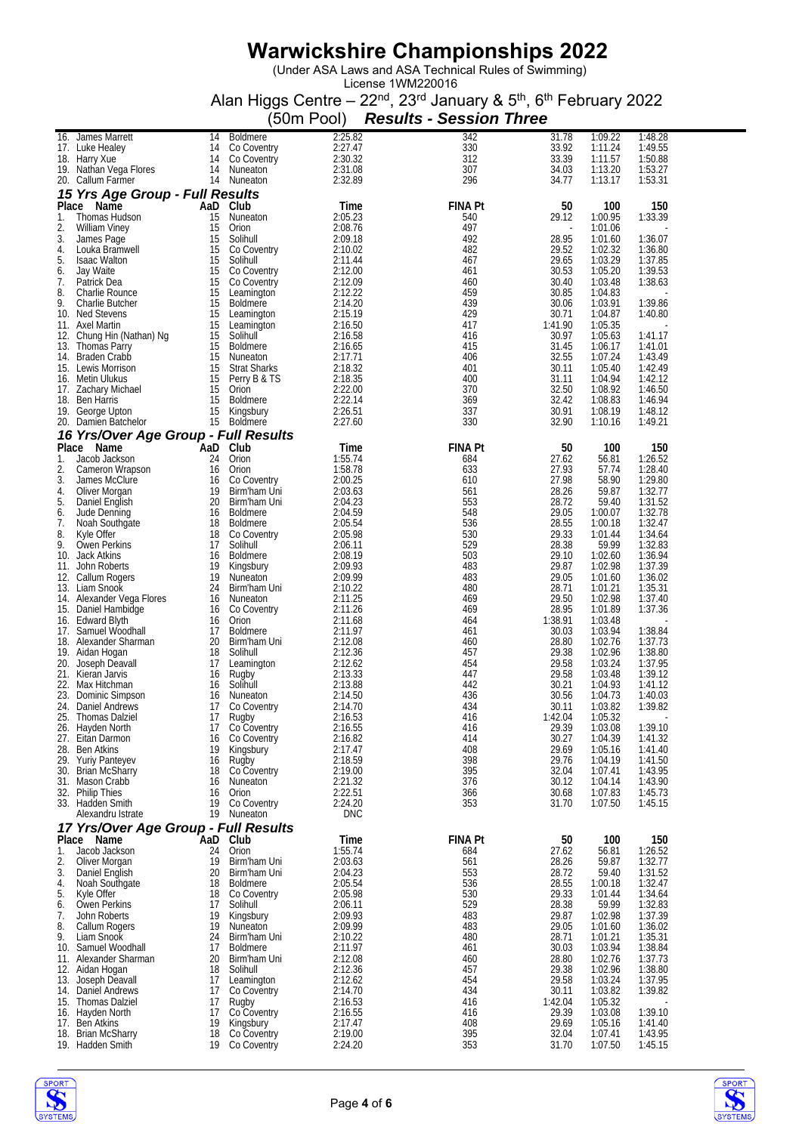(Under ASA Laws and ASA Technical Rules of Swimming)

|           |                                              |          |                                 | (50m Pool)            | <b>Results - Session Three</b> |                  |                    |                    |  |
|-----------|----------------------------------------------|----------|---------------------------------|-----------------------|--------------------------------|------------------|--------------------|--------------------|--|
|           | 16. James Marrett                            | 14       | <b>Boldmere</b>                 | 2:25.82               | 342                            | 31.78            | 1:09.22            | 1:48.28            |  |
|           | 17. Luke Healey                              | 14       | Co Coventry                     | 2:27.47               | 330                            | 33.92            | 1:11.24            | 1:49.55            |  |
|           | 18. Harry Xue<br>19. Nathan Vega Flores      | 14<br>14 | Co Coventry<br>Nuneaton         | 2:30.32<br>2:31.08    | 312<br>307                     | 33.39<br>34.03   | 1:11.57<br>1:13.20 | 1:50.88<br>1:53.27 |  |
|           | 20. Callum Farmer                            |          | 14 Nuneaton                     | 2:32.89               | 296                            | 34.77            | 1:13.17            | 1:53.31            |  |
|           | 15 Yrs Age Group - Full Results              |          |                                 |                       |                                |                  |                    |                    |  |
|           | Place Name                                   | AaD      | Club                            | Time                  | <b>FINA Pt</b>                 | 50               | 100                | 150                |  |
| 1.<br>2.  | Thomas Hudson<br>William Viney               | 15<br>15 | Nuneaton<br>Orion               | 2:05.23<br>2:08.76    | 540<br>497                     | 29.12            | 1:00.95<br>1:01.06 | 1:33.39            |  |
| 3.        | James Page                                   | 15       | Solihull                        | 2:09.18               | 492                            | 28.95            | 1:01.60            | 1:36.07            |  |
| 4.        | Louka Bramwell                               | 15       | Co Coventry                     | 2:10.02               | 482                            | 29.52            | 1:02.32            | 1:36.80            |  |
| 5.        | <b>Isaac Walton</b><br>Jay Waite             | 15<br>15 | Solihull<br>Co Coventry         | 2:11.44<br>2:12.00    | 467<br>461                     | 29.65<br>30.53   | 1:03.29<br>1:05.20 | 1:37.85<br>1:39.53 |  |
| 6.<br>7.  | Patrick Dea                                  | 15       | Co Coventry                     | 2:12.09               | 460                            | 30.40            | 1:03.48            | 1:38.63            |  |
| 8.        | Charlie Rounce                               | 15       | Leamington                      | 2:12.22               | 459                            | 30.85            | 1:04.83            |                    |  |
| 9.        | Charlie Butcher<br>10. Ned Stevens           | 15<br>15 | <b>Boldmere</b><br>Leamington   | 2:14.20<br>2:15.19    | 439<br>429                     | 30.06<br>30.71   | 1:03.91<br>1:04.87 | 1:39.86<br>1:40.80 |  |
|           | 11. Axel Martin                              | 15       | Leamington                      | 2:16.50               | 417                            | 1:41.90          | 1:05.35            |                    |  |
|           | 12. Chung Hin (Nathan) Ng                    | 15       | Solihull                        | 2:16.58               | 416                            | 30.97            | 1:05.63            | 1:41.17            |  |
|           | 13. Thomas Parry                             | 15<br>15 | <b>Boldmere</b><br>Nuneaton     | 2:16.65<br>2:17.71    | 415<br>406                     | 31.45<br>32.55   | 1:06.17<br>1:07.24 | 1:41.01<br>1:43.49 |  |
|           | 14. Braden Crabb<br>15. Lewis Morrison       | 15       | <b>Strat Sharks</b>             | 2:18.32               | 401                            | 30.11            | 1:05.40            | 1:42.49            |  |
|           | 16. Metin Ulukus                             | 15       | Perry B & TS                    | 2:18.35               | 400                            | 31.11            | 1:04.94            | 1:42.12            |  |
|           | 17. Zachary Michael                          | 15       | Orion                           | 2:22.00               | 370                            | 32.50            | 1:08.92            | 1:46.50            |  |
|           | 18. Ben Harris<br>19. George Upton           | 15<br>15 | <b>Boldmere</b><br>Kingsbury    | 2:22.14<br>2:26.51    | 369<br>337                     | 32.42<br>30.91   | 1:08.83<br>1:08.19 | 1:46.94<br>1:48.12 |  |
|           | 20. Damien Batchelor                         | 15       | Boldmere                        | 2:27.60               | 330                            | 32.90            | 1:10.16            | 1:49.21            |  |
|           | 16 Yrs/Over Age Group - Full Results         |          |                                 |                       |                                |                  |                    |                    |  |
|           | Place Name                                   | AaD      | Club                            | Time                  | <b>FINA Pt</b>                 | 50               | 100                | 150                |  |
| 1.<br>2.  | Jacob Jackson<br>Cameron Wrapson             | 24<br>16 | Orion<br>Orion                  | 1:55.74<br>1:58.78    | 684<br>633                     | 27.62<br>27.93   | 56.81<br>57.74     | 1:26.52<br>1:28.40 |  |
| 3.        | James McClure                                | 16       | Co Coventry                     | 2:00.25               | 610                            | 27.98            | 58.90              | 1:29.80            |  |
| 4.        | Oliver Morgan                                | 19       | Birm'ham Uni                    | 2:03.63               | 561                            | 28.26            | 59.87              | 1:32.77            |  |
| 5.<br>6.  | Daniel English<br>Jude Denning               | 20<br>16 | Birm'ham Uni<br><b>Boldmere</b> | 2:04.23<br>2:04.59    | 553<br>548                     | 28.72<br>29.05   | 59.40<br>1:00.07   | 1:31.52<br>1:32.78 |  |
| 7.        | Noah Southgate                               | 18       | <b>Boldmere</b>                 | 2:05.54               | 536                            | 28.55            | 1:00.18            | 1:32.47            |  |
| 8.        | Kyle Offer                                   | 18       | Co Coventry                     | 2:05.98               | 530                            | 29.33            | 1:01.44            | 1:34.64            |  |
| 9.<br>10. | Owen Perkins<br>Jack Atkins                  | 17<br>16 | Solihull<br><b>Boldmere</b>     | 2:06.11<br>2:08.19    | 529<br>503                     | 28.38<br>29.10   | 59.99<br>1:02.60   | 1:32.83<br>1:36.94 |  |
|           | 11. John Roberts                             | 19       | Kingsbury                       | 2:09.93               | 483                            | 29.87            | 1:02.98            | 1:37.39            |  |
|           | 12. Callum Rogers                            | 19       | Nuneaton                        | 2:09.99               | 483                            | 29.05            | 1:01.60            | 1:36.02            |  |
|           | 13. Liam Snook<br>14. Alexander Vega Flores  | 24<br>16 | Birm'ham Uni<br>Nuneaton        | 2:10.22<br>2:11.25    | 480<br>469                     | 28.71<br>29.50   | 1:01.21<br>1:02.98 | 1:35.31<br>1:37.40 |  |
|           | 15. Daniel Hambidge                          | 16       | Co Coventry                     | 2:11.26               | 469                            | 28.95            | 1:01.89            | 1:37.36            |  |
|           | 16. Edward Blyth                             | 16       | Orion                           | 2:11.68               | 464                            | 1:38.91          | 1:03.48            |                    |  |
|           | 17. Samuel Woodhall<br>18. Alexander Sharman | 17<br>20 | <b>Boldmere</b><br>Birm'ham Uni | 2:11.97<br>2:12.08    | 461<br>460                     | 30.03<br>28.80   | 1:03.94<br>1:02.76 | 1:38.84<br>1:37.73 |  |
|           | 19. Aidan Hogan                              | 18       | Solihull                        | 2:12.36               | 457                            | 29.38            | 1:02.96            | 1:38.80            |  |
|           | 20. Joseph Deavall                           | 17       | Leamington                      | 2:12.62               | 454                            | 29.58            | 1:03.24            | 1:37.95            |  |
|           | 21. Kieran Jarvis<br>22. Max Hitchman        | 16<br>16 | Rugby<br>Solihull               | 2:13.33<br>2:13.88    | 447<br>442                     | 29.58<br>30.21   | 1:03.48<br>1:04.93 | 1:39.12<br>1:41.12 |  |
|           | 23. Dominic Simpson                          | 16       | Nuneaton                        | 2:14.50               | 436                            | 30.56            | 1:04.73            | 1:40.03            |  |
|           | 24. Daniel Andrews                           | 17       | Co Coventry                     | 2:14.70               | 434                            | 30.11            | 1:03.82            | 1:39.82            |  |
|           | 25. Thomas Dalziel                           | 17<br>17 | Rugby<br>Co Coventry            | 2:16.53<br>2:16.55    | 416<br>416                     | 1:42.04<br>29.39 | 1:05.32<br>1:03.08 | 1:39.10            |  |
|           | 26. Hayden North<br>27. Eitan Darmon         | 16       | Co Coventry                     | 2:16.82               | 414                            | 30.27            | 1:04.39            | 1:41.32            |  |
|           | 28. Ben Atkins                               | 19       | Kingsbury                       | 2:17.47               | 408                            | 29.69            | 1:05.16            | 1:41.40            |  |
|           | 29. Yuriy Panteyev<br>30. Brian McSharry     | 16<br>18 | Rugby<br>Co Coventry            | 2:18.59<br>2:19.00    | 398<br>395                     | 29.76<br>32.04   | 1:04.19<br>1:07.41 | 1:41.50<br>1:43.95 |  |
|           | 31. Mason Crabb                              | 16       | Nuneaton                        | 2:21.32               | 376                            | 30.12            | 1:04.14            | 1:43.90            |  |
|           | 32. Philip Thies                             | 16       | Orion                           | 2:22.51               | 366                            | 30.68            | 1:07.83            | 1:45.73            |  |
|           | 33. Hadden Smith<br>Alexandru Istrate        | 19       | Co Coventry<br>19 Nuneaton      | 2:24.20<br><b>DNC</b> | 353                            | 31.70            | 1:07.50            | 1:45.15            |  |
|           | 17 Yrs/Over Age Group - Full Results         |          |                                 |                       |                                |                  |                    |                    |  |
|           | Place Name                                   | AaD      | Club                            | Time                  | <b>FINA Pt</b>                 | 50               | 100                | 150                |  |
| 1.        | Jacob Jackson                                | 24       | Orion                           | 1:55.74               | 684                            | 27.62            | 56.81              | 1:26.52            |  |
| 2.<br>3.  | Oliver Morgan<br>Daniel English              | 19<br>20 | Birm'ham Uni<br>Birm'ham Uni    | 2:03.63<br>2:04.23    | 561<br>553                     | 28.26<br>28.72   | 59.87<br>59.40     | 1:32.77<br>1:31.52 |  |
| 4.        | Noah Southgate                               | 18       | <b>Boldmere</b>                 | 2:05.54               | 536                            | 28.55            | 1:00.18            | 1:32.47            |  |
| 5.        | Kyle Offer                                   | 18       | Co Coventry                     | 2:05.98               | 530                            | 29.33            | 1:01.44            | 1:34.64            |  |
| 6.<br>7.  | Owen Perkins                                 | 17<br>19 | Solihull                        | 2:06.11<br>2:09.93    | 529<br>483                     | 28.38<br>29.87   | 59.99<br>1:02.98   | 1:32.83<br>1:37.39 |  |
| 8.        | John Roberts<br>Callum Rogers                | 19       | Kingsbury<br>Nuneaton           | 2:09.99               | 483                            | 29.05            | 1:01.60            | 1:36.02            |  |
| 9.        | Liam Snook                                   | 24       | Birm'ham Uni                    | 2:10.22               | 480                            | 28.71            | 1:01.21            | 1:35.31            |  |
|           | 10. Samuel Woodhall                          | 17       | <b>Boldmere</b>                 | 2:11.97               | 461                            | 30.03            | 1:03.94            | 1:38.84            |  |
|           | 11. Alexander Sharman<br>12. Aidan Hogan     | 20<br>18 | Birm'ham Uni<br>Solihull        | 2:12.08<br>2:12.36    | 460<br>457                     | 28.80<br>29.38   | 1:02.76<br>1:02.96 | 1:37.73<br>1:38.80 |  |
|           | 13. Joseph Deavall                           | 17       | Leamington                      | 2:12.62               | 454                            | 29.58            | 1:03.24            | 1:37.95            |  |
|           | 14. Daniel Andrews                           | 17       | Co Coventry                     | 2:14.70               | 434                            | 30.11            | 1:03.82            | 1:39.82            |  |
|           | 15. Thomas Dalziel<br>16. Hayden North       | 17<br>17 | Rugby<br>Co Coventry            | 2:16.53<br>2:16.55    | 416<br>416                     | 1:42.04<br>29.39 | 1:05.32<br>1:03.08 | 1:39.10            |  |
|           | 17. Ben Atkins                               | 19       | Kingsbury                       | 2:17.47               | 408                            | 29.69            | 1:05.16            | 1:41.40            |  |
|           | 18. Brian McSharry<br>19. Hadden Smith       | 18<br>19 | Co Coventry<br>Co Coventry      | 2:19.00               | 395<br>353                     | 32.04            | 1:07.41            | 1:43.95<br>1:45.15 |  |
|           |                                              |          |                                 | 2:24.20               |                                | 31.70            | 1:07.50            |                    |  |



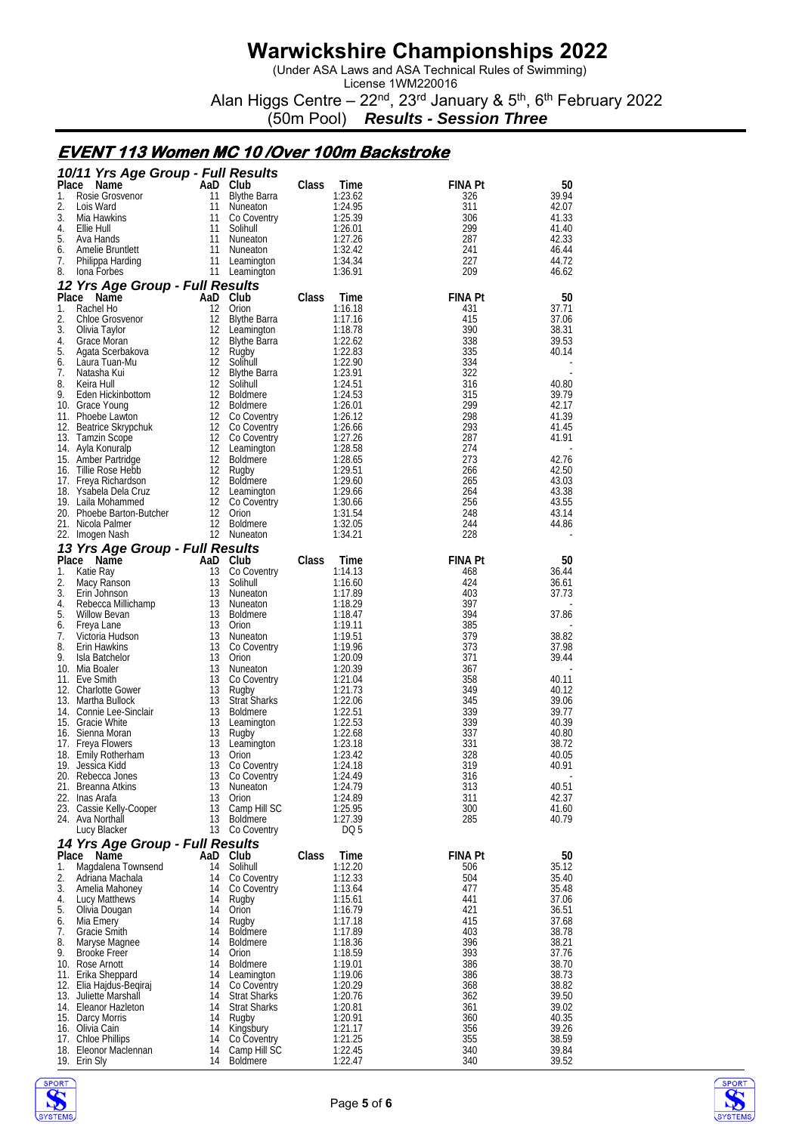(Under ASA Laws and ASA Technical Rules of Swimming)

License 1WM220016 Alan Higgs Centre – 22<sup>nd</sup>, 23<sup>rd</sup> January & 5<sup>th</sup>, 6<sup>th</sup> February 2022

(50m Pool) *Results - Session Three*

#### **EVENT 113 Women MC 10 /Over 100m Backstroke**

|          | 10/11 Yrs Age Group - Full Results            |          |                                    |       |                    |                       |                |
|----------|-----------------------------------------------|----------|------------------------------------|-------|--------------------|-----------------------|----------------|
| Place    | Name                                          |          | AaD Club                           | Class | Time               | <b>FINA Pt</b>        | 50             |
| 1.<br>2. | Rosie Grosvenor<br>Lois Ward                  | 11<br>11 | <b>Blythe Barra</b>                |       | 1:23.62<br>1:24.95 | 326<br>311            | 39.94<br>42.07 |
| 3.       | Mia Hawkins                                   | 11       | Nuneaton<br>Co Coventry            |       | 1:25.39            | 306                   | 41.33          |
| 4.       | Ellie Hull                                    | 11       | Solihull                           |       | 1:26.01            | 299                   | 41.40          |
| 5.       | Ava Hands                                     | 11       | Nuneaton                           |       | 1:27.26            | 287                   | 42.33          |
| 6.       | Amelie Bruntlett                              | 11       | Nuneaton                           |       | 1:32.42            | 241                   | 46.44          |
| 7.       | Philippa Harding                              | 11       | Leamington                         |       | 1:34.34            | 227                   | 44.72          |
| 8.       | lona Forbes                                   |          | 11 Leamington                      |       | 1:36.91            | 209                   | 46.62          |
| Place    | 12 Yrs Age Group - Full Results<br>Name       |          | AaD Club                           | Class | Time               | <b>FINA Pt</b>        | 50             |
| 1.       | Rachel Ho                                     | 12       | Orion                              |       | 1:16.18            | 431                   | 37.71          |
| 2.       | Chloe Grosvenor                               | 12       | <b>Blythe Barra</b>                |       | 1:17.16            | 415                   | 37.06          |
| 3.       | Olivia Taylor                                 | 12       | Leamington                         |       | 1:18.78            | 390                   | 38.31          |
| 4.       | Grace Moran                                   | 12       | Blythe Barra                       |       | 1:22.62            | 338                   | 39.53          |
| 5.<br>6. | Agata Scerbakova<br>Laura Tuan-Mu             | 12<br>12 | Rugby<br>Solihull                  |       | 1:22.83<br>1:22.90 | 335<br>334            | 40.14          |
| 7.       | Natasha Kui                                   | 12       | Blythe Barra                       |       | 1:23.91            | 322                   |                |
| 8.       | Keira Hull                                    | 12       | Solihull                           |       | 1:24.51            | 316                   | 40.80          |
| 9.       | Eden Hickinbottom                             | 12       | <b>Boldmere</b>                    |       | 1:24.53            | 315                   | 39.79          |
|          | 10. Grace Young                               | 12       | <b>Boldmere</b>                    |       | 1:26.01            | 299                   | 42.17          |
| 12.      | 11. Phoebe Lawton<br>Beatrice Skrypchuk       | 12<br>12 | Co Coventry<br>Co Coventry         |       | 1:26.12<br>1:26.66 | 298<br>293            | 41.39<br>41.45 |
|          | 13. Tamzin Scope                              | 12       | Co Coventry                        |       | 1:27.26            | 287                   | 41.91          |
|          | 14. Ayla Konuralp                             | 12       | Leamington                         |       | 1:28.58            | 274                   |                |
|          | 15. Amber Partridge                           | 12       | <b>Boldmere</b>                    |       | 1:28.65            | 273                   | 42.76          |
|          | 16. I illie Rose Hebb                         | 12       | Rugby                              |       | 1:29.51            | 266                   | 42.50          |
|          | 17. Freya Richardson<br>18. Ysabela Dela Cruz | 12<br>12 | <b>Boldmere</b><br>Leamington      |       | 1:29.60<br>1:29.66 | 265<br>264            | 43.03<br>43.38 |
|          | 19. Laila Mohammed                            | 12       | Co Coventry                        |       | 1:30.66            | 256                   | 43.55          |
|          | 20. Phoebe Barton-Butcher                     | 12       | Orion                              |       | 1:31.54            | 248                   | 43.14          |
|          | 21. Nicola Palmer                             | 12       | Boldmere                           |       | 1:32.05            | 244                   | 44.86          |
|          | 22. Imogen Nash                               |          | 12 Nuneaton                        |       | 1:34.21            | 228                   |                |
|          | 13 Yrs Age Group - Full Results               |          |                                    |       |                    |                       |                |
| 1.       | Place Name<br>Katie Ray                       | 13       | AaD Club<br>Co Coventry            | Class | Time<br>1:14.13    | <b>FINA Pt</b><br>468 | 50<br>36.44    |
| 2.       | Macy Ranson                                   | 13       | Solihull                           |       | 1:16.60            | 424                   | 36.61          |
| 3.       | Erin Johnson                                  | 13       | Nuneaton                           |       | 1:17.89            | 403                   | 37.73          |
| 4.       | Rebecca Millichamp                            | 13       | Nuneaton                           |       | 1:18.29            | 397                   |                |
| 5.<br>6. | <b>Willow Bevan</b><br>Freya Lane             | 13<br>13 | <b>Boldmere</b><br>Orion           |       | 1:18.47<br>1:19.11 | 394<br>385            | 37.86          |
| 7.       | Victoria Hudson                               | 13       | Nuneaton                           |       | 1:19.51            | 379                   | 38.82          |
| 8.       | <b>Erin Hawkins</b>                           | 13       | Co Coventry                        |       | 1:19.96            | 373                   | 37.98          |
| 9.       | Isla Batchelor                                | 13       | Orion                              |       | 1:20.09            | 371                   | 39.44          |
|          | 10. Mia Boaler                                | 13       | Nuneaton                           |       | 1:20.39            | 367                   |                |
|          | 11. Eve Smith<br>12. Charlotte Gower          | 13<br>13 | Co Coventry<br>Rugby               |       | 1:21.04<br>1:21.73 | 358<br>349            | 40.11<br>40.12 |
|          | 13. Martha Bullock                            | 13       | <b>Strat Sharks</b>                |       | 1:22.06            | 345                   | 39.06          |
|          | 14. Connie Lee-Sinclair                       | 13       | <b>Boldmere</b>                    |       | 1:22.51            | 339                   | 39.77          |
|          | 15. Gracie White                              | 13       | Leamington                         |       | 1:22.53            | 339                   | 40.39          |
| 16.      | Sienna Moran                                  | 13<br>13 | Rugby                              |       | 1:22.68            | 337<br>331            | 40.80<br>38.72 |
|          | 17. Freya Flowers<br>18. Emily Rotherham      | 13       | Leamington<br>Orion                |       | 1:23.18<br>1:23.42 | 328                   | 40.05          |
|          | 19. Jessica Kidd                              | 13       | Co Coventry                        |       | 1:24.18            | 319                   | 40.91          |
|          | 20. Rebecca Jones                             | 13       | Co Coventry                        |       | 1:24.49            | 316                   |                |
|          | 21. Breanna Atkins                            | 13       | Nuneaton                           |       | 1:24.79            | 313                   | 40.51          |
|          | 22. Inas Arafa<br>23. Cassie Kelly-Cooper     | 13<br>13 | Orion<br>Camp Hill SC              |       | 1:24.89<br>1:25.95 | 311<br>300            | 42.37<br>41.60 |
|          | 24. Ava Northall                              | 13       | Boldmere                           |       | 1:27.39            | 285                   | 40.79          |
|          | Lucy Blacker                                  |          | 13 Co Coventry                     |       | DQ 5               |                       |                |
|          | 14 Yrs Age Group - Full Results               |          |                                    |       |                    |                       |                |
| Place    | Name                                          | 14       | AaD Club                           | Class | Time               | <b>FINA Pt</b>        | 50<br>35.12    |
| 1.<br>2. | Magdalena Townsend<br>Adriana Machala         | 14       | Solihull<br>Co Coventry            |       | 1:12.20<br>1:12.33 | 506<br>504            | 35.40          |
| 3.       | Amelia Mahoney                                | 14       | Co Coventry                        |       | 1:13.64            | 477                   | 35.48          |
| 4.       | Lucy Matthews                                 | 14       | Rugby                              |       | 1:15.61            | 441                   | 37.06          |
| 5.       | Olivia Dougan                                 | 14       | Orion                              |       | 1:16.79            | 421                   | 36.51          |
| 6.       | Mia Emery                                     | 14       | Rugby                              |       | 1:17.18            | 415                   | 37.68          |
| 7.<br>8. | <b>Gracie Smith</b><br>Maryse Magnee          | 14<br>14 | <b>Boldmere</b><br><b>Boldmere</b> |       | 1:17.89<br>1:18.36 | 403<br>396            | 38.78<br>38.21 |
| 9.       | <b>Brooke Freer</b>                           | 14       | Orion                              |       | 1:18.59            | 393                   | 37.76          |
|          | 10. Rose Arnott                               | 14       | Boldmere                           |       | 1:19.01            | 386                   | 38.70          |
|          | 11. Erika Sheppard                            | 14       | Leamington                         |       | 1:19.06            | 386                   | 38.73          |
| 12.      | Elia Hajdus-Begiraj<br>13. Juliette Marshall  | 14<br>14 | Co Coventry<br><b>Strat Sharks</b> |       | 1:20.29<br>1:20.76 | 368<br>362            | 38.82<br>39.50 |
|          | 14. Eleanor Hazleton                          | 14       | <b>Strat Sharks</b>                |       | 1:20.81            | 361                   | 39.02          |
|          | 15. Darcy Morris                              | 14       | Rugby                              |       | 1:20.91            | 360                   | 40.35          |
|          | 16. Olivia Cain                               | 14       | Kingsbury                          |       | 1:21.17            | 356                   | 39.26          |
|          | 17. Chloe Phillips<br>18. Eleonor Maclennan   | 14<br>14 | Co Coventry<br>Camp Hill SC        |       | 1:21.25<br>1:22.45 | 355<br>340            | 38.59<br>39.84 |
|          | 19. Erin Sly                                  | 14       | <b>Boldmere</b>                    |       | 1:22.47            | 340                   | 39.52          |

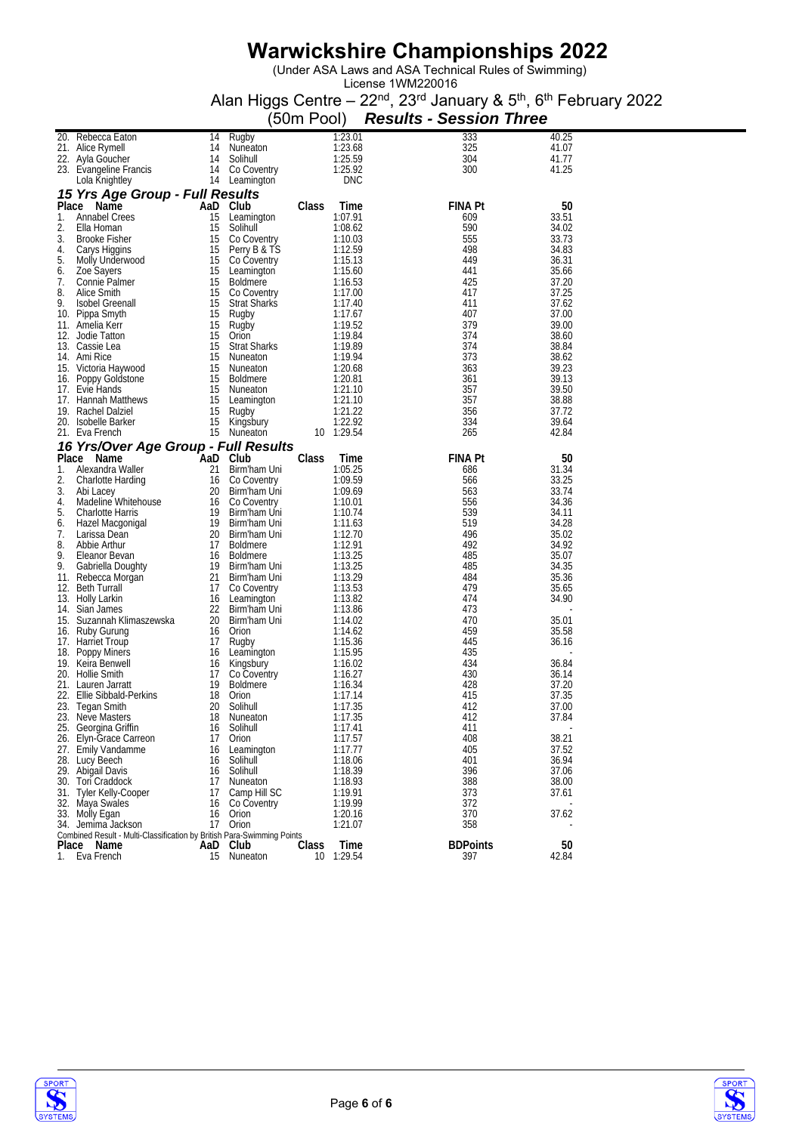(Under ASA Laws and ASA Technical Rules of Swimming)

|          |                                                                                      |           |                                    | (50m Pool) |                    | <b>Results - Session Three</b> |                |
|----------|--------------------------------------------------------------------------------------|-----------|------------------------------------|------------|--------------------|--------------------------------|----------------|
|          | 20. Rebecca Eaton                                                                    | 14        | Rugby                              |            | 1:23.01            | 333                            | 40.25          |
|          | 21. Alice Rymell                                                                     | 14        | Nuneaton                           |            | 1:23.68            | 325                            | 41.07          |
|          | 22. Ayla Goucher                                                                     | 14        | Solihull                           |            | 1:25.59            | 304                            | 41.77          |
|          | 23. Evangeline Francis                                                               | 14        | Co Coventry                        |            | 1:25.92            | 300                            | 41.25          |
|          | Lola Knightley                                                                       |           | 14 Leamington                      |            | <b>DNC</b>         |                                |                |
|          | 15 Yrs Age Group - Full Results                                                      |           |                                    |            |                    |                                |                |
|          | Place Name                                                                           | AaD Club  |                                    | Class      | Time               | <b>FINA Pt</b>                 | 50             |
| 1.       | Annabel Crees                                                                        | 15        | Leamington                         |            | 1:07.91            | 609                            | 33.51          |
| 2.       | Ella Homan                                                                           | 15        | Solihull                           |            | 1:08.62            | 590                            | 34.02          |
| 3.       | <b>Brooke Fisher</b>                                                                 | 15        | Co Coventry                        |            | 1:10.03            | 555                            | 33.73          |
| 4.       | Carys Higgins                                                                        | 15        | Perry B & TS                       |            | 1:12.59            | 498                            | 34.83          |
| 5.       | Molly Underwood                                                                      | 15        | Co Coventry                        |            | 1:15.13            | 449                            | 36.31          |
| 6.       | Zoe Sayers                                                                           | 15        | Leamington                         |            | 1:15.60            | 441                            | 35.66          |
| 7.<br>8. | Connie Palmer<br>Alice Smith                                                         | 15<br>15  | <b>Boldmere</b>                    |            | 1:16.53<br>1:17.00 | 425<br>417                     | 37.20<br>37.25 |
| 9.       | <b>Isobel Greenall</b>                                                               | 15        | Co Coventry<br><b>Strat Sharks</b> |            | 1:17.40            | 411                            | 37.62          |
|          | 10. Pippa Smyth                                                                      | 15        | Rugby                              |            | 1:17.67            | 407                            | 37.00          |
|          | 11. Amelia Kerr                                                                      | 15        | Rugby                              |            | 1:19.52            | 379                            | 39.00          |
|          | 12. Jodie Tatton                                                                     | 15        | Orion                              |            | 1:19.84            | 374                            | 38.60          |
|          | 13. Cassie Lea                                                                       | 15        | <b>Strat Sharks</b>                |            | 1:19.89            | 374                            | 38.84          |
|          | 14. Ami Rice                                                                         | 15        | Nuneaton                           |            | 1:19.94            | 373                            | 38.62          |
|          | 15. Victoria Haywood                                                                 | 15        | Nuneaton                           |            | 1:20.68            | 363                            | 39.23          |
|          | 16. Poppy Goldstone                                                                  | 15        | <b>Boldmere</b>                    |            | 1:20.81            | 361                            | 39.13          |
|          | 17. Evie Hands                                                                       | 15        | Nuneaton                           |            | 1:21.10            | 357                            | 39.50          |
|          | 17. Hannah Matthews                                                                  | 15        | Leamington                         |            | 1:21.10            | 357                            | 38.88          |
|          | 19. Rachel Dalziel                                                                   | 15        | Rugby                              |            | 1:21.22            | 356                            | 37.72          |
|          | 20. Isobelle Barker                                                                  | 15        | Kingsbury                          |            | 1:22.92            | 334                            | 39.64          |
|          | 21. Eva French                                                                       | 15        | Nuneaton                           | 10         | 1:29.54            | 265                            | 42.84          |
|          | 16 Yrs/Over Age Group - Full Results                                                 |           |                                    |            |                    |                                |                |
| 1.       | Place Name<br>Alexandra Waller                                                       | AaD<br>21 | Club<br>Birm'ham Uni               | Class      | 1 ime<br>1:05.25   | <b>FINA Pt</b><br>686          | 50<br>31.34    |
| 2.       | Charlotte Harding                                                                    | 16        | Co Coventry                        |            | 1:09.59            | 566                            | 33.25          |
| 3.       | Abi Lacey                                                                            | 20        | Birm'ham Uni                       |            | 1:09.69            | 563                            | 33.74          |
| 4.       | Madeline Whitehouse                                                                  | 16        | Co Coventry                        |            | 1:10.01            | 556                            | 34.36          |
| 5.       | <b>Charlotte Harris</b>                                                              | 19        | Birm'ham Uni                       |            | 1:10.74            | 539                            | 34.11          |
| 6.       | Hazel Macgonigal                                                                     | 19        | Birm'ham Uni                       |            | 1:11.63            | 519                            | 34.28          |
| 7.       | Larissa Dean                                                                         | 20        | Birm'ham Uni                       |            | 1:12.70            | 496                            | 35.02          |
| 8.       | Abbie Arthur                                                                         | 17        | <b>Boldmere</b>                    |            | 1:12.91            | 492                            | 34.92          |
| 9.       | Eleanor Bevan                                                                        | 16        | <b>Boldmere</b>                    |            | 1:13.25            | 485                            | 35.07          |
| 9.       | Gabriella Doughty                                                                    | 19        | Birm'ham Uni                       |            | 1:13.25            | 485                            | 34.35          |
|          | 11. Rebecca Morgan                                                                   | 21        | Birm'ham Uni                       |            | 1:13.29            | 484                            | 35.36          |
|          | 12. Beth Turrall                                                                     | 17<br>16  | Co Coventry<br>Leamington          |            | 1:13.53<br>1:13.82 | 479<br>474                     | 35.65<br>34.90 |
|          | 13. Holly Larkin<br>14. Sian James                                                   | 22        | Birm'ham Uni                       |            | 1:13.86            | 473                            |                |
|          | 15. Suzannah Klimaszewska                                                            | 20        | Birm'ham Uni                       |            | 1:14.02            | 470                            | 35.01          |
|          | 16. Ruby Gurung                                                                      | 16        | Orion                              |            | 1:14.62            | 459                            | 35.58          |
|          | 17. Harriet Troup                                                                    | 17        | Rugby                              |            | 1:15.36            | 445                            | 36.16          |
|          | 18. Poppy Miners                                                                     | 16        | Leamington                         |            | 1:15.95            | 435                            |                |
|          | 19. Keira Benwell                                                                    | 16        | Kingsbury                          |            | 1:16.02            | 434                            | 36.84          |
|          | 20. Hollie Smith                                                                     | 17        | Co Coventry                        |            | 1:16.27            | 430                            | 36.14          |
|          | 21. Lauren Jarratt                                                                   | 19        | <b>Boldmere</b>                    |            | 1:16.34            | 428                            | 37.20          |
|          | 22. Ellie Sibbald-Perkins                                                            | 18        | Orion                              |            | 1:17.14            | 415                            | 37.35          |
|          | 23. Tegan Smith                                                                      | 20        | Solihull                           |            | 1:17.35            | 412                            | 37.00          |
|          | 23. Neve Masters<br>25. Georgina Griffin                                             |           | 18 Nuneaton                        |            | 1:17.35            | 412<br>411                     | 37.84          |
|          | 26. Elyn-Grace Carreon                                                               | 17        | 16 Solihull<br>Orion               |            | 1:17.41<br>1:17.57 | 408                            | 38.21          |
|          | 27. Emily Vandamme                                                                   |           | 16 Leamington                      |            | 1:17.77            | 405                            | 37.52          |
|          | 28. Lucy Beech                                                                       |           | 16 Solihull                        |            | 1:18.06            | 401                            | 36.94          |
|          | 29. Abigail Davis                                                                    |           | 16 Solihull                        |            | 1:18.39            | 396                            | 37.06          |
|          | 30. Tori Craddock                                                                    |           | 17 Nuneaton                        |            | 1:18.93            | 388                            | 38.00          |
|          | 31. Tyler Kelly-Cooper                                                               |           | 17 Camp Hill SC                    |            | 1:19.91            | 373                            | 37.61          |
|          | 32. Maya Swales                                                                      |           | 16 Co Coventry                     |            | 1:19.99            | 372                            |                |
|          | 33. Molly Egan                                                                       | 16        | Orion                              |            | 1:20.16            | 370                            | 37.62          |
|          | 34. Jemima Jackson                                                                   | 17        | Orion                              |            | 1:21.07            | 358                            |                |
|          | Combined Result - Multi-Classification by British Para-Swimming Points<br>Place Name |           | AaD Club                           | Class      | Time               | <b>BDPoints</b>                | 50             |
|          | 1. Eva French                                                                        |           | 15 Nuneaton                        |            | 10 1:29.54         | 397                            | 42.84          |



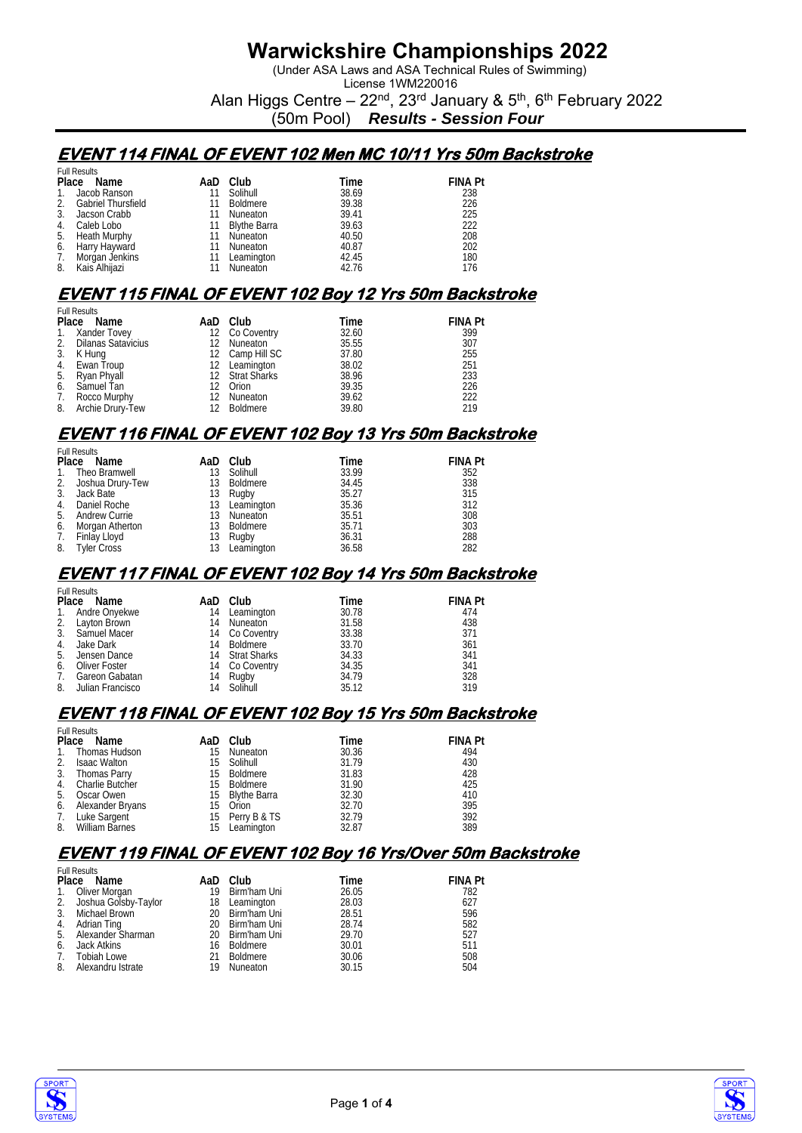(Under ASA Laws and ASA Technical Rules of Swimming) License 1WM220016

Alan Higgs Centre –  $22^{nd}$ ,  $23^{rd}$  January &  $5^{th}$ ,  $6^{th}$  February 2022

(50m Pool) *Results - Session Four*

### **EVENT 114 FINAL OF EVENT 102 Men MC 10/11 Yrs 50m Backstroke**

|            | <b>Full Results</b>       |    |              |       |                |  |  |  |  |  |
|------------|---------------------------|----|--------------|-------|----------------|--|--|--|--|--|
| Place Name |                           |    | AaD Club     | Time  | <b>FINA Pt</b> |  |  |  |  |  |
|            | Jacob Ranson              | 11 | Solihull     | 38.69 | 238            |  |  |  |  |  |
| 2.         | <b>Gabriel Thursfield</b> | 11 | Boldmere     | 39.38 | 226            |  |  |  |  |  |
| 3.         | Jacson Crabb              |    | Nuneaton     | 39.41 | 225            |  |  |  |  |  |
| 4.         | Caleb Lobo                | 11 | Blythe Barra | 39.63 | 222            |  |  |  |  |  |
| 5.         | Heath Murphy              | 11 | Nuneaton     | 40.50 | 208            |  |  |  |  |  |
| 6.         | Harry Hayward             | 11 | Nuneaton     | 40.87 | 202            |  |  |  |  |  |
| 7.         | Morgan Jenkins            |    | Leamington   | 42.45 | 180            |  |  |  |  |  |
| 8.         | Kais Alhijazi             |    | Nuneaton     | 42.76 | 176            |  |  |  |  |  |

### **EVENT 115 FINAL OF EVENT 102 Boy 12 Yrs 50m Backstroke**

|            | <b>Full Results</b>   |    |                 |       |                |  |  |  |  |  |
|------------|-----------------------|----|-----------------|-------|----------------|--|--|--|--|--|
| Place Name |                       |    | AaD Club        | Time  | <b>FINA Pt</b> |  |  |  |  |  |
|            | 1. Xander Tovey       |    | 12 Co Coventry  | 32.60 | 399            |  |  |  |  |  |
|            | 2. Dilanas Satavicius | 12 | Nuneaton        | 35.55 | 307            |  |  |  |  |  |
| 3.         | K Hung                |    | 12 Camp Hill SC | 37.80 | 255            |  |  |  |  |  |
|            | 4. Ewan Troup         |    | 12 Leamington   | 38.02 | 251            |  |  |  |  |  |
| 5.         | Ryan Phyall           |    | 12 Strat Sharks | 38.96 | 233            |  |  |  |  |  |
| 6.         | Samuel Tan            |    | Orion           | 39.35 | 226            |  |  |  |  |  |
| 7.         | Rocco Murphy          | 12 | Nuneaton        | 39.62 | 222            |  |  |  |  |  |
| 8.         | Archie Drury-Tew      |    | Boldmere        | 39.80 | 219            |  |  |  |  |  |

### **EVENT 116 FINAL OF EVENT 102 Boy 13 Yrs 50m Backstroke**

|       | <b>Full Results</b>  |     |            |       |                |  |  |  |  |  |
|-------|----------------------|-----|------------|-------|----------------|--|--|--|--|--|
| Place | Name                 | AaD | Club       | Time  | <b>FINA Pt</b> |  |  |  |  |  |
| 1.    | Theo Bramwell        | 13  | Solihull   | 33.99 | 352            |  |  |  |  |  |
| 2.    | Joshua Drury-Tew     | 13  | Boldmere   | 34.45 | 338            |  |  |  |  |  |
| 3.    | Jack Bate            | 13  | Rugby      | 35.27 | 315            |  |  |  |  |  |
| 4.    | Daniel Roche         | 13  | Leamington | 35.36 | 312            |  |  |  |  |  |
| 5.    | <b>Andrew Currie</b> | 13  | Nuneaton   | 35.51 | 308            |  |  |  |  |  |
| 6.    | Morgan Atherton      | 13  | Boldmere   | 35.71 | 303            |  |  |  |  |  |
| 7.    | Finlay Lloyd         | 13  | Rugby      | 36.31 | 288            |  |  |  |  |  |
| 8.    | <b>Tyler Cross</b>   | 13  | Leamington | 36.58 | 282            |  |  |  |  |  |

#### **EVENT 117 FINAL OF EVENT 102 Boy 14 Yrs 50m Backstroke**

|    | <b>Full Results</b> |    |                 |       |                |  |  |  |
|----|---------------------|----|-----------------|-------|----------------|--|--|--|
|    | Place Name          |    | AaD Club        | Time  | <b>FINA Pt</b> |  |  |  |
| 1. | Andre Onyekwe       | 14 | Leamington      | 30.78 | 474            |  |  |  |
|    | 2. Layton Brown     | 14 | Nuneaton        | 31.58 | 438            |  |  |  |
| 3. | Samuel Macer        |    | 14 Co Coventry  | 33.38 | 371            |  |  |  |
| 4. | Jake Dark           |    | 14 Boldmere     | 33.70 | 361            |  |  |  |
| 5. | Jensen Dance        |    | 14 Strat Sharks | 34.33 | 341            |  |  |  |
| 6. | Oliver Foster       |    | 14 Co Coventry  | 34.35 | 341            |  |  |  |
| 7. | Gareon Gabatan      | 14 | Rugby           | 34.79 | 328            |  |  |  |
| 8. | Julian Francisco    |    | 14 Solihull     | 35.12 | 319            |  |  |  |

#### **EVENT 118 FINAL OF EVENT 102 Boy 15 Yrs 50m Backstroke**

|                | <b>Full Results</b>   |      |                 |       |                |
|----------------|-----------------------|------|-----------------|-------|----------------|
|                | Place Name            | AaD. | Club            | Time  | <b>FINA Pt</b> |
| 1.             | Thomas Hudson         | 15   | Nuneaton        | 30.36 | 494            |
| 2.             | <b>Isaac Walton</b>   | 15.  | Solihull        | 31.79 | 430            |
| 3.             | Thomas Parry          | 15   | Boldmere        | 31.83 | 428            |
| 4 <sub>1</sub> | Charlie Butcher       | 15.  | Boldmere        | 31.90 | 425            |
| 5.             | Oscar Owen            |      | 15 Blythe Barra | 32.30 | 410            |
| 6.             | Alexander Bryans      | 15   | Orion           | 32.70 | 395            |
| 7.             | Luke Sargent          |      | 15 Perry B & TS | 32.79 | 392            |
| 8.             | <b>William Barnes</b> | 15   | Leamington      | 32.87 | 389            |

#### **EVENT 119 FINAL OF EVENT 102 Boy 16 Yrs/Over 50m Backstroke**

|    | <b>Full Results</b>     |     |                 |       |                |
|----|-------------------------|-----|-----------------|-------|----------------|
|    | Place Name              | AaD | Club            | Time  | <b>FINA Pt</b> |
| 1. | Oliver Morgan           | 19  | Birm'ham Uni    | 26.05 | 782            |
|    | 2. Joshua Golsby-Taylor | 18  | Leamington      | 28.03 | 627            |
| 3. | Michael Brown           |     | 20 Birm'ham Uni | 28.51 | 596            |
| 4. | Adrian Ting             |     | 20 Birm'ham Uni | 28.74 | 582            |
| 5. | Alexander Sharman       |     | 20 Birm'ham Uni | 29.70 | 527            |
| 6. | Jack Atkins             | 16  | Boldmere        | 30.01 | 511            |
| 7. | Tobiah Lowe             | 21  | Boldmere        | 30.06 | 508            |
| 8. | Alexandru Istrate       | 19  | Nuneaton        | 30.15 | 504            |



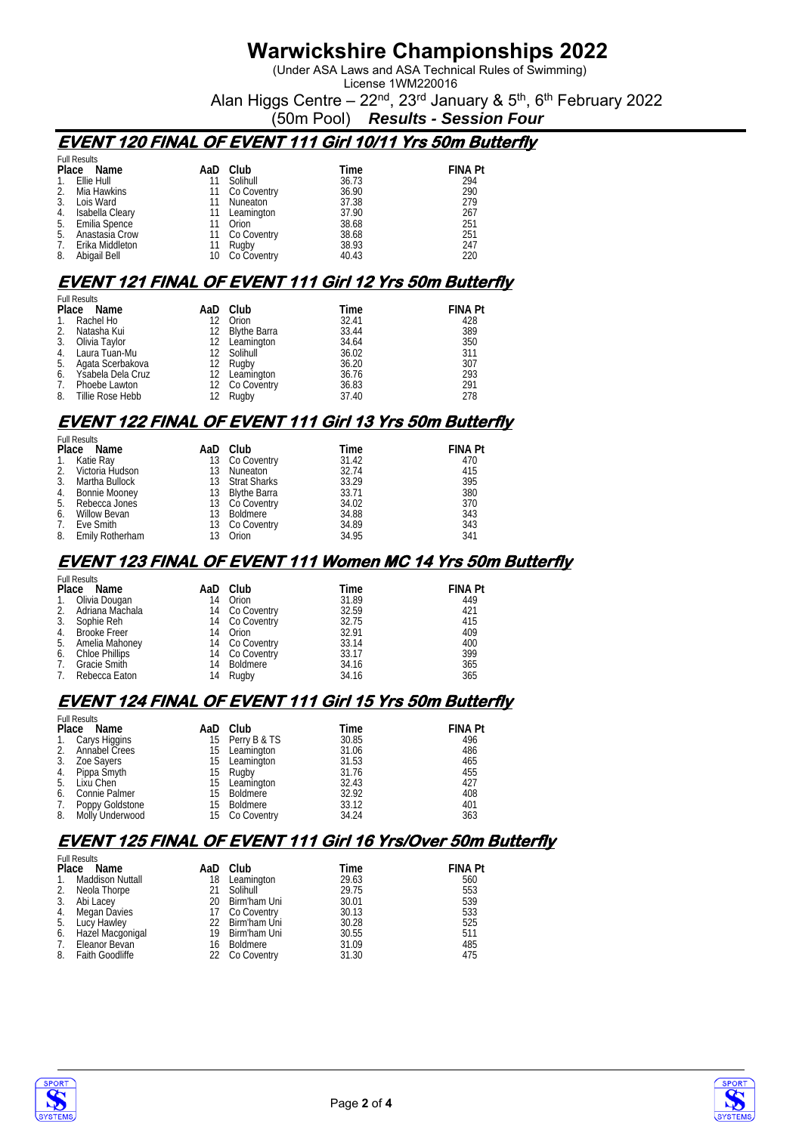(Under ASA Laws and ASA Technical Rules of Swimming) License 1WM220016

Alan Higgs Centre –  $22<sup>nd</sup>$ ,  $23<sup>rd</sup>$  January &  $5<sup>th</sup>$ ,  $6<sup>th</sup>$  February 2022

(50m Pool) *Results - Session Four*

### **EVENT 120 FINAL OF EVENT 111 Girl 10/11 Yrs 50m Butterfly**

|     | <b>Full Results</b> |     |             |       |                |
|-----|---------------------|-----|-------------|-------|----------------|
|     | Place Name          | AaD | Club        | Time  | <b>FINA Pt</b> |
| 1.  | Ellie Hull          | 11  | Solihull    | 36.73 | 294            |
| 2.  | Mia Hawkins         | 11  | Co Coventry | 36.90 | 290            |
| 3.  | Lois Ward           | 11  | Nuneaton    | 37.38 | 279            |
| 4.  | Isabella Cleary     | 11  | Leamington  | 37.90 | 267            |
|     | 5. Emilia Spence    |     | Orion       | 38.68 | 251            |
| .5. | Anastasia Crow      | 11  | Co Coventry | 38.68 | 251            |
| 7.  | Erika Middleton     |     | Rugby       | 38.93 | 247            |
| 8.  | Abigail Bell        | 10  | Co Coventry | 40.43 | 220            |

### **EVENT 121 FINAL OF EVENT 111 Girl 12 Yrs 50m Butterfly**

|                | <b>Full Results</b>  |  |                 |       |                |  |  |  |
|----------------|----------------------|--|-----------------|-------|----------------|--|--|--|
|                | Place Name           |  | AaD Club        | Time  | <b>FINA Pt</b> |  |  |  |
| $\mathbf{1}$ . | Rachel Ho            |  | 12 Orion        | 32.41 | 428            |  |  |  |
| 2.             | Natasha Kui          |  | 12 Blythe Barra | 33.44 | 389            |  |  |  |
| 3.             | Olivia Taylor        |  | 12 Leamington   | 34.64 | 350            |  |  |  |
|                | 4. Laura Tuan-Mu     |  | 12 Solihull     | 36.02 | 311            |  |  |  |
| 5.             | Agata Scerbakova     |  | 12 Rugby        | 36.20 | 307            |  |  |  |
|                | 6. Ysabela Dela Cruz |  | 12 Leamington   | 36.76 | 293            |  |  |  |
| 7.             | Phoebe Lawton        |  | 12 Co Coventry  | 36.83 | 291            |  |  |  |
| 8.             | Tillie Rose Hebb     |  | 12 Rugby        | 37.40 | 278            |  |  |  |

## **EVENT 122 FINAL OF EVENT 111 Girl 13 Yrs 50m Butterfly**

|     | <b>Full Results</b> |    |
|-----|---------------------|----|
| nı. |                     | м. |

|                |                                                                                                                           | Time                                                                                                                                           | <b>FINA Pt</b> |
|----------------|---------------------------------------------------------------------------------------------------------------------------|------------------------------------------------------------------------------------------------------------------------------------------------|----------------|
|                |                                                                                                                           | 31.42                                                                                                                                          | 470            |
|                |                                                                                                                           | 32.74                                                                                                                                          | 415            |
| Martha Bullock |                                                                                                                           | 33.29                                                                                                                                          | 395            |
|                |                                                                                                                           | 33.71                                                                                                                                          | 380            |
|                |                                                                                                                           | 34.02                                                                                                                                          | 370            |
| Willow Bevan   |                                                                                                                           | 34.88                                                                                                                                          | 343            |
| Eve Smith      |                                                                                                                           | 34.89                                                                                                                                          | 343            |
|                |                                                                                                                           | 34.95                                                                                                                                          | 341            |
|                | <b>UMBING</b><br>Place Name<br>1. Katie Ray<br>2. Victoria Hudson<br>Bonnie Mooney<br>5. Rebecca Jones<br>Emily Rotherham | AaD Club<br>13 Co Coventry<br>13 Nuneaton<br>13 Strat Sharks<br>13 Blythe Barra<br>13 Co Coventry<br>13 Boldmere<br>13 Co Coventry<br>13 Orion |                |

#### **EVENT 123 FINAL OF EVENT 111 Women MC 14 Yrs 50m Butterfly**

|    | <b>Full Results</b> |    |                |       |                |
|----|---------------------|----|----------------|-------|----------------|
|    | Place Name          |    | AaD Club       | Time  | <b>FINA Pt</b> |
|    | 1. Olivia Dougan    | 14 | Orion          | 31.89 | 449            |
|    | 2. Adriana Machala  |    | 14 Co Coventry | 32.59 | 421            |
|    | 3. Sophie Reh       |    | 14 Co Coventry | 32.75 | 415            |
|    | 4. Brooke Freer     | 14 | Orion          | 32.91 | 409            |
|    | 5. Amelia Mahoney   |    | 14 Co Coventry | 33.14 | 400            |
|    | 6. Chloe Phillips   |    | 14 Co Coventry | 33.17 | 399            |
|    | 7. Gracie Smith     |    | 14 Boldmere    | 34.16 | 365            |
| 7. | Rebecca Eaton       | 14 | Rugby          | 34.16 | 365            |

### **EVENT 124 FINAL OF EVENT 111 Girl 15 Yrs 50m Butterfly**

|    | <b>Full Results</b> |    |                 |       |                |
|----|---------------------|----|-----------------|-------|----------------|
|    | Place Name          |    | AaD Club        | Time  | <b>FINA Pt</b> |
| 1. | Carys Higgins       |    | 15 Perry B & TS | 30.85 | 496            |
| 2. | Annabel Crees       | 15 | Leamington      | 31.06 | 486            |
| 3. | Zoe Sayers          | 15 | Leamington      | 31.53 | 465            |
|    | 4. Pippa Smyth      | 15 | Rugby           | 31.76 | 455            |
| 5. | Lixu Chen           |    | 15 Leamington   | 32.43 | 427            |
| 6. | Connie Palmer       | 15 | Boldmere        | 32.92 | 408            |
| 7. | Poppy Goldstone     | 15 | Boldmere        | 33.12 | 401            |
|    | 8. Molly Underwood  |    | 15 Co Coventry  | 34.24 | 363            |

### **EVENT 125 FINAL OF EVENT 111 Girl 16 Yrs/Over 50m Butterfly**

|                | <b>Full Results</b>     |    |                 |       |                |
|----------------|-------------------------|----|-----------------|-------|----------------|
|                | Place Name              |    | AaD Club        | Time  | <b>FINA Pt</b> |
| $\mathbf{1}$ . | <b>Maddison Nuttall</b> | 18 | Leamington      | 29.63 | 560            |
| 2.             | Neola Thorpe            |    | Solihull        | 29.75 | 553            |
|                | 3. Abi Lacey            |    | 20 Birm'ham Uni | 30.01 | 539            |
| 4.             | Megan Davies            |    | 17 Co Coventry  | 30.13 | 533            |
|                | 5. Lucy Hawley          |    | 22 Birm'ham Uni | 30.28 | 525            |
| 6.             | Hazel Macgonigal        |    | 19 Birm'ham Uni | 30.55 | 511            |
| 7.             | Eleanor Bevan           |    | 16 Boldmere     | 31.09 | 485            |
|                | 8. Faith Goodliffe      |    | 22 Co Coventry  | 31.30 | 475            |



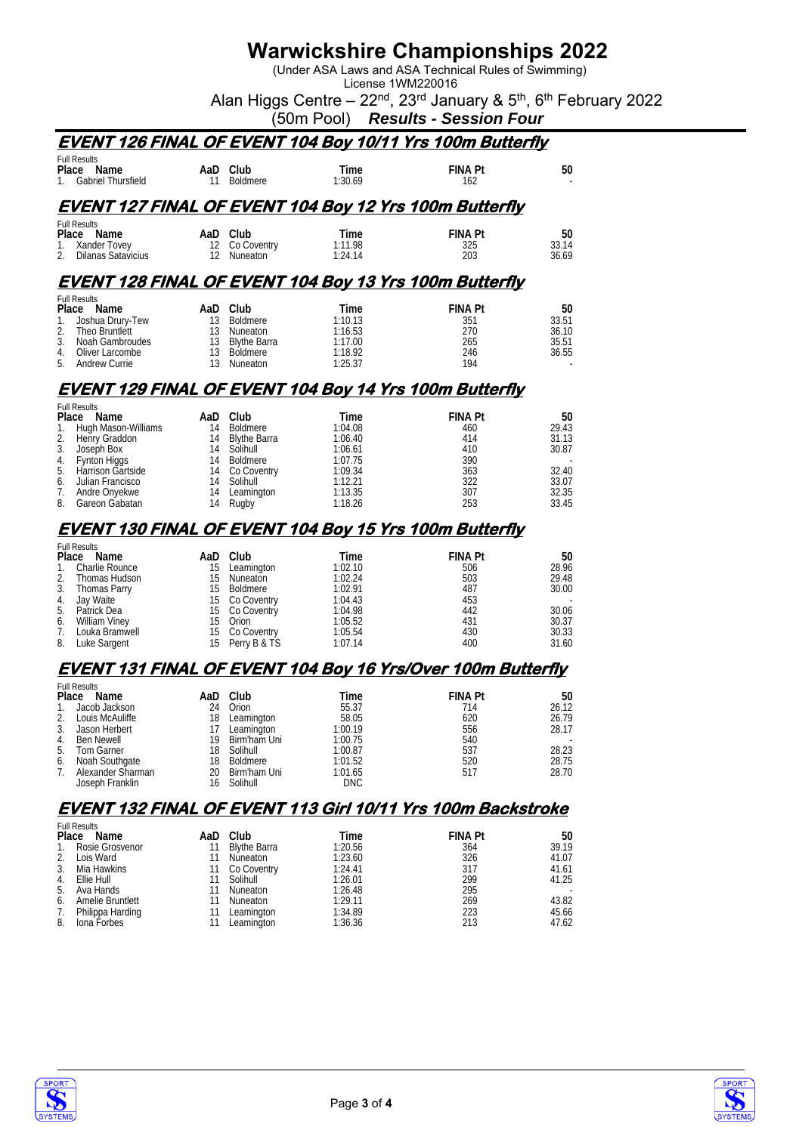(Under ASA Laws and ASA Technical Rules of Swimming) License 1WM220016

Alan Higgs Centre –  $22^{nd}$ ,  $23^{rd}$  January &  $5^{th}$ ,  $6^{th}$  February 2022

(50m Pool) *Results - Session Four*

# **EVENT 126 FINAL OF EVENT 104 Boy 10/11 Yrs 100m Butterfly**  Full Re<br>**Place**

| <b>Full Results</b>   |    |          |         |                |        |
|-----------------------|----|----------|---------|----------------|--------|
| Place<br>Name         |    | AaD Club | Time    | <b>FINA Pt</b> | 50     |
| 1. Gabriel Thursfield | 11 | Boldmere | 1:30.69 | 162            | $\sim$ |
|                       |    |          |         |                |        |

### **EVENT 127 FINAL OF EVENT 104 Boy 12 Yrs 100m Butterfly**

|    | <b>Full Results</b><br>Place<br>Name | AaD Club       | Time    | <b>FINA Pt</b> | 50    |
|----|--------------------------------------|----------------|---------|----------------|-------|
|    | 1. Xander Tovev                      | 12 Co Coventry | 1:11.98 | 325            | 33.14 |
| 2. | Dilanas Satavicius                   | Nuneaton       | 1:24.14 | 203            | 36.69 |

#### **EVENT 128 FINAL OF EVENT 104 Boy 13 Yrs 100m Butterfly**

|    | <b>Full Results</b> |      |                 |         |                |        |
|----|---------------------|------|-----------------|---------|----------------|--------|
|    | Place Name          | AaD. | Club            | Time    | <b>FINA Pt</b> | 50     |
|    | Joshua Drury-Tew    |      | Boldmere        | 1:10.13 | 351            | 33.51  |
| 2. | Theo Bruntlett      |      | Nuneaton        | 1:16.53 | 270            | 36.10  |
| 3. | Noah Gambroudes     |      | 13 Blythe Barra | 1:17.00 | 265            | 35.51  |
| 4. | Oliver Larcombe     |      | Boldmere        | 1:18.92 | 246            | 36.55  |
|    | 5. Andrew Currie    |      | <b>Nuneaton</b> | 1:25.37 | 194            | $\sim$ |

### **EVENT 129 FINAL OF EVENT 104 Boy 14 Yrs 100m Butterfly**

|    | <b>Full Results</b>    |    |                 |         |                |       |
|----|------------------------|----|-----------------|---------|----------------|-------|
|    | Place<br>Name          |    | AaD Club        | Time    | <b>FINA Pt</b> | 50    |
|    | 1. Hugh Mason-Williams | 14 | Boldmere        | 1:04.08 | 460            | 29.43 |
|    | 2. Henry Graddon       |    | 14 Blythe Barra | 1:06.40 | 414            | 31.13 |
| 3. | Joseph Box             | 14 | Solihull        | 1:06.61 | 410            | 30.87 |
|    | 4. Fynton Higgs        | 14 | Boldmere        | 1:07.75 | 390            |       |
|    | 5. Harrison Gartside   |    | 14 Co Coventry  | 1:09.34 | 363            | 32.40 |
| 6. | Julian Francisco       | 14 | Solihull        | 1:12.21 | 322            | 33.07 |
| 7. | Andre Onyekwe          | 14 | Leamington      | 1:13.35 | 307            | 32.35 |
| 8. | Gareon Gabatan         | 14 | Rugby           | 1:18.26 | 253            | 33.45 |

## **EVENT 130 FINAL OF EVENT 104 Boy 15 Yrs 100m Butterfly**

| <b>Full Results</b> |                 |         |                |       |
|---------------------|-----------------|---------|----------------|-------|
| Place Name          | AaD Club        | Time    | <b>FINA Pt</b> | 50    |
| 1. Charlie Rounce   | 15 Leamington   | 1:02.10 | 506            | 28.96 |
| 2. Thomas Hudson    | 15 Nuneaton     | 1:02.24 | 503            | 29.48 |
| 3. Thomas Parry     | 15 Boldmere     | 1:02.91 | 487            | 30.00 |
| 4. Jay Waite        | 15 Co Coventry  | 1:04.43 | 453            |       |
| 5. Patrick Dea      | 15 Co Coventry  | 1:04.98 | 442            | 30.06 |
| 6. William Viney    | 15 Orion        | 1:05.52 | 431            | 30.37 |
| 7. Louka Bramwell   | 15 Co Coventry  | 1:05.54 | 430            | 30.33 |
| 8. Luke Sargent     | 15 Perry B & TS | 1:07.14 | 400            | 31.60 |

#### **EVENT 131 FINAL OF EVENT 104 Boy 16 Yrs/Over 100m Butterfly**

|    | <b>Full Results</b> |     |                 |            |                |       |
|----|---------------------|-----|-----------------|------------|----------------|-------|
|    | Place<br>Name       | AaD | Club            | Time       | <b>FINA Pt</b> | 50    |
| 1. | Jacob Jackson       | 24  | Orion           | 55.37      | 714            | 26.12 |
| 2. | Louis McAuliffe     | 18  | Leamington      | 58.05      | 620            | 26.79 |
| 3. | Jason Herbert       |     | Leamington      | 1:00.19    | 556            | 28.17 |
| 4. | Ben Newell          | 19  | Birm'ham Uni    | 1:00.75    | 540            |       |
| 5. | Tom Garner          | 18  | Solihull        | 1:00.87    | 537            | 28.23 |
| 6. | Noah Southgate      | 18  | <b>Boldmere</b> | 1:01.52    | 520            | 28.75 |
| 7. | Alexander Sharman   | 20  | Birm'ham Uni    | 1:01.65    | 517            | 28.70 |
|    | Joseph Franklin     | 16  | Solihull        | <b>DNC</b> |                |       |

### **EVENT 132 FINAL OF EVENT 113 Girl 10/11 Yrs 100m Backstroke**

|    | <b>Full Results</b> |    |                     |         |                |                          |
|----|---------------------|----|---------------------|---------|----------------|--------------------------|
|    | Place Name          |    | AaD Club            | Time    | <b>FINA Pt</b> | 50                       |
| 1. | Rosie Grosvenor     | 11 | <b>Blythe Barra</b> | 1:20.56 | 364            | 39.19                    |
| 2. | Lois Ward           |    | Nuneaton            | 1:23.60 | 326            | 41.07                    |
| 3. | Mia Hawkins         | 11 | Co Coventry         | 1:24.41 | 317            | 41.61                    |
| 4. | Ellie Hull          |    | Solihull            | 1:26.01 | 299            | 41.25                    |
| 5. | Ava Hands           |    | Nuneaton            | 1:26.48 | 295            | $\overline{\phantom{a}}$ |
| 6. | Amelie Bruntlett    |    | Nuneaton            | 1:29.11 | 269            | 43.82                    |
| 7. | Philippa Harding    |    | Leamington          | 1:34.89 | 223            | 45.66                    |
| 8. | Iona Forbes         |    | Leamington          | 1:36.36 | 213            | 47.62                    |



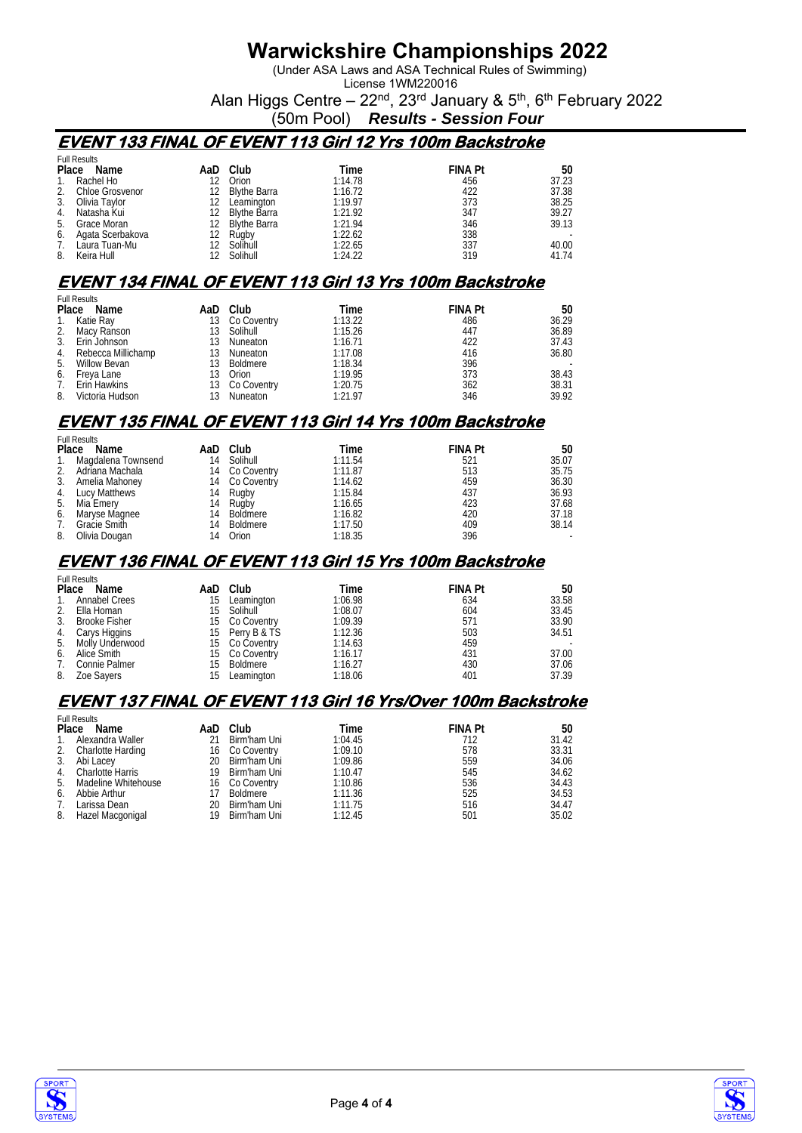(Under ASA Laws and ASA Technical Rules of Swimming) License 1WM220016

Alan Higgs Centre –  $22<sup>nd</sup>$ ,  $23<sup>rd</sup>$  January &  $5<sup>th</sup>$ ,  $6<sup>th</sup>$  February 2022

(50m Pool) *Results - Session Four*

### **EVENT 133 FINAL OF EVENT 113 Girl 12 Yrs 100m Backstroke**

|    | <b>Full Results</b> |     |                     |         |                |       |
|----|---------------------|-----|---------------------|---------|----------------|-------|
|    | Place Name          | AaD | Club                | Time    | <b>FINA Pt</b> | 50    |
|    | Rachel Ho           |     | Orion               | 1:14.78 | 456            | 37.23 |
|    | Chloe Grosvenor     |     | <b>Blythe Barra</b> | 1:16.72 | 422            | 37.38 |
| 3. | Olivia Taylor       |     | Leamington          | 1:19.97 | 373            | 38.25 |
| 4. | Natasha Kui         | 12. | Blythe Barra        | 1:21.92 | 347            | 39.27 |
| 5. | Grace Moran         |     | 12 Blythe Barra     | 1:21.94 | 346            | 39.13 |
| 6. | Agata Scerbakova    |     | Rugby               | 1:22.62 | 338            |       |
|    | Laura Tuan-Mu       |     | Solihull            | 1:22.65 | 337            | 40.00 |
| 8. | Keira Hull          |     | Solihull            | 1:24.22 | 319            | 41.74 |

### **EVENT 134 FINAL OF EVENT 113 Girl 13 Yrs 100m Backstroke**

|                | <b>Full Results</b> |     |             |         |                |       |
|----------------|---------------------|-----|-------------|---------|----------------|-------|
|                | Place Name          | AaD | Club        | Time    | <b>FINA Pt</b> | 50    |
| $\mathbf{1}$ . | Katie Ray           | 13  | Co Coventry | 1:13.22 | 486            | 36.29 |
|                | 2. Macy Ranson      | 13. | Solihull    | 1:15.26 | 447            | 36.89 |
| 3.             | Erin Johnson        | 13  | Nuneaton    | 1:16.71 | 422            | 37.43 |
| 4.             | Rebecca Millichamp  | 13  | Nuneaton    | 1:17.08 | 416            | 36.80 |
| 5.             | Willow Bevan        | 13. | Boldmere    | 1:18.34 | 396            |       |
| 6.             | Freya Lane          |     | Orion       | 1:19.95 | 373            | 38.43 |
| 7.             | Erin Hawkins        |     | Co Coventry | 1:20.75 | 362            | 38.31 |
| 8.             | Victoria Hudson     |     | Nuneaton    | 1:21.97 | 346            | 39.92 |

## **EVENT 135 FINAL OF EVENT 113 Girl 14 Yrs 100m Backstroke**

Full Results

|    | <b>FUILRESUILS</b>    |    |                |         |                |        |
|----|-----------------------|----|----------------|---------|----------------|--------|
|    | Place Name            |    | AaD Club       | Time    | <b>FINA Pt</b> | 50     |
|    | 1. Magdalena Townsend | 14 | Solihull       | 1:11.54 | 521            | 35.07  |
|    | 2. Adriana Machala    |    | 14 Co Coventry | 1:11.87 | 513            | 35.75  |
|    | 3. Amelia Mahoney     |    | 14 Co Coventry | 1:14.62 | 459            | 36.30  |
|    | 4. Lucy Matthews      |    | 14 Rugby       | 1:15.84 | 437            | 36.93  |
|    | 5. Mia Emery          |    | 14 Rugby       | 1:16.65 | 423            | 37.68  |
|    | 6. Maryse Magnee      | 14 | Boldmere       | 1:16.82 | 420            | 37.18  |
| 7. | Gracie Smith          | 14 | Boldmere       | 1:17.50 | 409            | 38.14  |
| 8. | Olivia Dougan         | 14 | Orion          | 1:18.35 | 396            | $\sim$ |
|    |                       |    |                |         |                |        |

#### **EVENT 136 FINAL OF EVENT 113 Girl 15 Yrs 100m Backstroke**

|       | <b>Full Results</b>  |    |                 |         |                |       |
|-------|----------------------|----|-----------------|---------|----------------|-------|
| Place | Name                 |    | AaD Club        | Time    | <b>FINA Pt</b> | 50    |
| 1.    | <b>Annabel Crees</b> | 15 | Leamington      | 1:06.98 | 634            | 33.58 |
|       | 2. Ella Homan        |    | 15 Solihull     | 1:08.07 | 604            | 33.45 |
| 3.    | <b>Brooke Fisher</b> |    | 15 Co Coventry  | 1:09.39 | 571            | 33.90 |
|       | 4. Carys Higgins     |    | 15 Perry B & TS | 1:12.36 | 503            | 34.51 |
|       | 5. Molly Underwood   |    | 15 Co Coventry  | 1:14.63 | 459            |       |
|       | 6. Alice Smith       |    | 15 Co Coventry  | 1:16.17 | 431            | 37.00 |
| 7.    | Connie Palmer        |    | 15 Boldmere     | 1:16.27 | 430            | 37.06 |
|       | 8. Zoe Sayers        | 15 | Leamington      | 1:18.06 | 401            | 37.39 |

#### **EVENT 137 FINAL OF EVENT 113 Girl 16 Yrs/Over 100m Backstroke**

|                | <b>Full Results</b> |     |                 |         |                |       |
|----------------|---------------------|-----|-----------------|---------|----------------|-------|
|                | Place Name          | AaD | Club            | Time    | <b>FINA Pt</b> | 50    |
| $\mathbf{1}$ . | Alexandra Waller    | 21  | Birm'ham Uni    | 1:04.45 | 712            | 31.42 |
| 2.             | Charlotte Harding   | 16  | Co Coventry     | 1:09.10 | 578            | 33.31 |
| 3.             | Abi Lacey           | 20  | Birm'ham Uni    | 1:09.86 | 559            | 34.06 |
|                | 4. Charlotte Harris | 19  | Birm'ham Uni    | 1:10.47 | 545            | 34.62 |
| 5.             | Madeline Whitehouse |     | 16 Co Coventry  | 1:10.86 | 536            | 34.43 |
| 6.             | Abbie Arthur        | 17  | <b>Boldmere</b> | 1:11.36 | 525            | 34.53 |
| 7.             | Larissa Dean        | 20. | Birm'ham Uni    | 1:11.75 | 516            | 34.47 |
| 8.             | Hazel Macgonigal    | 19  | Birm'ham Uni    | 1:12.45 | 501            | 35.02 |



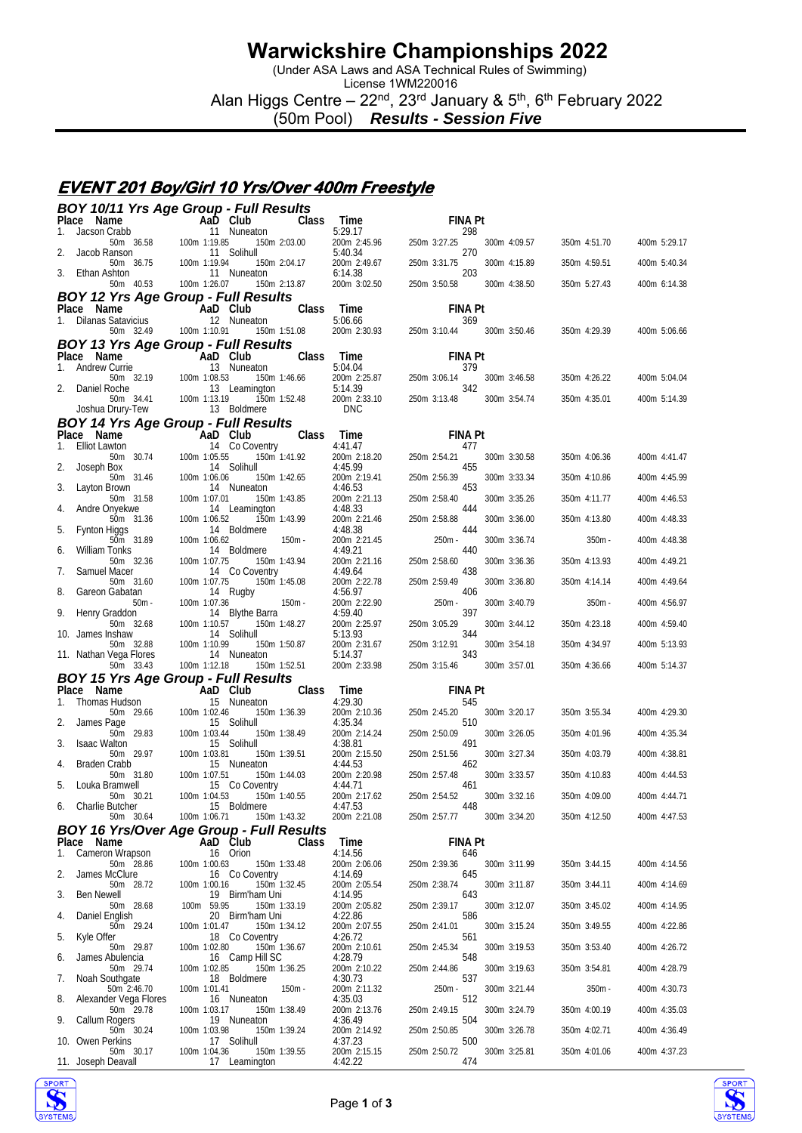(Under ASA Laws and ASA Technical Rules of Swimming)

License 1WM220016 Alan Higgs Centre – 22<sup>nd</sup>, 23<sup>rd</sup> January & 5<sup>th</sup>, 6<sup>th</sup> February 2022

(50m Pool) *Results - Session Five*

### **EVENT 201 Boy/Girl 10 Yrs/Over 400m Freestyle**

| BOY 10/11 Yrs Age Group - Full Results                                                                |                                                                                                                                                                                                                                                  |                              |                                         |                                     |                              |                              |                              |
|-------------------------------------------------------------------------------------------------------|--------------------------------------------------------------------------------------------------------------------------------------------------------------------------------------------------------------------------------------------------|------------------------------|-----------------------------------------|-------------------------------------|------------------------------|------------------------------|------------------------------|
| Place Name<br>Jacson Crabb<br>1.                                                                      |                                                                                                                                                                                                                                                  | <b>Class</b>                 | Time<br>5:29.17                         | <b>FINA Pt</b><br>298               |                              |                              |                              |
| Jacob Ranson                                                                                          | Crabb <b>Aab Club</b><br>Crabb 11 Nuneaton<br>50m 36.58 100m 1:19.85 150n<br>8anson 11 Solihull<br>50m 36.75 100m 1:19.94 150m<br>50m 36.75 100m 1:19.94 150m                                                                                    | 150m 2:03.00                 | 200m 2:45.96<br>5:40.34                 | 250m 3:27.25<br>270                 | 300m 4:09.57                 | 350m 4:51.70                 | 400m 5:29.17                 |
|                                                                                                       |                                                                                                                                                                                                                                                  | 150m 2:04.17                 | 200m 2:49.67                            | 250m 3:31.75<br>203                 | 300m 4:15.89                 | 350m 4:59.51                 | 400m 5:40.34                 |
| 3.<br>Ethan Ashton                                                                                    | 50m  40.53  100m  1:26.07                                                                                                                                                                                                                        | 150m 2:13.87                 | 6:14.38<br>200m 3:02.50                 | 250m 3:50.58                        | 300m 4:38.50                 | 350m 5:27.43                 | 400m 6:14.38                 |
| <b>BOY 12 Yrs Age Group - Full Results</b>                                                            |                                                                                                                                                                                                                                                  |                              |                                         |                                     |                              |                              |                              |
| <b>Place Name Capacity CAD Club</b><br>1. Dilanas Satavicius 12 Nuneaton                              |                                                                                                                                                                                                                                                  | Class                        | Time<br>5:06.66                         | <b>FINA Pt</b><br>369               |                              |                              |                              |
|                                                                                                       | 50m 32.49 100m 1:10.91<br>150m 1:51.08                                                                                                                                                                                                           |                              | 200m 2:30.93                            | 250m 3:10.44 300m 3:50.46           |                              | 350m 4:29.39                 | 400m 5:06.66                 |
| <b>BOY 13 Yrs Age Group - Full Results</b><br>Place Name                                              |                                                                                                                                                                                                                                                  | Class                        | Time                                    | <b>FINA Pt</b>                      |                              |                              |                              |
| 1.                                                                                                    |                                                                                                                                                                                                                                                  |                              | $\frac{1}{5}$ .04.04                    | 379                                 |                              |                              |                              |
| 2.                                                                                                    | 150m 1:46.66                                                                                                                                                                                                                                     |                              | $200m$ 2:25.87<br>5:14.39<br>200m 3.05  | 250m 3:06.14<br>342                 | 300m 3:46.58                 | 350m 4:26.22                 | 400m 5:04.04                 |
|                                                                                                       | ace Name<br>Andrew Currie 13 Nuneaton<br>Andrew Currie 13 Nuneaton<br>Daniel Roche 13 Leamington<br>50m 32.19 100m 1:08.53 150m 1<br>Daniel Roche 13 Leamington<br>50m 34.41 100m 1:13.19 150m 1<br>Joshua Drury-Tew 13 Boldmere<br>150m 1:52.48 |                              | 200m 2:33.10<br><b>DNC</b>              | 250m 3:13.48                        | 300m 3:54.74                 | 350m 4:35.01                 | 400m 5:14.39                 |
| <b>BOY 14 Yrs Age Group - Full Results</b>                                                            |                                                                                                                                                                                                                                                  |                              |                                         |                                     |                              |                              |                              |
| Place Name<br>1. Elliot Lawton 14 Co Coventry 4:41.47<br>50m 30.74 100m 1:05.55 150m 1:41.92 200m 2:1 |                                                                                                                                                                                                                                                  |                              | $1 \text{ Im}$ e<br>4:41.47             | <b>FINA Pt</b><br>477               |                              |                              |                              |
|                                                                                                       |                                                                                                                                                                                                                                                  |                              | 200m 2:18.20                            | 250m 2:54.21                        | 300m 3:30.58                 | 350m 4:06.36                 | 400m 4:41.47                 |
| 2.<br>Joseph Box<br>50m 31.46                                                                         | 14 Solihull<br>100m 1:06.06                                                                                                                                                                                                                      | 150m 1:42.65                 | 4:45.99<br>200m 2:19.41                 | 455<br>250m 2:56.39                 | 300m 3:33.34                 | 350m 4:10.86                 | 400m 4:45.99                 |
| 3.<br>Layton Brown<br>50m 31.58                                                                       | 14 Nuneaton<br>100m 1:07.01                                                                                                                                                                                                                      | 150m 1:43.85                 | 4:46.53<br>200m 2:21.13                 | 453<br>250m 2:58.40                 | 300m 3:35.26                 | 350m 4:11.77                 |                              |
| Andre Onyekwe                                                                                         | 14 Leamington                                                                                                                                                                                                                                    |                              | 4:48.33                                 | 444                                 |                              |                              | 400m 4:46.53                 |
| 50m 31.36<br>5.<br>Fynton Higgs                                                                       | 100m 1:06.52<br>14 Boldmere                                                                                                                                                                                                                      | 150m 1:43.99                 | 200m 2:21.46<br>4:48.38                 | 250m 2:58.88<br>444                 | 300m 3:36.00                 | 350m 4:13.80                 | 400m 4:48.33                 |
| 50m 31.89<br>William Tonks                                                                            | $150m -$<br>100m 1:06.62<br>14 Boldmere                                                                                                                                                                                                          |                              | 200m 2:21.45<br>4:49.21                 | 250m -<br>440                       | 300m 3:36.74                 | $350m -$                     | 400m 4:48.38                 |
| 6.<br>50m 32.36                                                                                       | 100m 1:07.75                                                                                                                                                                                                                                     | 150m 1:43.94                 | 200m 2:21.16                            | 250m 2:58.60                        | 300m 3:36.36                 | 350m 4:13.93                 | 400m 4:49.21                 |
| Samuel Macer<br>7.<br>50m 31.60                                                                       | 14 Co Coventry<br>100m 1:07.75<br>150m 1:45.08                                                                                                                                                                                                   |                              | 4:49.64<br>200m 2:22.78                 | 438<br>250m 2:59.49                 | 300m 3:36.80                 | 350m 4:14.14                 | 400m 4:49.64                 |
| 8.<br>Gareon Gabatan<br>$50m -$                                                                       | 14 Rugby<br>100m 1:07.36<br>$150m -$                                                                                                                                                                                                             |                              | 4:56.97<br>200m 2:22.90                 | 406<br>250m -                       | 300m 3:40.79                 | $350m -$                     | 400m 4:56.97                 |
| 9.<br>Henry Graddon                                                                                   | 14 Blythe Barra                                                                                                                                                                                                                                  |                              | 4:59.40                                 | 397                                 |                              |                              |                              |
| 50m 32.68<br>10. James Inshaw                                                                         | 100m 1:10.57<br>14 Solihull                                                                                                                                                                                                                      | 150m 1:48.27                 | 200m 2:25.97<br>5:13.93                 | 250m 3:05.29<br>344                 | 300m 3:44.12                 | 350m 4:23.18                 | 400m 4:59.40                 |
| 50m 32.88<br>11. Nathan Vega Flores                                                                   | 100m 1:10.99<br>14 Nuneaton                                                                                                                                                                                                                      | 150m 1:50.87                 | 200m 2:31.67<br>5:14.37                 | 250m 3:12.91<br>343                 | 300m 3:54.18                 | 350m 4:34.97                 | 400m 5:13.93                 |
| 50m 33.43                                                                                             | 100m 1:12.18<br>150m 1:52.51                                                                                                                                                                                                                     |                              | 200m 2:33.98                            | 250m 3:15.46                        | 300m 3:57.01                 | 350m 4:36.66                 | 400m 5:14.37                 |
| <b>BOY 15 Yrs Age Group - Full Results</b><br>Place Name                                              | - 'AaD Club                                                                                                                                                                                                                                      | <b>Class</b>                 | Time                                    | <b>FINA Pt</b>                      |                              |                              |                              |
| Thomas Hudson<br>1.                                                                                   | 15 Nuneaton                                                                                                                                                                                                                                      |                              | 4:29.30                                 | 545                                 |                              |                              |                              |
| 50m 29.66<br>2.<br>James Page                                                                         | 100m 1:02.46<br>15 Solihull                                                                                                                                                                                                                      | 150m 1:36.39                 | 200m 2:10.36<br>4:35.34                 | 250m 2:45.20<br>510                 | 300m 3:20.17                 | 350m 3:55.34                 | 400m 4:29.30                 |
| 50m 29.83<br><b>Isaac Walton</b><br>3.                                                                | 100m 1:03.44<br>15 Solihull                                                                                                                                                                                                                      | 150m 1:38.49                 | 200m 2:14.24<br>4:38.81                 | 250m 2:50.09<br>491                 | 300m 3:26.05                 | 350m 4:01.96                 | 400m 4:35.34                 |
| 50m 29.97                                                                                             | 100m 1:03.81                                                                                                                                                                                                                                     | 150m 1:39.51                 | 200m 2:15.50                            | 250m 2:51.56                        | 300m 3:27.34                 | 350m 4:03.79                 | 400m 4:38.81                 |
| <b>Braden Crabb</b><br>4.<br>50m 31.80                                                                | 15 Nuneaton<br>100m 1:07.51                                                                                                                                                                                                                      | 150m 1:44.03                 | 4:44.53<br>200m 2:20.98                 | 462<br>250m 2:57.48                 | 300m 3:33.57                 | 350m 4:10.83                 | 400m 4:44.53                 |
| 5.<br>Louka Bramwell<br>50m 30.21                                                                     | $\overline{\phantom{0}}$<br>15 Co Coventry<br>100m 1:04.53 150m 1:40.55                                                                                                                                                                          |                              | 4:44.71<br>200m 2:17.62                 | - 461<br>250m 2:54.52               | 300m 3:32.16                 | 350m 4:09.00                 | 400m 4:44.71                 |
| 6. Charlie Butcher                                                                                    | 15 Boldmere                                                                                                                                                                                                                                      |                              | 4:47.53                                 | 448                                 |                              |                              |                              |
| 50m 30.64<br><b>BOY 16 Yrs/Over Age Group - Full Results</b>                                          | 100m 1:06.71                                                                                                                                                                                                                                     | 150m 1:43.32                 | 200m 2:21.08                            | 250m 2:57.77                        | 300m 3:34.20                 | 350m 4:12.50                 | 400m 4:47.53                 |
| Place Name                                                                                            | AaD Club                                                                                                                                                                                                                                         | Class                        | Time                                    | <b>FINA Pt</b>                      |                              |                              |                              |
| Cameron Wrapson<br>1.<br>50m 28.86                                                                    | 16 Orion<br>100m 1:00.63                                                                                                                                                                                                                         | 150m 1:33.48                 | 4:14.56<br>200m 2:06.06                 | 646<br>250m 2:39.36                 | 300m 3:11.99                 | 350m 3:44.15                 | 400m 4:14.56                 |
| James McClure<br>2.<br>50m 28.72                                                                      | 16 Co Coventry<br>100m 1:00.16                                                                                                                                                                                                                   | 150m 1:32.45                 | 4:14.69<br>200m 2:05.54                 | 645<br>250m 2:38.74                 | 300m 3:11.87                 | 350m 3:44.11                 | 400m 4:14.69                 |
| 3.<br>Ben Newell                                                                                      | 19 Birm'ham Uni                                                                                                                                                                                                                                  |                              | 4:14.95                                 | 643                                 |                              |                              |                              |
| 50m 28.68<br>Daniel English<br>4.                                                                     | 100m 59.95<br>20 Birm'ham Uni                                                                                                                                                                                                                    | 150m 1:33.19                 | 200m 2:05.82<br>4:22.86                 | 250m 2:39.17<br>586                 | 300m 3:12.07                 | 350m 3:45.02                 | 400m 4:14.95                 |
| 50m 29.24<br>5.<br>Kyle Offer                                                                         | 100m 1:01.47<br>18 Co Coventry                                                                                                                                                                                                                   | 150m 1:34.12                 | 200m 2:07.55<br>4:26.72                 | 250m 2:41.01<br>561                 | 300m 3:15.24                 | 350m 3:49.55                 | 400m 4:22.86                 |
| 50m 29.87<br>James Abulencia                                                                          | 100m 1:02.80                                                                                                                                                                                                                                     | 150m 1:36.67                 | 200m 2:10.61                            | 250m 2:45.34                        | 300m 3:19.53                 | 350m 3:53.40                 | 400m 4:26.72                 |
| 6.                                                                                                    |                                                                                                                                                                                                                                                  |                              |                                         |                                     |                              |                              |                              |
| 50m 29.74                                                                                             | 16 Camp Hill SC<br>100m 1:02.85                                                                                                                                                                                                                  | 150m 1:36.25                 | 4:28.79<br>200m 2:10.22                 | 548<br>250m 2:44.86                 | 300m 3:19.63                 | 350m 3:54.81                 | 400m 4:28.79                 |
| Noah Southgate<br>7.<br>50m 2:46.70                                                                   | 18 Boldmere<br>100m 1:01.41                                                                                                                                                                                                                      | $150m -$                     | 4:30.73<br>200m 2:11.32                 | 537<br>250m -                       | 300m 3:21.44                 | $350m -$                     | 400m 4:30.73                 |
| Alexander Vega Flores<br>8.                                                                           | 16 Nuneaton                                                                                                                                                                                                                                      |                              | 4:35.03                                 | 512                                 |                              |                              |                              |
| 50m 29.78<br>9.<br>Callum Rogers                                                                      | 100m 1:03.17<br>19 Nuneaton                                                                                                                                                                                                                      | 150m 1:38.49                 | 200m 2:13.76<br>4:36.49                 | 250m 2:49.15<br>504                 | 300m 3:24.79                 | 350m 4:00.19                 | 400m 4:35.03                 |
| 50m 30.24<br>10. Owen Perkins<br>50m 30.17                                                            | 100m 1:03.98<br>17 Solihull<br>100m 1:04.36                                                                                                                                                                                                      | 150m 1:39.24<br>150m 1:39.55 | 200m 2:14.92<br>4:37.23<br>200m 2:15.15 | 250m 2:50.85<br>500<br>250m 2:50.72 | 300m 3:26.78<br>300m 3:25.81 | 350m 4:02.71<br>350m 4:01.06 | 400m 4:36.49<br>400m 4:37.23 |



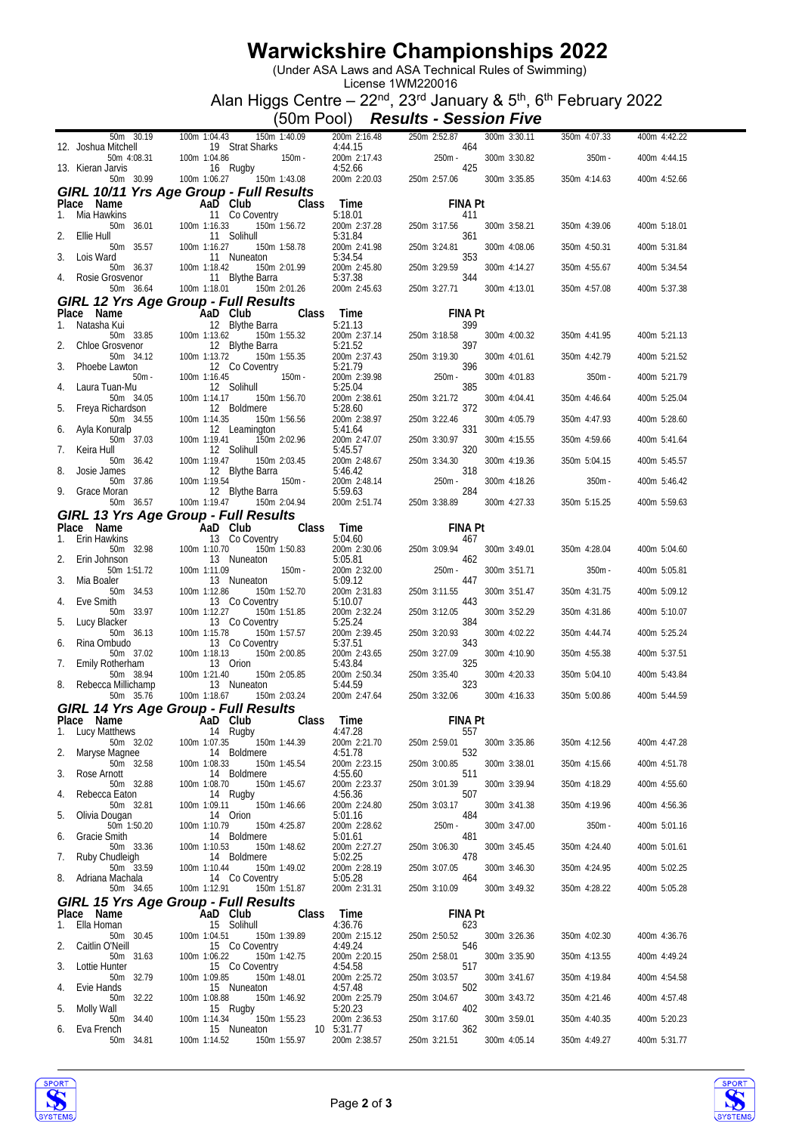(Under ASA Laws and ASA Technical Rules of Swimming)

License 1WM220016 Alan Higgs Centre – 22<sup>nd</sup>, 23<sup>rd</sup> January & 5<sup>th</sup>, 6<sup>th</sup> February 2022

(50m Pool) *Results - Session Five*

|                                    | 100m 1:04.43  150m 1:40.09                                                                                                                                                                                                                                                                                                                                                                          |                            | 300m 3:30.11                                                                                                                                                                                                                              | 350m 4:07.33 | 400m 4:42.22 |
|------------------------------------|-----------------------------------------------------------------------------------------------------------------------------------------------------------------------------------------------------------------------------------------------------------------------------------------------------------------------------------------------------------------------------------------------------|----------------------------|-------------------------------------------------------------------------------------------------------------------------------------------------------------------------------------------------------------------------------------------|--------------|--------------|
| 12. Joshua Mitchell                | 100m 1:04.43 150m 1:40.09<br>19 Strat Sharks<br>19 Strat Sharks<br>19 Strat Sharks<br>16 Rugby<br>16 Rugby<br>16 Rugby<br>16 Rugby<br>11.43.08<br>16 Rugby<br>11.43.08<br>16 11.43.08                                                                                                                                                                                                               |                            | 200m 2:16.48 250m 2:52.87<br>4:44.15 464 200m 2:17.43 250m -<br>4:52.66 425 425 425 260m 2:20.03 250m 2:57.06                                                                                                                             |              |              |
| 13. Kieran Jarvis                  |                                                                                                                                                                                                                                                                                                                                                                                                     |                            | 300m 3:30.82                                                                                                                                                                                                                              | $350m -$     | 400m 4:44.15 |
|                                    |                                                                                                                                                                                                                                                                                                                                                                                                     |                            | 300m 3:35.85                                                                                                                                                                                                                              | 350m 4:14.63 | 400m 4:52.66 |
|                                    |                                                                                                                                                                                                                                                                                                                                                                                                     |                            |                                                                                                                                                                                                                                           |              |              |
|                                    |                                                                                                                                                                                                                                                                                                                                                                                                     |                            | FINA Pt                                                                                                                                                                                                                                   |              |              |
|                                    |                                                                                                                                                                                                                                                                                                                                                                                                     |                            | 300m 3:58.21                                                                                                                                                                                                                              | 350m 4:39.06 | 400m 5:18.01 |
|                                    |                                                                                                                                                                                                                                                                                                                                                                                                     |                            |                                                                                                                                                                                                                                           |              |              |
|                                    |                                                                                                                                                                                                                                                                                                                                                                                                     |                            | 300m 4:08.06                                                                                                                                                                                                                              | 350m 4:50.31 | 400m 5:31.84 |
|                                    |                                                                                                                                                                                                                                                                                                                                                                                                     |                            | 300m 4:14.27                                                                                                                                                                                                                              | 350m 4:55.67 | 400m 5:34.54 |
|                                    | <b>GIRL 10/11 Yrs Age Group - Full Results</b><br>1. Mia Hawkins<br>1. Mia Hawkins<br>50m 36.01<br>11 Co Coventry<br>11 Solihull<br>2. Ellie Hull<br>50m 35.57<br>100m 1:16.33<br>150m 1:56.72<br>150m 1:56.72<br>150m 1:56.72<br>150m 1:58.78<br>2. 250m 2:3                                                                                                                                       |                            | 300m 4:13.01                                                                                                                                                                                                                              |              | 400m 5:37.38 |
|                                    | GIRL 12 Yrs Age Group - Full Results                                                                                                                                                                                                                                                                                                                                                                |                            |                                                                                                                                                                                                                                           | 350m 4:57.08 |              |
|                                    |                                                                                                                                                                                                                                                                                                                                                                                                     |                            | <b>FINA Pt</b>                                                                                                                                                                                                                            |              |              |
|                                    |                                                                                                                                                                                                                                                                                                                                                                                                     |                            | 399                                                                                                                                                                                                                                       |              |              |
|                                    |                                                                                                                                                                                                                                                                                                                                                                                                     |                            | 250m 3:18.58<br>300m 4:00.32<br>397                                                                                                                                                                                                       | 350m 4:41.95 | 400m 5:21.13 |
|                                    |                                                                                                                                                                                                                                                                                                                                                                                                     |                            | 300m 4:01.61                                                                                                                                                                                                                              | 350m 4:42.79 | 400m 5:21.52 |
|                                    | <b>GIFL 12 YFS Age Group - Full Results</b><br>Time<br>1. Natasha Kui and Dolub<br>1. Natasha Kui and Bythe Barra 5.:21.13<br>2. Chloe Grosvenor 12 Blythe Barra 5.:21.13<br>2. Chloe Grosvenor 12 Blythe Barra 5.:21.52<br>2. Chloe Grosvenor                                                                                                                                                      |                            | $\begin{array}{ccc}\n & 3.19.30 \\  & 3.19.30\n\end{array}$<br>200m 2:39.98<br>5:25.04<br>200m 2:38.61<br>250m <sup>2.04</sup> - 385<br>5:28.60<br>300m 4:01.83                                                                           | $350m -$     | 400m 5:21.79 |
|                                    |                                                                                                                                                                                                                                                                                                                                                                                                     |                            |                                                                                                                                                                                                                                           |              |              |
|                                    |                                                                                                                                                                                                                                                                                                                                                                                                     |                            | 300m 4:04.41                                                                                                                                                                                                                              | 350m 4:46.64 | 400m 5:25.04 |
| 50m 34.55                          |                                                                                                                                                                                                                                                                                                                                                                                                     | 200m 2:38.97               | 250m 3:22.46<br>300m 4:05.79                                                                                                                                                                                                              | 350m 4:47.93 | 400m 5:28.60 |
| Ayla Konuralp<br>6.<br>50m 37.03   | 100m 1:14.35 150m 1:56.56<br>12 Leamington<br>100m 1:19.41 150m 2:02.96                                                                                                                                                                                                                                                                                                                             | 5:41.64<br>200m 2:47.07    | 331<br>250m 3:30.97<br>300m 4:15.55                                                                                                                                                                                                       |              | 400m 5:41.64 |
| Keira Hull<br>7.                   | 12 Solihull                                                                                                                                                                                                                                                                                                                                                                                         | 5:45.57                    | 320                                                                                                                                                                                                                                       | 350m 4:59.66 |              |
|                                    | 100m 1:19.47 150m 2:03.45                                                                                                                                                                                                                                                                                                                                                                           |                            | 300m 4:19.36                                                                                                                                                                                                                              | 350m 5:04.15 | 400m 5:45.57 |
| 8.<br>Josie James                  | 50m 36.42 100m 1:19.47 150m 2:03.45<br>ames 12 Blythe Barra<br>50m 37.86 100m 1:19.54 150m<br>Moran 12 Blythe Barra<br>50m 36.57 100m 1:19.47 150m 2:04.94                                                                                                                                                                                                                                          |                            | $\begin{array}{llll} 5:45.57 & 320 \\ 200\text{m} & 2:48.67 & 250\text{m} & 3:34.30 \\ 5:46.42 & 318 & 318 \\ 200\text{m} & 2:48.14 & 250\text{m} & 3.38.89 \\ 200\text{m} & 2:51.74 & 250\text{m} & 3:38.89 \end{array}$<br>300m 4:18.26 | $350m -$     | 400m 5:46.42 |
| Grace Moran                        |                                                                                                                                                                                                                                                                                                                                                                                                     |                            |                                                                                                                                                                                                                                           |              |              |
|                                    |                                                                                                                                                                                                                                                                                                                                                                                                     |                            | 300m 4:27.33                                                                                                                                                                                                                              | 350m 5:15.25 | 400m 5:59.63 |
|                                    |                                                                                                                                                                                                                                                                                                                                                                                                     |                            | <b>FINA Pt</b>                                                                                                                                                                                                                            |              |              |
|                                    |                                                                                                                                                                                                                                                                                                                                                                                                     |                            |                                                                                                                                                                                                                                           |              |              |
|                                    |                                                                                                                                                                                                                                                                                                                                                                                                     |                            | 300m 3:49.01                                                                                                                                                                                                                              | 350m 4:28.04 | 400m 5:04.60 |
|                                    | <b>GIRL 13 Yrs Age Group - Full Results</b><br>Place Name <b>AaD Club</b> Class Time FINA P<br>1. Erin Hawkins<br>5.00 32.98 100m 1:10.70 150m 1:50.83 200m 2:30.06 250m 3:09.94<br>2. Erin Johnson 13 Nuneaton 5:05.81 462<br>2. Erin Johnson 1:1<br>100m 1.11.09<br>13 Nuneaton<br>100m 1:11.09 150m -<br>13 Nuneaton<br>100m 1:12.86 150m 1:52.70<br>13 Co Coventry<br>100m 1:12.27 150m 1:51.85 |                            | 5:05.81<br>200m 2:32.00<br>5:09.12<br>250m - 2:31.83<br>250m 3:11.55<br>250m 3:11.55<br>300m 3:51.71                                                                                                                                      | $350m -$     | 400m 5:05.81 |
| Mia Boaler<br>3.                   |                                                                                                                                                                                                                                                                                                                                                                                                     |                            |                                                                                                                                                                                                                                           | 350m 4:31.75 |              |
| 50m 34.53<br>Eve Smith<br>4.       |                                                                                                                                                                                                                                                                                                                                                                                                     | 5:10.07                    | 300m 3:51.47<br>443                                                                                                                                                                                                                       |              | 400m 5:09.12 |
| 50m 33.97                          |                                                                                                                                                                                                                                                                                                                                                                                                     | 200m 2:32.24               | 250m 3:12.05<br>300m 3:52.29                                                                                                                                                                                                              | 350m 4:31.86 | 400m 5:10.07 |
| 5.<br>Lucy Blacker<br>50m 36.13    | 13 Co Coventry<br>0 Coventry<br>150m 1:57.57<br>0 Coventry<br>150m 2:00.85<br>100m 1:15.78                                                                                                                                                                                                                                                                                                          | 5:25.24<br>200m 2:39.45    | 384<br>250m 3:20.93<br>300m 4:02.22                                                                                                                                                                                                       | 350m 4:44.74 | 400m 5:25.24 |
| Rina Ombudo<br>6.                  | 13 Co Coventry                                                                                                                                                                                                                                                                                                                                                                                      | 5:37.51                    | 343                                                                                                                                                                                                                                       |              |              |
| 50m 37.02<br>Emily Rotherham<br>7. |                                                                                                                                                                                                                                                                                                                                                                                                     |                            | 300m 4:10.90                                                                                                                                                                                                                              | 350m 4:55.38 | 400m 5:37.51 |
|                                    |                                                                                                                                                                                                                                                                                                                                                                                                     |                            |                                                                                                                                                                                                                                           |              |              |
| 50m 38.94                          |                                                                                                                                                                                                                                                                                                                                                                                                     |                            | 300m 4:20.33                                                                                                                                                                                                                              | 350m 5:04.10 | 400m 5:43.84 |
| 8.<br>Rebecca Millichamp           |                                                                                                                                                                                                                                                                                                                                                                                                     |                            |                                                                                                                                                                                                                                           |              |              |
| 50m 35.76                          | 13. 13 Corrective to the 1:8.18 Corrective of the 1:8.18 Corrective 1500 2:43.65 250m 3:27.09<br>13 Orion 1:21.40 150m 2:05.85 200m 2:50.34 250m 3:35.40<br>13 Nuneaton 5:44.59 325<br>100m 1:18.67 150m 2:03.24 200m 2:47.64 250m 3:32                                                                                                                                                             |                            | 300m 4:16.33                                                                                                                                                                                                                              | 350m 5:00.86 | 400m 5:44.59 |
|                                    | GIRL 14 Yrs Age Group - Full Results<br>Place Name <b>AaD</b> Club Class Time                                                                                                                                                                                                                                                                                                                       |                            | <b>FINA Pt</b>                                                                                                                                                                                                                            |              |              |
| Lucy Matthews<br>ч.                | 14 Rugby                                                                                                                                                                                                                                                                                                                                                                                            | 4:47.28                    | 557                                                                                                                                                                                                                                       |              |              |
| 50m 32.02<br>Maryse Magnee<br>2.   | 100m 1:07.35<br>150m 1:44.39<br>14 Boldmere                                                                                                                                                                                                                                                                                                                                                         | 200m 2:21.70<br>4:51.78    | 300m 3:35.86<br>250m 2:59.01<br>532                                                                                                                                                                                                       | 350m 4:12.56 | 400m 4:47.28 |
| 50m 32.58                          | 100m 1:08.33<br>150m 1:45.54                                                                                                                                                                                                                                                                                                                                                                        | 200m 2:23.15               | 250m 3:00.85<br>300m 3:38.01                                                                                                                                                                                                              | 350m 4:15.66 | 400m 4:51.78 |
| Rose Arnott<br>3.<br>50m 32.88     | 14 Boldmere<br>100m 1:08.70<br>150m 1:45.67                                                                                                                                                                                                                                                                                                                                                         | 4:55.60<br>200m 2:23.37    | 511<br>250m 3:01.39<br>300m 3:39.94                                                                                                                                                                                                       | 350m 4:18.29 | 400m 4:55.60 |
| Rebecca Eaton<br>4.                | 14 Rugby                                                                                                                                                                                                                                                                                                                                                                                            | 4:56.36                    | 507                                                                                                                                                                                                                                       |              |              |
| 50m 32.81                          | 100m 1:09.11<br>150m 1:46.66                                                                                                                                                                                                                                                                                                                                                                        | 200m 2:24.80               | 250m 3:03.17<br>300m 3:41.38                                                                                                                                                                                                              | 350m 4:19.96 | 400m 4:56.36 |
| Olivia Dougan<br>5.<br>50m 1:50.20 | 14 Orion<br>100m 1:10.79<br>150m 4:25.87                                                                                                                                                                                                                                                                                                                                                            | 5:01.16<br>200m 2:28.62    | 484<br>$250m -$<br>300m 3:47.00                                                                                                                                                                                                           | $350m -$     | 400m 5:01.16 |
| Gracie Smith<br>6.                 | 14 Boldmere                                                                                                                                                                                                                                                                                                                                                                                         | 5:01.61                    | 481                                                                                                                                                                                                                                       |              |              |
| 50m 33.36<br>Ruby Chudleigh<br>7.  | 100m 1:10.53<br>150m 1:48.62<br>14 Boldmere                                                                                                                                                                                                                                                                                                                                                         | 200m 2:27.27<br>5:02.25    | 250m 3:06.30<br>300m 3:45.45<br>478                                                                                                                                                                                                       | 350m 4:24.40 | 400m 5:01.61 |
| 50m 33.59                          | 100m 1:10.44<br>150m 1:49.02                                                                                                                                                                                                                                                                                                                                                                        | 200m 2:28.19               | 250m 3:07.05<br>300m 3:46.30                                                                                                                                                                                                              | 350m 4:24.95 | 400m 5:02.25 |
| Adriana Machala<br>8.<br>50m 34.65 | 14 Co Coventry<br>150m 1:51.87<br>100m 1:12.91                                                                                                                                                                                                                                                                                                                                                      | 5:05.28<br>200m 2:31.31    | 464<br>250m 3:10.09<br>300m 3:49.32                                                                                                                                                                                                       | 350m 4:28.22 | 400m 5:05.28 |
|                                    | <b>GIRL 15 Yrs Age Group - Full Results</b>                                                                                                                                                                                                                                                                                                                                                         |                            |                                                                                                                                                                                                                                           |              |              |
| Place Name                         | AaD Club                                                                                                                                                                                                                                                                                                                                                                                            | Time<br>Class              | <b>FINA Pt</b>                                                                                                                                                                                                                            |              |              |
| Ella Homan<br>1.<br>50m 30.45      | 15 Solihull<br>100m 1:04.51<br>150m 1:39.89                                                                                                                                                                                                                                                                                                                                                         | 4:36.76<br>200m 2:15.12    | 623<br>250m 2:50.52<br>300m 3:26.36                                                                                                                                                                                                       | 350m 4:02.30 | 400m 4:36.76 |
| Caitlin O'Neill<br>2.              | 15 Co Coventry                                                                                                                                                                                                                                                                                                                                                                                      | 4:49.24                    | 546                                                                                                                                                                                                                                       |              |              |
| 50m 31.63<br>Lottie Hunter<br>3.   | 100m 1:06.22<br>150m 1:42.75<br>15 Co Coventry                                                                                                                                                                                                                                                                                                                                                      | 200m 2:20.15<br>4:54.58    | 250m 2:58.01<br>300m 3:35.90<br>517                                                                                                                                                                                                       | 350m 4:13.55 | 400m 4:49.24 |
| 50m 32.79                          | 150m 1:48.01<br>100m 1:09.85                                                                                                                                                                                                                                                                                                                                                                        | 200m 2:25.72               | 300m 3:41.67<br>250m 3:03.57                                                                                                                                                                                                              | 350m 4:19.84 | 400m 4:54.58 |
| Evie Hands<br>4.<br>50m 32.22      | 15 Nuneaton<br>100m 1:08.88<br>150m 1:46.92                                                                                                                                                                                                                                                                                                                                                         | 4:57.48<br>200m 2:25.79    | 502<br>250m 3:04.67<br>300m 3:43.72                                                                                                                                                                                                       | 350m 4:21.46 | 400m 4:57.48 |
| Molly Wall<br>5.                   | 15 Rugby                                                                                                                                                                                                                                                                                                                                                                                            | 5:20.23                    | 402                                                                                                                                                                                                                                       |              |              |
| 50m 34.40<br>Lva French<br>6.      | 100m 1:14.34<br>150m 1:55.23<br>15 Nuneaton                                                                                                                                                                                                                                                                                                                                                         | 200m 2:36.53<br>10 5:31.77 | 250m 3:17.60<br>300m 3:59.01<br>362                                                                                                                                                                                                       | 350m 4:40.35 | 400m 5:20.23 |



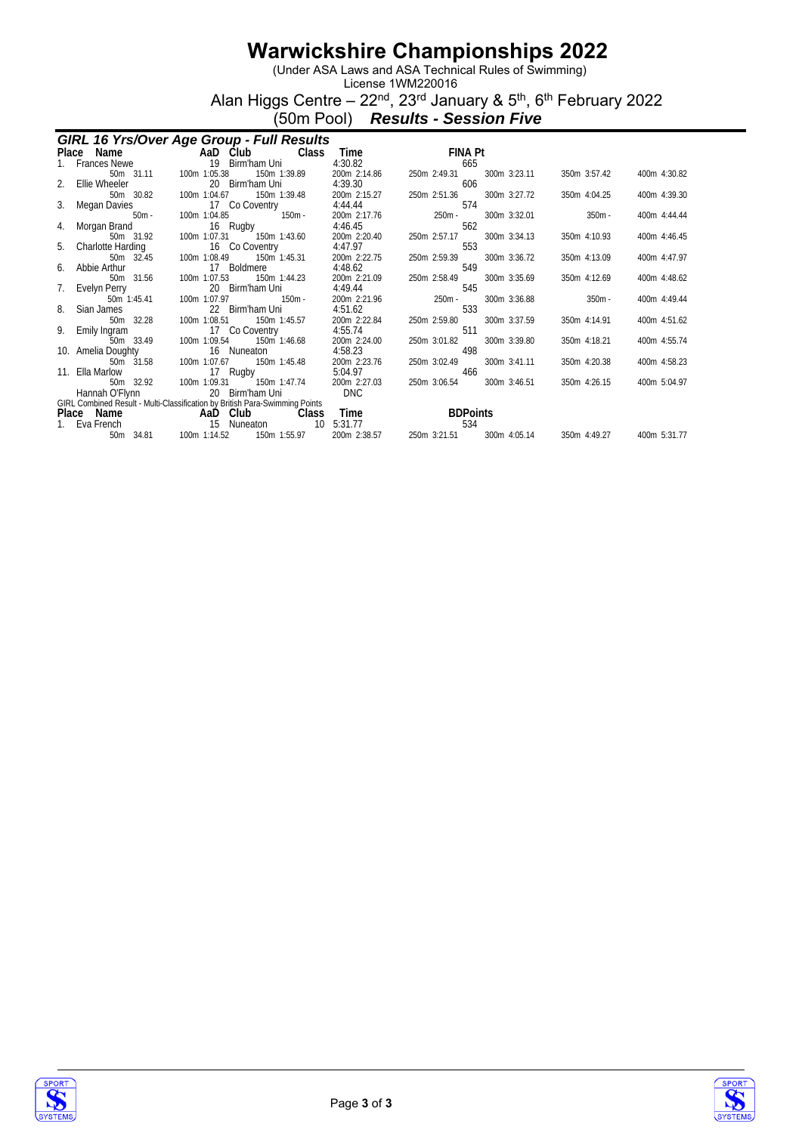(Under ASA Laws and ASA Technical Rules of Swimming)

License 1WM220016 Alan Higgs Centre – 22<sup>nd</sup>, 23<sup>rd</sup> January & 5<sup>th</sup>, 6<sup>th</sup> February 2022

(50m Pool) *Results - Session Five*

|    | GIRL 16 Yrs/Over Age Group - Full Results |                                                                                                                       |                         |                                     |              |              |  |  |  |  |  |
|----|-------------------------------------------|-----------------------------------------------------------------------------------------------------------------------|-------------------------|-------------------------------------|--------------|--------------|--|--|--|--|--|
|    |                                           | Place Name<br>1. Frances Newe 19 Birm'ham Uni<br><b>Class</b>                                                         | Time                    | and the Fil<br>FINA Pt              |              |              |  |  |  |  |  |
|    |                                           |                                                                                                                       | 4:30.82                 | 665                                 |              |              |  |  |  |  |  |
|    | 50m 31.11                                 | 100m 1:05.38<br>150m 1:39.89                                                                                          | 200m 2:14.86            | 300m 3:23.11<br>250m 2:49.31        | 350m 3:57.42 | 400m 4:30.82 |  |  |  |  |  |
| 2. | Ellie Wheeler                             | 20 Birm'ham Uni                                                                                                       | 4:39.30                 | 606                                 |              |              |  |  |  |  |  |
|    | 50m 30.82                                 | 100m 1:04.67<br>150m 1:39.48                                                                                          | 200m 2:15.27            | 250m 2:51.36<br>300m 3:27.72        | 350m 4:04.25 | 400m 4:39.30 |  |  |  |  |  |
|    | 3. Megan Davies<br>$50m -$                | 17 Co Covenity<br>50m - 100m 1:04.85                                                                                  | 4:44.44<br>200m 2:17.76 | 574<br>$250m -$<br>300m 3:32.01     | $350m -$     | 400m 4:44.44 |  |  |  |  |  |
| 4. | Morgan Brand                              | 16 Rugby                                                                                                              | 4:46.45                 | 562                                 |              |              |  |  |  |  |  |
|    | 50m 31.92                                 | 100m 1:07.31  150m 1:43.60                                                                                            | 200m 2:20.40            | 250m 2:57.17<br>300m 3:34.13        | 350m 4:10.93 | 400m 4:46.45 |  |  |  |  |  |
|    | 5. Charlotte Harding                      | 16 Co Coventry                                                                                                        | 4:47.97                 | 553                                 |              |              |  |  |  |  |  |
|    | 50m 32.45                                 | 100m 1:08.49 150m 1:45.31                                                                                             | 200m 2:22.75            | 250m 2:59.39<br>300m 3:36.72        | 350m 4:13.09 | 400m 4:47.97 |  |  |  |  |  |
| 6. | Abbie Arthur                              | 17 Boldmere                                                                                                           | 4:48.62                 | 549                                 |              |              |  |  |  |  |  |
|    | 50m 31.56                                 | 100m 1:07.53<br>150m 1:44.23                                                                                          | 200m 2:21.09            | 250m 2:58.49<br>300m 3:35.69        | 350m 4:12.69 | 400m 4:48.62 |  |  |  |  |  |
|    | 7. Evelyn Perry                           | 20 Birm'ham Uni                                                                                                       | 4:49.44                 | 545                                 |              |              |  |  |  |  |  |
|    | 50m 1:45.41                               | 100m 1:07.97<br>$150m -$                                                                                              | 200m 2:21.96            | 250m -<br>300m 3:36.88              | $350m -$     | 400m 4:49.44 |  |  |  |  |  |
| 8. | Sian James                                | 22 Birm'ham Uni                                                                                                       | 4:51.62                 | 533                                 |              |              |  |  |  |  |  |
| 9. | 50m 32.28<br>Emily Ingram                 | 100m 1:08.51 150m 1:45.57<br>17 Co Coventry                                                                           | 200m 2:22.84<br>4:55.74 | 250m 2:59.80<br>300m 3:37.59<br>511 | 350m 4:14.91 | 400m 4:51.62 |  |  |  |  |  |
|    | 50m 33.49                                 | 17 Co Cover<br>33.49 100m 1:09.54<br>150m 1:46.68                                                                     | 200m 2:24.00            | 250m 3:01.82<br>300m 3:39.80        | 350m 4:18.21 | 400m 4:55.74 |  |  |  |  |  |
|    | 10. Amelia Doughty                        | 16 Nuneaton                                                                                                           | 4:58.23                 | 498                                 |              |              |  |  |  |  |  |
|    | 50m 31.58                                 | 100m 1:07.67<br>150m 1:45.48                                                                                          | 200m 2:23.76            | 300m 3:41.11<br>250m 3:02.49        | 350m 4:20.38 | 400m 4:58.23 |  |  |  |  |  |
|    | 11. Ella Marlow                           | 17 Rugby                                                                                                              | 5:04.97                 | 466                                 |              |              |  |  |  |  |  |
|    | 50m 32.92                                 | 100m 1:09.31 150m 1:47.74                                                                                             | 200m 2:27.03            | 250m 3:06.54<br>300m 3:46.51        | 350m 4:26.15 | 400m 5:04.97 |  |  |  |  |  |
|    |                                           |                                                                                                                       | <b>DNC</b>              |                                     |              |              |  |  |  |  |  |
|    |                                           | Hannah O'Hynn<br>GIRL Combined Result - Multi-Classification by British Para-Swimming Points<br><b>AAD Club</b> Class |                         |                                     |              |              |  |  |  |  |  |
|    |                                           |                                                                                                                       | Time                    | <b>BDPoints</b>                     |              |              |  |  |  |  |  |
|    | Eva French                                | 15 Nuneaton<br>10 <sup>°</sup>                                                                                        | 5:31.77                 | 534<br>300m 4:05.14                 |              |              |  |  |  |  |  |
|    | 34.81<br>50m                              | 100m 1:14.52<br>150m 1:55.97                                                                                          | 200m 2:38.57            | 250m 3:21.51                        | 350m 4:49.27 | 400m 5:31.77 |  |  |  |  |  |



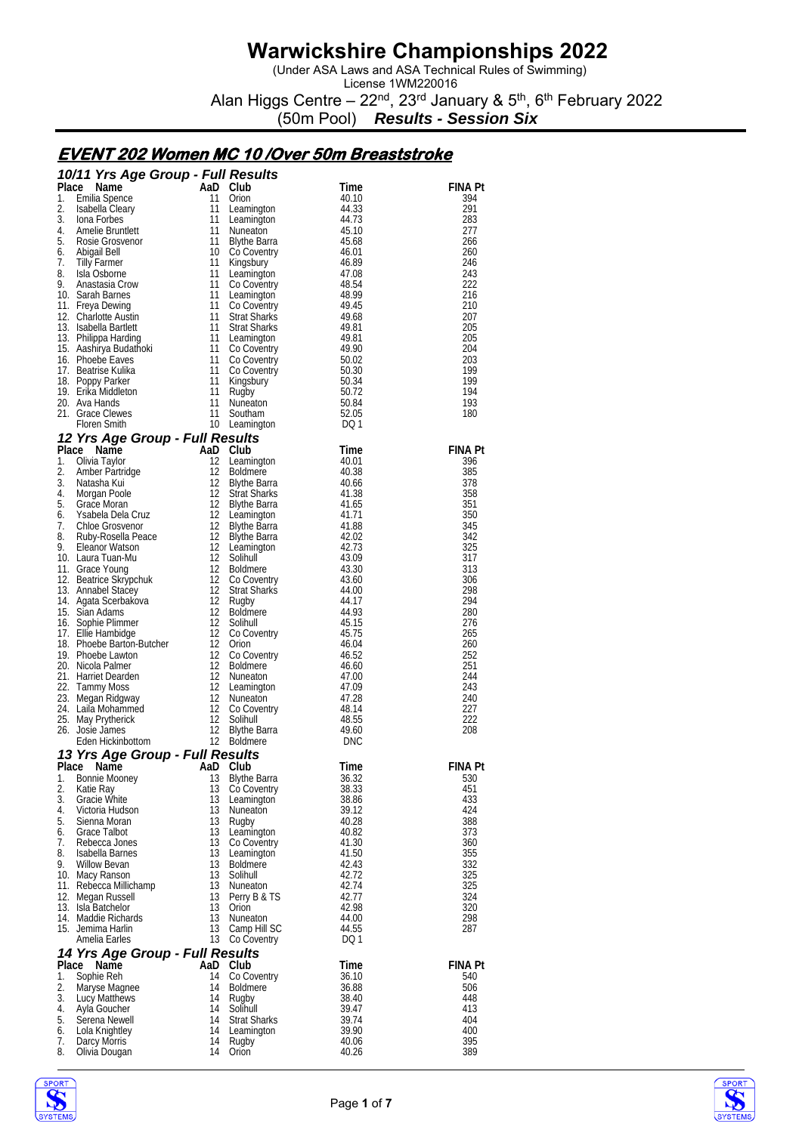(Under ASA Laws and ASA Technical Rules of Swimming)

License 1WM220016 Alan Higgs Centre – 22<sup>nd</sup>, 23<sup>rd</sup> January & 5<sup>th</sup>, 6<sup>th</sup> February 2022

(50m Pool) *Results - Session Six*

### **EVENT 202 Women MC 10 /Over 50m Breaststroke**

|             | 10/11 Yrs Age Group - Full Results                   |                |                                      |                |                       |
|-------------|------------------------------------------------------|----------------|--------------------------------------|----------------|-----------------------|
| Place<br>1. | Name                                                 | AaD Club       |                                      | Time           | FINA Pt               |
| 2.          | Emilia Spence<br>Isabella Cleary                     | 11<br>11       | Orion<br>Leamington                  | 40.10<br>44.33 | 394<br>291            |
| 3.          | Iona Forbes                                          | 11             | Leamington                           | 44.73          | 283                   |
| 4.          | Amelie Bruntlett                                     | 11             | Nuneaton                             | 45.10          | 277                   |
| 5.<br>6.    | Rosie Grosvenor                                      | 11             | <b>Blythe Barra</b>                  | 45.68          | 266<br>260            |
| 7.          | Abigail Bell<br>Tilly Farmer                         | 11             | 10 Co Coventry<br>Kingsbury          | 46.01<br>46.89 | 246                   |
| 8.          | Isla Osborne                                         | 11             | Leamington                           | 47.08          | 243                   |
| 9.          | Anastasia Crow                                       | 11             | Co Coventry                          | 48.54          | 222                   |
|             | 10. Sarah Barnes<br>11. Freya Dewing                 | 11<br>11       | Leamington<br>Co Coventry            | 48.99<br>49.45 | 216<br>210            |
|             | 12. Charlotte Austin                                 | 11             | <b>Strat Sharks</b>                  | 49.68          | 207                   |
|             | 13. Isabella Bartlett                                | 11             | <b>Strat Sharks</b>                  | 49.81          | 205                   |
|             | 13. Philippa Harding                                 |                | 11 Leamington<br>11 Co Coventry      | 49.81<br>49.90 | 205<br>204            |
|             | 15. Aashirya Budathoki<br>16. Phoebe Eaves           | 11             | Co Coventry                          | 50.02          | 203                   |
|             | 17. Beatrise Kulika                                  | 11             | Co Coventry                          | 50.30          | 199                   |
|             | 18. Poppy Parker                                     | 11             | Kingsbury                            | 50.34          | 199                   |
|             | 19. Erika Middleton<br>20. Ava Hands                 | 11<br>11       | Rugby<br>Nuneaton                    | 50.72<br>50.84 | 194<br>193            |
|             | 21. Grace Clewes                                     | 11             | Southam                              | 52.05          | 180                   |
|             | <b>Floren Smith</b>                                  |                | 10 Leamington                        | DQ 1           |                       |
|             | 12 Yrs Age Group - Full Results                      |                |                                      |                |                       |
| 1.          | Place Name<br>Olivia Taylor                          | AaD Club<br>12 | Leamington                           | Time<br>40.01  | <b>FINA Pt</b><br>396 |
| 2.          | Amber Partridge                                      | 12             | <b>Boldmere</b>                      | 40.38          | 385                   |
| 3.          | Natasha Kui                                          | 12             | <b>Blythe Barra</b>                  | 40.66          | 378                   |
| 4.          | Morgan Poole                                         | 12             | <b>Strat Sharks</b>                  | 41.38          | 358                   |
| 5.<br>6.    | Grace Moran<br>Ysabela Dela Cruz                     | 12             | <b>Blythe Barra</b><br>12 Leamington | 41.65<br>41.71 | 351<br>350            |
| 7.          | Chloe Grosvenor                                      | 12             | <b>Blythe Barra</b>                  | 41.88          | 345                   |
| 8.          | Ruby-Rosella Peace                                   | 12             | <b>Blythe Barra</b>                  | 42.02          | 342                   |
| 9.          | Eleanor Watson<br>10. Laura Tuan-Mu                  | 12             | 12 Leamington<br>Solihull            | 42.73<br>43.09 | 325<br>317            |
|             | 11. Grace Young                                      | 12             | <b>Boldmere</b>                      | 43.30          | 313                   |
|             | 12. Beatrice Skrypchuk                               | 12             | Co Coventry                          | 43.60          | 306                   |
|             | 13. Annabel Stacey                                   | 12             | <b>Strat Sharks</b>                  | 44.00          | 298<br>294            |
|             | 14. Agata Scerbakova<br>15. Sian Adams               | 12<br>12       | Rugby<br><b>Boldmere</b>             | 44.17<br>44.93 | 280                   |
|             | 16. Sophie Plimmer                                   | 12             | Solihull                             | 45.15          | 276                   |
|             | 17. Ellie Hambidge                                   | 12             | Co Coventry                          | 45.75          | 265                   |
|             | 18. Phoebe Barton-Butcher<br>19. Phoebe Lawton       | 12<br>12       | Orion<br>Co Coventry                 | 46.04<br>46.52 | 260<br>252            |
|             | 20. Nicola Palmer                                    | 12             | <b>Boldmere</b>                      | 46.60          | 251                   |
|             | 21. Harriet Dearden                                  | 12             | Nuneaton                             | 47.00          | 244                   |
|             | 22. Tammy Moss                                       | 12<br>12       | Leamington                           | 47.09<br>47.28 | 243<br>240            |
|             | 23. Megan Ridgway<br>24. Laila Mohammed              | 12             | Nuneaton<br>Co Coventry              | 48.14          | 227                   |
|             | 25. May Prytherick                                   | 12             | Solihull                             | 48.55          | 222                   |
|             | 26. Josie James                                      | 12             | Blythe Barra                         | 49.60          | 208                   |
|             | Eden Hickinbottom<br>13 Yrs Age Group - Full Results |                | 12 Boldmere                          | DNC            |                       |
| Place       | Name                                                 | AaD            | Club                                 | Time           | <b>FINA Pt</b>        |
| 1.          | Bonnie Mooney                                        | 13             | <b>Blythe Barra</b>                  | 36.32          | 530                   |
| 2.<br>3.    | Katie Ray                                            | 13<br>13       | Co Coventry                          | 38.33          | 451                   |
| 4.          | Gracie White<br>Victoria Hudson                      | 13             | Leamington<br>Nuneaton               | 38.86<br>39.12 | 433<br>424            |
| 5.          | Sienna Moran                                         | 13             | Rugby                                | 40.28          | 388                   |
| 6.          | Grace Talbot                                         | 13             | Leamington                           | 40.82          | 373                   |
| 7.<br>8.    | Rebecca Jones<br>Isabella Barnes                     | 13<br>13       | Co Coventry<br>Leamington            | 41.30<br>41.50 | 360<br>355            |
| 9.          | <b>Willow Bevan</b>                                  | 13             | <b>Boldmere</b>                      | 42.43          | 332                   |
|             | 10. Macy Ranson                                      | 13             | Solihull                             | 42.72          | 325                   |
|             | 11. Rebecca Millichamp                               | 13             | Nuneaton                             | 42.74          | 325                   |
|             | 12. Megan Russell<br>13. Isla Batchelor              | 13<br>13       | Perry B & TS<br>Orion                | 42.77<br>42.98 | 324<br>320            |
|             | 14. Maddie Richards                                  | 13             | Nuneaton                             | 44.00          | 298                   |
|             | 15. Jemima Harlin                                    | 13             | Camp Hill SC                         | 44.55          | 287                   |
|             | Amelia Earles                                        | 13             | Co Coventry                          | DQ 1           |                       |
| Place       | 14 Yrs Age Group - Full Results<br>Name              | AaD Club       |                                      | Time           | <b>FINA Pt</b>        |
| 1.          | Sophie Reh                                           | 14             | Co Coventry                          | 36.10          | 540                   |
| 2.          | Maryse Magnee                                        | 14             | <b>Boldmere</b>                      | 36.88          | 506                   |
| 3.<br>4.    | Lucy Matthews<br>Ayla Goucher                        | 14<br>14       | Rugby<br>Solihull                    | 38.40<br>39.47 | 448<br>413            |
| 5.          | Serena Newell                                        | 14             | <b>Strat Sharks</b>                  | 39.74          | 404                   |
| 6.          | Lola Knightley                                       | 14             | Leamington                           | 39.90          | 400                   |
| 7.<br>8.    | Darcy Morris<br>Olivia Dougan                        | 14<br>14       | Rugby<br>Orion                       | 40.06<br>40.26 | 395<br>389            |
|             |                                                      |                |                                      |                |                       |



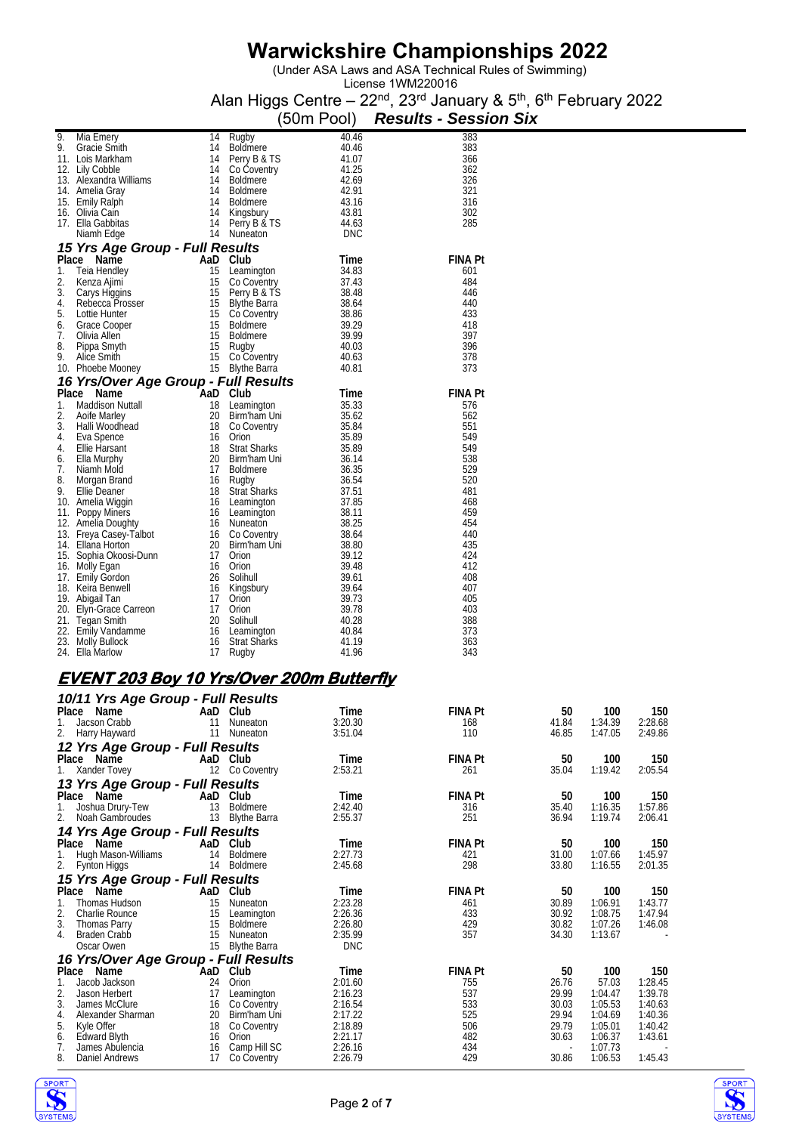(Under ASA Laws and ASA Technical Rules of Swimming)

License 1WM220016 Alan Higgs Centre – 22<sup>nd</sup>, 23<sup>rd</sup> January & 5<sup>th</sup>, 6<sup>th</sup> February 2022

|       |                                      |     |                     | (50m Pool) | <b>Results - Session Six</b> |
|-------|--------------------------------------|-----|---------------------|------------|------------------------------|
| 9.    | Mia Emery                            | 14  | Rugby               | 40.46      | 383                          |
| 9.    | Gracie Smith                         | 14  | <b>Boldmere</b>     | 40.46      | 383                          |
|       | 11. Lois Markham                     | 14  | Perry B & TS        | 41.07      | 366                          |
|       | 12. Lily Cobble                      | 14  | Co Coventry         | 41.25      | 362                          |
|       | 13. Alexandra Williams               | 14  | <b>Boldmere</b>     | 42.69      | 326                          |
|       | 14. Amelia Gray                      | 14  | <b>Boldmere</b>     | 42.91      | 321                          |
|       | 15. Emily Ralph                      | 14  | <b>Boldmere</b>     | 43.16      | 316                          |
|       | 16. Olivia Cain                      | 14  | Kingsbury           | 43.81      | 302                          |
|       | 17. Ella Gabbitas                    | 14  | Perry B & TS        | 44.63      | 285                          |
|       | Niamh Edge                           | 14  | Nuneaton            | DNC        |                              |
|       | 15 Yrs Age Group - Full Results      |     |                     |            |                              |
| Place | Name                                 | AaD | Club                | Time       | <b>FINA Pt</b>               |
| 1.    | Teia Hendley                         | 15  | Leamington          | 34.83      | 601                          |
| 2.    | Kenza Ajimi                          | 15  | Co Coventry         | 37.43      | 484                          |
| 3.    | Carys Higgins                        | 15  | Perry B & TS        | 38.48      | 446                          |
| 4.    | Rebecca Prosser                      | 15  | Blythe Barra        | 38.64      | 440                          |
| 5.    | Lottie Hunter                        | 15  | Co Coventry         | 38.86      | 433                          |
| 6.    | Grace Cooper                         | 15  | <b>Boldmere</b>     | 39.29      | 418                          |
| 7.    | Olivia Allen                         | 15  | <b>Boldmere</b>     | 39.99      | 397                          |
| 8.    | Pippa Smyth                          | 15  | Rugby               | 40.03      | 396                          |
| 9.    | Alice Smith                          | 15  | Co Coventry         | 40.63      | 378                          |
|       | 10. Phoebe Mooney                    | 15  | <b>Blythe Barra</b> | 40.81      | 373                          |
|       | 16 Yrs/Over Age Group - Full Results |     |                     |            |                              |
|       | Place<br>Name                        | AaD | Club                | Time       | <b>FINA Pt</b>               |
| 1.    | Maddison Nuttall                     | 18  | Leamington          | 35.33      | 576                          |
| 2.    | Aoife Marley                         | 20  | Birm'ham Uni        | 35.62      | 562                          |
| 3.    | Halli Woodhead                       | 18  | Co Coventry         | 35.84      | 551                          |
| 4.    | Eva Spence                           | 16  | Orion               | 35.89      | 549                          |
| 4.    | Ellie Harsant                        | 18  | <b>Strat Sharks</b> | 35.89      | 549                          |
| 6.    | Ella Murphy                          | 20  | Birm'ham Uni        | 36.14      | 538                          |
| 7.    | Niamh Mold                           | 17  | <b>Boldmere</b>     | 36.35      | 529                          |
| 8.    | Morgan Brand                         | 16  | Rugby               | 36.54      | 520                          |
| 9.    | Ellie Deaner                         | 18  | <b>Strat Sharks</b> | 37.51      | 481                          |
|       | 10. Amelia Wiggin                    |     | 16 Leamington       | 37.85      | 468                          |
|       | 11. Poppy Miners                     | 16  | Leamington          | 38.11      | 459                          |
|       | 12. Amelia Doughty                   | 16  | Nuneaton            | 38.25      | 454                          |
|       | 13. Freya Casey-Talbot               | 16  | Co Coventry         | 38.64      | 440                          |
|       | 14. Ellana Horton                    | 20  | Birm'ham Uni        | 38.80      | 435                          |
|       | 15. Sophia Okoosi-Dunn               | 17  | Orion               | 39.12      | 424                          |
| 16.   | Molly Egan                           | 16  | Orion               | 39.48      | 412                          |
|       | 17. Emily Gordon                     | 26  | Solihull            | 39.61      | 408                          |
|       | 18. Keira Benwell                    | 16  | Kingsbury           | 39.64      | 407                          |
|       | 19. Abigail Tan                      | 17  | Orion               | 39.73      | 405                          |
| 20.   | Elyn-Grace Carreon                   | 17  | Orion               | 39.78      | 403                          |
|       | 21. Tegan Smith                      | 20  | Solihull            | 40.28      | 388                          |
|       | 22. Emily Vandamme                   | 16  | Leamington          | 40.84      | 373                          |
|       | 23. Molly Bullock                    | 16  | <b>Strat Sharks</b> | 41.19      | 363                          |
|       | 24. Ella Marlow                      | 17  | Rugby               | 41.96      | 343                          |

# **EVENT 203 Boy 10 Yrs/Over 200m Butterfly**

|       | 10/11 Yrs Age Group - Full Results   |     |                     |            |                |       |         |         |
|-------|--------------------------------------|-----|---------------------|------------|----------------|-------|---------|---------|
|       | Place Name                           |     | AaD Club            | Time       | <b>FINA Pt</b> | 50    | 100     | 150     |
|       | Jacson Crabb                         | 11  | Nuneaton            | 3:20.30    | 168            | 41.84 | 1:34.39 | 2:28.68 |
| 2.    | Harry Hayward                        | 11  | Nuneaton            | 3:51.04    | 110            | 46.85 | 1:47.05 | 2:49.86 |
|       | 12 Yrs Age Group - Full Results      |     |                     |            |                |       |         |         |
|       | Place Name                           |     | AaD Club            | Time       | <b>FINA Pt</b> | 50    | 100     | 150     |
|       | Xander Tovey                         |     | 12 Co Coventry      | 2:53.21    | 261            | 35.04 | 1:19.42 | 2:05.54 |
|       | 13 Yrs Age Group - Full Results      |     |                     |            |                |       |         |         |
|       | Place Name                           | AaD | Club                | Time       | <b>FINA Pt</b> | 50    | 100     | 150     |
|       | Joshua Drury-Tew                     | 13  | Boldmere            | 2:42.40    | 316            | 35.40 | 1:16.35 | 1:57.86 |
| 2.    | Noah Gambroudes                      | 13  | <b>Blythe Barra</b> | 2:55.37    | 251            | 36.94 | 1:19.74 | 2:06.41 |
|       | 14 Yrs Age Group - Full Results      |     |                     |            |                |       |         |         |
|       | Place Name                           |     | AaD Club            | Time       | <b>FINA Pt</b> | 50    | 100     | 150     |
|       | Hugh Mason-Williams                  | 14  | <b>Boldmere</b>     | 2:27.73    | 421            | 31.00 | 1:07.66 | 1:45.97 |
| 2.    | Fynton Higgs                         | 14  | Boldmere            | 2:45.68    | 298            | 33.80 | 1:16.55 | 2:01.35 |
|       | 15 Yrs Age Group - Full Results      |     |                     |            |                |       |         |         |
| Place | Name                                 |     | AaD Club            | Time       | <b>FINA Pt</b> | 50    | 100     | 150     |
| 1.    | Thomas Hudson                        | 15  | <b>Nuneaton</b>     | 2:23.28    | 461            | 30.89 | 1:06.91 | 1:43.77 |
| 2.    | Charlie Rounce                       | 15  | Leamington          | 2:26.36    | 433            | 30.92 | 1:08.75 | 1:47.94 |
| 3.    | <b>Thomas Parry</b>                  | 15  | Boldmere            | 2:26.80    | 429            | 30.82 | 1:07.26 | 1:46.08 |
| 4.    | <b>Braden Crabb</b>                  | 15  | Nuneaton            | 2:35.99    | 357            | 34.30 | 1:13.67 |         |
|       | Oscar Owen                           | 15  | <b>Blythe Barra</b> | <b>DNC</b> |                |       |         |         |
|       | 16 Yrs/Over Age Group - Full Results |     |                     |            |                |       |         |         |
| Place | Name                                 | AaD | Club                | Time       | <b>FINA Pt</b> | 50    | 100     | 150     |
|       | Jacob Jackson                        | 24  | Orion               | 2:01.60    | 755            | 26.76 | 57.03   | 1:28.45 |
| 2.    | Jason Herbert                        | 17  | Leamington          | 2:16.23    | 537            | 29.99 | 1:04.47 | 1:39.78 |
| 3.    | James McClure                        | 16  | Co Coventry         | 2:16.54    | 533            | 30.03 | 1:05.53 | 1:40.63 |
| 4.    | Alexander Sharman                    | 20  | Birm'ham Uni        | 2:17.22    | 525            | 29.94 | 1:04.69 | 1:40.36 |
| 5.    | Kyle Offer                           | 18  | Co Coventry         | 2:18.89    | 506            | 29.79 | 1:05.01 | 1:40.42 |
| 6.    | <b>Edward Blyth</b>                  | 16  | Orion               | 2:21.17    | 482            | 30.63 | 1:06.37 | 1:43.61 |
| 7.    | James Abulencia                      | 16  | Camp Hill SC        | 2:26.16    | 434            |       | 1:07.73 |         |
| 8.    | Daniel Andrews                       | 17  | Co Coventry         | 2:26.79    | 429            | 30.86 | 1:06.53 | 1:45.43 |



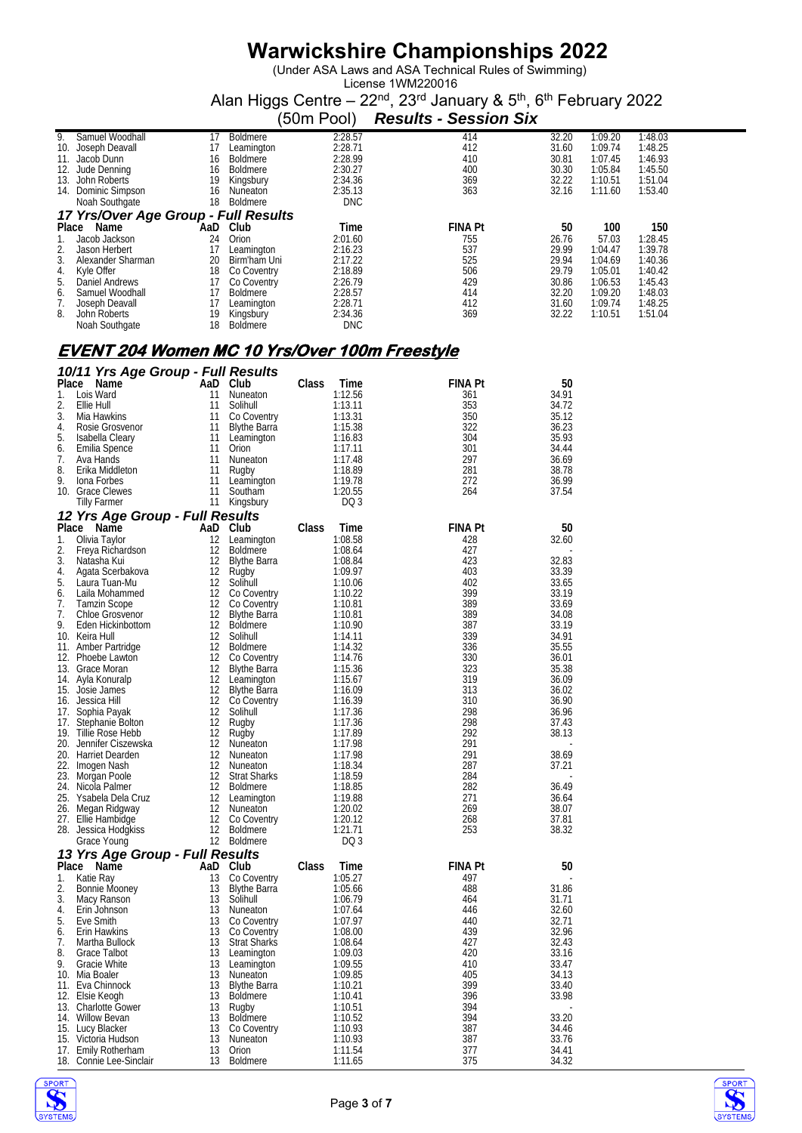(Under ASA Laws and ASA Technical Rules of Swimming)

License 1WM220016 Alan Higgs Centre – 22<sup>nd</sup>, 23<sup>rd</sup> January & 5<sup>th</sup>, 6<sup>th</sup> February 2022

|       |                                      |     |                 | (50m Pool) | <b>Results - Session Six</b> |       |         |         |  |  |
|-------|--------------------------------------|-----|-----------------|------------|------------------------------|-------|---------|---------|--|--|
| 9.    | Samuel Woodhall                      | 17  | Boldmere        | 2:28.57    | 414                          | 32.20 | 1:09.20 | 1:48.03 |  |  |
| 10.   | Joseph Deavall                       | 17  | Leamington      | 2:28.71    | 412                          | 31.60 | 1:09.74 | 1:48.25 |  |  |
| 11.   | Jacob Dunn                           | 16  | Boldmere        | 2:28.99    | 410                          | 30.81 | 1:07.45 | 1:46.93 |  |  |
| 12.   | Jude Denning                         | 16  | <b>Boldmere</b> | 2:30.27    | 400                          | 30.30 | 1:05.84 | 1:45.50 |  |  |
| 13.   | John Roberts                         | 19  | Kingsbury       | 2:34.36    | 369                          | 32.22 | 1:10.51 | 1:51.04 |  |  |
| 14.   | Dominic Simpson                      | 16  | Nuneaton        | 2:35.13    | 363                          | 32.16 | 1:11.60 | 1:53.40 |  |  |
|       | Noah Southgate                       | 18  | <b>Boldmere</b> | <b>DNC</b> |                              |       |         |         |  |  |
|       | 17 Yrs/Over Age Group - Full Results |     |                 |            |                              |       |         |         |  |  |
| Place | Name                                 | AaD | Club            | Time       | <b>FINA Pt</b>               | 50    | 100     | 150     |  |  |
|       | Jacob Jackson                        | 24  | Orion           | 2:01.60    | 755                          | 26.76 | 57.03   | 1:28.45 |  |  |
| 2.    | Jason Herbert                        | 17  | Leamington      | 2:16.23    | 537                          | 29.99 | 1:04.47 | 1:39.78 |  |  |
| 3.    | Alexander Sharman                    | 20  | Birm'ham Uni    | 2:17.22    | 525                          | 29.94 | 1:04.69 | 1:40.36 |  |  |
| 4.    | Kyle Offer                           | 18  | Co Coventry     | 2:18.89    | 506                          | 29.79 | 1:05.01 | 1:40.42 |  |  |
| 5.    | Daniel Andrews                       | 17  | Co Coventry     | 2:26.79    | 429                          | 30.86 | 1:06.53 | 1:45.43 |  |  |
| 6.    | Samuel Woodhall                      | 17  | <b>Boldmere</b> | 2:28.57    | 414                          | 32.20 | 1:09.20 | 1:48.03 |  |  |
| 7.    | Joseph Deavall                       | 17  | Leamington      | 2:28.71    | 412                          | 31.60 | 1:09.74 | 1:48.25 |  |  |
| 8.    | John Roberts                         | 19  | Kingsbury       | 2:34.36    | 369                          | 32.22 | 1:10.51 | 1:51.04 |  |  |
|       | Noah Southqate                       | 18  | Boldmere        | <b>DNC</b> |                              |       |         |         |  |  |

# **EVENT 204 Women MC 10 Yrs/Over 100m Freestyle**

|            | 10/11 Yrs Age Group - Full Results      |                         |                            |       |                    |                |                |
|------------|-----------------------------------------|-------------------------|----------------------------|-------|--------------------|----------------|----------------|
| Place      | Name                                    |                         | AaD Club                   | Class | Time               | <b>FINA Pt</b> | 50             |
| 1.         | Lois Ward                               | 11                      | Nuneaton                   |       | 1:12.56            | 361            | 34.91          |
| 2.         | Ellie Hull                              | 11                      | Solihull                   |       | 1:13.11            | 353            | 34.72          |
| 3.         | Mia Hawkins                             | 11                      | Co Coventry                |       | 1:13.31            | 350            | 35.12          |
| 4.         | Rosie Grosvenor                         | 11                      | <b>Blythe Barra</b>        |       | 1:15.38            | 322            | 36.23          |
| 5.         | Isabella Cleary                         | 11                      | Leamington                 |       | 1:16.83            | 304            | 35.93          |
| 6.<br>7.   | Emilia Spence<br>Ava Hands              | 11<br>11                | Orion<br>Nuneaton          |       | 1:17.11<br>1:17.48 | 301<br>297     | 34.44<br>36.69 |
| 8.         | Erika Middleton                         | 11                      | Rugby                      |       | 1:18.89            | 281            | 38.78          |
| 9.         | lona Forbes                             | 11                      | Leamington                 |       | 1:19.78            | 272            | 36.99          |
|            | 10. Grace Clewes                        | 11                      | Southam                    |       | 1:20.55            | 264            | 37.54          |
|            | <b>Tilly Farmer</b>                     | 11                      | Kingsbury                  |       | DQ 3               |                |                |
|            | 12 Yrs Age Group - Full Results         |                         |                            |       |                    |                |                |
| Place      | Name                                    |                         | AaD Club                   | Class | Time               | <b>FINA Pt</b> | 50             |
| 1.         | Olivia Taylor                           | 12                      | Leamington                 |       | 1:08.58            | 428            | 32.60          |
| 2.         | Freya Richardson                        | 12                      | <b>Boldmere</b>            |       | 1:08.64            | 427            |                |
| 3.         | Natasha Kui                             | 12                      | <b>Blythe Barra</b>        |       | 1:08.84            | 423            | 32.83          |
| 4.         | Agata Scerbakova                        | 12                      | Rugby                      |       | 1:09.97            | 403            | 33.39          |
| 5.<br>6.   | Laura Tuan-Mu<br>Laila Mohammed         | 12<br>12                | Solihull                   |       | 1:10.06<br>1:10.22 | 402<br>399     | 33.65<br>33.19 |
| 7.         | <b>Tamzin Scope</b>                     | 12                      | Co Coventry<br>Co Coventry |       | 1:10.81            | 389            | 33.69          |
| 7.         | <b>Chloe Grosvenor</b>                  | 12                      | <b>Blythe Barra</b>        |       | 1:10.81            | 389            | 34.08          |
| 9.         | Eden Hickinbottom                       | 12 <sup>°</sup>         | <b>Boldmere</b>            |       | 1:10.90            | 387            | 33.19          |
| 10.        | Keira Hull                              | 12                      | Solihull                   |       | 1:14.11            | 339            | 34.91          |
| 11.        | Amber Partridge                         | 12                      | <b>Boldmere</b>            |       | 1:14.32            | 336            | 35.55          |
|            | 12. Phoebe Lawton                       | 12                      | Co Coventry                |       | 1:14.76            | 330            | 36.01          |
|            | 13. Grace Moran                         | 12                      | <b>Blythe Barra</b>        |       | 1:15.36            | 323            | 35.38          |
|            | 14. Ayla Konuralp                       | 12                      | Leamington                 |       | 1:15.67            | 319            | 36.09          |
|            | 15. Josie James                         | $12 \,$<br>12           | <b>Blythe Barra</b>        |       | 1:16.09            | 313            | 36.02          |
| 16.<br>17. | Jessica Hill<br>Sophia Payak            | 12                      | Co Coventry<br>Solihull    |       | 1:16.39<br>1:17.36 | 310<br>298     | 36.90<br>36.96 |
| 17.        | Stephanie Bolton                        | 12                      | Rugby                      |       | 1:17.36            | 298            | 37.43          |
| 19.        | Tillie Rose Hebb                        | $12 \overline{ }$       | Rugby                      |       | 1:17.89            | 292            | 38.13          |
| 20.        | Jennifer Ciszewska                      | 12                      | Nuneaton                   |       | 1:17.98            | 291            |                |
|            | 20. Harriet Dearden                     | 12                      | Nuneaton                   |       | 1:17.98            | 291            | 38.69          |
|            | 22. Imogen Nash                         | 12                      | Nuneaton                   |       | 1:18.34            | 287            | 37.21          |
| 23.        | Morgan Poole                            | 12                      | <b>Strat Sharks</b>        |       | 1:18.59            | 284            |                |
| 24.        | Nicola Palmer                           | 12                      | <b>Boldmere</b>            |       | 1:18.85            | 282            | 36.49          |
| 25.        | Ysabela Dela Cruz                       | 12                      | Leamington                 |       | 1:19.88            | 271            | 36.64          |
|            | 26. Megan Ridgway<br>27. Ellie Hambidge | $12 \overline{ }$<br>12 | Nuneaton<br>Co Coventry    |       | 1:20.02<br>1:20.12 | 269<br>268     | 38.07<br>37.81 |
|            | 28. Jessica Hodgkiss                    | 12                      | Boldmere                   |       | 1:21.71            | 253            | 38.32          |
|            | Grace Young                             |                         | 12 Boldmere                |       | DQ 3               |                |                |
|            | 13 Yrs Age Group - Full Results         |                         |                            |       |                    |                |                |
| Place      | Name                                    |                         | AaD Club                   | Class | Time               | <b>FINA Pt</b> | 50             |
| 1.         | Katie Ray                               | 13                      | Co Coventry                |       | 1:05.27            | 497            |                |
| 2.         | Bonnie Mooney                           | 13                      | <b>Blythe Barra</b>        |       | 1:05.66            | 488            | 31.86          |
| 3.         | Macy Ranson                             | 13                      | Solihull                   |       | 1:06.79            | 464            | 31.71          |
| 4.         | Erin Johnson                            | 13                      | Nuneaton                   |       | 1:07.64            | 446            | 32.60          |
| 5.         | Eve Smith                               | 13                      | Co Coventry                |       | 1:07.97            | 440            | 32.71          |
| 6.         | Erin Hawkins                            | 13                      | Co Coventry                |       | 1:08.00            | 439            | 32.96          |
| 7.         | Martha Bullock                          | 13                      | <b>Strat Sharks</b>        |       | 1:08.64            | 427<br>420     | 32.43          |
| 8.<br>9.   | Grace Talbot<br>Gracie White            | 13<br>13                | Leamington                 |       | 1:09.03<br>1:09.55 | 410            | 33.16<br>33.47 |
|            | 10. Mia Boaler                          | 13                      | Leamington<br>Nuneaton     |       | 1:09.85            | 405            | 34.13          |
|            | 11. Eva Chinnock                        | 13                      | <b>Blythe Barra</b>        |       | 1:10.21            | 399            | 33.40          |
|            | 12. Elsie Keogh                         | 13                      | <b>Boldmere</b>            |       | 1:10.41            | 396            | 33.98          |
|            | 13. Charlotte Gower                     | 13                      | Rugby                      |       | 1:10.51            | 394            |                |
|            | 14. Willow Bevan                        | 13                      | <b>Boldmere</b>            |       | 1:10.52            | 394            | 33.20          |
|            | 15. Lucy Blacker                        | 13                      | Co Coventry                |       | 1:10.93            | 387            | 34.46          |
|            | 15. Victoria Hudson                     | 13                      | Nuneaton                   |       | 1:10.93            | 387            | 33.76          |
|            | 17. Emily Rotherham                     | 13                      | Orion                      |       | 1:11.54            | 377            | 34.41          |
|            | 18. Connie Lee-Sinclair                 | 13                      | <b>Boldmere</b>            |       | 1:11.65            | 375            | 34.32          |

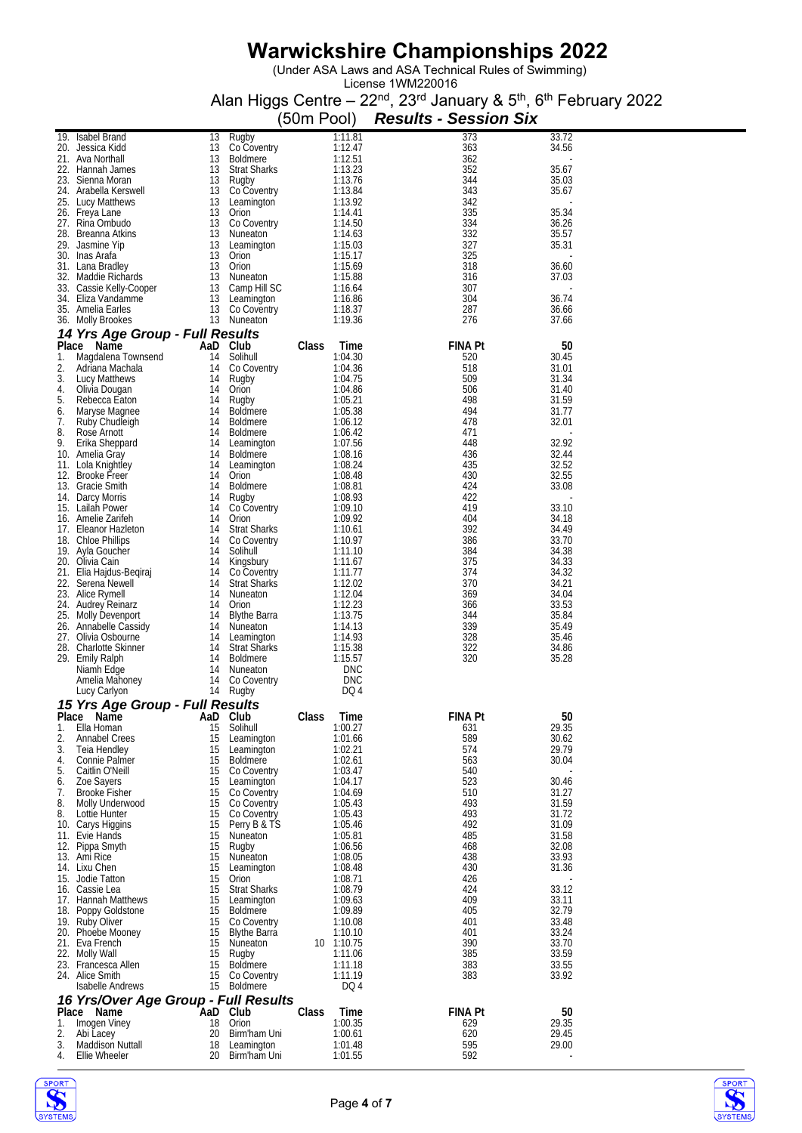(Under ASA Laws and ASA Technical Rules of Swimming)

|          |                                                |                |                                       | (50m Pool) |                       | <b>Results - Session Six</b> |                |
|----------|------------------------------------------------|----------------|---------------------------------------|------------|-----------------------|------------------------------|----------------|
|          | 19. Isabel Brand                               | 13             | Rugby                                 |            | 1:11.81               | 373                          | 33.72          |
|          | 20. Jessica Kidd<br>21. Ava Northall           | 13<br>13       | Co Coventry<br><b>Boldmere</b>        |            | 1:12.47<br>1:12.51    | 363<br>362                   | 34.56          |
|          | 22. Hannah James                               | 13             | <b>Strat Sharks</b>                   |            | 1:13.23               | 352                          | 35.67          |
|          | 23. Sienna Moran                               |                | 13 Rugby                              |            | 1:13.76               | 344                          | 35.03          |
|          | 24. Arabella Kerswell<br>25. Lucy Matthews     | 13             | 13 Co Coventry                        |            | 1:13.84<br>1:13.92    | 343<br>342                   | 35.67          |
|          | 26. Freya Lane                                 | 13             | Leamington<br>Orion                   |            | 1:14.41               | 335                          | 35.34          |
|          | 27. Rina Ombudo                                |                | 13 Co Coventry                        |            | 1:14.50               | 334                          | 36.26          |
|          | 28. Breanna Atkins                             |                | 13 Nuneaton<br>13 Leamington          |            | 1:14.63               | 332<br>327                   | 35.57<br>35.31 |
|          | 29. Jasmine Yip<br>30. Inas Arafa              |                | 13 Orion                              |            | 1:15.03<br>1:15.17    | 325                          |                |
|          | 31. Lana Bradley                               |                | 13 Orion                              |            | 1:15.69               | 318                          | 36.60          |
|          | 32. Maddie Richards<br>33. Cassie Kelly-Cooper |                | 13 Nuneaton<br>13 Camp Hill SC        |            | 1:15.88<br>1:16.64    | 316<br>307                   | 37.03          |
|          | 34. Eliza Vandamme                             |                | 13 Leamington                         |            | 1:16.86               | 304                          | 36.74          |
|          | 35. Amelia Earles                              |                | 13 Co Coventry                        |            | 1:18.37               | 287                          | 36.66          |
|          | 36. Molly Brookes                              |                | 13 Nuneaton                           |            | 1:19.36               | 276                          | 37.66          |
|          | 14 Yrs Age Group - Full Results<br>Place Name  |                | AaD Club                              | Class      | Time                  | <b>FINA Pt</b>               | 50             |
| 1.       | Magdalena Townsend                             |                | 14 Solihull                           |            | 1:04.30               | 520                          | 30.45          |
| 2.       | Adriana Machala                                |                | 14 Co Coventry                        |            | 1:04.36<br>1:04.75    | 518                          | 31.01          |
| 3.<br>4. | Lucy Matthews<br>Olivia Dougan                 | 14             | Rugby<br>14 Orion                     |            | 1:04.86               | 509<br>506                   | 31.34<br>31.40 |
| 5.       | Rebecca Eaton                                  | 14             | Rugby                                 |            | 1:05.21               | 498                          | 31.59          |
| 6.<br>7. | Maryse Magnee<br>Ruby Chudleigh                | 14<br>14       | Boldmere<br>Boldmere                  |            | 1:05.38<br>1:06.12    | 494<br>478                   | 31.77<br>32.01 |
| 8.       | Rose Arnott                                    | 14             | Boldmere                              |            | 1:06.42               | 471                          |                |
| 9.       | Erika Sheppard                                 |                | 14 Leamington                         |            | 1:07.56               | 448                          | 32.92          |
|          | 10. Amelia Gray                                | 14<br>14       | <b>Boldmere</b>                       |            | 1:08.16               | 436<br>435                   | 32.44<br>32.52 |
|          | 11. Lola Knightley<br>12. Brooke Freer         | 14             | Leamington<br>Orion                   |            | 1:08.24<br>1:08.48    | 430                          | 32.55          |
|          | 13. Gracie Smith                               | 14             | Boldmere                              |            | 1:08.81               | 424                          | 33.08          |
|          | 14. Darcy Morris<br>15. Lailah Power           | 14<br>14       | Rugby<br>Co Coventry                  |            | 1:08.93<br>1:09.10    | 422<br>419                   | 33.10          |
|          | 16. Amelie Zarifeh                             | 14             | Orion                                 |            | 1:09.92               | 404                          | 34.18          |
|          | 17. Eleanor Hazleton                           | 14             | <b>Strat Sharks</b>                   |            | 1:10.61               | 392                          | 34.49          |
|          | 18. Chloe Phillips<br>19. Ayla Goucher         | 14<br>14       | Co Coventry<br>Solihull               |            | 1:10.97<br>1:11.10    | 386<br>384                   | 33.70<br>34.38 |
|          | 20. Olivia Cain                                |                | 14 Kingsbury                          |            | 1:11.67               | 375                          | 34.33          |
|          | 21. Elia Hajdus-Begiraj                        | 14             | Co Coventry                           |            | 1:11.77               | 374                          | 34.32          |
|          | 22. Serena Newell<br>23. Alice Rymell          | 14             | <b>Strat Sharks</b><br>14 Nuneaton    |            | 1:12.02<br>1:12.04    | 370<br>369                   | 34.21<br>34.04 |
|          | 24. Audrey Reinarz                             |                | 14 Orion                              |            | 1:12.23               | 366                          | 33.53          |
|          | 25. Molly Devenport                            |                | 14 Blythe Barra                       |            | 1:13.75               | 344                          | 35.84          |
|          | 26. Annabelle Cassidy<br>27. Olivia Osbourne   |                | 14 Nuneaton<br>14 Leamington          |            | 1:14.13<br>1:14.93    | 339<br>328                   | 35.49<br>35.46 |
|          | 28. Charlotte Skinner                          |                | 14 Strat Sharks                       |            | 1:15.38               | 322                          | 34.86          |
|          | 29. Emily Ralph                                | 14             | 14 Boldmere                           |            | 1:15.57<br><b>DNC</b> | 320                          | 35.28          |
|          | Niamh Edge<br>Amelia Mahoney                   |                | Nuneaton<br>14 Co Coventry            |            | <b>DNC</b>            |                              |                |
|          | Lucy Carlyon                                   |                | 14 Rugby                              |            | DQ 4                  |                              |                |
|          | 15 Yrs Age Group - Full Results                |                |                                       |            |                       |                              |                |
| 1.       | Place Name<br>Ella Homan                       | AaD Club<br>15 | Solihull                              | Class      | Time<br>1:00.27       | <b>FINA Pt</b><br>631        | 50<br>29.35    |
| 2.       | <b>Annabel Crees</b>                           | 15             | Leamington                            |            | 1:01.66               | 589                          | 30.62          |
| 3.       | Teia Hendley                                   | 15             | Leamington                            |            | 1:02.21               | 574                          | 29.79          |
| 4.<br>5. | Connie Palmer<br>Caitlin O'Neill               | 15<br>15       | <b>Boldmere</b><br>Co Coventry        |            | 1:02.61<br>1:03.47    | 563<br>540                   | 30.04          |
| 6.       | Zoe Sayers                                     | 15             | Leamington                            |            | 1:04.17               | 523                          | 30.46          |
| 7.<br>8. | <b>Brooke Fisher</b><br>Molly Underwood        | 15<br>15       | Co Coventry                           |            | 1:04.69               | 510<br>493                   | 31.27          |
| 8.       | Lottie Hunter                                  | 15             | Co Coventry<br>Co Coventry            |            | 1:05.43<br>1:05.43    | 493                          | 31.59<br>31.72 |
|          | 10. Carys Higgins                              | 15             | Perry B & TS                          |            | 1:05.46               | 492                          | 31.09          |
|          | 11. Evie Hands<br>12. Pippa Smyth              | 15<br>15       | Nuneaton<br>Rugby                     |            | 1:05.81<br>1:06.56    | 485<br>468                   | 31.58<br>32.08 |
|          | 13. Ami Rice                                   | 15             | Nuneaton                              |            | 1:08.05               | 438                          | 33.93          |
|          | 14. Lixu Chen                                  | 15             | Leamington                            |            | 1:08.48               | 430                          | 31.36          |
|          | 15. Jodie Tatton<br>16. Cassie Lea             | 15<br>15       | Orion<br><b>Strat Sharks</b>          |            | 1:08.71<br>1:08.79    | 426<br>424                   | 33.12          |
|          | 17. Hannah Matthews                            | 15             | Leamington                            |            | 1:09.63               | 409                          | 33.11          |
|          | 18. Poppy Goldstone                            | 15             | <b>Boldmere</b>                       |            | 1:09.89               | 405                          | 32.79          |
|          | 19. Ruby Oliver<br>20. Phoebe Mooney           | 15             | 15 Co Coventry<br><b>Blythe Barra</b> |            | 1:10.08<br>1:10.10    | 401<br>401                   | 33.48<br>33.24 |
|          | 21. Eva French                                 | 15             | Nuneaton                              |            | 10 1:10.75            | 390                          | 33.70          |
|          | 22. Molly Wall                                 | 15             | Rugby                                 |            | 1:11.06               | 385                          | 33.59          |
|          | 23. Francesca Allen<br>24. Alice Smith         | 15<br>15       | <b>Boldmere</b><br>Co Coventry        |            | 1:11.18<br>1:11.19    | 383<br>383                   | 33.55<br>33.92 |
|          | <b>Isabelle Andrews</b>                        |                | 15 Boldmere                           |            | DQ 4                  |                              |                |
|          | 16 Yrs/Over Age Group - Full Results           |                |                                       |            |                       |                              |                |
| 1.       | Place Name<br>Imogen Viney                     |                | AaD Club<br>18 Orion                  | Class      | Time<br>1:00.35       | <b>FINA Pt</b><br>629        | 50<br>29.35    |
| 2.       | Abi Lacey                                      | 20             | Birm'ham Uni                          |            | 1:00.61               | 620                          | 29.45          |
| 3.       | Maddison Nuttall                               | 18             | Leamington                            |            | 1:01.48               | 595                          | 29.00          |
| 4.       | Ellie Wheeler                                  | 20             | Birm'ham Uni                          |            | 1:01.55               | 592                          |                |



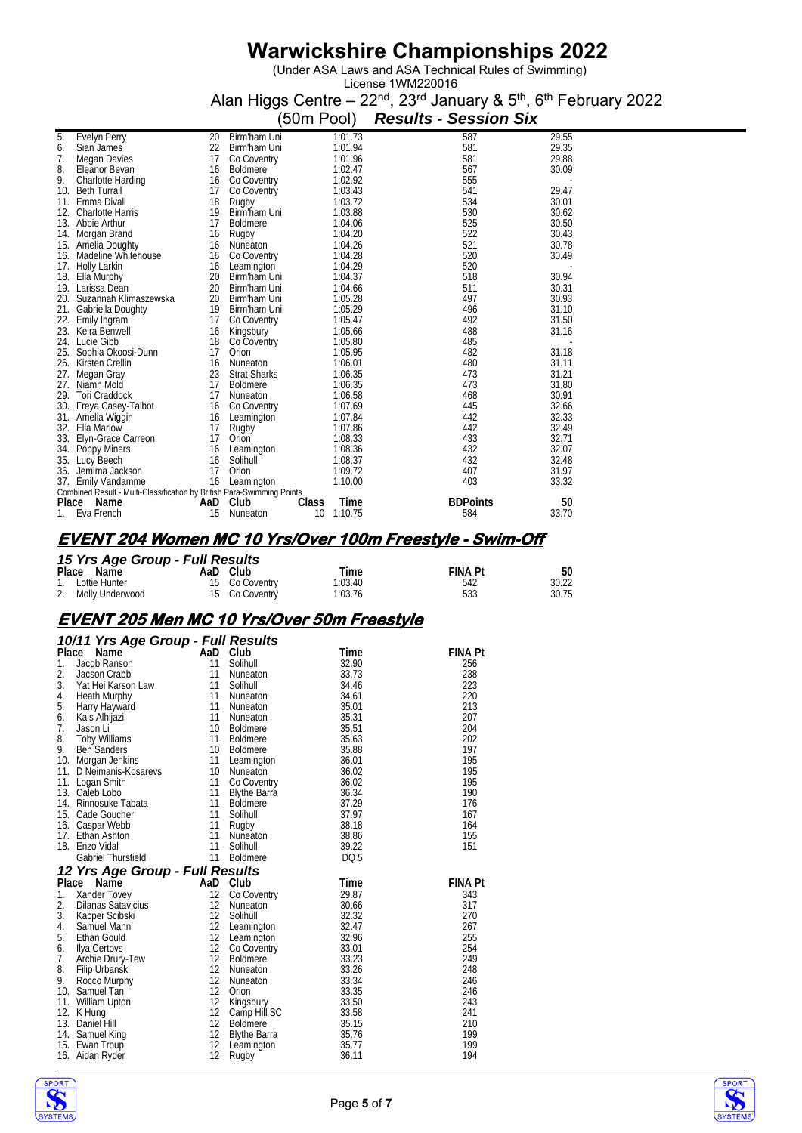(Under ASA Laws and ASA Technical Rules of Swimming)

License 1WM220016 Alan Higgs Centre – 22<sup>nd</sup>, 23<sup>rd</sup> January & 5<sup>th</sup>, 6<sup>th</sup> February 2022

|       |                                                                        |     |                     | (50m Pool) |         | <b>Results - Session Six</b> |       |
|-------|------------------------------------------------------------------------|-----|---------------------|------------|---------|------------------------------|-------|
| 5.    | <b>Evelyn Perry</b>                                                    | 20  | Birm'ham Uni        |            | 1:01.73 | 587                          | 29.55 |
| 6.    | Sian James                                                             | 22  | Birm'ham Uni        |            | 1:01.94 | 581                          | 29.35 |
| 7.    | Megan Davies                                                           | 17  | Co Coventry         |            | 1:01.96 | 581                          | 29.88 |
| 8.    | Eleanor Bevan                                                          | 16  | <b>Boldmere</b>     |            | 1:02.47 | 567                          | 30.09 |
| 9.    | Charlotte Harding                                                      | 16  | Co Coventry         |            | 1:02.92 | 555                          |       |
|       | 10. Beth Turrall                                                       | 17  | Co Coventry         |            | 1:03.43 | 541                          | 29.47 |
| 11.   | Emma Divall                                                            | 18  | Rugby               |            | 1:03.72 | 534                          | 30.01 |
| 12.   | <b>Charlotte Harris</b>                                                | 19  | Birm'ham Uni        |            | 1:03.88 | 530                          | 30.62 |
| 13.   | Abbie Arthur                                                           | 17  | <b>Boldmere</b>     |            | 1:04.06 | 525                          | 30.50 |
| 14.   | Morgan Brand                                                           | 16  | Rugby               |            | 1:04.20 | 522                          | 30.43 |
| 15.   | Amelia Doughty                                                         | 16  | Nuneaton            |            | 1:04.26 | 521                          | 30.78 |
| 16.   | Madeline Whitehouse                                                    | 16  | Co Coventry         |            | 1:04.28 | 520                          | 30.49 |
| 17.   | <b>Holly Larkin</b>                                                    | 16  | Leamington          |            | 1:04.29 | 520                          |       |
| 18.   | Ella Murphy                                                            | 20  | Birm'ham Uni        |            | 1:04.37 | 518                          | 30.94 |
| 19.   | Larissa Dean                                                           | 20  | Birm'ham Uni        |            | 1:04.66 | 511                          | 30.31 |
| 20.   | Suzannah Klimaszewska                                                  | 20  | Birm'ham Uni        |            | 1:05.28 | 497                          | 30.93 |
| 21.   | Gabriella Doughty                                                      | 19  | Birm'ham Uni        |            | 1:05.29 | 496                          | 31.10 |
| 22.   | Emily Ingram                                                           | 17  | Co Coventry         |            | 1:05.47 | 492                          | 31.50 |
| 23.   | Keira Benwell                                                          | 16  | Kingsbury           |            | 1:05.66 | 488                          | 31.16 |
| 24.   | Lucie Gibb                                                             | 18  | Co Coventry         |            | 1:05.80 | 485                          |       |
| 25.   | Sophia Okoosi-Dunn                                                     | 17  | Orion               |            | 1:05.95 | 482                          | 31.18 |
| 26.   | Kirsten Crellin                                                        | 16  | Nuneaton            |            | 1:06.01 | 480                          | 31.11 |
| 27.   | Megan Gray                                                             | 23  | <b>Strat Sharks</b> |            | 1:06.35 | 473                          | 31.21 |
| 27.   | Niamh Mold                                                             | 17  | <b>Boldmere</b>     |            | 1:06.35 | 473                          | 31.80 |
| 29.   | <b>Tori Craddock</b>                                                   | 17  | Nuneaton            |            | 1:06.58 | 468                          | 30.91 |
| 30.   | Freya Casey-Talbot                                                     | 16  | Co Coventry         |            | 1:07.69 | 445                          | 32.66 |
| 31.   | Amelia Wiggin                                                          | 16  | Leamington          |            | 1:07.84 | 442                          | 32.33 |
| 32.   | Ella Marlow                                                            | 17  | Rugby               |            | 1:07.86 | 442                          | 32.49 |
| 33.   | Elyn-Grace Carreon                                                     | 17  | Orion               |            | 1:08.33 | 433                          | 32.71 |
| 34.   | Poppy Miners                                                           | 16  | Leamington          |            | 1:08.36 | 432                          | 32.07 |
| 35.   | Lucy Beech                                                             | 16  | Solihull            |            | 1:08.37 | 432                          | 32.48 |
| 36.   | Jemima Jackson                                                         | 17  | Orion               |            | 1:09.72 | 407                          | 31.97 |
|       | 37. Emily Vandamme                                                     | 16  | Leamington          |            | 1:10.00 | 403                          | 33.32 |
|       | Combined Result - Multi-Classification by British Para-Swimming Points |     |                     |            |         |                              |       |
| Place | Name                                                                   | AaD | Club                | Class      | Time    | <b>BDPoints</b>              | 50    |
| 1.    | Eva French                                                             | 15  | Nuneaton            | 10         | 1:10.75 | 584                          | 33.70 |

#### **EVENT 204 Women MC 10 Yrs/Over 100m Freestyle - Swim-Off**

| 15 Yrs Age Group - Full Results |  |                |         |                |       |  |  |  |  |
|---------------------------------|--|----------------|---------|----------------|-------|--|--|--|--|
| Place Name                      |  | AaD Club       | Time    | <b>FINA Pt</b> | 50    |  |  |  |  |
| 1. Lottie Hunter                |  | 15 Co Coventry | 1:03.40 | 542            | 30.22 |  |  |  |  |
| 2. Molly Underwood              |  | 15 Co Coventry | 1:03.76 | 533            | 30.75 |  |  |  |  |

### **EVENT 205 Men MC 10 Yrs/Over 50m Freestyle**

|       | 10/11 Yrs Age Group - Full Results |                 |                     |                 |                |
|-------|------------------------------------|-----------------|---------------------|-----------------|----------------|
| Place | Name                               | AaD Club        |                     | Time            | <b>FINA Pt</b> |
| 1.    | Jacob Ranson                       | 11              | Solihull            | 32.90           | 256            |
| 2.    | Jacson Crabb                       | 11              | Nuneaton            | 33.73           | 238            |
| 3.    | Yat Hei Karson Law                 | 11              | Solihull            | 34.46           | 223            |
| 4.    | <b>Heath Murphy</b>                | 11              | <b>Nuneaton</b>     | 34.61           | 220            |
| 5.    | Harry Hayward                      | 11              | Nuneaton            | 35.01           | 213            |
| 6.    | Kais Alhijazi                      | 11              | Nuneaton            | 35.31           | 207            |
| 7.    | Jason Li                           |                 | 10 Boldmere         | 35.51           | 204            |
| 8.    | <b>Toby Williams</b>               | 11              | Boldmere            | 35.63           | 202            |
| 9.    | <b>Ben Sanders</b>                 | 10 <sup>°</sup> | <b>Boldmere</b>     | 35.88           | 197            |
|       | 10. Morgan Jenkins                 | 11              | Leamington          | 36.01           | 195            |
| 11.   | D Neimanis-Kosarevs                | 10 <sup>°</sup> | Nuneaton            | 36.02           | 195            |
|       | 11. Logan Smith                    | 11              | Co Coventry         | 36.02           | 195            |
|       | 13. Caleb Lobo                     | 11              | <b>Blythe Barra</b> | 36.34           | 190            |
|       | 14. Rinnosuke Tabata               | 11              | <b>Boldmere</b>     | 37.29           | 176            |
|       | 15. Cade Goucher                   | 11              | Solihull            | 37.97           | 167            |
|       | 16. Caspar Webb                    | 11              | Rugby               | 38.18           | 164            |
| 17.   | Ethan Ashton                       | 11              | Nuneaton            | 38.86           | 155            |
|       | 18. Enzo Vidal                     | 11              | Solihull            | 39.22           | 151            |
|       | <b>Gabriel Thursfield</b>          | 11              | <b>Boldmere</b>     | DQ <sub>5</sub> |                |
|       | 12 Yrs Age Group - Full Results    |                 |                     |                 |                |
| Place | Name                               | AaD             | Club                | Time            | <b>FINA Pt</b> |
| 1.    | Xander Tovey                       | 12              | Co Coventry         | 29.87           | 343            |
| 2.    | Dilanas Satavicius                 | 12              | Nuneaton            | 30.66           | 317            |
| 3.    | Kacper Scibski                     | 12              | Solihull            | 32.32           | 270            |
| 4.    | Samuel Mann                        | 12              | Leamington          | 32.47           | 267            |
| 5.    | Ethan Gould                        | 12              | Leamington          | 32.96           | 255            |
| 6.    | Ilya Certovs                       | 12              | Co Coventry         | 33.01           | 254            |
| 7.    | Archie Drury-Tew                   | 12              | <b>Boldmere</b>     | 33.23           | 249            |
| 8.    | Filip Urbanski                     | 12              | <b>Nuneaton</b>     | 33.26           | 248            |
| 9.    | Rocco Murphy                       | 12              | <b>Nuneaton</b>     | 33.34           | 246            |
|       | 10. Samuel Tan                     | 12              | Orion               | 33.35           | 246            |
| 11.   | William Upton                      | 12              | Kingsbury           | 33.50           | 243            |
| 12.   | K Hung                             | 12              | Camp Hill SC        | 33.58           | 241            |
|       | 13. Daniel Hill                    | 12              | <b>Boldmere</b>     | 35.15           | 210            |
|       | 14. Samuel King                    | 12              | <b>Blythe Barra</b> | 35.76           | 199            |
|       | 15. Ewan Troup                     | 12              | Leamington          | 35.77           | 199            |
|       | 16. Aidan Ryder                    | 12              | Rugby               | 36.11           | 194            |
|       |                                    |                 |                     |                 |                |



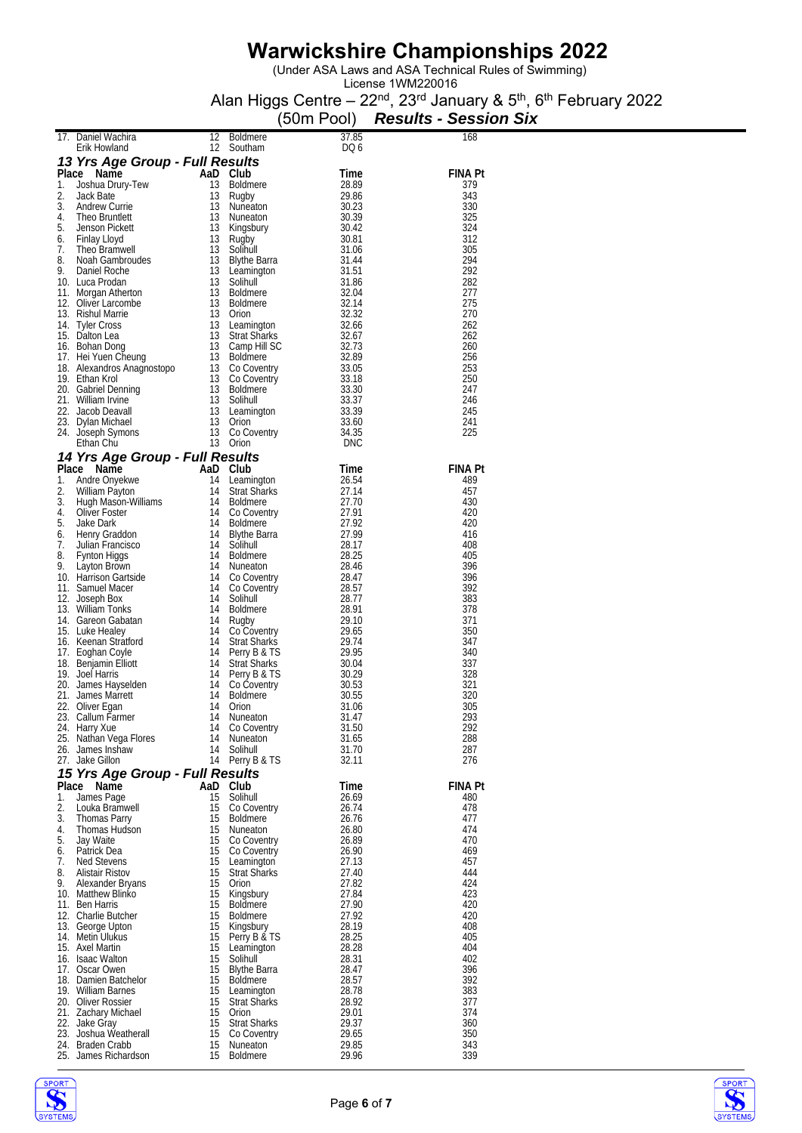(Under ASA Laws and ASA Technical Rules of Swimming)

|          |                                                    |          |                                     | (50m Pool)     | <b>Results - Session Six</b> |
|----------|----------------------------------------------------|----------|-------------------------------------|----------------|------------------------------|
|          | 17. Daniel Wachira                                 | 12       | <b>Boldmere</b>                     | 37.85          | 168                          |
|          | Erik Howland<br>13 Yrs Age Group - Full Results    | 12       | Southam                             | DQ 6           |                              |
|          | Place Name                                         |          | AaD Club                            | Time           | <b>FINA Pt</b>               |
| 1.       | Joshua Drury-Tew                                   | 13       | <b>Boldmere</b>                     | 28.89          | 379                          |
| 2.<br>3. | Jack Bate<br>Andrew Currie                         | 13<br>13 | Rugby<br>Nuneaton                   | 29.86<br>30.23 | 343<br>330                   |
| 4.       | Theo Bruntlett                                     | 13       | Nuneaton                            | 30.39          | 325                          |
| 5.<br>6. | Jenson Pickett<br>Finlay Lloyd                     | 13<br>13 | Kingsbury<br>Rugby                  | 30.42<br>30.81 | 324<br>312                   |
| 7.       | Theo Bramwell                                      | 13       | Solihull                            | 31.06          | 305                          |
| 8.       | Noah Gambroudes                                    | 13       | Blythe Barra                        | 31.44          | 294                          |
| 9.       | Daniel Roche<br>10. Luca Prodan                    | 13<br>13 | Leamington<br>Solihull              | 31.51<br>31.86 | 292<br>282                   |
|          | 11. Morgan Atherton                                | 13       | Boldmere                            | 32.04          | 277                          |
|          | 12. Oliver Larcombe<br>13. Rishul Marrie           | 13<br>13 | Boldmere<br>Orion                   | 32.14<br>32.32 | 275<br>270                   |
|          | 14. Lyler Cross                                    | 13       | Leamington                          | 32.66          | 262                          |
|          | 15. Dalton Lea                                     | 13<br>13 | <b>Strat Sharks</b><br>Camp Hill SC | 32.67<br>32.73 | 262<br>260                   |
|          | 16. Bohan Dong<br>17. Hei Yuen Cheung              |          | 13 Boldmere                         | 32.89          | 256                          |
|          | 18. Alexandros Anagnostopo                         |          | 13 Co Coventry                      | 33.05          | 253                          |
|          | 19. Ethan Krol<br>20. Gabriel Denning              | 13<br>13 | Co Coventry<br>Boldmere             | 33.18<br>33.30 | 250<br>247                   |
|          | 21. William Irvine                                 | 13       | Solihull                            | 33.37          | 246                          |
|          | 22. Jacob Deavall<br>23. Dylan Michael             | 13<br>13 | Leamington<br>Orion                 | 33.39<br>33.60 | 245<br>241                   |
|          | 24. Joseph Symons                                  | 13       | Co Coventry                         | 34.35          | 225                          |
|          | Ethan Chu                                          |          | 13 Orion                            | DNC            |                              |
| Place    | 14 Yrs Age Group - Full Results                    |          | AaD Club                            |                |                              |
| 1.       | Name<br>Andre Onyekwe                              | 14       | Leamington                          | Time<br>26.54  | <b>FINA Pt</b><br>489        |
| 2.       | William Payton                                     | 14       | <b>Strat Sharks</b>                 | 27.14          | 457                          |
| 3.<br>4. | Hugh Mason-Williams<br>Oliver Foster               | 14<br>14 | <b>Boldmere</b><br>Co Coventry      | 27.70<br>27.91 | 430<br>420                   |
| 5.       | Jake Dark                                          | 14       | Boldmere                            | 27.92          | 420                          |
| 6.       | Henry Graddon                                      | 14       | <b>Blythe Barra</b>                 | 27.99          | 416                          |
| 7.<br>8. | Julian Francisco<br>Fynton Higgs                   | 14<br>14 | Solihull<br>Boldmere                | 28.17<br>28.25 | 408<br>405                   |
| 9.       | Layton Brown                                       | 14       | Nuneaton                            | 28.46          | 396                          |
|          | 10. Harrison Gartside<br>11. Samuel Macer          | 14<br>14 | Co Coventry<br>Co Coventry          | 28.47<br>28.57 | 396<br>392                   |
|          | 12. Joseph Box                                     | 14       | Solihull                            | 28.77          | 383                          |
|          | 13. William Tonks<br>14. Gareon Gabatan            | 14<br>14 | Boldmere<br>Rugby                   | 28.91<br>29.10 | 378<br>371                   |
|          | 15. Luke Healey                                    | 14       | Co Coventry                         | 29.65          | 350                          |
|          | 16. Keenan Strattord                               | 14       | <b>Strat Sharks</b>                 | 29.74          | 347                          |
|          | 17. Eoghan Coyle<br>18. Benjamin Elliott           | 14<br>14 | Perry B & TS<br><b>Strat Sharks</b> | 29.95<br>30.04 | 340<br>337                   |
|          | 19. Joel Harris                                    | 14       | Perry B & IS                        | 30.29          | 328                          |
|          | 20. James Hayselden<br>21. James Marrett           | 14<br>14 | Co Coventry<br><b>Boldmere</b>      | 30.53<br>30.55 | 321<br>320                   |
|          | 22. Oliver Egan                                    | 14       | Orion                               | 31.06          | 305                          |
|          | 23. Callum Farmer<br>24. Harry Xue                 |          | 14 Nuneaton<br>14 Co Coventry       | 31.47<br>31.50 | 293<br>292                   |
|          | 25. Nathan Vega Flores                             | 14       | Nuneaton                            | 31.65          | 288                          |
|          | 26. James Inshaw                                   | 14       | Solihull                            | 31.70          | 287                          |
|          | 27. Jake Gillon<br>15 Yrs Age Group - Full Results |          | 14 Perry B & TS                     | 32.11          | 276                          |
|          | Place Name                                         |          | AaD Club                            | Time           | <b>FINA Pt</b>               |
| 1.       | James Page                                         | 15       | Solihull                            | 26.69          | 480                          |
| 2.<br>3. | Louka Bramwell<br><b>Thomas Parry</b>              | 15<br>15 | Co Coventry<br><b>Boldmere</b>      | 26.74<br>26.76 | 478<br>477                   |
| 4.       | Thomas Hudson                                      | 15       | Nuneaton                            | 26.80          | 474                          |
| 5.<br>6. | Jay Waite<br>Patrick Dea                           | 15<br>15 | Co Coventry<br>Co Coventry          | 26.89<br>26.90 | 470<br>469                   |
| 7.       | Ned Stevens                                        | 15       | Leamington                          | 27.13          | 457                          |
| 8.<br>9. | Alistair Ristov<br>Alexander Bryans                | 15<br>15 | <b>Strat Sharks</b><br>Orion        | 27.40<br>27.82 | 444<br>424                   |
|          | 10. Matthew Blinko                                 | 15       | Kingsbury                           | 27.84          | 423                          |
|          | 11. Ben Harris                                     | 15       | Boldmere                            | 27.90          | 420                          |
|          | 12. Charlie Butcher<br>13. George Upton            | 15<br>15 | Boldmere<br>Kingsbury               | 27.92<br>28.19 | 420<br>408                   |
|          | 14. Metin Ulukus                                   | 15       | Perry B & TS                        | 28.25          | 405                          |
|          | 15. Axel Martin<br>16. Isaac Walton                | 15<br>15 | Leamington<br>Solihull              | 28.28<br>28.31 | 404<br>402                   |
|          | 17. Oscar Owen                                     | 15       | Blythe Barra                        | 28.47          | 396                          |
|          | 18. Damien Batchelor<br>19. William Barnes         | 15<br>15 | Boldmere                            | 28.57<br>28.78 | 392<br>383                   |
|          | 20. Oliver Rossier                                 | 15       | Leamington<br><b>Strat Sharks</b>   | 28.92          | 377                          |
|          | 21. Zachary Michael                                | 15       | Orion                               | 29.01          | 374                          |
|          | 22. Jake Gray<br>23. Joshua Weatherall             | 15<br>15 | <b>Strat Sharks</b><br>Co Coventry  | 29.37<br>29.65 | 360<br>350                   |
|          | 24. Braden Crabb                                   | 15       | Nuneaton                            | 29.85          | 343                          |
|          | 25. James Richardson                               | 15       | <b>Boldmere</b>                     | 29.96          | 339                          |



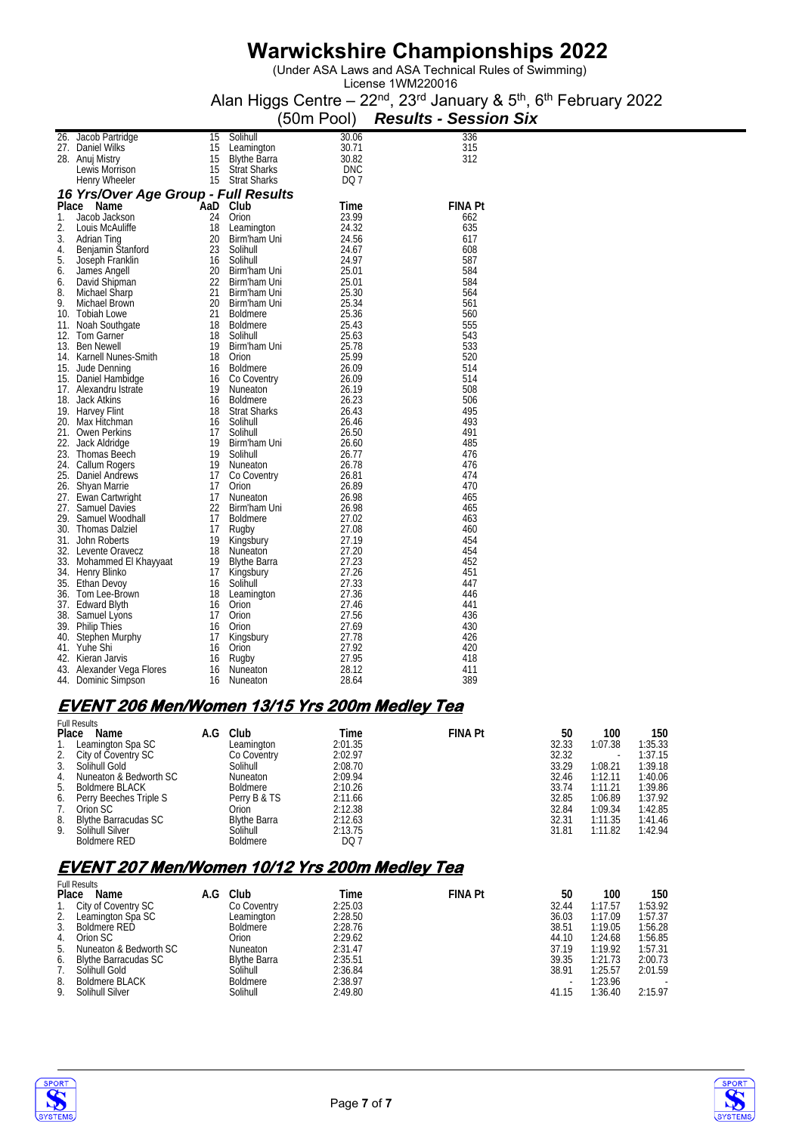(Under ASA Laws and ASA Technical Rules of Swimming)

License 1WM220016 Alan Higgs Centre – 22<sup>nd</sup>, 23<sup>rd</sup> January & 5<sup>th</sup>, 6<sup>th</sup> February 2022

|       |                                          |                       |                     | (50m Pool)     | <b>Results - Session Six</b> |
|-------|------------------------------------------|-----------------------|---------------------|----------------|------------------------------|
|       | 26. Jacob Partridge                      | 15                    | Solihull            | 30.06          | 336                          |
|       | 27. Daniel Wilks                         | 15                    | Leamington          | 30.71          | 315                          |
|       | 28. Anuj Mistry                          | 15                    | <b>Blythe Barra</b> | 30.82          | 312                          |
|       | Lewis Morrison                           | 15                    | <b>Strat Sharks</b> | <b>DNC</b>     |                              |
|       | Henry Wheeler                            | 15                    | <b>Strat Sharks</b> | DQ 7           |                              |
|       | 16 Yrs/Over Age Group - Full Results     |                       |                     |                |                              |
| Place | Name                                     | AaD Club <sup>-</sup> |                     | Time           | <b>FINA Pt</b>               |
| 1.    | Jacob Jackson                            | 24                    | Orion               | 23.99          | 662                          |
| 2.    | Louis McAuliffe                          | 18                    | Leamington          | 24.32          | 635                          |
| 3.    | Adrian Ting                              | 20                    | Birm'ham Uni        | 24.56          | 617                          |
| 4.    | Benjamin Stanford                        | 23                    | Solihull            | 24.67          | 608                          |
| 5.    | Joseph Franklin                          | 16                    | Solihull            | 24.97          | 587                          |
| 6.    | James Angell                             | 20                    | Birm'ham Uni        | 25.01          | 584                          |
| 6.    | David Shipman                            | 22                    | Birm'ham Uni        | 25.01          | 584                          |
| 8.    | Michael Sharp                            | 21                    | Birm'ham Uni        | 25.30          | 564                          |
| 9.    | Michael Brown                            | 20                    | Birm'ham Uni        | 25.34          | 561                          |
|       | 10. Tobiah Lowe                          | 21                    | <b>Boldmere</b>     | 25.36          | 560                          |
|       | 11. Noah Southgate                       | 18                    | <b>Boldmere</b>     | 25.43          | 555                          |
| 12.   | Tom Garner                               | 18                    | Solihull            | 25.63          | 543                          |
|       | 13. Ben Newell                           | 19                    | Birm'ham Uni        | 25.78          | 533                          |
|       | 14. Karnell Nunes-Smith                  | 18                    | Orion               | 25.99          | 520                          |
|       | 15. Jude Denning                         | 16                    | <b>Boldmere</b>     | 26.09          | 514                          |
|       | 15. Daniel Hambidge                      | 16                    | Co Coventry         | 26.09          | 514                          |
|       | 17. Alexandru Istrate                    | 19                    | Nuneaton            | 26.19          | 508                          |
|       | 18. Jack Atkins                          | 16                    | <b>Boldmere</b>     | 26.23          | 506                          |
|       | 19. Harvey Flint                         | 18                    | <b>Strat Sharks</b> | 26.43          | 495                          |
|       | 20. Max Hitchman                         | 16                    | Solihull            | 26.46          | 493                          |
|       | 21. Owen Perkins                         | 17                    | Solihull            | 26.50          | 491                          |
|       | 22. Jack Aldridge                        | 19                    | Birm'ham Uni        | 26.60          | 485                          |
|       | 23. Thomas Beech                         | 19                    | Solihull            | 26.77          | 476                          |
|       | 24. Callum Rogers                        | 19                    | Nuneaton            | 26.78          | 476<br>474                   |
| 26.   | 25. Daniel Andrews                       | 17<br>17              | Co Coventry         | 26.81<br>26.89 | 470                          |
|       | Shyan Marrie                             | 17                    | Orion<br>Nuneaton   | 26.98          | 465                          |
|       | 27. Ewan Cartwright<br>27. Samuel Davies | 22                    | Birm'ham Uni        | 26.98          | 465                          |
|       | 29. Samuel Woodhall                      | 17                    | <b>Boldmere</b>     | 27.02          | 463                          |
|       | 30. Thomas Dalziel                       | 17                    | Rugby               | 27.08          | 460                          |
|       | 31. John Roberts                         | 19                    | Kingsbury           | 27.19          | 454                          |
|       | 32. Levente Oravecz                      | 18                    | Nuneaton            | 27.20          | 454                          |
|       | 33. Mohammed El Khayyaat                 | 19                    | <b>Blythe Barra</b> | 27.23          | 452                          |
|       | 34. Henry Blinko                         | 17                    | Kingsbury           | 27.26          | 451                          |
|       | 35. Ethan Devoy                          | 16                    | Solihull            | 27.33          | 447                          |
|       | 36. Tom Lee-Brown                        | 18                    | Leamington          | 27.36          | 446                          |
|       | 37. Edward Blyth                         | 16                    | Orion               | 27.46          | 441                          |
|       | 38. Samuel Lyons                         | 17                    | Orion               | 27.56          | 436                          |
|       | 39. Philip Thies                         | 16                    | Orion               | 27.69          | 430                          |
| 40.   | Stephen Murphy                           | 17                    | Kingsbury           | 27.78          | 426                          |
|       | 41. Yuhe Shi                             | 16                    | Orion               | 27.92          | 420                          |
| 42.   | Kieran Jarvis                            | 16                    | Rugby               | 27.95          | 418                          |
|       | 43. Alexander Vega Flores                | 16                    | Nuneaton            | 28.12          | 411                          |
| 44.   | Dominic Simpson                          | 16                    | Nuneaton            | 28.64          | 389                          |

#### **EVENT 206 Men/Women 13/15 Yrs 200m Medley Tea**  Full Results

|       | r un results                |     |                     |         |                |       |         |         |
|-------|-----------------------------|-----|---------------------|---------|----------------|-------|---------|---------|
| Place | Name                        | A.G | Club                | Time    | <b>FINA Pt</b> | 50    | 100     | 150     |
|       | Leamington Spa SC           |     | Leamington          | 2:01.35 |                | 32.33 | 1:07.38 | 1:35.33 |
|       | 2. City of Coventry SC      |     | Co Coventry         | 2:02.97 |                | 32.32 |         | 1:37.15 |
| 3.    | Solihull Gold               |     | Solihull            | 2:08.70 |                | 33.29 | 1:08.21 | 1:39.18 |
|       | 4. Nuneaton & Bedworth SC   |     | <b>Nuneaton</b>     | 2:09.94 |                | 32.46 | 1:12.11 | 1:40.06 |
| 5.    | <b>Boldmere BLACK</b>       |     | Boldmere            | 2:10.26 |                | 33.74 | 1:11.21 | 1:39.86 |
|       | 6. Perry Beeches Triple S   |     | Perry B & TS        | 2:11.66 |                | 32.85 | 1:06.89 | 1:37.92 |
|       | Orion SC                    |     | Orion               | 2:12.38 |                | 32.84 | 1:09.34 | 1:42.85 |
| 8.    | <b>Blythe Barracudas SC</b> |     | <b>Blythe Barra</b> | 2:12.63 |                | 32.31 | 1:11.35 | 1:41.46 |
| 9.    | Solihull Silver             |     | Solihull            | 2:13.75 |                | 31.81 | 1:11.82 | 1:42.94 |
|       | <b>Boldmere RED</b>         |     | <b>Boldmere</b>     | DQ 7    |                |       |         |         |

### **EVENT 207 Men/Women 10/12 Yrs 200m Medley Tea**

|       | <b>Full Results</b>         |     |                     |         |                |       |         |         |
|-------|-----------------------------|-----|---------------------|---------|----------------|-------|---------|---------|
| Place | Name                        | A.G | Club                | Time    | <b>FINA Pt</b> | 50    | 100     | 150     |
| 1.    | City of Coventry SC         |     | Co Coventry         | 2:25.03 |                | 32.44 | 1:17.57 | 1:53.92 |
| 2.    | Leamington Spa SC           |     | Leamington          | 2:28.50 |                | 36.03 | 1:17.09 | 1:57.37 |
| 3.    | <b>Boldmere RED</b>         |     | <b>Boldmere</b>     | 2:28.76 |                | 38.51 | 1:19.05 | 1:56.28 |
| 4.    | Orion SC                    |     | Orion               | 2:29.62 |                | 44.10 | 1:24.68 | 1:56.85 |
| 5.    | Nuneaton & Bedworth SC      |     | Nuneaton            | 2:31.47 |                | 37.19 | 1:19.92 | 1:57.31 |
| 6.    | <b>Blythe Barracudas SC</b> |     | <b>Blythe Barra</b> | 2:35.51 |                | 39.35 | 1:21.73 | 2:00.73 |
|       | Solihull Gold               |     | Solihull            | 2:36.84 |                | 38.91 | 1:25.57 | 2:01.59 |
| 8.    | <b>Boldmere BLACK</b>       |     | <b>Boldmere</b>     | 2:38.97 |                |       | 1:23.96 |         |
| 9.    | Solihull Silver             |     | Solihull            | 2:49.80 |                | 41.15 | 1:36.40 | 2:15.97 |



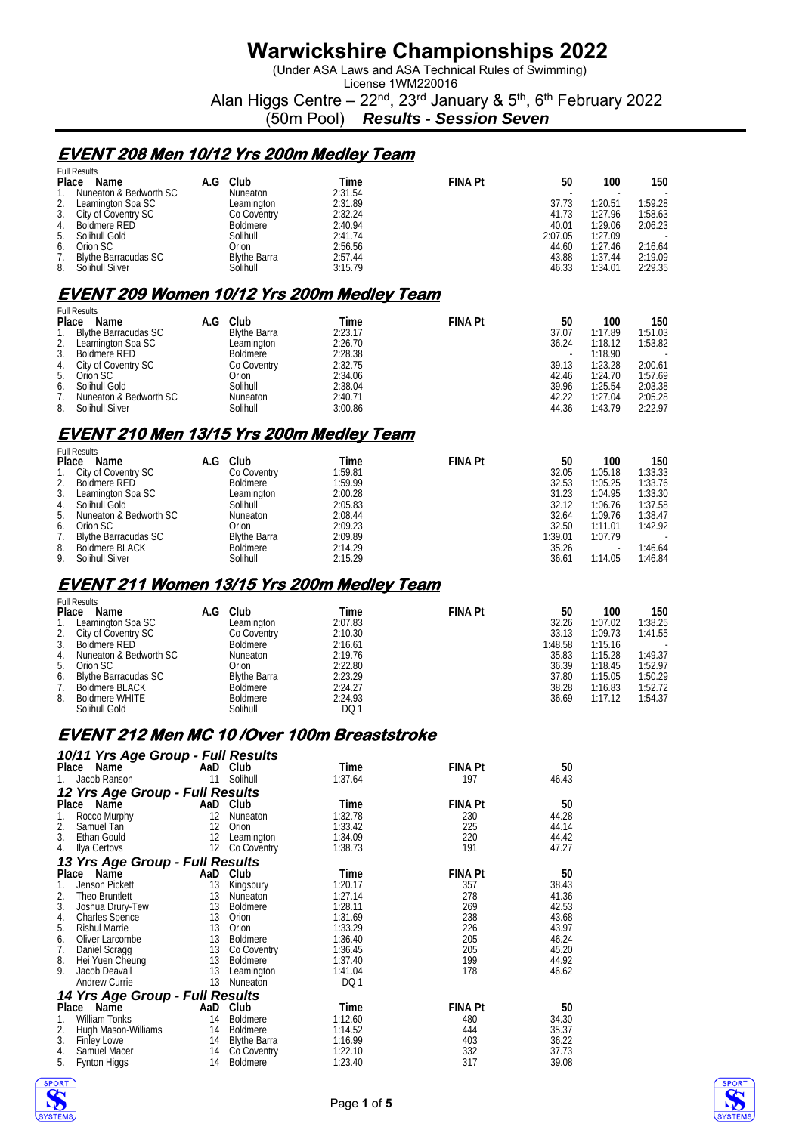(Under ASA Laws and ASA Technical Rules of Swimming)

License 1WM220016 Alan Higgs Centre – 22<sup>nd</sup>, 23<sup>rd</sup> January & 5<sup>th</sup>, 6<sup>th</sup> February 2022

(50m Pool) *Results - Session Seven*

### **EVENT 208 Men 10/12 Yrs 200m Medley Team**

|    | <b>Full Results</b>                               |     |                     |         |                |         |         |         |
|----|---------------------------------------------------|-----|---------------------|---------|----------------|---------|---------|---------|
|    | Name<br><b>Place</b>                              | A.G | Club                | Time    | <b>FINA Pt</b> | 50      | 100     | 150     |
|    | Nuneaton & Bedworth SC                            |     | <b>Nuneaton</b>     | 2:31.54 |                |         |         |         |
| 2. | Leamington Spa SC                                 |     | Leamington          | 2:31.89 |                | 37.73   | 1:20.51 | 1:59.28 |
| 3. | City of Coventry SC                               |     | Co Coventry         | 2:32.24 |                | 41.73   | 1:27.96 | 1:58.63 |
| 4. | <b>Boldmere RED</b>                               |     | <b>Boldmere</b>     | 2:40.94 |                | 40.01   | 1:29.06 | 2:06.23 |
| 5. | Solihull Gold                                     |     | Solihull            | 2:41.74 |                | 2:07.05 | 1:27.09 |         |
| 6. | Orion SC                                          |     | Orion               | 2:56.56 |                | 44.60   | 1:27.46 | 2:16.64 |
| 7. | <b>Blythe Barracudas SC</b>                       |     | <b>Blythe Barra</b> | 2:57.44 |                | 43.88   | 1:37.44 | 2:19.09 |
| 8. | Solihull Silver                                   |     | Solihull            | 3:15.79 |                | 46.33   | 1:34.01 | 2:29.35 |
|    | <b>EVENT 209 Women 10/12 Yrs 200m Medley Team</b> |     |                     |         |                |         |         |         |
|    |                                                   |     |                     |         |                |         |         |         |
|    | <b>Full Results</b>                               |     |                     |         |                |         |         |         |
|    | <b>Place</b><br>Name                              | A.G | Club                | Time    | <b>FINA Pt</b> | 50      | 100     | 150     |
|    | <b>Blythe Barracudas SC</b>                       |     | <b>Blythe Barra</b> | 2:23.17 |                | 37.07   | 1:17.89 | 1:51.03 |
| 2. | Leamington Spa SC                                 |     | Leamington          | 2:26.70 |                | 36.24   | 1:18.12 | 1:53.82 |

| Learnington Spa SC     | Learnington     | 2.20.7U | 30.Z4 | II 18. IZ | 1.53.8Z                  |
|------------------------|-----------------|---------|-------|-----------|--------------------------|
| Boldmere RED           | <b>Boldmere</b> | 2:28.38 |       | 1:18.90   | $\overline{\phantom{0}}$ |
| City of Coventry SC    | Co Coventry     | 2:32.75 | 39.13 | 1:23.28   | 2:00.61                  |
| Orion SC               | Drion           | 2:34.06 | 42.46 | 1:24.70   | 1:57.69                  |
| Solihull Gold          | Solihull        | 2:38.04 | 39.96 | 1:25.54   | 2:03.38                  |
| Nuneaton & Bedworth SC | Nuneaton        | 2:40.71 | 42.22 | 1:27.04   | 2:05.28                  |
| Solihull Silver        | Solihull        | 3:00.86 | 44.36 | 1:43.79   | 2:22.97                  |
|                        |                 |         |       |           |                          |

## **EVENT 210 Men 13/15 Yrs 200m Medley Team**

| <b>Full Results</b> |                             |     |                     |  |         |                |         |         |         |
|---------------------|-----------------------------|-----|---------------------|--|---------|----------------|---------|---------|---------|
| Place               | Name                        | A.G | Club                |  | Time    | <b>FINA Pt</b> | 50      | 100     | 150     |
| 1.                  | City of Coventry SC         |     | Co Coventry         |  | 1:59.81 |                | 32.05   | 1:05.18 | 1:33.33 |
| 2.                  | <b>Boldmere RED</b>         |     | <b>Boldmere</b>     |  | 1:59.99 |                | 32.53   | 1:05.25 | 1:33.76 |
| 3.                  | Leamington Spa SC           |     | Leamington          |  | 2:00.28 |                | 31.23   | 1:04.95 | 1:33.30 |
| 4.                  | Solihull Gold               |     | Solihull            |  | 2:05.83 |                | 32.12   | 1:06.76 | 1:37.58 |
| 5.                  | Nuneaton & Bedworth SC      |     | <b>Nuneaton</b>     |  | 2:08.44 |                | 32.64   | 1:09.76 | 1:38.47 |
| 6.                  | Orion SC                    |     | Orion               |  | 2:09.23 |                | 32.50   | 1:11.01 | 1:42.92 |
| 7.                  | <b>Blythe Barracudas SC</b> |     | <b>Blythe Barra</b> |  | 2:09.89 |                | 1:39.01 | 1:07.79 |         |
| 8.                  | <b>Boldmere BLACK</b>       |     | <b>Boldmere</b>     |  | 2:14.29 |                | 35.26   |         | 1:46.64 |
| 9.                  | Solihull Silver             |     | Solihull            |  | 2:15.29 |                | 36.61   | 1:14.05 | 1:46.84 |

### **EVENT 211 Women 13/15 Yrs 200m Medley Team**

|                | <b>Full Results</b>       |     |                     |  |         |                |         |         |         |
|----------------|---------------------------|-----|---------------------|--|---------|----------------|---------|---------|---------|
| Place          | Name                      | A.G | Club                |  | Time    | <b>FINA Pt</b> | 50      | 100     | 150     |
|                | Leamington Spa SC         |     | Leamington          |  | 2:07.83 |                | 32.26   | 1:07.02 | 1:38.25 |
|                | 2. City of Coventry SC    |     | Co Coventry         |  | 2:10.30 |                | 33.13   | 1:09.73 | 1:41.55 |
| 3 <sub>1</sub> | Boldmere RED              |     | Boldmere            |  | 2:16.61 |                | 1:48.58 | 1:15.16 |         |
|                | 4. Nuneaton & Bedworth SC |     | Nuneaton            |  | 2:19.76 |                | 35.83   | 1:15.28 | 1:49.37 |
| 5.             | Orion SC                  |     | Orion               |  | 2:22.80 |                | 36.39   | 1:18.45 | 1:52.97 |
|                | 6. Blythe Barracudas SC   |     | <b>Blythe Barra</b> |  | 2:23.29 |                | 37.80   | 1:15.05 | 1:50.29 |
|                | Boldmere BLACK            |     | <b>Boldmere</b>     |  | 2:24.27 |                | 38.28   | 1:16.83 | 1:52.72 |
| 8.             | Boldmere WHITE            |     | <b>Boldmere</b>     |  | 2:24.93 |                | 36.69   | 1:17.12 | 1:54.37 |
|                | Solihull Gold             |     | Solihull            |  | DQ 1    |                |         |         |         |

#### **EVENT 212 Men MC 10 /Over 100m Breaststroke**

| 10/11 Yrs Age Group - Full Results |                 |                     |         |                |       |
|------------------------------------|-----------------|---------------------|---------|----------------|-------|
| Place<br>Name                      |                 | AaD Club            | Time    | <b>FINA Pt</b> | 50    |
| Jacob Ranson                       | 11              | Solihull            | 1:37.64 | 197            | 46.43 |
| 12 Yrs Age Group - Full Results    |                 |                     |         |                |       |
| Place<br>Name                      |                 | AaD Club            | Time    | <b>FINA Pt</b> | 50    |
| Rocco Murphy<br>1.                 | 12              | Nuneaton            | 1:32.78 | 230            | 44.28 |
| 2.<br>Samuel Tan                   | 12              | Orion               | 1:33.42 | 225            | 44.14 |
| 3.<br>Ethan Gould                  | 12              | Leamington          | 1:34.09 | 220            | 44.42 |
| Ilya Certovs<br>4.                 | 12 <sup>°</sup> | Co Coventry         | 1:38.73 | 191            | 47.27 |
| 13 Yrs Age Group - Full Results    |                 |                     |         |                |       |
| Name<br>Place                      | AaD             | Club                | Time    | <b>FINA Pt</b> | 50    |
| Jenson Pickett<br>1.               | 13              | Kingsbury           | 1:20.17 | 357            | 38.43 |
| Theo Bruntlett<br>2.               | 13              | Nuneaton            | 1:27.14 | 278            | 41.36 |
| 3.<br>Joshua Drury-Tew             | 13              | Boldmere            | 1:28.11 | 269            | 42.53 |
| 4.<br><b>Charles Spence</b>        | 13              | Orion               | 1:31.69 | 238            | 43.68 |
| 5.<br><b>Rishul Marrie</b>         | 13              | Orion               | 1:33.29 | 226            | 43.97 |
| Oliver Larcombe<br>6.              | 13              | <b>Boldmere</b>     | 1:36.40 | 205            | 46.24 |
| 7.<br>Daniel Scragg                | 13              | Co Coventry         | 1:36.45 | 205            | 45.20 |
| 8.<br>Hei Yuen Cheung              | 13              | <b>Boldmere</b>     | 1:37.40 | 199            | 44.92 |
| 9.<br>Jacob Deavall                | 13              | Leamington          | 1:41.04 | 178            | 46.62 |
| <b>Andrew Currie</b>               | 13              | Nuneaton            | DQ1     |                |       |
| 14 Yrs Age Group - Full Results    |                 |                     |         |                |       |
| Place<br>Name                      |                 | AaD Club            | Time    | <b>FINA Pt</b> | 50    |
| William Tonks<br>1.                | 14              | <b>Boldmere</b>     | 1:12.60 | 480            | 34.30 |
| 2.<br>Hugh Mason-Williams          | 14              | Boldmere            | 1:14.52 | 444            | 35.37 |
| 3.<br><b>Finley Lowe</b>           | 14              | <b>Blythe Barra</b> | 1:16.99 | 403            | 36.22 |
| 4.<br>Samuel Macer                 | 14              | Co Coventry         | 1:22.10 | 332            | 37.73 |
| 5.<br>Fynton Higgs                 | 14              | <b>Boldmere</b>     | 1:23.40 | 317            | 39.08 |



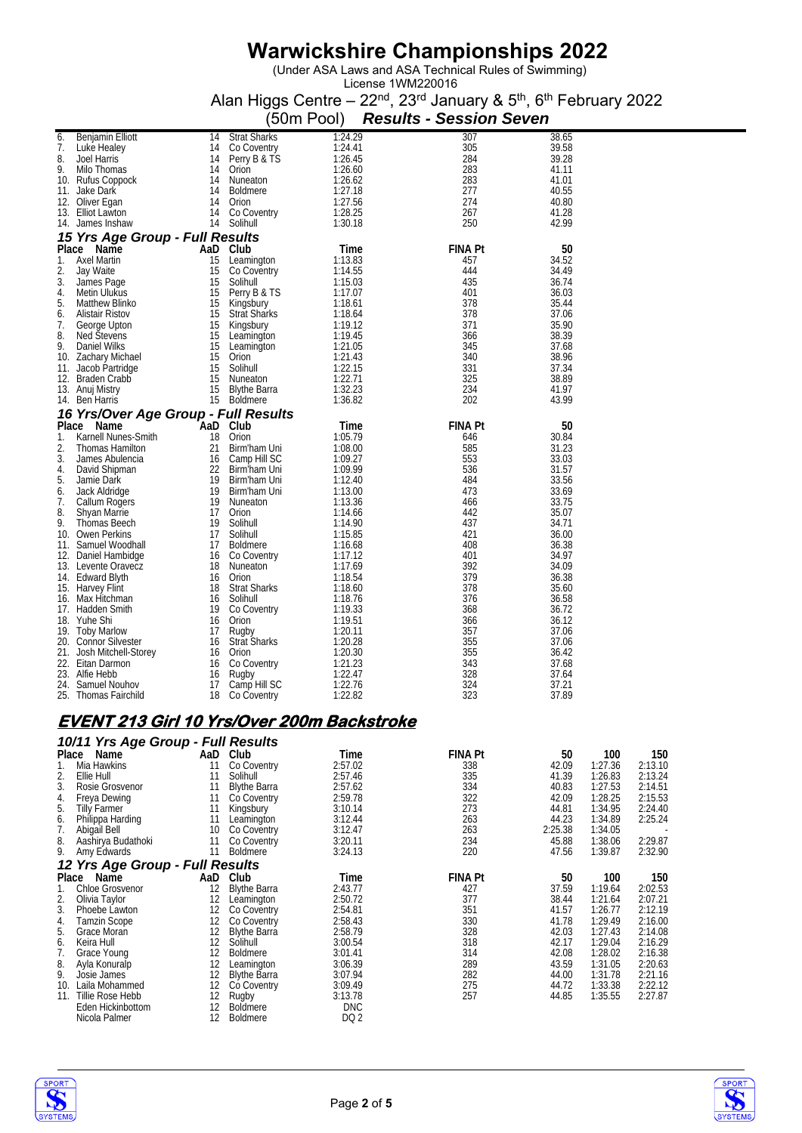(Under ASA Laws and ASA Technical Rules of Swimming)

License 1WM220016 Alan Higgs Centre – 22<sup>nd</sup>, 23<sup>rd</sup> January & 5<sup>th</sup>, 6<sup>th</sup> February 2022

|       |                                      |                     | (50m Pool) | <b>Results - Session Seven</b> |       |
|-------|--------------------------------------|---------------------|------------|--------------------------------|-------|
| 6.    | <b>Benjamin Elliott</b><br>14        | <b>Strat Sharks</b> | 1:24.29    | 307                            | 38.65 |
| 7.    | 14<br>Luke Healey                    | Co Coventry         | 1:24.41    | 305                            | 39.58 |
| 8.    | <b>Joel Harris</b><br>14             | Perry B & TS        | 1:26.45    | 284                            | 39.28 |
| 9.    | 14<br>Milo Thomas                    | Orion               | 1:26.60    | 283                            | 41.11 |
|       | 14<br>10. Rufus Coppock              | Nuneaton            | 1:26.62    | 283                            | 41.01 |
| 11.   | 14<br>Jake Dark                      | <b>Boldmere</b>     | 1:27.18    | 277                            | 40.55 |
|       | 14<br>12. Oliver Egan                | Orion               | 1:27.56    | 274                            | 40.80 |
| 13.   | 14<br><b>Elliot Lawton</b>           | Co Coventry         | 1:28.25    | 267                            | 41.28 |
|       | 14<br>14. James Inshaw               | Solihull            | 1:30.18    | 250                            | 42.99 |
|       | 15 Yrs Age Group - Full Results      |                     |            |                                |       |
|       | Place Name                           | AaD Club            | Time       | <b>FINA Pt</b>                 | 50    |
| 1.    | 15<br><b>Axel Martin</b>             | Leamington          | 1:13.83    | 457                            | 34.52 |
| 2.    | 15<br>Jay Waite                      | Co Coventry         | 1:14.55    | 444                            | 34.49 |
| 3.    | 15<br>James Page                     | Solihull            | 1:15.03    | 435                            | 36.74 |
| 4.    | 15<br>Metin Ulukus                   | Perry B & TS        | 1:17.07    | 401                            | 36.03 |
| 5.    | 15<br>Matthew Blinko                 | Kingsbury           | 1:18.61    | 378                            | 35.44 |
| 6.    | 15<br><b>Alistair Ristov</b>         | <b>Strat Sharks</b> | 1:18.64    | 378                            | 37.06 |
| 7.    | 15<br>George Upton                   | Kingsbury           | 1:19.12    | 371                            | 35.90 |
| 8.    | <b>Ned Stevens</b><br>15             | Leamington          | 1:19.45    | 366                            | 38.39 |
| 9.    | 15<br>Daniel Wilks                   | Leamington          | 1:21.05    | 345                            | 37.68 |
|       | 15<br>10. Zachary Michael            | Orion               | 1:21.43    | 340                            | 38.96 |
| 11.   | 15<br>Jacob Partridge                | Solihull            | 1:22.15    | 331                            | 37.34 |
|       | 15<br>12. Braden Crabb               | Nuneaton            | 1:22.71    | 325                            | 38.89 |
|       | 13. Anuj Mistry<br>15                | <b>Blythe Barra</b> | 1:32.23    | 234                            | 41.97 |
|       | 15<br>14. Ben Harris                 | <b>Boldmere</b>     | 1:36.82    | 202                            | 43.99 |
|       | 16 Yrs/Over Age Group - Full Results |                     |            |                                |       |
| Place | Name<br>AaD                          | Club                | Time       | <b>FINA Pt</b>                 | 50    |
| 1.    | Karnell Nunes-Smith<br>18            | Orion               | 1:05.79    | 646                            | 30.84 |
| 2.    | 21<br>Thomas Hamilton                | Birm'ham Uni        | 1:08.00    | 585                            | 31.23 |
| 3.    | 16<br>James Abulencia                | Camp Hill SC        | 1:09.27    | 553                            | 33.03 |
| 4.    | 22<br>David Shipman                  | Birm'ham Uni        | 1:09.99    | 536                            | 31.57 |
| 5.    | 19<br>Jamie Dark                     | Birm'ham Uni        | 1:12.40    | 484                            | 33.56 |
| 6.    | 19<br>Jack Aldridge                  | Birm'ham Uni        | 1:13.00    | 473                            | 33.69 |
| 7.    | 19<br>Callum Rogers                  | Nuneaton            | 1:13.36    | 466                            | 33.75 |
| 8.    | 17<br><b>Shyan Marrie</b>            | Orion               | 1:14.66    | 442                            | 35.07 |
| 9.    | 19<br>Thomas Beech                   | Solihull            | 1:14.90    | 437                            | 34.71 |
|       | 17<br>10. Owen Perkins               | Solihull            | 1:15.85    | 421                            | 36.00 |
| 11.   | 17<br>Samuel Woodhall                | <b>Boldmere</b>     | 1:16.68    | 408                            | 36.38 |
|       | 16<br>12. Daniel Hambidge            | Co Coventry         | 1:17.12    | 401                            | 34.97 |
|       | 13. Levente Oravecz<br>18            | Nuneaton            | 1:17.69    | 392                            | 34.09 |
|       | 16<br>14. Edward Blyth               | Orion               | 1:18.54    | 379                            | 36.38 |
|       | 15. Harvey Flint<br>18               | <b>Strat Sharks</b> | 1:18.60    | 378                            | 35.60 |
|       | 16. Max Hitchman<br>16               | Solihull            | 1:18.76    | 376                            | 36.58 |
|       | 19<br>17. Hadden Smith               | Co Coventry         | 1:19.33    | 368                            | 36.72 |
|       | 16<br>18. Yuhe Shi                   | Orion               | 1:19.51    | 366                            | 36.12 |
|       | 19. Toby Marlow<br>17                | Rugby               | 1:20.11    | 357                            | 37.06 |
|       | 20. Connor Silvester<br>16           | <b>Strat Sharks</b> | 1:20.28    | 355                            | 37.06 |
|       | 21. Josh Mitchell-Storey<br>16       | Orion               | 1:20.30    | 355                            | 36.42 |
|       | 22. Eitan Darmon<br>16               | Co Coventry         | 1:21.23    | 343                            | 37.68 |
|       | 23. Alfie Hebb<br>16                 | Rugby               | 1:22.47    | 328                            | 37.64 |
| 24.   | 17<br>Samuel Nouhov                  | Camp Hill SC        | 1:22.76    | 324                            | 37.21 |
|       | 25. Thomas Fairchild<br>18           | Co Coventry         | 1:22.82    | 323                            | 37.89 |

### **EVENT 213 Girl 10 Yrs/Over 200m Backstroke**

|       | 10/11 Yrs Age Group - Full Results |     |                     |                 |         |         |         |         |
|-------|------------------------------------|-----|---------------------|-----------------|---------|---------|---------|---------|
| Place | Name                               | AaD | Club                | Time            | FINA Pt | 50      | 100     | 150     |
| 1.    | Mia Hawkins                        | 11  | Co Coventry         | 2:57.02         | 338     | 42.09   | 1:27.36 | 2:13.10 |
| 2.    | Ellie Hull                         | 11  | Solihull            | 2:57.46         | 335     | 41.39   | 1:26.83 | 2:13.24 |
| 3.    | Rosie Grosvenor                    | 11  | <b>Blythe Barra</b> | 2:57.62         | 334     | 40.83   | 1:27.53 | 2:14.51 |
| 4.    | Freya Dewing                       | 11  | Co Coventry         | 2:59.78         | 322     | 42.09   | 1:28.25 | 2:15.53 |
| 5.    | Tilly Farmer                       | 11  | Kingsbury           | 3:10.14         | 273     | 44.81   | 1:34.95 | 2:24.40 |
| 6.    | Philippa Harding                   | 11  | Leamington          | 3:12.44         | 263     | 44.23   | 1:34.89 | 2:25.24 |
| 7.    | Abigail Bell                       | 10  | Co Coventry         | 3:12.47         | 263     | 2:25.38 | 1:34.05 |         |
| 8.    | Aashirya Budathoki                 | 11  | Co Coventry         | 3:20.11         | 234     | 45.88   | 1:38.06 | 2:29.87 |
| 9.    | Amy Edwards                        | 11  | <b>Boldmere</b>     | 3:24.13         | 220     | 47.56   | 1:39.87 | 2:32.90 |
|       | 12 Yrs Age Group - Full Results    |     |                     |                 |         |         |         |         |
| Place | Name                               | AaD | Club                | Time            | FINA Pt | 50      | 100     | 150     |
| 1.    | <b>Chloe Grosvenor</b>             | 12  | <b>Blythe Barra</b> | 2:43.77         | 427     | 37.59   | 1:19.64 | 2:02.53 |
| 2.    | Olivia Taylor                      | 12  | Leamington          | 2:50.72         | 377     | 38.44   | 1:21.64 | 2:07.21 |
| 3.    | Phoebe Lawton                      | 12  | Co Coventry         | 2:54.81         | 351     | 41.57   | 1:26.77 | 2:12.19 |
| 4.    | Tamzin Scope                       | 12  | Co Coventry         | 2:58.43         | 330     | 41.78   | 1:29.49 | 2:16.00 |
| 5.    | Grace Moran                        | 12  | <b>Blythe Barra</b> | 2:58.79         | 328     | 42.03   | 1:27.43 | 2:14.08 |
| 6.    | Keira Hull                         | 12  | Solihull            | 3:00.54         | 318     | 42.17   | 1:29.04 | 2:16.29 |
| 7.    | Grace Young                        | 12  | <b>Boldmere</b>     | 3:01.41         | 314     | 42.08   | 1:28.02 | 2:16.38 |
| 8.    | Ayla Konuralp                      | 12  | Leamington          | 3:06.39         | 289     | 43.59   | 1:31.05 | 2:20.63 |
| 9.    | Josie James                        | 12  | <b>Blythe Barra</b> | 3:07.94         | 282     | 44.00   | 1:31.78 | 2:21.16 |
| 10.   | Laila Mohammed                     | 12  | Co Coventry         | 3:09.49         | 275     | 44.72   | 1:33.38 | 2:22.12 |
| 11.   | Tillie Rose Hebb                   | 12  | Rugby               | 3:13.78         | 257     | 44.85   | 1:35.55 | 2:27.87 |
|       | Eden Hickinbottom                  | 12  | <b>Boldmere</b>     | <b>DNC</b>      |         |         |         |         |
|       | Nicola Palmer                      | 12  | <b>Boldmere</b>     | DQ <sub>2</sub> |         |         |         |         |



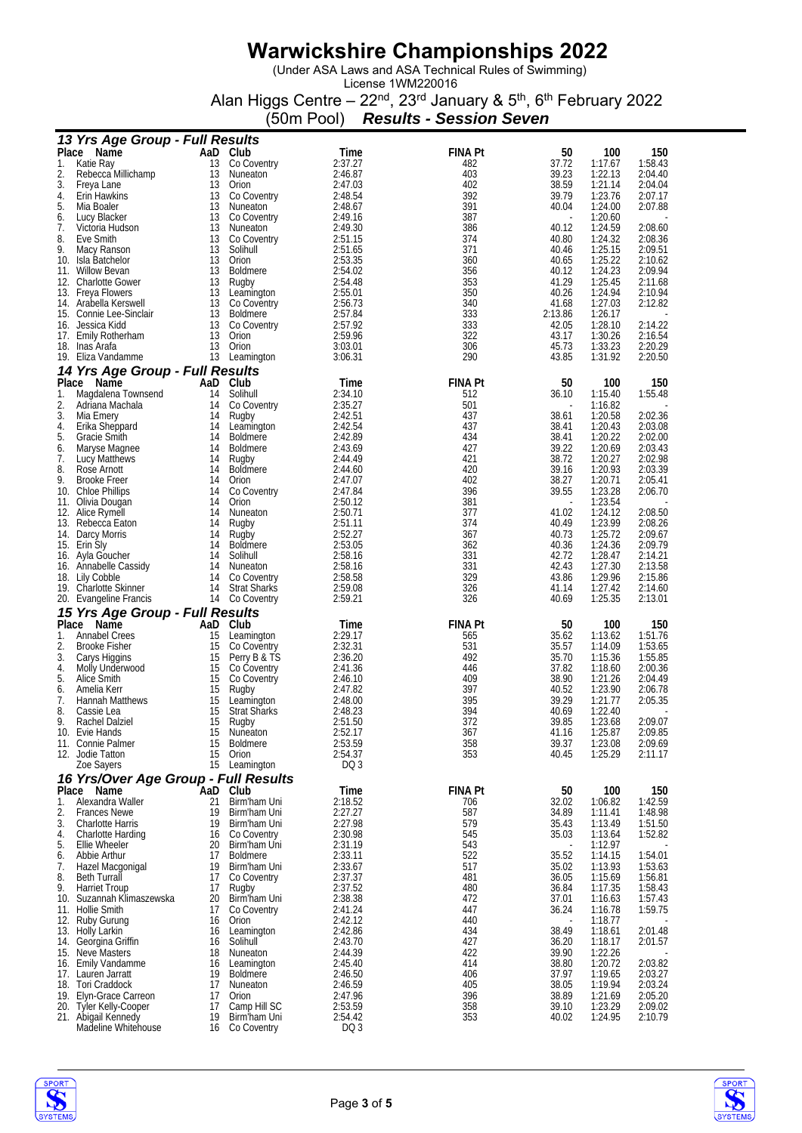(Under ASA Laws and ASA Technical Rules of Swimming)

License 1WM220016 Alan Higgs Centre – 22<sup>nd</sup>, 23<sup>rd</sup> January & 5<sup>th</sup>, 6<sup>th</sup> February 2022

(50m Pool) *Results - Session Seven*

| 13 Yrs Age Group - Full Results                          |          |                                    |                    |                |                |                    |                    |
|----------------------------------------------------------|----------|------------------------------------|--------------------|----------------|----------------|--------------------|--------------------|
| Place Name                                               |          | AaD Club                           | Time               | <b>FINA Pt</b> | 50             | 100                | 150                |
| 1.<br>Katie Ray                                          | 13       | Co Coventry                        | 2:37.27            | 482            | 37.72          | 1:17.67            | 1:58.43            |
| 2.<br>Rebecca Millichamp                                 | 13       | Nuneaton                           | 2:46.87            | 403            | 39.23          | 1:22.13            | 2:04.40            |
| 3.<br>Freya Lane<br>4.<br><b>Erin Hawkins</b>            | 13<br>13 | Orion<br>Co Coventry               | 2:47.03<br>2:48.54 | 402<br>392     | 38.59<br>39.79 | 1:21.14<br>1:23.76 | 2:04.04<br>2:07.17 |
| 5.<br>Mia Boaler                                         | 13       | Nuneaton                           | 2:48.67            | 391            | 40.04          | 1:24.00            | 2:07.88            |
| 6.<br>Lucy Blacker                                       | 13       | Co Coventry                        | 2:49.16            | 387            |                | 1:20.60            |                    |
| 7.<br>Victoria Hudson                                    | 13       | Nuneaton                           | 2:49.30            | 386            | 40.12          | 1:24.59            | 2:08.60            |
| 8.<br>Eve Smith                                          | 13       | Co Coventry                        | 2:51.15            | 374            | 40.80          | 1:24.32            | 2:08.36            |
| 9.<br>Macy Ranson                                        | 13       | Solihull                           | 2:51.65            | 371<br>360     | 40.46          | 1:25.15            | 2:09.51            |
| 10. Isla Batchelor<br>11. Willow Bevan                   | 13<br>13 | Orion<br><b>Boldmere</b>           | 2:53.35<br>2:54.02 | 356            | 40.65<br>40.12 | 1:25.22<br>1:24.23 | 2:10.62<br>2:09.94 |
| 12. Charlotte Gower                                      | 13       | Rugby                              | 2:54.48            | 353            | 41.29          | 1:25.45            | 2:11.68            |
| 13. Freya Flowers                                        | 13       | Leamington                         | 2:55.01            | 350            | 40.26          | 1:24.94            | 2:10.94            |
| 14. Arabella Kerswell                                    | 13       | Co Coventry                        | 2:56.73            | 340            | 41.68          | 1:27.03            | 2:12.82            |
| 15. Connie Lee-Sinclair                                  | 13       | <b>Boldmere</b>                    | 2:57.84<br>2:57.92 | 333            | 2:13.86        | 1:26.17            |                    |
| 16. Jessica Kidd<br>17. Emily Rotherham                  | 13<br>13 | Co Coventry<br>Orion               | 2:59.96            | 333<br>322     | 42.05<br>43.17 | 1:28.10<br>1:30.26 | 2:14.22<br>2:16.54 |
| 18. Inas Arata                                           | 13       | Orion                              | 3:03.01            | 306            | 45.73          | 1:33.23            | 2:20.29            |
| 19. Eliza Vandamme                                       |          | 13 Leamington                      | 3:06.31            | 290            | 43.85          | 1:31.92            | 2:20.50            |
| 14 Yrs Age Group - Full Results                          |          |                                    |                    |                |                |                    |                    |
| Place<br>Name                                            |          | AaD Club                           | Time               | <b>FINA Pt</b> | 50             | 100                | 150                |
| 1.<br>Magdalena Townsend                                 | 14       | Solihull                           | 2:34.10            | 512            | 36.10          | 1:15.40            | 1:55.48            |
| 2.<br>Adriana Machala                                    | 14       | Co Coventry                        | 2:35.27            | 501            |                | 1:16.82            |                    |
| 3.<br>Mia Emery                                          | 14       | Rugby                              | 2:42.51            | 437            | 38.61          | 1:20.58            | 2:02.36            |
| 4.<br>Erika Sheppard<br>5.<br>Gracie Smith               | 14<br>14 | Leamington<br>Boldmere             | 2:42.54<br>2:42.89 | 437<br>434     | 38.41<br>38.41 | 1:20.43<br>1:20.22 | 2:03.08<br>2:02.00 |
| 6.<br>Maryse Magnee                                      | 14       | <b>Boldmere</b>                    | 2:43.69            | 427            | 39.22          | 1:20.69            | 2:03.43            |
| 7.<br>Lucy Matthews                                      | 14       | Rugby                              | 2:44.49            | 421            | 38.72          | 1:20.27            | 2:02.98            |
| 8.<br>Rose Arnott                                        | 14       | <b>Boldmere</b>                    | 2:44.60            | 420            | 39.16          | 1:20.93            | 2:03.39            |
| 9.<br><b>Brooke Freer</b>                                | 14       | Orion                              | 2:47.07            | 402            | 38.27          | 1:20.71            | 2:05.41            |
| 10. Chloe Phillips                                       | 14       | Co Coventry                        | 2:47.84            | 396            | 39.55          | 1:23.28            | 2:06.70            |
| 11. Olivia Dougan<br>12. Alice Rymell                    | 14<br>14 | Orion<br>Nuneaton                  | 2:50.12<br>2:50.71 | 381<br>377     | 41.02          | 1:23.54<br>1:24.12 | 2:08.50            |
| 13. Rebecca Eaton                                        | 14       | Rugby                              | 2:51.11            | 374            | 40.49          | 1:23.99            | 2:08.26            |
| 14. Darcy Morris                                         | 14       | Rugby                              | 2:52.27            | 367            | 40.73          | 1:25.72            | 2:09.67            |
| 15. Erin Sly                                             | 14       | <b>Boldmere</b>                    | 2:53.05            | 362            | 40.36          | 1:24.36            | 2:09.79            |
| 16. Ayla Goucher                                         | 14       | Solihull                           | 2:58.16            | 331            | 42.72          | 1:28.47            | 2:14.21            |
| 16. Annabelle Cassidy                                    | 14       | Nuneaton                           | 2:58.16            | 331            | 42.43          | 1:27.30            | 2:13.58            |
| 18. Lily Cobble<br>19. Charlotte Skinner                 | 14<br>14 | Co Coventry<br><b>Strat Sharks</b> | 2:58.58<br>2:59.08 | 329<br>326     | 43.86<br>41.14 | 1:29.96<br>1:27.42 | 2:15.86<br>2:14.60 |
| 20. Evangeline Francis                                   | 14       | Co Coventry                        | 2:59.21            | 326            | 40.69          | 1:25.35            | 2:13.01            |
| 15 Yrs Age Group - Full Results                          |          |                                    |                    |                |                |                    |                    |
| Place Name                                               |          | AaD Club                           | Time               | <b>FINA Pt</b> | 50             | 100                | 150                |
| 1.<br><b>Annabel Crees</b>                               | 15       | Leamington                         | 2:29.17            | 565            | 35.62          | 1:13.62            | 1:51.76            |
| 2.<br><b>Brooke Fisher</b>                               | 15       | Co Coventry                        | 2:32.31            | 531            | 35.57          | 1:14.09            | 1:53.65            |
| 3.<br>Carys Higgins                                      | 15       | Perry B & TS                       | 2:36.20<br>2:41.36 | 492            | 35.70          | 1:15.36            | 1:55.85            |
| 4.<br>Molly Underwood<br>5.<br>Alice Smith               | 15<br>15 | Co Coventry<br>Co Coventry         | 2:46.10            | 446<br>409     | 37.82<br>38.90 | 1:18.60<br>1:21.26 | 2:00.36<br>2:04.49 |
| 6.<br>Amelia Kerr                                        | 15       | Rugby                              | 2:47.82            | 397            | 40.52          | 1:23.90            | 2:06.78            |
| 7.<br><b>Hannah Matthews</b>                             | 15       | Leamington                         | 2:48.00            | 395            | 39.29          | 1:21.77            | 2:05.35            |
| 8.<br>Cassie Lea                                         | 15       | <b>Strat Sharks</b>                | 2:48.23            | 394            | 40.69          | 1:22.40            |                    |
| 9.<br>Rachel Dalziel                                     | 15       | Rugby<br><b>Nuneaton</b>           | 2:51.50            | 372            | 39.85          | 1:23.68            | 2:09.07            |
| 10. Evie Hands<br>11. Connie Palmer                      | 15<br>15 | <b>Boldmere</b>                    | 2:52.17<br>2:53.59 | 367<br>358     | 41.16<br>39.37 | 1:25.87<br>1:23.08 | 2:09.85<br>2:09.69 |
| 12. Jodie Tatton                                         | 15       | Orion                              | 2:54.37            | 353            | 40.45          | 1:25.29            | 2:11.17            |
| Zoe Sayers                                               | 15       | Leamington                         | DQ 3               |                |                |                    |                    |
| 16 Yrs/Over Age Group - Full Results                     |          |                                    |                    |                |                |                    |                    |
| Place Name                                               | AaD      | Club                               | Time               | <b>FINA Pt</b> | 50             | 100                | 150                |
| 1.<br>Alexandra Waller                                   | 21       | Birm'ham Uni                       | 2:18.52            | 706            | 32.02          | 1:06.82            | 1:42.59            |
| 2.<br><b>Frances Newe</b>                                | 19       | Birm'ham Uni<br>Birm'ham Uni       | 2:27.27            | 587            | 34.89<br>35.43 | 1:11.41            | 1:48.98<br>1:51.50 |
| 3.<br><b>Charlotte Harris</b><br>4.<br>Charlotte Harding | 19<br>16 | Co Coventry                        | 2:27.98<br>2:30.98 | 579<br>545     | 35.03          | 1:13.49<br>1:13.64 | 1:52.82            |
| 5.<br>Ellie Wheeler                                      | 20       | Birm'ham Uni                       | 2:31.19            | 543            |                | 1:12.97            |                    |
| 6.<br>Abbie Arthur                                       | 17       | <b>Boldmere</b>                    | 2:33.11            | 522            | 35.52          | 1:14.15            | 1:54.01            |
| 7.<br>Hazel Macgonigal                                   | 19       | Birm'ham Uni                       | 2:33.67            | 517            | 35.02          | 1:13.93            | 1:53.63            |
| 8.<br><b>Beth Turrall</b>                                | 17       | Co Coventry                        | 2:37.37            | 481            | 36.05          | 1:15.69            | 1:56.81            |
| 9.<br><b>Harriet Troup</b>                               | 17<br>20 | Rugby                              | 2:37.52<br>2:38.38 | 480<br>472     | 36.84<br>37.01 | 1:17.35<br>1:16.63 | 1:58.43<br>1:57.43 |
| Suzannah Klimaszewska<br>10.<br>11. Hollie Smith         | 17       | Birm'ham Uni<br>Co Coventry        | 2:41.24            | 447            | 36.24          | 1:16.78            | 1:59.75            |
| 12. Ruby Gurung                                          | 16       | Orion                              | 2:42.12            | 440            |                | 1:18.77            |                    |
| 13. Holly Larkin                                         | 16       | Leamington                         | 2:42.86            | 434            | 38.49          | 1:18.61            | 2:01.48            |
| 14. Georgina Griffin                                     | 16       | Solihull                           | 2:43.70            | 427            | 36.20          | 1:18.17            | 2:01.57            |
| 15. Neve Masters                                         | 18       | Nuneaton                           | 2:44.39            | 422<br>414     | 39.90          | 1:22.26            |                    |
| 16. Emily Vandamme<br>17. Lauren Jarratt                 | 16<br>19 | Leamington<br><b>Boldmere</b>      | 2:45.40<br>2:46.50 | 406            | 38.80<br>37.97 | 1:20.72<br>1:19.65 | 2:03.82<br>2:03.27 |
| 18. Tori Craddock                                        | 17       | Nuneaton                           | 2:46.59            | 405            | 38.05          | 1:19.94            | 2:03.24            |
| 19. Elyn-Grace Carreon                                   | 17       | Orion                              | 2:47.96            | 396            | 38.89          | 1:21.69            | 2:05.20            |
| 20. Tyler Kelly-Cooper                                   | 17       | Camp Hill SC                       | 2:53.59            | 358            | 39.10          | 1:23.29            | 2:09.02            |
| 21. Abigail Kennedy<br>Madeline Whitehouse               | 19<br>16 | Birm'ham Uni<br>Co Coventry        | 2:54.42<br>DQ 3    | 353            | 40.02          | 1:24.95            | 2:10.79            |
|                                                          |          |                                    |                    |                |                |                    |                    |

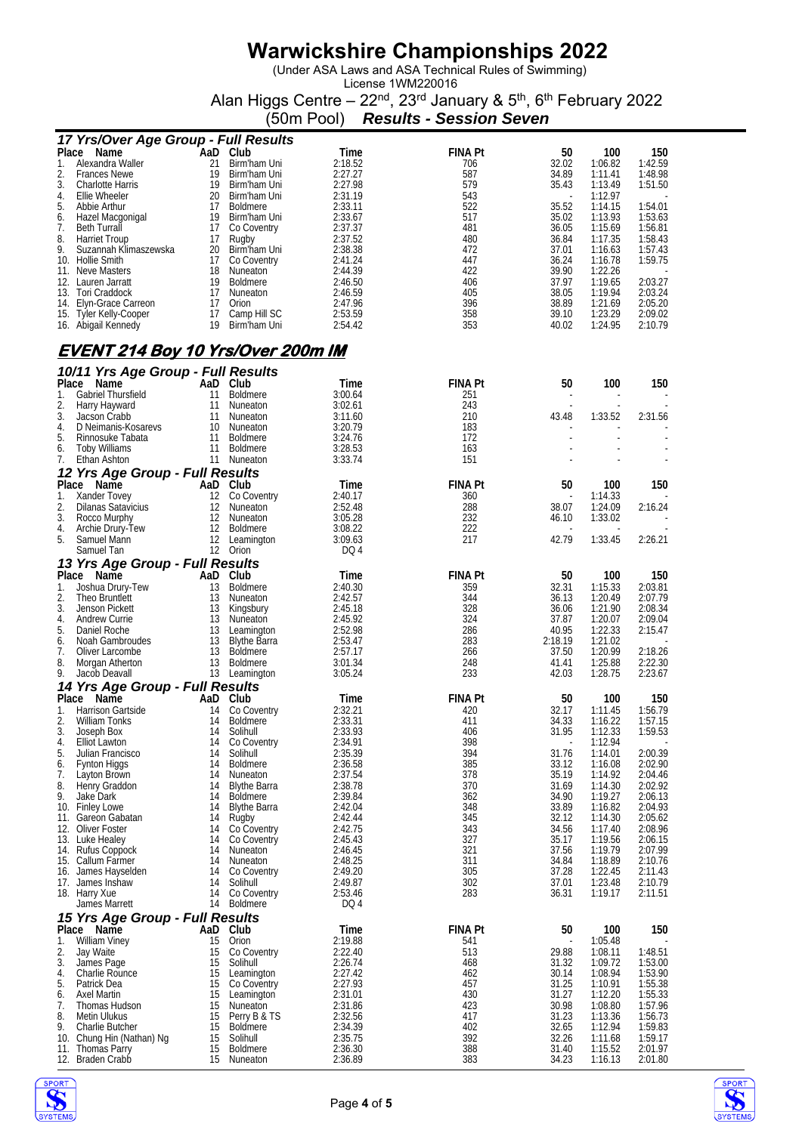(Under ASA Laws and ASA Technical Rules of Swimming)

License 1WM220016 Alan Higgs Centre – 22<sup>nd</sup>, 23<sup>rd</sup> January & 5<sup>th</sup>, 6<sup>th</sup> February 2022

(50m Pool) *Results - Session Seven*

|          | 17 Yrs/Over Age Group - Full Results     |          |                           |                    |                |                          |                    |                    |
|----------|------------------------------------------|----------|---------------------------|--------------------|----------------|--------------------------|--------------------|--------------------|
|          | Place<br>Name                            | AaD Club |                           | Time               | <b>FINA Pt</b> | 50                       | 100                | 150                |
| 1.       | Alexandra Waller                         | 21       | Birm'ham Uni              | 2:18.52            | 706            | 32.02                    | 1:06.82            | 1:42.59            |
| 2.       | <b>Frances Newe</b>                      | 19       | Birm'ham Uni              | 2:27.27            | 587            | 34.89                    | 1:11.41            | 1:48.98            |
| 3.       | Charlotte Harris                         | 19       | Birm'ham Uni              | 2:27.98            | 579            | 35.43                    | 1:13.49            | 1:51.50            |
| 4.       | Ellie Wheeler                            | 20       | Birm'ham Uni              | 2:31.19            | 543            | $\overline{\phantom{a}}$ | 1:12.97            |                    |
| 5.       | Abbie Arthur                             | 17       | Boldmere                  | 2:33.11            | 522            | 35.52                    | 1:14.15            | 1:54.01            |
| 6.       | Hazel Macgonigal                         | 19       | Birm'ham Uni              | 2:33.67            | 517            | 35.02                    | 1:13.93            | 1:53.63            |
| 7.       | <b>Beth Turrall</b>                      | 17       | Co Coventry               | 2:37.37            | 481            | 36.05                    | 1:15.69            | 1:56.81            |
| 8.       | <b>Harriet Troup</b>                     | 17       | Rugby                     | 2:37.52            | 480            | 36.84                    | 1:17.35            | 1:58.43            |
| 9.       | Suzannah Klimaszewska                    | 20       | Birm'ham Uni              | 2:38.38            | 472            | 37.01                    | 1:16.63            | 1:57.43            |
|          | 10. Hollie Smith                         | 17       | Co Coventry               | 2:41.24            | 447            | 36.24                    | 1:16.78            | 1:59.75            |
|          | 11. Neve Masters                         | 18       | Nuneaton                  | 2:44.39            | 422            | 39.90                    | 1:22.26            |                    |
|          | 12. Lauren Jarratt                       | 19       | Boldmere                  | 2:46.50            | 406            | 37.97                    | 1:19.65            | 2:03.27            |
|          | 13. Tori Craddock                        | 17       | Nuneaton                  | 2:46.59            | 405            | 38.05                    | 1:19.94            | 2:03.24            |
|          | 14. Elyn-Grace Carreon                   | 17       | Orion                     | 2:47.96            | 396            | 38.89                    | 1:21.69            | 2:05.20            |
|          | 15. Tyler Kelly-Cooper                   | 17       | Camp Hill SC              | 2:53.59            | 358            | 39.10                    | 1:23.29            | 2:09.02            |
|          | 16. Abigail Kennedy                      | 19       | Birm'ham Uni              | 2:54.42            | 353            | 40.02                    | 1:24.95            | 2:10.79            |
|          |                                          |          |                           |                    |                |                          |                    |                    |
|          | <u>EVENT 214 Boy 10 Yrs/Over 200m IM</u> |          |                           |                    |                |                          |                    |                    |
|          | 10/11 Yrs Age Group - Full Results       |          |                           |                    |                |                          |                    |                    |
| Place    | Name                                     |          | AaD Club                  | Time               | FINA Pt        | 50                       | 100                | 150                |
| 1.       | Gabriel Thursfield                       | 11       | Boldmere                  | 3:00.64            | 251            |                          |                    |                    |
| 2.       | Harry Hayward                            | -11      | Nuneaton                  | 3:02.61            | 243            |                          |                    |                    |
| 3.       | Jacson Crabb                             | 11       | Nuneaton                  | 3:11.60            | 210            | 43.48                    | 1:33.52            | 2:31.56            |
| 4.       | D Neimanis-Kosarevs                      | 10       | Nuneaton                  | 3:20.79            | 183            |                          |                    |                    |
| 5.       | Rinnosuke Tabata                         | 11       | <b>Boldmere</b>           | 3:24.76            | 172            |                          |                    |                    |
| 6.       | <b>Toby Williams</b>                     | 11       | <b>Boldmere</b>           | 3:28.53            | 163            |                          |                    |                    |
| 7.       | Ethan Ashton                             | 11       | Nuneaton                  | 3:33.74            | 151            |                          |                    |                    |
|          | 12 Yrs Age Group - Full Results          |          |                           |                    |                |                          |                    |                    |
| Place    | Name                                     |          | AaD Club                  | Time               | <b>FINA Pt</b> | 50                       | 100                | 150                |
| 1.       | Xander Tovey                             | 12       | Co Coventry               | 2:40.17            | 360            |                          | 1:14.33            |                    |
| 2.       | <b>Dilanas Satavicius</b>                | 12       | Nuneaton                  | 2:52.48            | 288            | 38.07                    | 1:24.09            | 2:16.24            |
| 3.       | Rocco Murphy                             | 12       | Nuneaton                  | 3:05.28            | 232            | 46.10                    | 1:33.02            |                    |
| 4.       | Archie Drury-Tew                         | 12       | <b>Boldmere</b>           | 3:08.22            | 222            |                          |                    |                    |
| 5.       | Samuel Mann                              | 12       | Leamington                | 3:09.63            | 217            | 42.79                    | 1:33.45            | 2:26.21            |
|          | Samuel Tan                               |          | 12 Orion                  | DQ 4               |                |                          |                    |                    |
|          | 13 Yrs Age Group - Full Results          |          |                           |                    |                |                          |                    |                    |
|          | Place Name                               | AaD      | Club                      | Time               | <b>FINA Pt</b> | 50                       | 100                | 150                |
| 1.       | Joshua Drury-Tew                         | 13       | <b>Boldmere</b>           | 2:40.30            | 359            | 32.31                    | 1:15.33            | 2:03.81            |
| 2.       | Theo Bruntlett                           | 13       | Nuneaton                  | 2:42.57            | 344            | 36.13                    | 1:20.49            | 2:07.79            |
| 3.       | Jenson Pickett                           | 13       |                           | 2:45.18            | 328            | 36.06                    | 1:21.90            | 2:08.34            |
| 4.       | Andrew Currie                            | 13       | Kingsbury<br>Nuneaton     | 2:45.92            | 324            | 37.87                    | 1:20.07            | 2:09.04            |
| 5.       | Daniel Roche                             | 13       | Leamington                | 2:52.98            | 286            | 40.95                    | 1:22.33            | 2:15.47            |
| 6.       |                                          | 13       | <b>Blythe Barra</b>       | 2:53.47            | 283            | 2:18.19                  | 1:21.02            |                    |
| 7.       | Noah Gambroudes                          | 13       | <b>Boldmere</b>           | 2:57.17            | 266            | 37.50                    | 1:20.99            | 2:18.26            |
|          | Oliver Larcombe                          |          |                           |                    |                |                          |                    |                    |
| 8.<br>9. | Morgan Atherton<br>Jacob Deavall         | 13       | Boldmere<br>13 Leamington | 3:01.34<br>3:05.24 | 248<br>233     | 41.41<br>42.03           | 1:25.88<br>1:28.75 | 2:22.30<br>2:23.67 |
|          |                                          |          |                           |                    |                |                          |                    |                    |
| Place    | 14 Yrs Age Group - Full Results<br>Name  | AaD      | Club                      | Time               | FINA Pt        | 50                       | 100                | 150                |
| 1.       | Harrison Gartside                        | 14       | Co Coventry               | 2:32.21            | 420            | 32.17                    | 1:11.45            | 1:56.79            |
| 2.       | William Tonks                            | 14       | Boldmere                  | 2:33.31            | 411            | 34.33                    | 1:16.22            | 1:57.15            |
| 3.       | Joseph Box                               | 14       | Solihull                  | 2:33.93            | 406            | 31.95                    | 1:12.33            | 1:59.53            |
| 4.       | <b>Elliot Lawton</b>                     | 14       | Co Coventry               | 2:34.91            | 398            |                          | 1:12.94            |                    |
| 5.       | Julian Francisco                         | 14       | Solihull                  | 2:35.39            | 394            | 31.76                    | 1:14.01            | 2:00.39            |
| 6.       | Fynton Higgs                             | 14       | <b>Boldmere</b>           | 2:36.58            | 385            | 33.12                    | 1:16.08            | 2:02.90            |
| 7.       | Layton Brown                             | 14       | Nuneaton                  | 2:37.54            | 378            | 35.19                    | 1:14.92            | 2:04.46            |
| 8.       | Henry Graddon                            | 14       | <b>Blythe Barra</b>       | 2:38.78            | 370            | 31.69                    | 1:14.30            | 2:02.92            |
| 9.       | Jake Dark                                | 14       | <b>Boldmere</b>           | 2:39.84            | 362            | 34.90                    | 1:19.27            | 2:06.13            |
|          | 10. Finley Lowe                          | 14       | <b>Blythe Barra</b>       | 2:42.04            | 348            | 33.89                    | 1:16.82            | 2:04.93            |
|          | 11. Gareon Gabatan                       | 14       | Rugby                     | 2:42.44            | 345            | 32.12                    | 1:14.30            | 2:05.62            |
|          | 12. Oliver Foster                        | 14       | Co Coventry               | 2:42.75            | 343            | 34.56                    | 1:17.40            | 2:08.96            |
|          | 13. Luke Healey                          | 14       | Co Coventry               | 2:45.43            | 327            | 35.17                    | 1:19.56            | 2:06.15            |
|          | 14. Rufus Coppock                        | 14       | Nuneaton                  | 2:46.45            | 321            | 37.56                    | 1:19.79            | 2:07.99            |
|          | 15. Callum Farmer                        | 14       | Nuneaton                  | 2:48.25            | 311            | 34.84                    | 1:18.89            | 2:10.76            |
|          | 16. James Hayselden                      | 14       | Co Coventry               | 2:49.20            | 305            | 37.28                    | 1:22.45            | 2:11.43            |
|          | 17. James Inshaw                         | 14       | Solihull                  | 2:49.87            | 302            | 37.01                    | 1:23.48            | 2:10.79            |
|          | 18. Harry Xue                            | 14       | Co Coventry               | 2:53.46            | 283            | 36.31                    | 1:19.17            | 2:11.51            |
|          | James Marrett                            | 14       | <b>Boldmere</b>           | DQ 4               |                |                          |                    |                    |
|          | 15 Yrs Age Group - Full Results          |          |                           |                    |                |                          |                    |                    |
|          | Place Name                               | AaD      | Club                      | Time               | <b>FINA Pt</b> | 50                       | 100                | 150                |
| 1.       | <b>William Viney</b>                     | 15       | Orion                     | 2:19.88            | 541            |                          | 1:05.48            |                    |
| 2.       | Jay Waite                                | 15       | Co Coventry               | 2:22.40            | 513            | 29.88                    | 1:08.11            | 1:48.51            |
| 3.       | James Page                               | 15       | Solihull                  | 2:26.74            | 468            | 31.32                    | 1:09.72            | 1:53.00            |
| 4.       | Charlie Rounce                           | 15       | Leamington                | 2:27.42            | 462            | 30.14                    | 1:08.94            | 1:53.90            |
| 5.       | Patrick Dea                              | 15       | Co Coventry               | 2:27.93            | 457            | 31.25                    | 1:10.91            | 1:55.38            |
| 6.       | Axel Martin                              | 15       | Leamington                | 2:31.01            | 430            | 31.27                    | 1:12.20            | 1:55.33            |
| 7.       | Thomas Hudson                            | 15       | Nuneaton                  | 2:31.86            | 423            | 30.98                    | 1:08.80            | 1:57.96            |
| 8.       | Metin Ulukus                             | 15       | Perry B & TS              | 2:32.56            | 417            | 31.23                    | 1:13.36            | 1:56.73            |
| 9.       | Charlie Butcher                          | 15       | Boldmere                  | 2:34.39            | 402            | 32.65                    | 1:12.94            | 1:59.83            |
| 10.      | Chung Hin (Nathan) Ng                    | 15       | Solihull                  | 2:35.75            | 392            | 32.26                    | 1:11.68            | 1:59.17            |
| 11.      | Thomas Parry                             | 15       | <b>Boldmere</b>           | 2:36.30            | 388            | 31.40                    | 1:15.52            | 2:01.97            |
|          | 12. Braden Crabb                         | 15       | Nuneaton                  | 2:36.89            | 383            | 34.23                    | 1:16.13            | 2:01.80            |

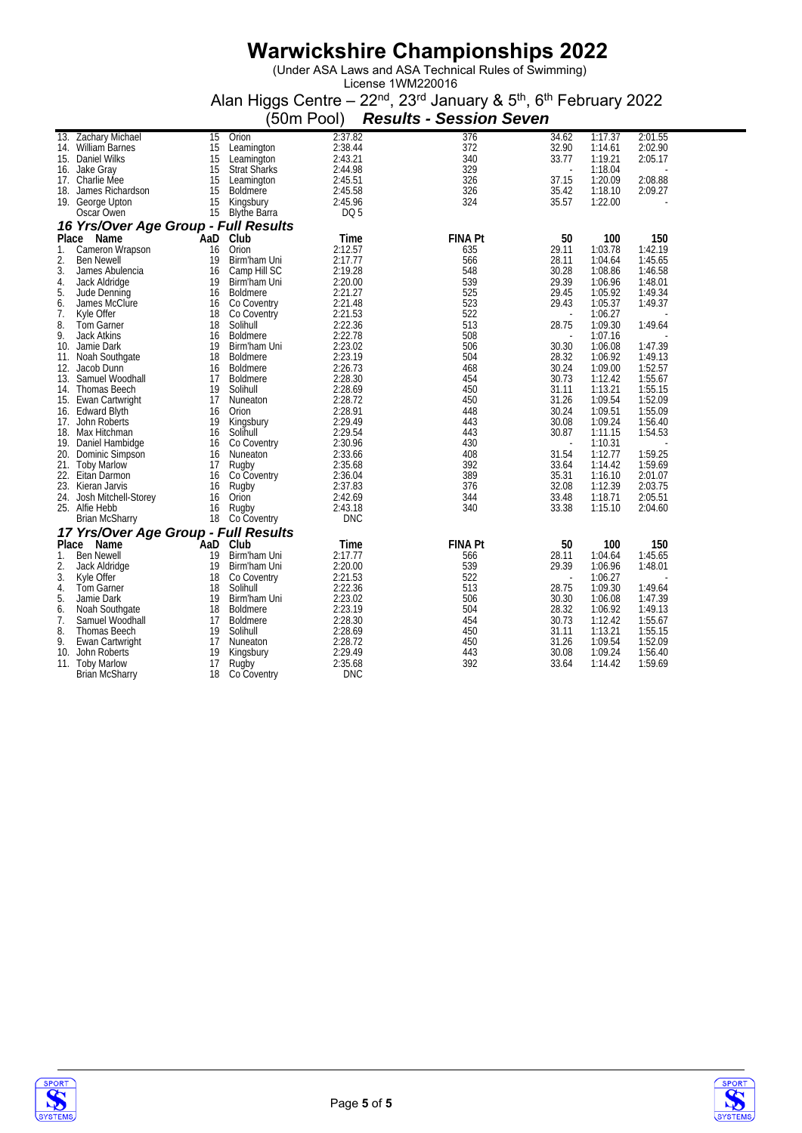(Under ASA Laws and ASA Technical Rules of Swimming)

|          |                                      |          |                              | (50m Pool)         | <b>Results - Session Seven</b> |                          |                    |                    |
|----------|--------------------------------------|----------|------------------------------|--------------------|--------------------------------|--------------------------|--------------------|--------------------|
|          | 13. Zachary Michael                  | 15       | Orion                        | 2:37.82            | 376                            | 34.62                    | 1:17.37            | 2:01.55            |
|          | 14. William Barnes                   | 15       | Leamington                   | 2:38.44            | 372                            | 32.90                    | 1:14.61            | 2:02.90            |
|          | 15. Daniel Wilks                     | 15       | Leamington                   | 2:43.21            | 340                            | 33.77                    | 1:19.21            | 2:05.17            |
|          | 16. Jake Gray                        | 15       | <b>Strat Sharks</b>          | 2:44.98            | 329                            | $\overline{\phantom{a}}$ | 1:18.04            |                    |
| 17.      | Charlie Mee                          | 15       | Leamington                   | 2:45.51            | 326                            | 37.15                    | 1:20.09            | 2:08.88            |
|          | 18. James Richardson                 | 15       | <b>Boldmere</b>              | 2:45.58            | 326                            | 35.42                    | 1:18.10            | 2:09.27            |
|          | 19. George Upton                     | 15       | Kingsbury                    | 2:45.96            | 324                            | 35.57                    | 1:22.00            |                    |
|          | Oscar Owen                           | 15       | <b>Blythe Barra</b>          | DQ 5               |                                |                          |                    |                    |
|          | 16 Yrs/Over Age Group - Full Results |          |                              |                    |                                |                          |                    |                    |
| Place    | Name                                 | `AaD     | Club                         | Time               | <b>FINA Pt</b>                 | 50                       | 100                | 150                |
| 1.       | Cameron Wrapson                      | 16       | Orion                        | 2:12.57            | 635                            | 29.11                    | 1:03.78<br>1:04.64 | 1:42.19<br>1:45.65 |
| 2.<br>3. | <b>Ben Newell</b>                    | 19<br>16 | Birm'ham Uni<br>Camp Hill SC | 2:17.77            | 566<br>548                     | 28.11<br>30.28           | 1:08.86            | 1:46.58            |
| 4.       | James Abulencia                      | 19       | Birm'ham Uni                 | 2:19.28<br>2:20.00 | 539                            | 29.39                    | 1:06.96            | 1:48.01            |
| 5.       | Jack Aldridge<br>Jude Denning        | 16       | <b>Boldmere</b>              | 2:21.27            | 525                            | 29.45                    | 1:05.92            | 1:49.34            |
| 6.       | James McClure                        | 16       | Co Coventry                  | 2:21.48            | 523                            | 29.43                    | 1:05.37            | 1:49.37            |
| 7.       | Kyle Offer                           | 18       | Co Coventry                  | 2:21.53            | 522                            | $\blacksquare$           | 1:06.27            |                    |
| 8.       | <b>Tom Garner</b>                    | 18       | Solihull                     | 2:22.36            | 513                            | 28.75                    | 1:09.30            | 1:49.64            |
| 9.       | <b>Jack Atkins</b>                   | 16       | <b>Boldmere</b>              | 2:22.78            | 508                            | ÷.                       | 1:07.16            |                    |
| 10.      | Jamie Dark                           | 19       | Birm'ham Uni                 | 2:23.02            | 506                            | 30.30                    | 1:06.08            | 1:47.39            |
| 11.      | Noah Southgate                       | 18       | <b>Boldmere</b>              | 2:23.19            | 504                            | 28.32                    | 1:06.92            | 1:49.13            |
| 12.      | Jacob Dunn                           | 16       | <b>Boldmere</b>              | 2:26.73            | 468                            | 30.24                    | 1:09.00            | 1:52.57            |
| 13.      | Samuel Woodhall                      | 17       | <b>Boldmere</b>              | 2:28.30            | 454                            | 30.73                    | 1:12.42            | 1:55.67            |
|          | 14. Thomas Beech                     | 19       | Solihull                     | 2:28.69            | 450                            | 31.11                    | 1:13.21            | 1:55.15            |
|          | 15. Ewan Cartwright                  | 17       | Nuneaton                     | 2:28.72            | 450                            | 31.26                    | 1:09.54            | 1:52.09            |
|          | 16. Edward Blyth                     | 16       | Orion                        | 2:28.91            | 448                            | 30.24                    | 1:09.51            | 1:55.09            |
|          | 17. John Roberts                     | 19       | Kingsbury                    | 2:29.49            | 443                            | 30.08                    | 1:09.24            | 1:56.40            |
| 18.      | Max Hitchman                         | 16       | Solihull                     | 2:29.54            | 443                            | 30.87                    | 1:11.15            | 1:54.53            |
|          | 19. Daniel Hambidge                  | 16       | Co Coventry                  | 2:30.96            | 430                            | ÷,                       | 1:10.31            |                    |
| 20.      | Dominic Simpson                      | 16       | Nuneaton                     | 2:33.66            | 408                            | 31.54                    | 1:12.77            | 1:59.25            |
|          | 21. Toby Marlow                      | 17       | Rugby                        | 2:35.68            | 392                            | 33.64                    | 1:14.42            | 1:59.69            |
|          | 22. Eitan Darmon                     | 16       | Co Coventry                  | 2:36.04            | 389                            | 35.31                    | 1:16.10            | 2:01.07            |
|          | 23. Kieran Jarvis                    | 16       | Rugby                        | 2:37.83            | 376                            | 32.08                    | 1:12.39            | 2:03.75            |
|          | 24. Josh Mitchell-Storey             | 16       | Orion                        | 2:42.69            | 344                            | 33.48                    | 1:18.71            | 2:05.51            |
|          | 25. Alfie Hebb                       | 16       | Rugby                        | 2:43.18            | 340                            | 33.38                    | 1:15.10            | 2:04.60            |
|          | <b>Brian McSharry</b>                | 18       | Co Coventry                  | <b>DNC</b>         |                                |                          |                    |                    |
|          | 17 Yrs/Over Age Group - Full Results |          |                              |                    |                                |                          |                    |                    |
| Place    | Name                                 | AaD      | Club                         | Time               | <b>FINA Pt</b>                 | 50                       | 100                | 150                |
| 1.       | <b>Ben Newell</b>                    | 19       | Birm'ham Uni                 | 2:17.77            | 566                            | 28.11                    | 1:04.64            | 1:45.65            |
| 2.       | Jack Aldridge                        | 19       | Birm'ham Uni                 | 2:20.00            | 539                            | 29.39                    | 1:06.96            | 1:48.01            |
| 3.       | Kyle Offer                           | 18       | Co Coventry                  | 2:21.53            | 522                            | ÷,                       | 1:06.27            |                    |
| 4.       | <b>Tom Garner</b>                    | 18       | Solihull                     | 2:22.36            | 513                            | 28.75                    | 1:09.30            | 1:49.64            |
| 5.       | Jamie Dark                           | 19       | Birm'ham Uni                 | 2:23.02            | 506                            | 30.30                    | 1:06.08            | 1:47.39            |
| 6.       | Noah Southgate                       | 18       | <b>Boldmere</b>              | 2:23.19            | 504                            | 28.32                    | 1:06.92            | 1:49.13            |
| 7.<br>8. | Samuel Woodhall<br>Thomas Beech      | 17<br>19 | <b>Boldmere</b><br>Solihull  | 2:28.30<br>2:28.69 | 454<br>450                     | 30.73<br>31.11           | 1:12.42<br>1:13.21 | 1:55.67<br>1:55.15 |
| 9.       |                                      | 17       | Nuneaton                     | 2:28.72            | 450                            | 31.26                    | 1:09.54            | 1:52.09            |
| 10.      | Ewan Cartwright<br>John Roberts      | 19       | Kingsbury                    | 2:29.49            | 443                            | 30.08                    | 1:09.24            | 1:56.40            |
| 11.      | <b>Toby Marlow</b>                   | 17       | Rugby                        | 2:35.68            | 392                            | 33.64                    | 1:14.42            | 1:59.69            |
|          | <b>Brian McSharry</b>                | 18       | Co Coventry                  | <b>DNC</b>         |                                |                          |                    |                    |



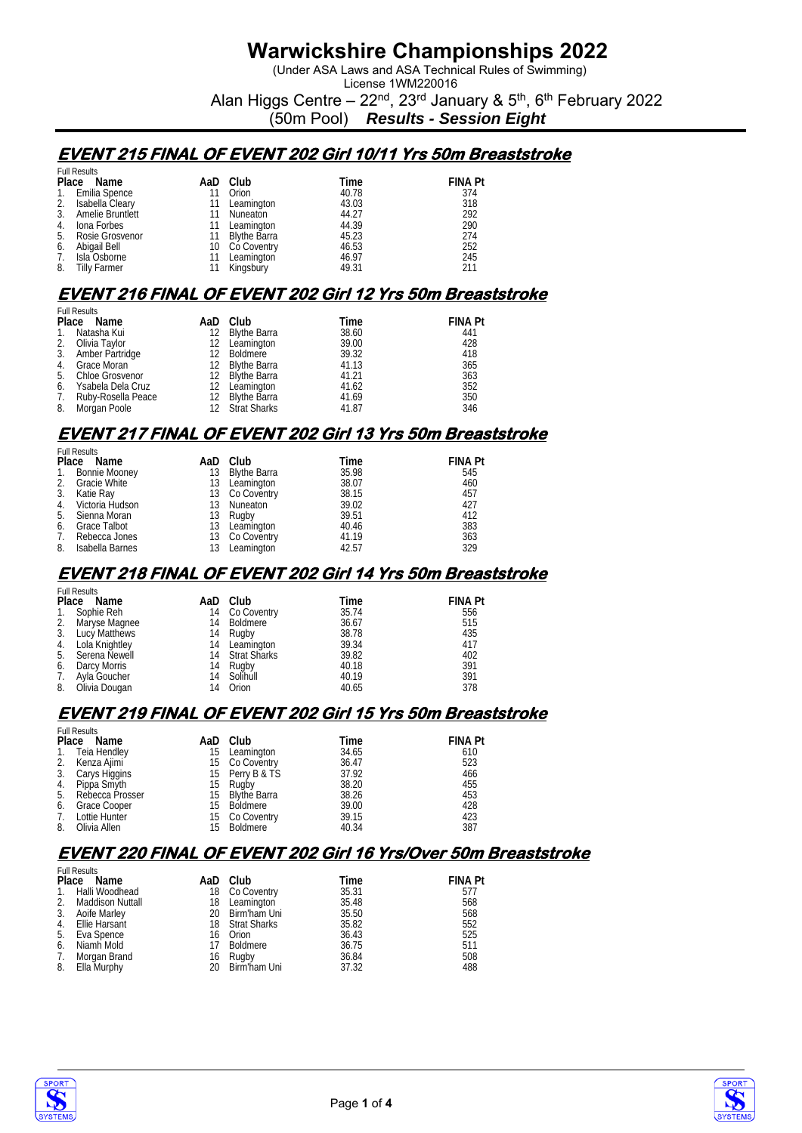(Under ASA Laws and ASA Technical Rules of Swimming) License 1WM220016

Alan Higgs Centre –  $22<sup>nd</sup>$ ,  $23<sup>rd</sup>$  January &  $5<sup>th</sup>$ ,  $6<sup>th</sup>$  February 2022

(50m Pool) *Results - Session Eight*

### **EVENT 215 FINAL OF EVENT 202 Girl 10/11 Yrs 50m Breaststroke**

|    | <b>Full Results</b> |     |                 |       |                |
|----|---------------------|-----|-----------------|-------|----------------|
|    | Place Name          | AaD | Club            | Time  | <b>FINA Pt</b> |
|    | 1. Emilia Spence    | 11  | Orion           | 40.78 | 374            |
| 2. | Isabella Cleary     | 11  | Leamington      | 43.03 | 318            |
|    | Amelie Bruntlett    | 11  | Nuneaton        | 44.27 | 292            |
| 4. | Iona Forbes         | 11  | Leamington      | 44.39 | 290            |
|    | 5. Rosie Grosvenor  |     | 11 Blythe Barra | 45.23 | 274            |
| 6. | Abigail Bell        |     | 10 Co Coventry  | 46.53 | 252            |
| 7. | Isla Osborne        | 11  | Leamington      | 46.97 | 245            |
| 8. | Tilly Farmer        |     | Kingsbury       | 49.31 | 211            |

## **EVENT 216 FINAL OF EVENT 202 Girl 12 Yrs 50m Breaststroke**

|                | <b>Full Results</b> |  |                 |       |                |  |  |  |
|----------------|---------------------|--|-----------------|-------|----------------|--|--|--|
|                | Place Name          |  | AaD Club        | Time  | <b>FINA Pt</b> |  |  |  |
| $\mathbf{1}$ . | Natasha Kui         |  | 12 Blythe Barra | 38.60 | 441            |  |  |  |
|                | 2. Olivia Taylor    |  | 12 Leamington   | 39.00 | 428            |  |  |  |
|                | 3. Amber Partridge  |  | Boldmere        | 39.32 | 418            |  |  |  |
|                | 4. Grace Moran      |  | 12 Blythe Barra | 41.13 | 365            |  |  |  |
|                | 5. Chloe Grosvenor  |  | 12 Blythe Barra | 41.21 | 363            |  |  |  |
| 6.             | Ysabela Dela Cruz   |  | 12 Leamington   | 41.62 | 352            |  |  |  |
| 7.             | Ruby-Rosella Peace  |  | 12 Blythe Barra | 41.69 | 350            |  |  |  |
| 8.             | Morgan Poole        |  | 12 Strat Sharks | 41.87 | 346            |  |  |  |

### **EVENT 217 FINAL OF EVENT 202 Girl 13 Yrs 50m Breaststroke**

|       | <b>Full Results</b>  |     |                |       |                |  |  |  |
|-------|----------------------|-----|----------------|-------|----------------|--|--|--|
| Place | Name                 |     | AaD Club       | Time  | <b>FINA Pt</b> |  |  |  |
| 1.    | <b>Bonnie Mooney</b> | 13  | Blythe Barra   | 35.98 | 545            |  |  |  |
| 2.    | Gracie White         | 13  | Leamington     | 38.07 | 460            |  |  |  |
| 3.    | Katie Ray            |     | 13 Co Coventry | 38.15 | 457            |  |  |  |
|       | 4. Victoria Hudson   |     | 13 Nuneaton    | 39.02 | 427            |  |  |  |
| 5.    | Sienna Moran         | 13. | Rugby          | 39.51 | 412            |  |  |  |
| 6.    | <b>Grace Talbot</b>  | 13  | Leamington     | 40.46 | 383            |  |  |  |
| 7.    | Rebecca Jones        |     | 13 Co Coventry | 41.19 | 363            |  |  |  |
| 8.    | Isabella Barnes      | 13  | Leamington     | 42.57 | 329            |  |  |  |

### **EVENT 218 FINAL OF EVENT 202 Girl 14 Yrs 50m Breaststroke**

|    | <b>Full Results</b> |    |                 |       |                |  |  |  |
|----|---------------------|----|-----------------|-------|----------------|--|--|--|
|    | Place Name          |    | AaD Club        | Time  | <b>FINA Pt</b> |  |  |  |
| 1. | Sophie Reh          |    | 14 Co Coventry  | 35.74 | 556            |  |  |  |
| 2. | Maryse Magnee       | 14 | Boldmere        | 36.67 | 515            |  |  |  |
| 3. | Lucy Matthews       | 14 | Rugby           | 38.78 | 435            |  |  |  |
|    | 4. Lola Knightley   |    | 14 Leamington   | 39.34 | 417            |  |  |  |
| 5. | Serena Newell       |    | 14 Strat Sharks | 39.82 | 402            |  |  |  |
| 6. | Darcy Morris        | 14 | Rugby           | 40.18 | 391            |  |  |  |
| 7. | Ayla Goucher        |    | 14 Solihull     | 40.19 | 391            |  |  |  |
| 8. | Olivia Dougan       | 14 | Orion           | 40.65 | 378            |  |  |  |

#### **EVENT 219 FINAL OF EVENT 202 Girl 15 Yrs 50m Breaststroke**

|    | <b>Full Results</b> |    |                 |       |                |  |  |  |
|----|---------------------|----|-----------------|-------|----------------|--|--|--|
|    | Place Name          |    | AaD Club        | Time  | <b>FINA Pt</b> |  |  |  |
|    | 1. Teia Hendley     | 15 | Leamington      | 34.65 | 610            |  |  |  |
| 2. | Kenza Ajimi         |    | 15 Co Coventry  | 36.47 | 523            |  |  |  |
|    | 3. Carys Higgins    |    | 15 Perry B & TS | 37.92 | 466            |  |  |  |
| 4. | Pippa Smyth         | 15 | Rugby           | 38.20 | 455            |  |  |  |
| 5. | Rebecca Prosser     |    | 15 Blythe Barra | 38.26 | 453            |  |  |  |
| 6. | Grace Cooper        |    | 15 Boldmere     | 39.00 | 428            |  |  |  |
| 7. | Lottie Hunter       |    | 15 Co Coventry  | 39.15 | 423            |  |  |  |
| 8. | Olivia Allen        | 15 | Boldmere        | 40.34 | 387            |  |  |  |

#### **EVENT 220 FINAL OF EVENT 202 Girl 16 Yrs/Over 50m Breaststroke**

|                | <b>Full Results</b> |    |                 |       |                |
|----------------|---------------------|----|-----------------|-------|----------------|
|                | Place Name          |    | AaD Club        | Time  | <b>FINA Pt</b> |
| $\mathbf{1}$ . | Halli Woodhead      |    | 18 Co Coventry  | 35.31 | 577            |
| 2.             | Maddison Nuttall    |    | 18 Leamington   | 35.48 | 568            |
| 3.             | Aoife Marley        |    | 20 Birm'ham Uni | 35.50 | 568            |
|                | 4. Ellie Harsant    |    | 18 Strat Sharks | 35.82 | 552            |
|                | 5. Eva Spence       | 16 | Orion           | 36.43 | 525            |
| 6.             | Niamh Mold          |    | 17 Boldmere     | 36.75 | 511            |
| 7.             | Morgan Brand        |    | 16 Rugby        | 36.84 | 508            |
| 8.             | Ella Murphy         |    | 20 Birm'ham Uni | 37.32 | 488            |



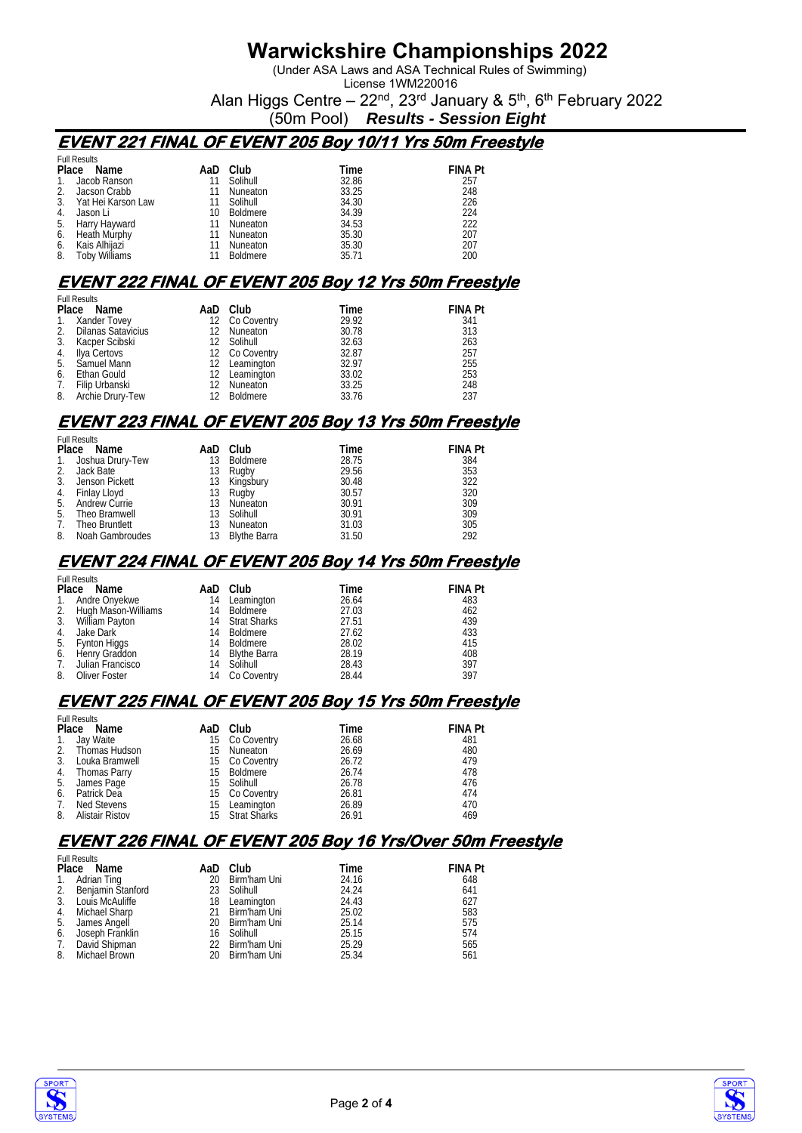(Under ASA Laws and ASA Technical Rules of Swimming) License 1WM220016

Alan Higgs Centre –  $22<sup>nd</sup>$ ,  $23<sup>rd</sup>$  January &  $5<sup>th</sup>$ ,  $6<sup>th</sup>$  February 2022

(50m Pool) *Results - Session Eight*

### **EVENT 221 FINAL OF EVENT 205 Boy 10/11 Yrs 50m Freestyle**

|    | <b>Full Results</b>  |     |                 |       |                |
|----|----------------------|-----|-----------------|-------|----------------|
|    | Place<br>Name        | AaD | Club            | Time  | <b>FINA Pt</b> |
|    | Jacob Ranson         | 11  | Solihull        | 32.86 | 257            |
|    | Jacson Crabb         | 11  | <b>Nuneaton</b> | 33.25 | 248            |
| 3. | Yat Hei Karson Law   | 11  | Solihull        | 34.30 | 226            |
| 4. | Jason Li             | 10  | <b>Boldmere</b> | 34.39 | 224            |
| 5. | Harry Hayward        | 11  | Nuneaton        | 34.53 | 222            |
| 6. | Heath Murphy         | 11  | Nuneaton        | 35.30 | 207            |
| 6. | Kais Alhiiazi        | 11  | Nuneaton        | 35.30 | 207            |
| 8. | <b>Toby Williams</b> |     | <b>Boldmere</b> | 35.71 | 200            |

### **EVENT 222 FINAL OF EVENT 205 Boy 12 Yrs 50m Freestyle**

|    | <b>Full Results</b>   |  |                |       |                |  |  |
|----|-----------------------|--|----------------|-------|----------------|--|--|
|    | Place Name            |  | AaD Club       | Time  | <b>FINA Pt</b> |  |  |
|    | 1. Xander Tovey       |  | 12 Co Coventry | 29.92 | 341            |  |  |
|    | 2. Dilanas Satavicius |  | 12 Nuneaton    | 30.78 | 313            |  |  |
| 3. | Kacper Scibski        |  | 12 Solihull    | 32.63 | 263            |  |  |
| 4. | Ilya Certovs          |  | 12 Co Coventry | 32.87 | 257            |  |  |
|    | 5. Samuel Mann        |  | 12 Leamington  | 32.97 | 255            |  |  |
| 6. | Ethan Gould           |  | 12 Leamington  | 33.02 | 253            |  |  |
| 7. | Filip Urbanski        |  | 12 Nuneaton    | 33.25 | 248            |  |  |
| 8. | Archie Drury-Tew      |  | 12 Boldmere    | 33.76 | 237            |  |  |

### **EVENT 223 FINAL OF EVENT 205 Boy 13 Yrs 50m Freestyle**

Full Results

| <b>FUILRESUILS</b> |                     |     |                 |       |                |
|--------------------|---------------------|-----|-----------------|-------|----------------|
|                    | Place Name          |     | AaD Club        | Time  | <b>FINA Pt</b> |
|                    | 1. Joshua Drury-Tew | 13  | Boldmere        | 28.75 | 384            |
|                    | 2. Jack Bate        | 13. | Rugby           | 29.56 | 353            |
| 3.                 | Jenson Pickett      |     | 13 Kingsbury    | 30.48 | 322            |
|                    | 4. Finlay Lloyd     |     | 13 Rugby        | 30.57 | 320            |
| 5.                 | Andrew Currie       | 13  | Nuneaton        | 30.91 | 309            |
| 5.                 | Theo Bramwell       |     | 13 Solihull     | 30.91 | 309            |
| $7_{\cdot}$        | Theo Bruntlett      | 13  | Nuneaton        | 31.03 | 305            |
| 8.                 | Noah Gambroudes     |     | 13 Blythe Barra | 31.50 | 292            |
|                    |                     |     |                 |       |                |

#### **EVENT 224 FINAL OF EVENT 205 Boy 14 Yrs 50m Freestyle**

|    | <b>Full Results</b>    |    |                 |       |                |
|----|------------------------|----|-----------------|-------|----------------|
|    | Place Name             |    | AaD Club        | Time  | <b>FINA Pt</b> |
| 1. | Andre Onyekwe          |    | 14 Leamington   | 26.64 | 483            |
|    | 2. Hugh Mason-Williams | 14 | Boldmere        | 27.03 | 462            |
|    | 3. William Payton      |    | 14 Strat Sharks | 27.51 | 439            |
| 4. | Jake Dark              | 14 | Boldmere        | 27.62 | 433            |
| 5. | Fynton Higgs           |    | 14 Boldmere     | 28.02 | 415            |
| 6. | Henry Graddon          | 14 | Blythe Barra    | 28.19 | 408            |
| 7. | Julian Francisco       |    | 14 Solihull     | 28.43 | 397            |
| 8. | Oliver Foster          |    | 14 Co Coventry  | 28.44 | 397            |

#### **EVENT 225 FINAL OF EVENT 205 Boy 15 Yrs 50m Freestyle**

|    | <b>Full Results</b> |     |                 |       |                |  |  |  |
|----|---------------------|-----|-----------------|-------|----------------|--|--|--|
|    | Place Name          |     | AaD Club        | Time  | <b>FINA Pt</b> |  |  |  |
|    | 1. Jay Waite        |     | 15 Co Coventry  | 26.68 | 481            |  |  |  |
|    | 2. Thomas Hudson    | 15. | Nuneaton        | 26.69 | 480            |  |  |  |
|    | 3. Louka Bramwell   |     | 15 Co Coventry  | 26.72 | 479            |  |  |  |
|    | 4. Thomas Parry     |     | 15 Boldmere     | 26.74 | 478            |  |  |  |
|    | 5. James Page       |     | 15 Solihull     | 26.78 | 476            |  |  |  |
| 6. | Patrick Dea         |     | 15 Co Coventry  | 26.81 | 474            |  |  |  |
| 7. | Ned Stevens         | 15  | Leamington      | 26.89 | 470            |  |  |  |
| 8. | Alistair Ristov     |     | 15 Strat Sharks | 26.91 | 469            |  |  |  |

### **EVENT 226 FINAL OF EVENT 205 Boy 16 Yrs/Over 50m Freestyle**

|             | <b>Full Results</b>  |     |                 |       |                |  |  |  |
|-------------|----------------------|-----|-----------------|-------|----------------|--|--|--|
| Place       | Name                 | AaD | Club            | Time  | <b>FINA Pt</b> |  |  |  |
| $1_{\cdot}$ | Adrian Ting          |     | 20 Birm'ham Uni | 24.16 | 648            |  |  |  |
|             | 2. Beniamin Stanford |     | 23 Solihull     | 24.24 | 641            |  |  |  |
|             | 3. Louis McAuliffe   |     | 18 Leamington   | 24.43 | 627            |  |  |  |
|             | 4. Michael Sharp     |     | 21 Birm'ham Uni | 25.02 | 583            |  |  |  |
|             | 5. James Angell      |     | 20 Birm'ham Uni | 25.14 | 575            |  |  |  |
| 6.          | Joseph Franklin      |     | 16 Solihull     | 25.15 | 574            |  |  |  |
| 7.          | David Shipman        |     | 22 Birm'ham Uni | 25.29 | 565            |  |  |  |
|             | 8. Michael Brown     |     | 20 Birm'ham Uni | 25.34 | 561            |  |  |  |



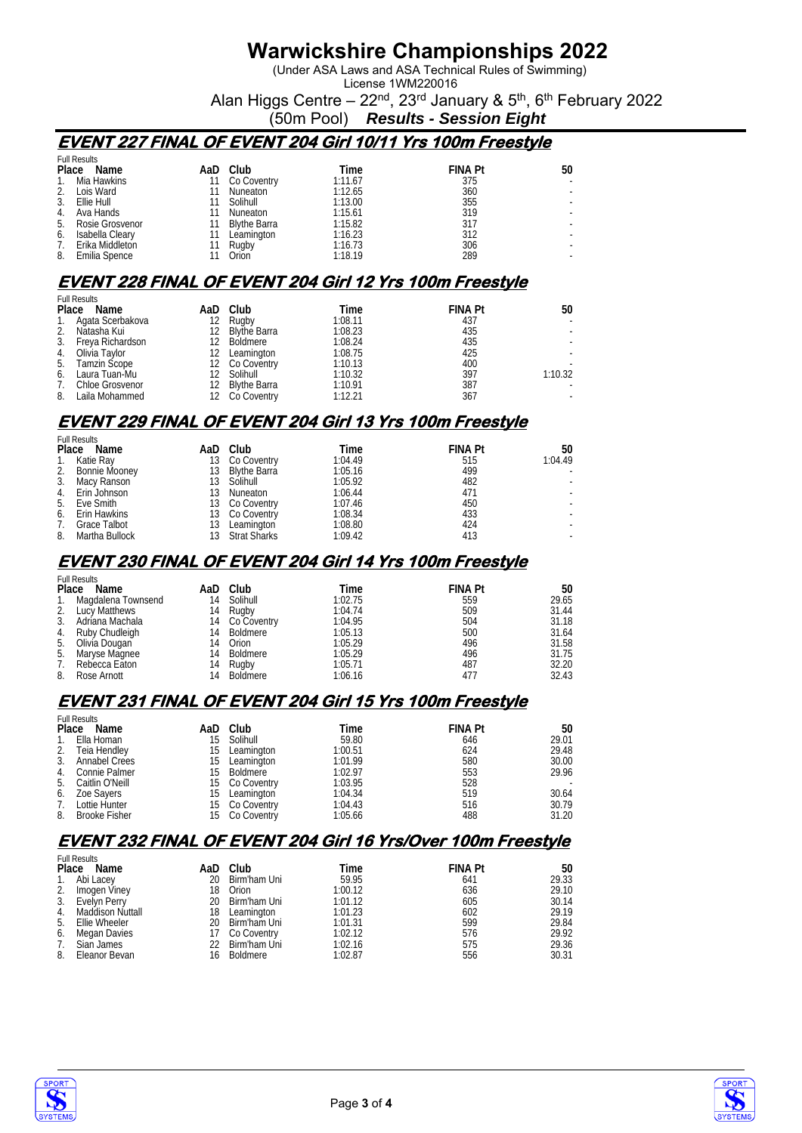(Under ASA Laws and ASA Technical Rules of Swimming) License 1WM220016

Alan Higgs Centre –  $22<sup>nd</sup>$ ,  $23<sup>rd</sup>$  January &  $5<sup>th</sup>$ ,  $6<sup>th</sup>$  February 2022

(50m Pool) *Results - Session Eight*

### **EVENT 227 FINAL OF EVENT 204 Girl 10/11 Yrs 100m Freestyle**

|    | <b>Full Results</b> |     |                     |         |                |                          |
|----|---------------------|-----|---------------------|---------|----------------|--------------------------|
|    | Place Name          | AaD | Club                | Time    | <b>FINA Pt</b> | 50                       |
| 1. | Mia Hawkins         |     | Co Coventry         | 1:11.67 | 375            | $\overline{\phantom{a}}$ |
|    | Lois Ward           |     | Nuneaton            | 1:12.65 | 360            |                          |
| 3. | Ellie Hull          |     | Solihull            | 1:13.00 | 355            | ۰                        |
| 4. | Ava Hands           |     | Nuneaton            | 1:15.61 | 319            | ۰                        |
| 5. | Rosie Grosvenor     |     | <b>Blythe Barra</b> | 1:15.82 | 317            |                          |
| 6. | Isabella Cleary     |     | Leamington          | 1:16.23 | 312            |                          |
|    | Erika Middleton     |     | Rugby               | 1:16.73 | 306            |                          |
| 8. | Emilia Spence       |     | Orion               | 1:18.19 | 289            |                          |

# **EVENT 228 FINAL OF EVENT 204 Girl 12 Yrs 100m Freestyle**

|    | <b>Full Results</b> |     |                     |         |                |         |  |  |
|----|---------------------|-----|---------------------|---------|----------------|---------|--|--|
|    | Place Name          |     | AaD Club            | Time    | <b>FINA Pt</b> | 50      |  |  |
|    | 1. Agata Scerbakova | 12  | Rugby               | 1:08.11 | 437            |         |  |  |
| 2. | Natasha Kui         |     | Blythe Barra        | 1:08.23 | 435            |         |  |  |
| 3. | Freya Richardson    | 12. | Boldmere            | 1:08.24 | 435            |         |  |  |
| 4. | Olivia Tavlor       | 12  | Leamington          | 1:08.75 | 425            |         |  |  |
| 5. | Tamzin Scope        |     | 12 Co Coventry      | 1:10.13 | 400            |         |  |  |
| 6. | Laura Tuan-Mu       |     | Solihull            | 1:10.32 | 397            | 1:10.32 |  |  |
| 7. | Chloe Grosvenor     |     | <b>Blythe Barra</b> | 1:10.91 | 387            |         |  |  |
| 8. | Laila Mohammed      |     | Co Coventry         | 1:12.21 | 367            |         |  |  |

# **EVENT 229 FINAL OF EVENT 204 Girl 13 Yrs 100m Freestyle**

Full Results

| <b>FUIL RESUILS</b> |                     |    |                 |         |                |         |
|---------------------|---------------------|----|-----------------|---------|----------------|---------|
|                     | Place<br>Name       |    | AaD Club        | Time    | <b>FINA Pt</b> | 50      |
| $\mathbf{1}$ .      | Katie Ray           |    | 13 Co Coventry  | 1:04.49 | 515            | 1:04.49 |
|                     | 2. Bonnie Mooney    |    | 13 Blythe Barra | 1:05.16 | 499            |         |
|                     | 3. Macy Ranson      |    | 13 Solihull     | 1:05.92 | 482            |         |
|                     | 4. Erin Johnson     | 13 | Nuneaton        | 1:06.44 | 471            |         |
|                     | 5. Eve Smith        |    | 13 Co Coventry  | 1:07.46 | 450            |         |
|                     | 6. Erin Hawkins     |    | 13 Co Coventry  | 1:08.34 | 433            |         |
| 7.                  | <b>Grace Talbot</b> | 13 | Leamington      | 1:08.80 | 424            |         |
| 8.                  | Martha Bullock      |    | 13 Strat Sharks | 1:09.42 | 413            |         |
|                     |                     |    |                 |         |                |         |

#### **EVENT 230 FINAL OF EVENT 204 Girl 14 Yrs 100m Freestyle**

|    | <b>Full Results</b>   |    |                |         |                |       |  |  |
|----|-----------------------|----|----------------|---------|----------------|-------|--|--|
|    | Place Name            |    | AaD Club       | Time    | <b>FINA Pt</b> | 50    |  |  |
|    | 1. Magdalena Townsend | 14 | Solihull       | 1:02.75 | 559            | 29.65 |  |  |
|    | 2. Lucy Matthews      | 14 | Rugby          | 1:04.74 | 509            | 31.44 |  |  |
| 3. | Adriana Machala       |    | 14 Co Coventry | 1:04.95 | 504            | 31.18 |  |  |
|    | 4. Ruby Chudleigh     | 14 | Boldmere       | 1:05.13 | 500            | 31.64 |  |  |
|    | 5. Olivía Dougan      | 14 | Orion          | 1:05.29 | 496            | 31.58 |  |  |
|    | 5. Maryse Magnee      | 14 | Boldmere       | 1:05.29 | 496            | 31.75 |  |  |
| 7. | Rebecca Eaton         | 14 | Rugby          | 1:05.71 | 487            | 32.20 |  |  |
| 8. | Rose Arnott           | 14 | Boldmere       | 1:06.16 | 477            | 32.43 |  |  |

### **EVENT 231 FINAL OF EVENT 204 Girl 15 Yrs 100m Freestyle**

|    | <b>Full Results</b> |    |                |         |                |       |
|----|---------------------|----|----------------|---------|----------------|-------|
|    | Place Name          |    | AaD Club       | Time    | <b>FINA Pt</b> | 50    |
| 1. | Ella Homan          |    | 15 Solihull    | 59.80   | 646            | 29.01 |
|    | 2. Teia Hendley     | 15 | Leamington     | 1:00.51 | 624            | 29.48 |
|    | 3. Annabel Crees    |    | 15 Leamington  | 1:01.99 | 580            | 30.00 |
|    | 4. Connie Palmer    |    | 15 Boldmere    | 1:02.97 | 553            | 29.96 |
|    | 5. Caitlin O'Neill  |    | 15 Co Coventry | 1:03.95 | 528            |       |
|    | 6. Zoe Savers       |    | 15 Leamington  | 1:04.34 | 519            | 30.64 |
| 7. | Lottie Hunter       |    | 15 Co Coventry | 1:04.43 | 516            | 30.79 |
|    | 8. Brooke Fisher    |    | 15 Co Coventry | 1:05.66 | 488            | 31.20 |

#### **EVENT 232 FINAL OF EVENT 204 Girl 16 Yrs/Over 100m Freestyle**

|                | <b>Full Results</b> |     |                 |         |                |       |
|----------------|---------------------|-----|-----------------|---------|----------------|-------|
|                | Place Name          |     | AaD Club        | Time    | <b>FINA Pt</b> | 50    |
| $\mathbf{1}$ . | Abi Lacey           | 20  | Birm'ham Uni    | 59.95   | 641            | 29.33 |
| 2.             | Imogen Viney        | 18  | Orion           | 1:00.12 | 636            | 29.10 |
|                | 3. Evelyn Perry     | 20  | Birm'ham Uni    | 1:01.12 | 605            | 30.14 |
| 4.             | Maddison Nuttall    | 18  | Leamington      | 1:01.23 | 602            | 29.19 |
| 5.             | Ellie Wheeler       | 20. | Birm'ham Uni    | 1:01.31 | 599            | 29.84 |
| 6.             | Megan Davies        | 17  | Co Coventry     | 1:02.12 | 576            | 29.92 |
| 7.             | Sian James          |     | 22 Birm'ham Uni | 1:02.16 | 575            | 29.36 |
| 8.             | Eleanor Bevan       | 16  | <b>Boldmere</b> | 1:02.87 | 556            | 30.31 |